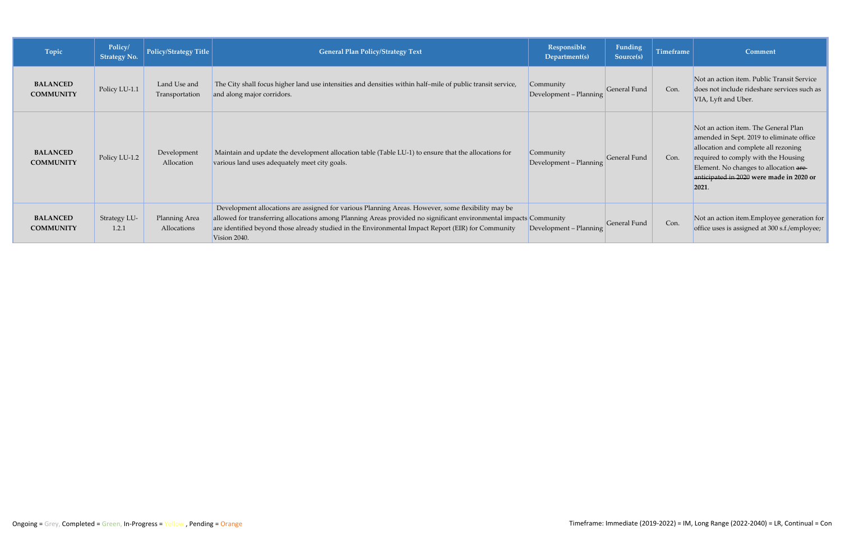| Topic                               | Policy/<br><b>Strategy No.</b> | Policy/Strategy Title          | <b>General Plan Policy/Strategy Text</b>                                                                                                                                                                                                                                                                                                     | Responsible<br>Department(s)        | Funding<br>Source(s) | <b>Timeframe</b> | <b>Comment</b>                                                                                                                                                                                                                                                  |
|-------------------------------------|--------------------------------|--------------------------------|----------------------------------------------------------------------------------------------------------------------------------------------------------------------------------------------------------------------------------------------------------------------------------------------------------------------------------------------|-------------------------------------|----------------------|------------------|-----------------------------------------------------------------------------------------------------------------------------------------------------------------------------------------------------------------------------------------------------------------|
| <b>BALANCED</b><br><b>COMMUNITY</b> | Policy LU-1.1                  | Land Use and<br>Transportation | The City shall focus higher land use intensities and densities within half-mile of public transit service,<br>and along major corridors.                                                                                                                                                                                                     | Community<br>Development - Planning | <b>General Fund</b>  | Con.             | Not an action item. Public Transit Service<br>does not include rideshare services such as<br>VIA, Lyft and Uber.                                                                                                                                                |
| <b>BALANCED</b><br><b>COMMUNITY</b> | Policy LU-1.2                  | Development<br>Allocation      | Maintain and update the development allocation table (Table LU-1) to ensure that the allocations for<br>various land uses adequately meet city goals.                                                                                                                                                                                        | Community<br>Development - Planning | General Fund         | Con.             | Not an action item. The General Plan<br>amended in Sept. 2019 to eliminate office<br>allocation and complete all rezoning<br>required to comply with the Housing<br>Element. No changes to allocation are<br>anticipated in 2020 were made in 2020 or<br> 2021. |
| <b>BALANCED</b><br><b>COMMUNITY</b> | Strategy LU-<br>1.2.1          | Planning Area<br>Allocations   | Development allocations are assigned for various Planning Areas. However, some flexibility may be<br>allowed for transferring allocations among Planning Areas provided no significant environmental impacts Community<br>are identified beyond those already studied in the Environmental Impact Report (EIR) for Community<br>Vision 2040. | Development - Planning              | General Fund         | Con.             | Not an action item.Employee generation for<br>office uses is assigned at 300 s.f./employee;                                                                                                                                                                     |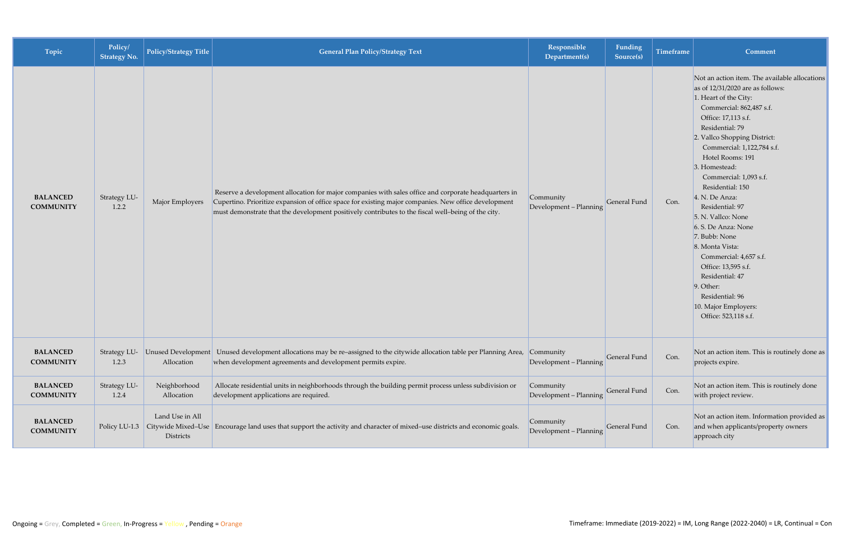| Topic                               | Policy/<br><b>Strategy No.</b> | Policy/Strategy Title                         | <b>General Plan Policy/Strategy Text</b>                                                                                                                                                                                                                                                                           | Responsible<br>Department(s)        | Funding<br>Source(s) | Timeframe | <b>Comment</b>                                                                                                                                                                                                                                                                                                                                                                                                                                                                                                                                                                                                     |
|-------------------------------------|--------------------------------|-----------------------------------------------|--------------------------------------------------------------------------------------------------------------------------------------------------------------------------------------------------------------------------------------------------------------------------------------------------------------------|-------------------------------------|----------------------|-----------|--------------------------------------------------------------------------------------------------------------------------------------------------------------------------------------------------------------------------------------------------------------------------------------------------------------------------------------------------------------------------------------------------------------------------------------------------------------------------------------------------------------------------------------------------------------------------------------------------------------------|
| <b>BALANCED</b><br><b>COMMUNITY</b> | Strategy LU-<br>1.2.2          | Major Employers                               | Reserve a development allocation for major companies with sales office and corporate headquarters in<br>Cupertino. Prioritize expansion of office space for existing major companies. New office development<br>must demonstrate that the development positively contributes to the fiscal well-being of the city. | Community<br>Development - Planning | <b>General Fund</b>  | Con.      | Not an action item. The available allocations<br>as of $12/31/2020$ are as follows:<br>1. Heart of the City:<br>Commercial: 862,487 s.f.<br>Office: 17,113 s.f.<br>Residential: 79<br>2. Vallco Shopping District:<br>Commercial: 1,122,784 s.f.<br>Hotel Rooms: 191<br>3. Homestead:<br>Commercial: 1,093 s.f.<br>Residential: 150<br>4. N. De Anza:<br>Residential: 97<br>5. N. Vallco: None<br>6. S. De Anza: None<br>$ 7.$ Bubb: None<br>8. Monta Vista:<br>Commercial: 4,657 s.f.<br>Office: 13,595 s.f.<br>Residential: 47<br>$9.$ Other:<br>Residential: 96<br>10. Major Employers:<br>Office: 523,118 s.f. |
| <b>BALANCED</b><br><b>COMMUNITY</b> | 1.2.3                          | Strategy LU- Unused Development<br>Allocation | Unused development allocations may be re-assigned to the citywide allocation table per Planning Area,<br>when development agreements and development permits expire.                                                                                                                                               | Community<br>Development - Planning | General Fund         | Con.      | Not an action item. This is routinely done as<br>projects expire.                                                                                                                                                                                                                                                                                                                                                                                                                                                                                                                                                  |
| <b>BALANCED</b><br><b>COMMUNITY</b> | Strategy LU-<br>1.2.4          | Neighborhood<br>Allocation                    | Allocate residential units in neighborhoods through the building permit process unless subdivision or<br>development applications are required.                                                                                                                                                                    | Community<br>Development - Planning | General Fund         | Con.      | Not an action item. This is routinely done<br>with project review.                                                                                                                                                                                                                                                                                                                                                                                                                                                                                                                                                 |
| <b>BALANCED</b><br><b>COMMUNITY</b> |                                | Land Use in All<br>Districts                  | Policy LU-1.3 Citywide Mixed–Use Encourage land uses that support the activity and character of mixed–use districts and economic goals.                                                                                                                                                                            | Community<br>Development - Planning | General Fund         | Con.      | Not an action item. Information provided as<br>and when applicants/property owners<br>approach city                                                                                                                                                                                                                                                                                                                                                                                                                                                                                                                |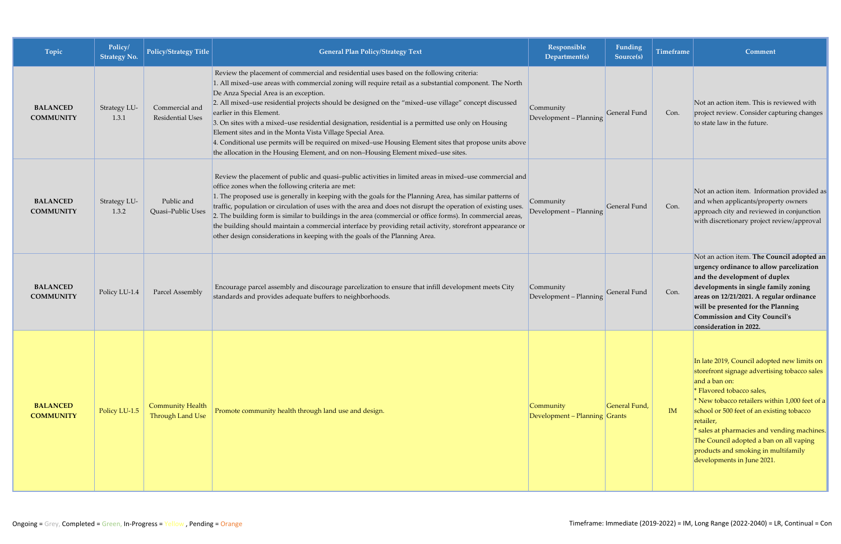| Topic                               | Policy/<br><b>Strategy No.</b> | <b>Policy/Strategy Title</b>                       | <b>General Plan Policy/Strategy Text</b>                                                                                                                                                                                                                                                                                                                                                                                                                                                                                                                                                                                                                                                                                                                 | Responsible<br>Department(s)               | Funding<br>Source(s) | <b>Timeframe</b> | <b>Comment</b>                                                                                                                                                                                                                                                                                                                                                                                                       |
|-------------------------------------|--------------------------------|----------------------------------------------------|----------------------------------------------------------------------------------------------------------------------------------------------------------------------------------------------------------------------------------------------------------------------------------------------------------------------------------------------------------------------------------------------------------------------------------------------------------------------------------------------------------------------------------------------------------------------------------------------------------------------------------------------------------------------------------------------------------------------------------------------------------|--------------------------------------------|----------------------|------------------|----------------------------------------------------------------------------------------------------------------------------------------------------------------------------------------------------------------------------------------------------------------------------------------------------------------------------------------------------------------------------------------------------------------------|
| <b>BALANCED</b><br><b>COMMUNITY</b> | Strategy LU-<br>1.3.1          | Commercial and<br>Residential Uses                 | Review the placement of commercial and residential uses based on the following criteria:<br>1. All mixed-use areas with commercial zoning will require retail as a substantial component. The North<br>De Anza Special Area is an exception.<br>2. All mixed-use residential projects should be designed on the "mixed-use village" concept discussed<br>earlier in this Element.<br>3. On sites with a mixed-use residential designation, residential is a permitted use only on Housing<br>Element sites and in the Monta Vista Village Special Area.<br>4. Conditional use permits will be required on mixed-use Housing Element sites that propose units above<br>the allocation in the Housing Element, and on non-Housing Element mixed-use sites. | Community<br>Development - Planning        | General Fund         | Con.             | Not an action item. This is reviewed with<br>project review. Consider capturing changes<br>to state law in the future.                                                                                                                                                                                                                                                                                               |
| <b>BALANCED</b><br><b>COMMUNITY</b> | Strategy LU-<br>1.3.2          | Public and<br>Quasi-Public Uses                    | Review the placement of public and quasi-public activities in limited areas in mixed-use commercial and<br>office zones when the following criteria are met:<br>1. The proposed use is generally in keeping with the goals for the Planning Area, has similar patterns of<br>traffic, population or circulation of uses with the area and does not disrupt the operation of existing uses.<br>2. The building form is similar to buildings in the area (commercial or office forms). In commercial areas,<br>the building should maintain a commercial interface by providing retail activity, storefront appearance or<br>other design considerations in keeping with the goals of the Planning Area.                                                   | Community<br>Development - Planning        | General Fund         | Con.             | Not an action item. Information provided as<br>and when applicants/property owners<br>approach city and reviewed in conjunction<br>with discretionary project review/approval                                                                                                                                                                                                                                        |
| <b>BALANCED</b><br><b>COMMUNITY</b> | Policy LU-1.4                  | Parcel Assembly                                    | Encourage parcel assembly and discourage parcelization to ensure that infill development meets City<br>standards and provides adequate buffers to neighborhoods.                                                                                                                                                                                                                                                                                                                                                                                                                                                                                                                                                                                         | Community<br>Development - Planning        | General Fund         | Con.             | Not an action item. The Council adopted an<br>urgency ordinance to allow parcelization<br>and the development of duplex<br>developments in single family zoning<br>areas on 12/21/2021. A regular ordinance<br>will be presented for the Planning<br><b>Commission and City Council's</b><br>consideration in 2022.                                                                                                  |
| <b>BALANCED</b><br><b>COMMUNITY</b> | Policy LU-1.5                  | <b>Community Health</b><br><b>Through Land Use</b> | Promote community health through land use and design.                                                                                                                                                                                                                                                                                                                                                                                                                                                                                                                                                                                                                                                                                                    | Community<br>Development - Planning Grants | General Fund,        | IM               | In late 2019, Council adopted new limits on<br>storefront signage advertising tobacco sales<br>and a ban on:<br>* Flavored tobacco sales,<br>* New tobacco retailers within 1,000 feet of a<br>school or 500 feet of an existing tobacco<br>retailer,<br>* sales at pharmacies and vending machines.<br>The Council adopted a ban on all vaping<br>products and smoking in multifamily<br>developments in June 2021. |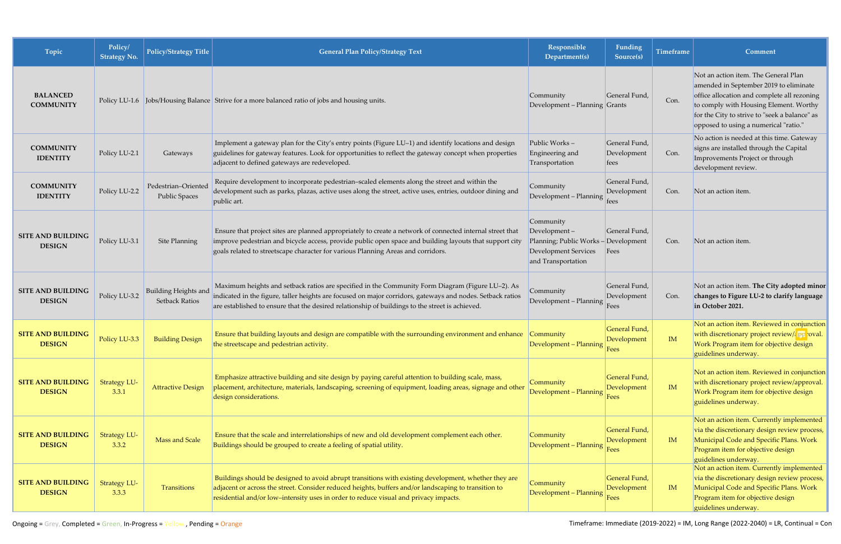| Topic                                     | Policy/<br><b>Strategy No.</b> | <b>Policy/Strategy Title</b>                  | <b>General Plan Policy/Strategy Text</b>                                                                                                                                                                                                                                                                          | Responsible<br>Department(s)                                                                                    | Funding<br>Source(s)                        | <b>Timeframe</b> | Comment                                                                                                                                                                                                                                                           |
|-------------------------------------------|--------------------------------|-----------------------------------------------|-------------------------------------------------------------------------------------------------------------------------------------------------------------------------------------------------------------------------------------------------------------------------------------------------------------------|-----------------------------------------------------------------------------------------------------------------|---------------------------------------------|------------------|-------------------------------------------------------------------------------------------------------------------------------------------------------------------------------------------------------------------------------------------------------------------|
| <b>BALANCED</b><br><b>COMMUNITY</b>       |                                |                                               | Policy LU-1.6 Jobs/Housing Balance Strive for a more balanced ratio of jobs and housing units.                                                                                                                                                                                                                    | Community<br>Development – Planning Grants                                                                      | General Fund                                | Con.             | Not an action item. The General Plan<br>amended in September 2019 to eliminate<br>office allocation and complete all rezoning<br>to comply with Housing Element. Worthy<br>for the City to strive to "seek a balance" as<br>opposed to using a numerical "ratio." |
| <b>COMMUNITY</b><br><b>IDENTITY</b>       | Policy LU-2.1                  | Gateways                                      | Implement a gateway plan for the City's entry points (Figure LU-1) and identify locations and design<br>guidelines for gateway features. Look for opportunities to reflect the gateway concept when properties<br>adjacent to defined gateways are redeveloped.                                                   | Public Works-<br>Engineering and<br>Transportation                                                              | General Fund,<br>Development<br><i>fees</i> | Con.             | No action is needed at this time. Gateway<br>signs are installed through the Capital<br>Improvements Project or through<br>development review.                                                                                                                    |
| <b>COMMUNITY</b><br><b>IDENTITY</b>       | Policy LU-2.2                  | Pedestrian-Oriented<br><b>Public Spaces</b>   | Require development to incorporate pedestrian-scaled elements along the street and within the<br>development such as parks, plazas, active uses along the street, active uses, entries, outdoor dining and<br>public art.                                                                                         | Community<br>Development - Planning                                                                             | General Fund,<br>Development<br>tees        | Con.             | Not an action item.                                                                                                                                                                                                                                               |
| <b>SITE AND BUILDING</b><br><b>DESIGN</b> | Policy LU-3.1                  | Site Planning                                 | Ensure that project sites are planned appropriately to create a network of connected internal street that<br>improve pedestrian and bicycle access, provide public open space and building layouts that support city<br>goals related to streetscape character for various Planning Areas and corridors.          | Community<br>Development-<br>Planning; Public Works - Development<br>Development Services<br>and Transportation | General Fund,<br>Fees                       | Con.             | Not an action item.                                                                                                                                                                                                                                               |
| <b>SITE AND BUILDING</b><br><b>DESIGN</b> | Policy LU-3.2                  | <b>Building Heights and</b><br>Setback Ratios | Maximum heights and setback ratios are specified in the Community Form Diagram (Figure LU-2). As<br>indicated in the figure, taller heights are focused on major corridors, gateways and nodes. Setback ratios<br>are established to ensure that the desired relationship of buildings to the street is achieved. | Community<br>Development - Planning                                                                             | General Fund,<br>Development<br>Fees        | Con.             | Not an action item. The City adopted minor<br>changes to Figure LU-2 to clarify language<br>in October 2021.                                                                                                                                                      |
| <b>SITE AND BUILDING</b><br><b>DESIGN</b> | Policy LU-3.3                  | <b>Building Design</b>                        | Ensure that building layouts and design are compatible with the surrounding environment and enhance<br>the streetscape and pedestrian activity. The streets of the streets of the streets of the streets of the street                                                                                            | <b>Community</b><br>Development – Planning                                                                      | General Fund,<br>Development                | IM               | Not an action item. Reviewed in conjunction<br>with discretionary project retails / / approval.<br>Work Program item for objective design<br>guidelines underway.                                                                                                 |
| <b>SITE AND BUILDING</b><br><b>DESIGN</b> | <b>Strategy LU-</b><br>3.3.1   | <b>Attractive Design</b>                      | Emphasize attractive building and site design by paying careful attention to building scale, mass,<br>placement, architecture, materials, landscaping, screening of equipment, loading areas, signage and other<br>design considerations.                                                                         | Community<br>Development - Planning                                                                             | General Fund,<br>Development<br>Fees        | IM               | Not an action item. Reviewed in conjunction<br>with discretionary project review/approval.<br>Work Program item for objective design<br>guidelines underway.                                                                                                      |
| <b>SITE AND BUILDING</b><br><b>DESIGN</b> | Strategy LU-<br>3.3.2          | Mass and Scale                                | Ensure that the scale and interrelationships of new and old development complement each other.<br>Buildings should be grouped to create a feeling of spatial utility.                                                                                                                                             | Community<br>Development - Planning                                                                             | General Fund,<br>Development<br>Fees        | IM               | Not an action item. Currently implemented<br>via the discretionary design review process,<br>Municipal Code and Specific Plans. Work<br>Program item for objective design<br>guidelines underway.                                                                 |
| <b>SITE AND BUILDING</b><br><b>DESIGN</b> | <b>Strategy LU-</b><br>3.3.3   | Transitions                                   | Buildings should be designed to avoid abrupt transitions with existing development, whether they are<br>adjacent or across the street. Consider reduced heights, buffers and/or landscaping to transition to<br>residential and/or low-intensity uses in order to reduce visual and privacy impacts.              | Community<br>Development - Planning                                                                             | General Fund,<br>Development<br>Fees        | IM               | Not an action item. Currently implemented<br>via the discretionary design review process,<br>Municipal Code and Specific Plans. Work<br>Program item for objective design<br>guidelines underway.                                                                 |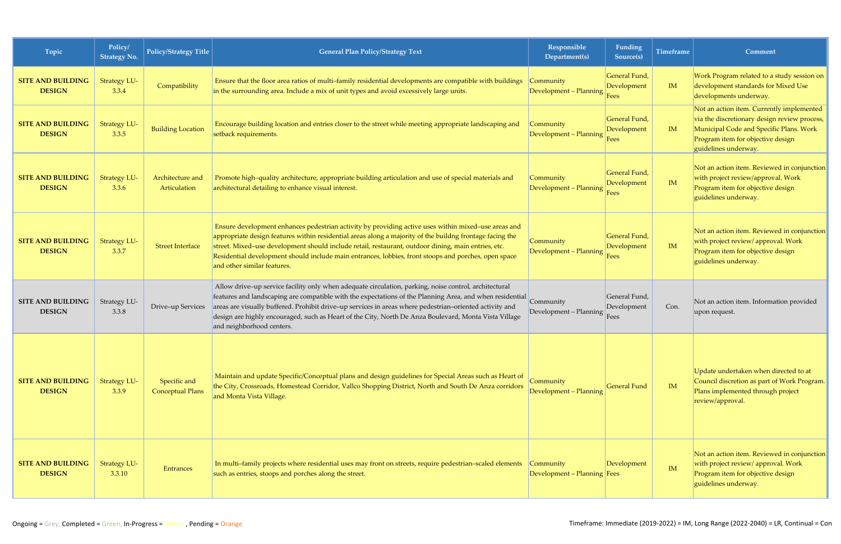| Topic                                     | Policy/<br><b>Strategy No.</b> | Policy/Strategy Title                   | <b>General Plan Policy/Strategy Text</b>                                                                                                                                                                                                                                                                                                                                                                                                                           | Responsible<br>Department(s)             | Funding<br>Source(s)                        | <b>Timeframe</b> | Comment                                                                                                                                                                                           |
|-------------------------------------------|--------------------------------|-----------------------------------------|--------------------------------------------------------------------------------------------------------------------------------------------------------------------------------------------------------------------------------------------------------------------------------------------------------------------------------------------------------------------------------------------------------------------------------------------------------------------|------------------------------------------|---------------------------------------------|------------------|---------------------------------------------------------------------------------------------------------------------------------------------------------------------------------------------------|
| <b>SITE AND BUILDING</b><br><b>DESIGN</b> | <b>Strategy LU-</b><br>3.3.4   | Compatibility                           | Ensure that the floor area ratios of multi-family residential developments are compatible with buildings<br>in the surrounding area. Include a mix of unit types and avoid excessively large units.                                                                                                                                                                                                                                                                | Community<br>Development - Planning      | General Fund,<br>Development<br>Fees        | IM               | Work Program related to a study session on<br>development standards for Mixed Use<br>developments underway.                                                                                       |
| <b>SITE AND BUILDING</b><br><b>DESIGN</b> | <b>Strategy LU-</b><br>3.3.5   | <b>Building Location</b>                | Encourage building location and entries closer to the street while meeting appropriate landscaping and<br>setback requirements.                                                                                                                                                                                                                                                                                                                                    | Community<br>Development - Planning      | General Fund,<br>Development<br><b>Fees</b> | <b>IM</b>        | Not an action item. Currently implemented<br>via the discretionary design review process,<br>Municipal Code and Specific Plans. Work<br>Program item for objective design<br>guidelines underway. |
| <b>SITE AND BUILDING</b><br><b>DESIGN</b> | <b>Strategy LU-</b><br>3.3.6   | Architecture and<br>Articulation        | Promote high-quality architecture, appropriate building articulation and use of special materials and<br>architectural detailing to enhance visual interest.                                                                                                                                                                                                                                                                                                       | Community<br>Development - Planning      | General Fund,<br>Development<br>Fees        | IM               | Not an action item. Reviewed in conjunction<br>with project review/approval. Work<br>Program item for objective design<br>guidelines underway.                                                    |
| <b>SITE AND BUILDING</b><br><b>DESIGN</b> | <b>Strategy LU-</b><br>3.3.7   | <b>Street Interface</b>                 | Ensure development enhances pedestrian activity by providing active uses within mixed-use areas and<br>appropriate design features within residential areas along a majority of the buildng frontage facing the<br>street. Mixed-use development should include retail, restaurant, outdoor dining, main entries, etc.<br>Residential development should include main entrances, lobbies, front stoops and porches, open space<br>and other similar features.      | Community<br>Development - Planning      | General Fund,<br>Development<br>Fees        | IM               | Not an action item. Reviewed in conjunction<br>with project review/ approval. Work<br>Program item for objective design<br>guidelines underway.                                                   |
| <b>SITE AND BUILDING</b><br><b>DESIGN</b> | Strategy LU-<br>3.3.8          | Drive-up Services                       | Allow drive-up service facility only when adequate circulation, parking, noise control, architectural<br>features and landscaping are compatible with the expectations of the Planning Area, and when residential<br>areas are visually buffered. Prohibit drive-up services in areas where pedestrian-oriented activity and<br>design are highly encouraged, such as Heart of the City, North De Anza Boulevard, Monta Vista Village<br>and neighborhood centers. | Community<br>Development - Planning      | General Fund,<br>Development<br>Fees        | Con.             | Not an action item. Information provided<br>upon request.                                                                                                                                         |
| <b>SITE AND BUILDING</b><br><b>DESIGN</b> | <b>Strategy LU-</b><br>3.3.9   | Specific and<br><b>Conceptual Plans</b> | Maintain and update Specific/Conceptual plans and design guidelines for Special Areas such as Heart of<br>the City, Crossroads, Homestead Corridor, Vallco Shopping District, North and South De Anza corridors<br>and Monta Vista Village.                                                                                                                                                                                                                        | Community<br>Development - Planning      | General Fund                                | IM               | Update undertaken when directed to at<br>Council discretion as part of Work Program.<br>Plans implemented through project<br>review/approval.                                                     |
| <b>SITE AND BUILDING</b><br><b>DESIGN</b> | <b>Strategy LU-</b><br>3.3.10  | <b>Entrances</b>                        | In multi-family projects where residential uses may front on streets, require pedestrian-scaled elements<br>such as entries, stoops and porches along the street.                                                                                                                                                                                                                                                                                                  | Community<br>Development - Planning Fees | Development                                 | IM               | Not an action item. Reviewed in conjunction<br>with project review/ approval. Work<br>Program item for objective design<br>guidelines underway.                                                   |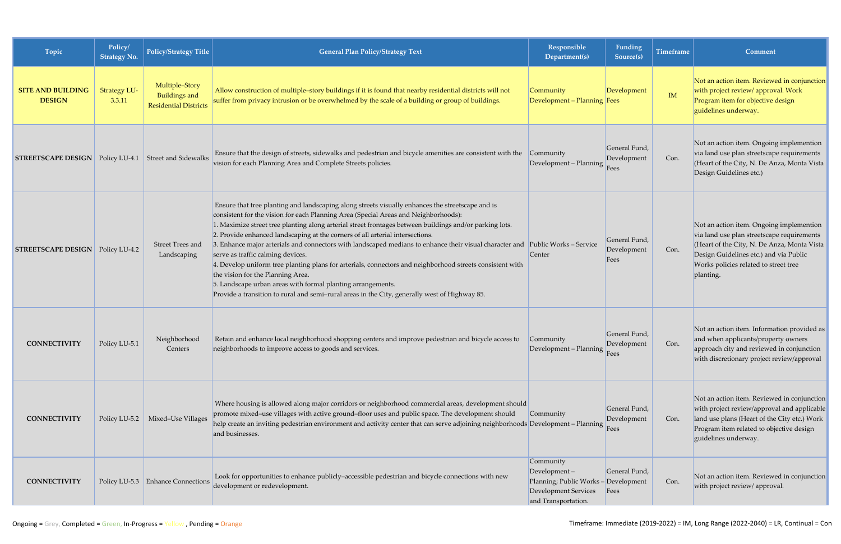| Topic                                                        | Policy/<br><b>Strategy No.</b> | <b>Policy/Strategy Title</b>                                           | <b>General Plan Policy/Strategy Text</b>                                                                                                                                                                                                                                                                                                                                                                                                                                                                                                                                                                                                                                                                                                                                                                                                                                     | <b>Responsible</b><br>Department(s)                                                                                 | Funding<br>Source(s)                 | Timeframe | Comment                                                                                                                                                                                                                               |
|--------------------------------------------------------------|--------------------------------|------------------------------------------------------------------------|------------------------------------------------------------------------------------------------------------------------------------------------------------------------------------------------------------------------------------------------------------------------------------------------------------------------------------------------------------------------------------------------------------------------------------------------------------------------------------------------------------------------------------------------------------------------------------------------------------------------------------------------------------------------------------------------------------------------------------------------------------------------------------------------------------------------------------------------------------------------------|---------------------------------------------------------------------------------------------------------------------|--------------------------------------|-----------|---------------------------------------------------------------------------------------------------------------------------------------------------------------------------------------------------------------------------------------|
| <b>SITE AND BUILDING</b><br><b>DESIGN</b>                    | <b>Strategy LU-</b><br>3.3.11  | Multiple-Story<br><b>Buildings and</b><br><b>Residential Districts</b> | Allow construction of multiple-story buildings if it is found that nearby residential districts will not<br>suffer from privacy intrusion or be overwhelmed by the scale of a building or group of buildings.                                                                                                                                                                                                                                                                                                                                                                                                                                                                                                                                                                                                                                                                | Community<br>Development - Planning Fees                                                                            | Development                          | IM        | Not an action item. Reviewed in conjunction<br>with project review/ approval. Work<br>Program item for objective design<br>guidelines underway.                                                                                       |
| <b>STREETSCAPE DESIGN</b> Policy LU-4.1 Street and Sidewalks |                                |                                                                        | Ensure that the design of streets, sidewalks and pedestrian and bicycle amenities are consistent with the Community<br>vision for each Planning Area and Complete Streets policies.                                                                                                                                                                                                                                                                                                                                                                                                                                                                                                                                                                                                                                                                                          | Development - Planning                                                                                              | General Fund,<br>Development<br>Fees | Con.      | Not an action item. Ongoing implemention<br>via land use plan streetscape requirements<br>(Heart of the City, N. De Anza, Monta Vista<br>Design Guidelines etc.)                                                                      |
| <b>STREETSCAPE DESIGN</b> Policy LU-4.2                      |                                | Street Trees and<br>Landscaping                                        | Ensure that tree planting and landscaping along streets visually enhances the streetscape and is<br>consistent for the vision for each Planning Area (Special Areas and Neighborhoods):<br>1. Maximize street tree planting along arterial street frontages between buildings and/or parking lots.<br>2. Provide enhanced landscaping at the corners of all arterial intersections.<br>3. Enhance major arterials and connectors with landscaped medians to enhance their visual character and Public Works - Service<br>serve as traffic calming devices.<br>4. Develop uniform tree planting plans for arterials, connectors and neighborhood streets consistent with<br>the vision for the Planning Area.<br>5. Landscape urban areas with formal planting arrangements.<br>Provide a transition to rural and semi-rural areas in the City, generally west of Highway 85. | Center                                                                                                              | General Fund,<br>Development<br>Fees | Con.      | Not an action item. Ongoing implemention<br>via land use plan streetscape requirements<br>(Heart of the City, N. De Anza, Monta Vista<br>Design Guidelines etc.) and via Public<br>Works policies related to street tree<br>planting. |
| <b>CONNECTIVITY</b>                                          | Policy LU-5.1                  | Neighborhood<br>Centers                                                | Retain and enhance local neighborhood shopping centers and improve pedestrian and bicycle access to<br>neighborhoods to improve access to goods and services.                                                                                                                                                                                                                                                                                                                                                                                                                                                                                                                                                                                                                                                                                                                | Community<br>Development – Planning Fees                                                                            | General Fund,<br>Development         | Con.      | Not an action item. Information provided as<br>and when applicants/property owners<br>approach city and reviewed in conjunction<br>with discretionary project review/approval                                                         |
| <b>CONNECTIVITY</b>                                          | Policy LU-5.2                  | Mixed-Use Villages                                                     | Where housing is allowed along major corridors or neighborhood commercial areas, development should<br>promote mixed-use villages with active ground-floor uses and public space. The development should<br>help create an inviting pedestrian environment and activity center that can serve adjoining neighborhoods Development - Planning<br>and businesses.                                                                                                                                                                                                                                                                                                                                                                                                                                                                                                              | Community                                                                                                           | General Fund,<br>Development<br>Fees | Con.      | Not an action item. Reviewed in conjunction<br>with project review/approval and applicable<br>land use plans (Heart of the City etc.) Work<br>Program item related to objective design<br>guidelines underway.                        |
| <b>CONNECTIVITY</b>                                          |                                | Policy LU-5.3 Enhance Connections                                      | Look for opportunities to enhance publicly-accessible pedestrian and bicycle connections with new<br>development or redevelopment.                                                                                                                                                                                                                                                                                                                                                                                                                                                                                                                                                                                                                                                                                                                                           | Community<br>$Development -$<br>Planning; Public Works - Development<br>Development Services<br>and Transportation. | General Fund,<br>Fees                | Con.      | Not an action item. Reviewed in conjunction<br>with project review/ approval.                                                                                                                                                         |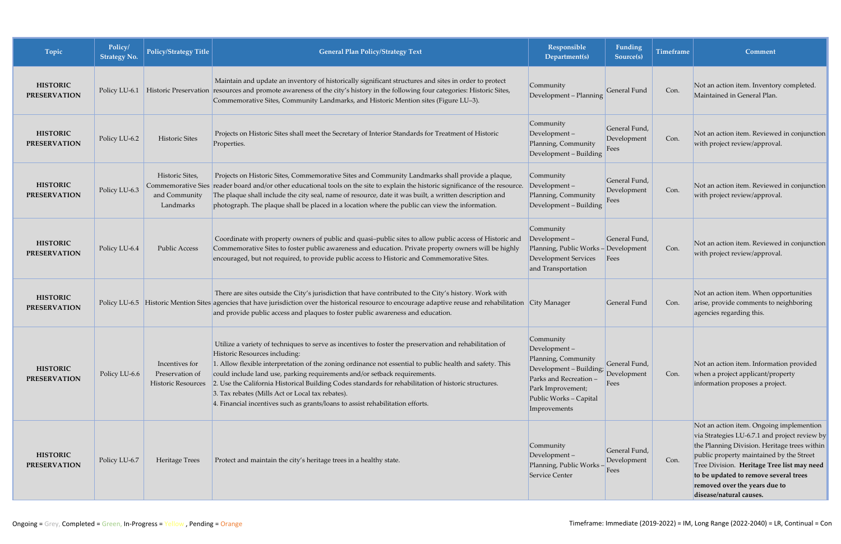| Topic                                  | Policy/<br><b>Strategy No.</b> | Policy/Strategy Title                                                      | <b>General Plan Policy/Strategy Text</b>                                                                                                                                                                                                                                                                                                                                                                                                                                                                                                                                        | Responsible<br>Department(s)                                                                                                                                         | Funding<br>Source(s)                 | <b>Timeframe</b> | Comment                                                                                                                                                                                                                                                                                                                                  |
|----------------------------------------|--------------------------------|----------------------------------------------------------------------------|---------------------------------------------------------------------------------------------------------------------------------------------------------------------------------------------------------------------------------------------------------------------------------------------------------------------------------------------------------------------------------------------------------------------------------------------------------------------------------------------------------------------------------------------------------------------------------|----------------------------------------------------------------------------------------------------------------------------------------------------------------------|--------------------------------------|------------------|------------------------------------------------------------------------------------------------------------------------------------------------------------------------------------------------------------------------------------------------------------------------------------------------------------------------------------------|
| <b>HISTORIC</b><br><b>PRESERVATION</b> | Policy LU-6.1                  |                                                                            | Maintain and update an inventory of historically significant structures and sites in order to protect<br>Historic Preservation resources and promote awareness of the city's history in the following four categories: Historic Sites,<br>Commemorative Sites, Community Landmarks, and Historic Mention sites (Figure LU-3).                                                                                                                                                                                                                                                   | Community<br>Development - Planning                                                                                                                                  | General Fund                         | Con.             | Not an action item. Inventory completed.<br>Maintained in General Plan.                                                                                                                                                                                                                                                                  |
| <b>HISTORIC</b><br><b>PRESERVATION</b> | Policy LU-6.2                  | Historic Sites                                                             | Projects on Historic Sites shall meet the Secretary of Interior Standards for Treatment of Historic<br>Properties.                                                                                                                                                                                                                                                                                                                                                                                                                                                              | Community<br>Development-<br>Planning, Community<br>Development - Building                                                                                           | General Fund,<br>Development<br>Fees | Con.             | Not an action item. Reviewed in conjunction<br>with project review/approval.                                                                                                                                                                                                                                                             |
| <b>HISTORIC</b><br><b>PRESERVATION</b> | Policy LU-6.3                  | Historic Sites,<br><b>Commemorative Sies</b><br>and Community<br>Landmarks | Projects on Historic Sites, Commemorative Sites and Community Landmarks shall provide a plaque,<br>reader board and/or other educational tools on the site to explain the historic significance of the resource.<br>The plaque shall include the city seal, name of resource, date it was built, a written description and<br>photograph. The plaque shall be placed in a location where the public can view the information.                                                                                                                                                   | Community<br>Development-<br>Planning, Community<br>Development - Building                                                                                           | General Fund,<br>Development<br>Fees | Con.             | Not an action item. Reviewed in conjunction<br>with project review/approval.                                                                                                                                                                                                                                                             |
| <b>HISTORIC</b><br><b>PRESERVATION</b> | Policy LU-6.4                  | <b>Public Access</b>                                                       | Coordinate with property owners of public and quasi-public sites to allow public access of Historic and<br>Commemorative Sites to foster public awareness and education. Private property owners will be highly<br>encouraged, but not required, to provide public access to Historic and Commemorative Sites.                                                                                                                                                                                                                                                                  | Community<br>$Development -$<br>Planning, Public Works - Development<br><b>Development Services</b><br>and Transportation                                            | General Fund,<br>Fees                | Con.             | Not an action item. Reviewed in conjunction<br>with project review/approval.                                                                                                                                                                                                                                                             |
| <b>HISTORIC</b><br><b>PRESERVATION</b> |                                |                                                                            | There are sites outside the City's jurisdiction that have contributed to the City's history. Work with<br>Policy LU-6.5 Historic Mention Sites agencies that have jurisdiction over the historical resource to encourage adaptive reuse and rehabilitation City Manager<br>and provide public access and plaques to foster public awareness and education.                                                                                                                                                                                                                      |                                                                                                                                                                      | General Fund                         | Con.             | Not an action item. When opportunities<br>arise, provide comments to neighboring<br>agencies regarding this.                                                                                                                                                                                                                             |
| <b>HISTORIC</b><br><b>PRESERVATION</b> | Policy LU-6.6                  | Incentives for<br>Preservation of<br>Historic Resources                    | Utilize a variety of techniques to serve as incentives to foster the preservation and rehabilitation of<br>Historic Resources including:<br>1. Allow flexible interpretation of the zoning ordinance not essential to public health and safety. This<br>could include land use, parking requirements and/or setback requirements.<br>2. Use the California Historical Building Codes standards for rehabilitation of historic structures.<br>3. Tax rebates (Mills Act or Local tax rebates).<br>4. Financial incentives such as grants/loans to assist rehabilitation efforts. | Community<br>Development-<br>Planning, Community<br>Development - Building;<br>Parks and Recreation -<br>Park Improvement;<br>Public Works - Capital<br>Improvements | General Fund,<br>Development<br>Fees | Con.             | Not an action item. Information provided<br>when a project applicant/property<br>information proposes a project.                                                                                                                                                                                                                         |
| <b>HISTORIC</b><br><b>PRESERVATION</b> | Policy LU-6.7                  | Heritage Trees                                                             | Protect and maintain the city's heritage trees in a healthy state.                                                                                                                                                                                                                                                                                                                                                                                                                                                                                                              | Community<br>Development-<br>Planning, Public Works -<br>Service Center                                                                                              | General Fund,<br>Development<br>Fees | Con.             | Not an action item. Ongoing implemention<br>via Strategies LU-6.7.1 and project review by<br>the Planning Division. Heritage trees within<br>public property maintained by the Street<br>Tree Division. Heritage Tree list may need<br>to be updated to remove several trees<br>removed over the years due to<br>disease/natural causes. |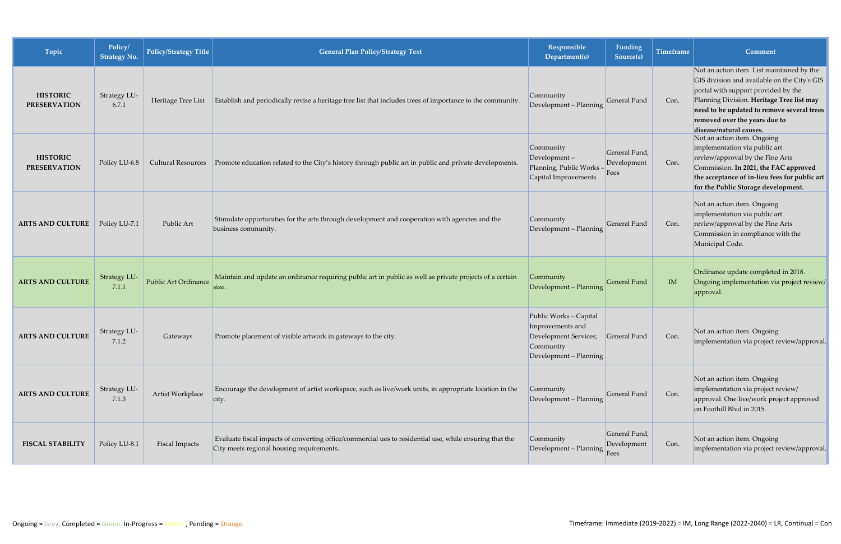| Topic                                  | Policy/<br><b>Strategy No.</b> | Policy/Strategy Title     | <b>General Plan Policy/Strategy Text</b>                                                                                                             | Responsible<br>Department(s)                                                                               | Funding<br>Source(s)                 | <b>Timeframe</b> | Comment                                                                                                                                                                                                                                                                                  |
|----------------------------------------|--------------------------------|---------------------------|------------------------------------------------------------------------------------------------------------------------------------------------------|------------------------------------------------------------------------------------------------------------|--------------------------------------|------------------|------------------------------------------------------------------------------------------------------------------------------------------------------------------------------------------------------------------------------------------------------------------------------------------|
| <b>HISTORIC</b><br><b>PRESERVATION</b> | Strategy LU-<br>6.7.1          | Heritage Tree List        | Establish and periodically revise a heritage tree list that includes trees of importance to the community.                                           | Community<br>Development - Planning                                                                        | General Fund                         | Con.             | Not an action item. List maintained by the<br>GIS division and available on the City's GIS<br>portal with support provided by the<br>Planning Division. Heritage Tree list may<br>need to be updated to remove several trees<br>removed over the years due to<br>disease/natural causes. |
| <b>HISTORIC</b><br><b>PRESERVATION</b> | Policy LU-6.8                  | <b>Cultural Resources</b> | Promote education related to the City's history through public art in public and private developments.                                               | Community<br>$Development -$<br>Planning, Public Works -<br>Capital Improvements                           | General Fund,<br>Development<br>Fees | Con.             | Not an action item. Ongoing<br>implementation via public art<br>review/approval by the Fine Arts<br>Commission. In 2021, the FAC approved<br>the acceptance of in-lieu fees for public art<br>for the Public Storage development.                                                        |
| <b>ARTS AND CULTURE</b>                | Policy LU-7.1                  | Public Art                | Stimulate opportunities for the arts through development and cooperation with agencies and the<br>business community.                                | Community<br>Development - Planning                                                                        | General Fund                         | Con.             | Not an action item. Ongoing<br>implementation via public art<br>review/approval by the Fine Arts<br>Commission in compliance with the<br>Municipal Code.                                                                                                                                 |
| <b>ARTS AND CULTURE</b>                | <b>Strategy LU-</b><br>7.1.1   | Public Art Ordinance      | Maintain and update an ordinance requiring public art in public as well as private projects of a certain<br>size.                                    | Community<br>Development - Planning                                                                        | General Fund                         | IM               | Ordinance update completed in 2018.<br>Ongoing implementation via project review/<br>approval.                                                                                                                                                                                           |
| <b>ARTS AND CULTURE</b>                | Strategy LU-<br>7.1.2          | Gateways                  | Promote placement of visible artwork in gateways to the city.                                                                                        | Public Works - Capital<br>Improvements and<br>Development Services;<br>Community<br>Development - Planning | General Fund                         | Con.             | Not an action item. Ongoing<br>implementation via project review/approval.                                                                                                                                                                                                               |
| <b>ARTS AND CULTURE</b>                | Strategy LU-<br>7.1.3          | Artist Workplace          | Encourage the development of artist workspace, such as live/work units, in appropriate location in the<br>city.                                      | Community<br>Development - Planning                                                                        | General Fund                         | Con.             | Not an action item. Ongoing<br>implementation via project review/<br>approval. One live/work project approved<br>on Foothill Blvd in 2015.                                                                                                                                               |
| <b>FISCAL STABILITY</b>                | Policy LU-8.1                  | <b>Fiscal Impacts</b>     | Evaluate fiscal impacts of converting office/commercial ues to residential use, while ensuring that the<br>City meets regional housing requirements. | Community<br>Development - Planning                                                                        | General Fund,<br>Development<br>Fees | Con.             | Not an action item. Ongoing<br>implementation via project review/approval.                                                                                                                                                                                                               |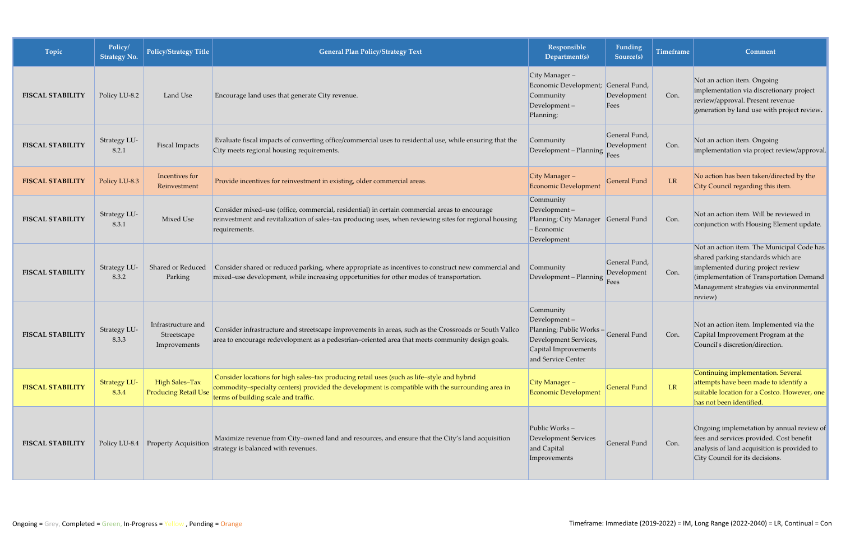| Topic                   | Policy/<br><b>Strategy No.</b> | <b>Policy/Strategy Title</b>                      | <b>General Plan Policy/Strategy Text</b>                                                                                                                                                                                               | Responsible<br>Department(s)                                                                                                | <b>Funding</b><br>Source(s)          | <b>Timeframe</b> | Comment                                                                                                                                                                                                                 |
|-------------------------|--------------------------------|---------------------------------------------------|----------------------------------------------------------------------------------------------------------------------------------------------------------------------------------------------------------------------------------------|-----------------------------------------------------------------------------------------------------------------------------|--------------------------------------|------------------|-------------------------------------------------------------------------------------------------------------------------------------------------------------------------------------------------------------------------|
| <b>FISCAL STABILITY</b> | Policy LU-8.2                  | Land Use                                          | Encourage land uses that generate City revenue.                                                                                                                                                                                        | City Manager-<br>Economic Development; General Fund,<br>Community<br>Development-<br>Planning;                              | Development<br>Fees                  | Con.             | Not an action item. Ongoing<br>implementation via discretionary project<br>review/approval. Present revenue<br>generation by land use with project review.                                                              |
| <b>FISCAL STABILITY</b> | Strategy LU-<br>8.2.1          | <b>Fiscal Impacts</b>                             | Evaluate fiscal impacts of converting office/commercial uses to residential use, while ensuring that the<br>City meets regional housing requirements.                                                                                  | Community<br>Development - Planning                                                                                         | General Fund,<br>Development<br>Fees | Con.             | Not an action item. Ongoing<br>implementation via project review/approval.                                                                                                                                              |
| <b>FISCAL STABILITY</b> | Policy LU-8.3                  | Incentives for<br>Reinvestment                    | Provide incentives for reinvestment in existing, older commercial areas.                                                                                                                                                               | City Manager-<br><b>Economic Development</b>                                                                                | <b>General Fund</b>                  | LR               | No action has been taken/directed by the<br>City Council regarding this item.                                                                                                                                           |
| <b>FISCAL STABILITY</b> | Strategy LU-<br>8.3.1          | Mixed Use                                         | Consider mixed-use (office, commercial, residential) in certain commercial areas to encourage<br>reinvestment and revitalization of sales-tax producing uses, when reviewing sites for regional housing<br>requirements.               | Community<br>Development-<br>Planning; City Manager<br>- Economic<br>Development                                            | General Fund                         | Con.             | Not an action item. Will be reviewed in<br>conjunction with Housing Element update.                                                                                                                                     |
| <b>FISCAL STABILITY</b> | Strategy LU-<br>8.3.2          | Shared or Reduced<br>Parking                      | Consider shared or reduced parking, where appropriate as incentives to construct new commercial and<br>mixed-use development, while increasing opportunities for other modes of transportation.                                        | Community<br>Development - Planning                                                                                         | General Fund,<br>Development<br>Fees | Con.             | Not an action item. The Municipal Code has<br>shared parking standards which are<br>implemented during project review<br>(implementation of Transportation Demand<br>Management strategies via environmental<br>review) |
| <b>FISCAL STABILITY</b> | Strategy LU-<br>8.3.3          | Infrastructure and<br>Streetscape<br>Improvements | Consider infrastructure and streetscape improvements in areas, such as the Crossroads or South Vallco<br>area to encourage redevelopment as a pedestrian-oriented area that meets community design goals.                              | Community<br>Development-<br>Planning; Public Works-<br>Development Services,<br>Capital Improvements<br>and Service Center | General Fund                         | Con.             | Not an action item. Implemented via the<br>Capital Improvement Program at the<br>Council's discretion/direction.                                                                                                        |
| <b>FISCAL STABILITY</b> | <b>Strategy LU-</b><br>8.3.4   | High Sales-Tax<br><b>Producing Retail Use</b>     | Consider locations for high sales-tax producing retail uses (such as life-style and hybrid<br>commodity-specialty centers) provided the development is compatible with the surrounding area in<br>terms of building scale and traffic. | City Manager-<br><b>Economic Development</b>                                                                                | <b>General Fund</b>                  | LR               | Continuing implementation. Several<br>attempts have been made to identify a<br>suitable location for a Costco. However, one<br>has not been identified.                                                                 |
| <b>FISCAL STABILITY</b> |                                | Policy LU-8.4 Property Acquisition                | Maximize revenue from City-owned land and resources, and ensure that the City's land acquisition<br>strategy is balanced with revenues.                                                                                                | Public Works-<br><b>Development Services</b><br>and Capital<br>Improvements                                                 | General Fund                         | Con.             | Ongoing implemetation by annual review of<br>fees and services provided. Cost benefit<br>analysis of land acquisition is provided to<br>City Council for its decisions.                                                 |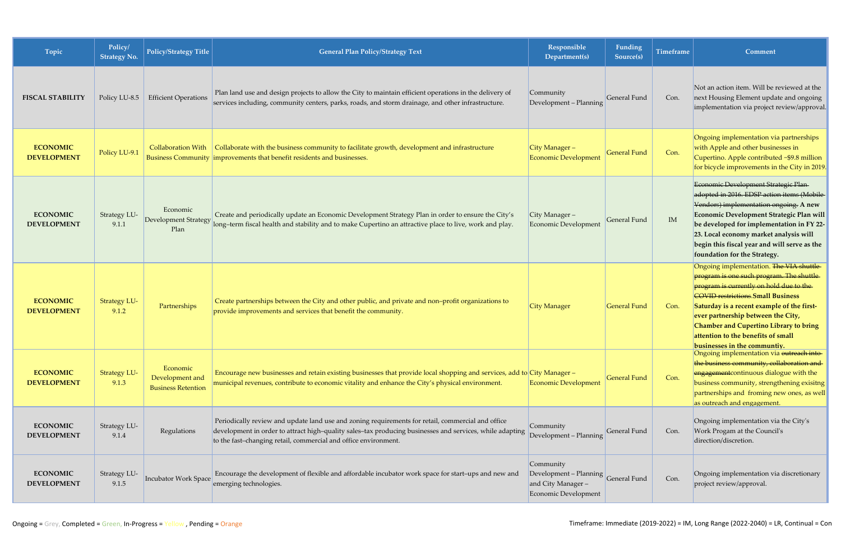| Topic                                 | Policy/<br><b>Strategy No.</b> | <b>Policy/Strategy Title</b>                             | <b>General Plan Policy/Strategy Text</b>                                                                                                                                                                                                                                         | Responsible<br>Department(s)                                                                  | Funding<br>Source(s) | <b>Timeframe</b> | Comment                                                                                                                                                                                                                                                                                                                                                                                |
|---------------------------------------|--------------------------------|----------------------------------------------------------|----------------------------------------------------------------------------------------------------------------------------------------------------------------------------------------------------------------------------------------------------------------------------------|-----------------------------------------------------------------------------------------------|----------------------|------------------|----------------------------------------------------------------------------------------------------------------------------------------------------------------------------------------------------------------------------------------------------------------------------------------------------------------------------------------------------------------------------------------|
| <b>FISCAL STABILITY</b>               | Policy LU-8.5                  | <b>Efficient Operations</b>                              | Plan land use and design projects to allow the City to maintain efficient operations in the delivery of<br>services including, community centers, parks, roads, and storm drainage, and other infrastructure.                                                                    | Community<br>Development - Planning                                                           | General Fund         | Con.             | Not an action item. Will be reviewed at the<br>next Housing Element update and ongoing<br>implementation via project review/approval.                                                                                                                                                                                                                                                  |
| <b>ECONOMIC</b><br><b>DEVELOPMENT</b> | Policy LU-9.1                  | <b>Collaboration With</b>                                | Collaborate with the business community to facilitate growth, development and infrastructure<br>Business Community improvements that benefit residents and businesses.                                                                                                           | City Manager-<br>Economic Development                                                         | <b>General Fund</b>  | Con.             | Ongoing implementation via partnerships<br>with Apple and other businesses in<br>Cupertino. Apple contributed ~\$9.8 million<br>for bicycle improvements in the City in 2019.                                                                                                                                                                                                          |
| <b>ECONOMIC</b><br><b>DEVELOPMENT</b> | Strategy LU-<br>9.1.1          | Economic<br><b>Development Strategy</b><br>Plan          | Create and periodically update an Economic Development Strategy Plan in order to ensure the City's<br>long-term fiscal health and stability and to make Cupertino an attractive place to live, work and play.                                                                    | City Manager-<br>Economic Development                                                         | <b>General Fund</b>  | IM               | Economic Development Strategic Plan-<br>adopted in 2016. EDSP action items (Mobile-<br>Vendors) implementation ongoing. A new<br>Economic Development Strategic Plan will<br>be developed for implementation in FY 22-<br>23. Local economy market analysis will<br>begin this fiscal year and will serve as the<br>foundation for the Strategy.                                       |
| <b>ECONOMIC</b><br><b>DEVELOPMENT</b> | <b>Strategy LU-</b><br>9.1.2   | Partnerships                                             | Create partnerships between the City and other public, and private and non-profit organizations to<br>provide improvements and services that benefit the community.                                                                                                              | <b>City Manager</b>                                                                           | <b>General Fund</b>  | Con.             | Ongoing implementation. The VIA shuttle<br>program is one such program. The shuttle<br>program is currently on hold due to the<br><b>COVID</b> restrictions. Small Business<br>Saturday is a recent example of the first-<br>ever partnership between the City,<br><b>Chamber and Cupertino Library to bring</b><br>attention to the benefits of small<br>businesses in the communtiv. |
| <b>ECONOMIC</b><br><b>DEVELOPMENT</b> | <b>Strategy LU-</b><br>9.1.3   | Economic<br>Development and<br><b>Business Retention</b> | Encourage new businesses and retain existing businesses that provide local shopping and services, add to City Manager -<br>municipal revenues, contribute to economic vitality and enhance the City's physical environment.                                                      | <b>Economic Development</b>                                                                   | <b>General Fund</b>  | Con.             | Ongoing implementation via outreach into-<br>the business community, collaboration and<br>engagement continuous dialogue with the<br>business community, strengthening exisitng<br>partnerships and froming new ones, as well<br>as outreach and engagement.                                                                                                                           |
| <b>ECONOMIC</b><br><b>DEVELOPMENT</b> | Strategy LU-<br>9.1.4          | Regulations                                              | Periodically review and update land use and zoning requirements for retail, commercial and office<br>development in order to attract high-quality sales-tax producing businesses and services, while adapting<br>to the fast-changing retail, commercial and office environment. | Community<br>Development - Planning                                                           | General Fund         | Con.             | Ongoing implementation via the City's<br>Work Progam at the Council's<br>direction/discretion.                                                                                                                                                                                                                                                                                         |
| <b>ECONOMIC</b><br><b>DEVELOPMENT</b> | Strategy LU-<br>9.1.5          | <b>Incubator Work Space</b>                              | Encourage the development of flexible and affordable incubator work space for start-ups and new and<br>emerging technologies.                                                                                                                                                    | Community<br>Development – Planning General Fund<br>and City Manager-<br>Economic Development |                      | Con.             | Ongoing implementation via discretionary<br>project review/approval.                                                                                                                                                                                                                                                                                                                   |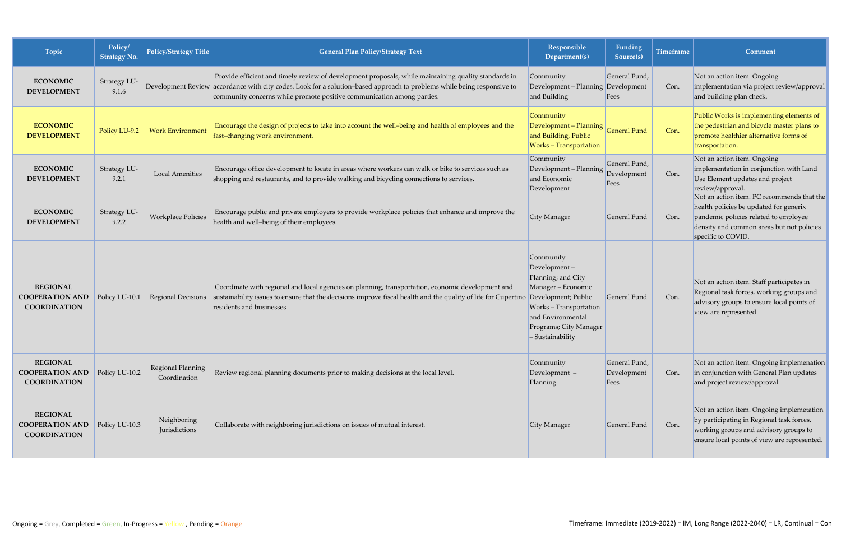| Topic                                                            | Policy/<br><b>Strategy No.</b> | <b>Policy/Strategy Title</b>      | <b>General Plan Policy/Strategy Text</b>                                                                                                                                                                                                                                                                  | Responsible<br>Department(s)                                                                                                                                                                   | Funding<br>Source(s)                 | <b>Timeframe</b> | Comment                                                                                                                                                                                          |
|------------------------------------------------------------------|--------------------------------|-----------------------------------|-----------------------------------------------------------------------------------------------------------------------------------------------------------------------------------------------------------------------------------------------------------------------------------------------------------|------------------------------------------------------------------------------------------------------------------------------------------------------------------------------------------------|--------------------------------------|------------------|--------------------------------------------------------------------------------------------------------------------------------------------------------------------------------------------------|
| <b>ECONOMIC</b><br><b>DEVELOPMENT</b>                            | Strategy LU-<br>9.1.6          |                                   | Provide efficient and timely review of development proposals, while maintaining quality standards in<br>Development Review accordance with city codes. Look for a solution-based approach to problems while being responsive to<br>community concerns while promote positive communication among parties. | Community<br>Development - Planning Development<br>and Building                                                                                                                                | General Fund,<br>Fees                | Con.             | Not an action item. Ongoing<br>implementation via project review/approval<br>and building plan check.                                                                                            |
| <b>ECONOMIC</b><br><b>DEVELOPMENT</b>                            | Policy LU-9.2                  | <b>Work Environment</b>           | Encourage the design of projects to take into account the well-being and health of employees and the<br>fast-changing work environment.                                                                                                                                                                   | Community<br>$\sqrt{\frac{1}{2}}$ Development – Planning $\frac{1}{2}$ General Fund<br>and Building, Public<br><b>Works</b> - Transportation                                                   |                                      | Con.             | Public Works is implementing elements of<br>the pedestrian and bicycle master plans to<br>promote healthier alternative forms of<br>transportation.                                              |
| <b>ECONOMIC</b><br><b>DEVELOPMENT</b>                            | Strategy LU-<br>9.2.1          | <b>Local Amenities</b>            | Encourage office development to locate in areas where workers can walk or bike to services such as<br>shopping and restaurants, and to provide walking and bicycling connections to services.                                                                                                             | Community<br>Development - Planning<br>and Economic<br>Development                                                                                                                             | General Fund,<br>Development<br>Fees | Con.             | Not an action item. Ongoing<br>implementation in conjunction with Land<br>Use Element updates and project<br>review/approval.                                                                    |
| <b>ECONOMIC</b><br><b>DEVELOPMENT</b>                            | Strategy LU-<br>9.2.2          | <b>Workplace Policies</b>         | Encourage public and private employers to provide workplace policies that enhance and improve the<br>health and well-being of their employees.                                                                                                                                                            | City Manager                                                                                                                                                                                   | General Fund                         | Con.             | Not an action item. PC recommends that the<br>health policies be updated for generix<br>pandemic policies related to employee<br>density and common areas but not policies<br>specific to COVID. |
| <b>REGIONAL</b><br><b>COOPERATION AND</b><br><b>COORDINATION</b> | Policy LU-10.1                 | Regional Decisions                | Coordinate with regional and local agencies on planning, transportation, economic development and<br>sustainability issues to ensure that the decisions improve fiscal health and the quality of life for Cupertino<br>residents and businesses                                                           | Community<br>$Development -$<br>Planning; and City<br>Manager - Economic<br>Development; Public<br>Works - Transportation<br>and Environmental<br>Programs; City Manager<br>$-$ Sustainability | General Fund                         | Con.             | Not an action item. Staff participates in<br>Regional task forces, working groups and<br>advisory groups to ensure local points of<br>view are represented.                                      |
| <b>REGIONAL</b><br><b>COOPERATION AND</b><br><b>COORDINATION</b> | Policy LU-10.2                 | Regional Planning<br>Coordination | Review regional planning documents prior to making decisions at the local level.                                                                                                                                                                                                                          | Community<br>Development $-$<br>Planning                                                                                                                                                       | General Fund,<br>Development<br>Fees | Con.             | Not an action item. Ongoing implemenation<br>in conjunction with General Plan updates<br>and project review/approval.                                                                            |
| <b>REGIONAL</b><br><b>COOPERATION AND</b><br><b>COORDINATION</b> | Policy LU-10.3                 | Neighboring<br>Jurisdictions      | Collaborate with neighboring jurisdictions on issues of mutual interest.                                                                                                                                                                                                                                  | City Manager                                                                                                                                                                                   | General Fund                         | Con.             | Not an action item. Ongoing implemetation<br>by participating in Regional task forces,<br>working groups and advisory groups to<br>ensure local points of view are represented.                  |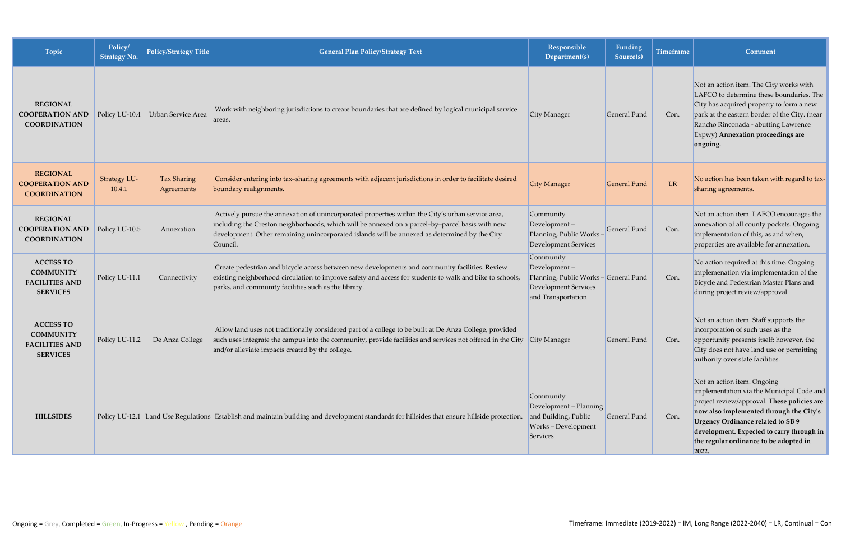| Topic                                                                            | Policy/<br><b>Strategy No.</b> | Policy/Strategy Title     | <b>General Plan Policy/Strategy Text</b>                                                                                                                                                                                                                                                                          | Responsible<br>Department(s)                                                                                     | Funding<br>Source(s) | <b>Timeframe</b> | Comment                                                                                                                                                                                                                                                                                                  |
|----------------------------------------------------------------------------------|--------------------------------|---------------------------|-------------------------------------------------------------------------------------------------------------------------------------------------------------------------------------------------------------------------------------------------------------------------------------------------------------------|------------------------------------------------------------------------------------------------------------------|----------------------|------------------|----------------------------------------------------------------------------------------------------------------------------------------------------------------------------------------------------------------------------------------------------------------------------------------------------------|
| <b>REGIONAL</b><br><b>COOPERATION AND</b><br><b>COORDINATION</b>                 | Policy LU-10.4                 | Urban Service Area        | Work with neighboring jurisdictions to create boundaries that are defined by logical municipal service<br>areas.                                                                                                                                                                                                  | City Manager                                                                                                     | General Fund         | Con.             | Not an action item. The City works with<br>LAFCO to determine these boundaries. The<br>City has acquired property to form a new<br>park at the eastern border of the City. (near<br>Rancho Rinconada - abutting Lawrence<br>Expwy) Annexation proceedings are<br>ongoing.                                |
| <b>REGIONAL</b><br><b>COOPERATION AND</b><br><b>COORDINATION</b>                 | <b>Strategy LU-</b><br>10.4.1  | Tax Sharing<br>Agreements | Consider entering into tax-sharing agreements with adjacent jurisdictions in order to facilitate desired<br>boundary realignments.                                                                                                                                                                                | City Manager                                                                                                     | <b>General Fund</b>  | LR               | No action has been taken with regard to tax-<br>sharing agreements.                                                                                                                                                                                                                                      |
| <b>REGIONAL</b><br><b>COOPERATION AND</b><br><b>COORDINATION</b>                 | Policy LU-10.5                 | Annexation                | Actively pursue the annexation of unincorporated properties within the City's urban service area,<br>including the Creston neighborhoods, which will be annexed on a parcel-by-parcel basis with new<br>development. Other remaining unincorporated islands will be annexed as determined by the City<br>Council. | Community<br>Development-<br>Planning, Public Works-<br>Development Services                                     | General Fund         | Con.             | Not an action item. LAFCO encourages the<br>annexation of all county pockets. Ongoing<br>implementation of this, as and when,<br>properties are available for annexation.                                                                                                                                |
| <b>ACCESS TO</b><br><b>COMMUNITY</b><br><b>FACILITIES AND</b><br><b>SERVICES</b> | Policy LU-11.1                 | Connectivity              | Create pedestrian and bicycle access between new developments and community facilities. Review<br>existing neighborhood circulation to improve safety and access for students to walk and bike to schools,<br>parks, and community facilities such as the library.                                                | Community<br>Development-<br>Planning, Public Works - General Fund<br>Development Services<br>and Transportation |                      | Con.             | No action required at this time. Ongoing<br>implemenation via implementation of the<br>Bicycle and Pedestrian Master Plans and<br>during project review/approval.                                                                                                                                        |
| <b>ACCESS TO</b><br><b>COMMUNITY</b><br><b>FACILITIES AND</b><br><b>SERVICES</b> | Policy LU-11.2                 | De Anza College           | Allow land uses not traditionally considered part of a college to be built at De Anza College, provided<br>such uses integrate the campus into the community, provide facilities and services not offered in the City City Manager<br>and/or alleviate impacts created by the college.                            |                                                                                                                  | General Fund         | Con.             | Not an action item. Staff supports the<br>incorporation of such uses as the<br>opportunity presents itself; however, the<br>City does not have land use or permitting<br>authority over state facilities.                                                                                                |
| <b>HILLSIDES</b>                                                                 |                                |                           | Policy LU-12.1 Land Use Regulations Establish and maintain building and development standards for hillsides that ensure hillside protection.                                                                                                                                                                      | Community<br>Development - Planning<br>and Building, Public<br>Works - Development<br>Services                   | General Fund         | Con.             | Not an action item. Ongoing<br>implementation via the Municipal Code and<br>project review/approval. These policies are<br>now also implemented through the City's<br>Urgency Ordinance related to SB 9<br>development. Expected to carry through in<br>the regular ordinance to be adopted in<br> 2022. |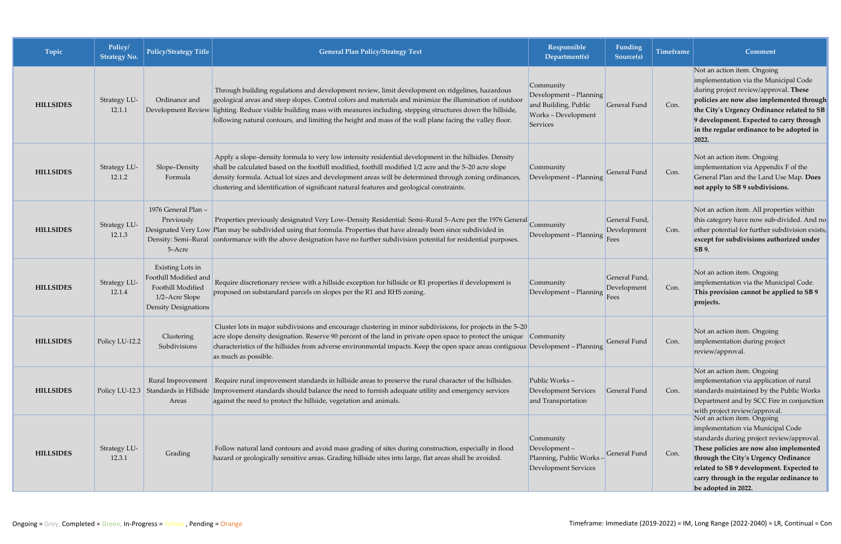| Topic            | Policy/<br><b>Strategy No.</b> | <b>Policy/Strategy Title</b>                                                                                    | <b>General Plan Policy/Strategy Text</b>                                                                                                                                                                                                                                                                                                                                                                                                            | <b>Responsible</b><br>Department(s)                                                          | Funding<br>Source(s)                 | <b>Timeframe</b> | Comment                                                                                                                                                                                                                                                                                                          |
|------------------|--------------------------------|-----------------------------------------------------------------------------------------------------------------|-----------------------------------------------------------------------------------------------------------------------------------------------------------------------------------------------------------------------------------------------------------------------------------------------------------------------------------------------------------------------------------------------------------------------------------------------------|----------------------------------------------------------------------------------------------|--------------------------------------|------------------|------------------------------------------------------------------------------------------------------------------------------------------------------------------------------------------------------------------------------------------------------------------------------------------------------------------|
| <b>HILLSIDES</b> | Strategy LU-<br>12.1.1         | Ordinance and                                                                                                   | Through building regulations and development review, limit development on ridgelines, hazardous<br>geological areas and steep slopes. Control colors and materials and minimize the illumination of outdoor<br>Development Review lighting. Reduce visible building mass with measures including, stepping structures down the hillside,<br>following natural contours, and limiting the height and mass of the wall plane facing the valley floor. | Community<br>Development - Planning<br>and Building, Public<br>Works-Development<br>Services | General Fund                         | Con.             | Not an action item. Ongoing<br>implementation via the Municipal Code<br>during project review/approval. These<br>policies are now also implemented through<br>the City's Urgency Ordinance related to SB<br>9 development. Expected to carry through<br>in the regular ordinance to be adopted in<br>2022.       |
| <b>HILLSIDES</b> | Strategy LU-<br>12.1.2         | Slope-Density<br>Formula                                                                                        | Apply a slope-density formula to very low intensity residential development in the hillsides. Density<br>shall be calculated based on the foothill modified, foothill modified 1/2 acre and the 5-20 acre slope<br>density formula. Actual lot sizes and development areas will be determined through zoning ordinances,<br>clustering and identification of significant natural features and geological constraints.                               | Community<br>Development - Planning                                                          | <b>General Fund</b>                  | Con.             | Not an action item. Ongoing<br>implementation via Appendix F of the<br>General Plan and the Land Use Map. Does<br>not apply to SB 9 subdivisions.                                                                                                                                                                |
| <b>HILLSIDES</b> | Strategy LU-<br>12.1.3         | 1976 General Plan -<br>Previously<br>5-Acre                                                                     | Properties previously designated Very Low-Density Residential: Semi-Rural 5-Acre per the 1976 General<br>Designated Very Low Plan may be subdivided using that formula. Properties that have already been since subdivided in<br>Density: Semi-Rural conformance with the above designation have no further subdivision potential for residential purposes.                                                                                         | Community<br>Development - Planning                                                          | General Fund,<br>Development<br>Fees | Con.             | Not an action item. All properties within<br>this category have now sub-divided. And no<br>other potential for further subdivision exists,<br>except for subdivisions authorized under<br><b>SB</b> 9.                                                                                                           |
| <b>HILLSIDES</b> | Strategy LU-<br>12.1.4         | Existing Lots in<br>Foothill Modified and<br>Foothill Modified<br>1/2-Acre Slope<br><b>Density Designations</b> | Require discretionary review with a hillside exception for hillside or R1 properties if development is<br>proposed on substandard parcels on slopes per the R1 and RHS zoning.                                                                                                                                                                                                                                                                      | Community<br>Development - Planning                                                          | General Fund,<br>Development<br>Fees | Con.             | Not an action item. Ongoing<br>implementation via the Municipal Code.<br>This provision cannot be applied to SB 9<br>projects.                                                                                                                                                                                   |
| <b>HILLSIDES</b> | Policy LU-12.2                 | Clustering<br>Subdivisions                                                                                      | Cluster lots in major subdivisions and encourage clustering in minor subdivisions, for projects in the 5-20<br>acre slope density designation. Reserve 90 percent of the land in private open space to protect the unique Community<br>characteristics of the hillsides from adverse environmental impacts. Keep the open space areas contiguous Development – Planning<br>as much as possible.                                                     |                                                                                              | General Fund                         | Con.             | Not an action item. Ongoing<br>implementation during project<br>review/approval.                                                                                                                                                                                                                                 |
| <b>HILLSIDES</b> |                                | Areas                                                                                                           | Rural Improvement   Require rural improvement standards in hillside areas to preserve the rural character of the hillsides.<br>Policy LU-12.3 Standards in Hillside Improvement standards should balance the need to furnish adequate utility and emergency services<br>against the need to protect the hillside, vegetation and animals.                                                                                                           | Public Works-<br><b>Development Services</b><br>and Transportation                           | General Fund                         | Con.             | Not an action item. Ongoing<br>implementation via application of rural<br>standards maintained by the Public Works<br>Department and by SCC Fire in conjunction<br>with project review/approval.                                                                                                                 |
| <b>HILLSIDES</b> | Strategy LU-<br>12.3.1         | Grading                                                                                                         | Follow natural land contours and avoid mass grading of sites during construction, especially in flood<br>hazard or geologically sensitive areas. Grading hillside sites into large, flat areas shall be avoided.                                                                                                                                                                                                                                    | Community<br>Development-<br>Planning, Public Works-<br><b>Development Services</b>          | General Fund                         | Con.             | Not an action item. Ongoing<br>implementation via Municipal Code<br>standards during project review/approval.<br>These policies are now also implemented<br>through the City's Urgency Ordinance<br>related to SB 9 development. Expected to<br>carry through in the regular ordinance to<br>be adopted in 2022. |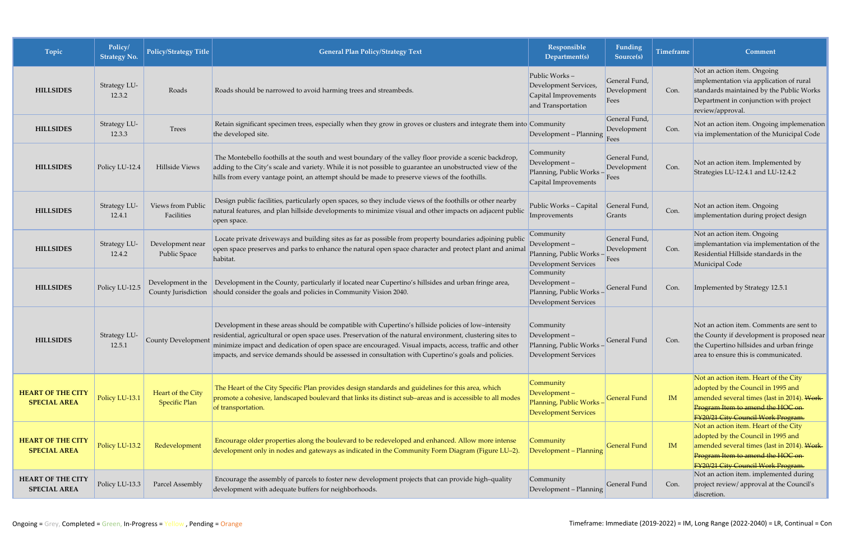| Topic                                           | Policy/<br><b>Strategy No.</b> | Policy/Strategy Title                     | <b>General Plan Policy/Strategy Text</b>                                                                                                                                                                                                                                                                                                                                                                                            | Responsible<br>Department(s)                                                         | Funding<br>Source(s)                 | <b>Timeframe</b> | <b>Comment</b>                                                                                                                                                                                        |
|-------------------------------------------------|--------------------------------|-------------------------------------------|-------------------------------------------------------------------------------------------------------------------------------------------------------------------------------------------------------------------------------------------------------------------------------------------------------------------------------------------------------------------------------------------------------------------------------------|--------------------------------------------------------------------------------------|--------------------------------------|------------------|-------------------------------------------------------------------------------------------------------------------------------------------------------------------------------------------------------|
| <b>HILLSIDES</b>                                | Strategy LU-<br>12.3.2         | Roads                                     | Roads should be narrowed to avoid harming trees and streambeds.                                                                                                                                                                                                                                                                                                                                                                     | Public Works-<br>Development Services,<br>Capital Improvements<br>and Transportation | General Fund,<br>Development<br>Fees | Con.             | Not an action item. Ongoing<br>implementation via application of rural<br>standards maintained by the Public Works<br>Department in conjunction with project<br>review/approval.                      |
| <b>HILLSIDES</b>                                | Strategy LU-<br>12.3.3         | Trees                                     | Retain significant specimen trees, especially when they grow in groves or clusters and integrate them into Community<br>the developed site.                                                                                                                                                                                                                                                                                         | Development - Planning                                                               | General Fund,<br>Development<br>Fees | Con.             | Not an action item. Ongoing implemenation<br>via implementation of the Municipal Code                                                                                                                 |
| <b>HILLSIDES</b>                                | Policy LU-12.4                 | Hillside Views                            | The Montebello foothills at the south and west boundary of the valley floor provide a scenic backdrop,<br>adding to the City's scale and variety. While it is not possible to guarantee an unobstructed view of the<br>hills from every vantage point, an attempt should be made to preserve views of the foothills.                                                                                                                | Community<br>Development-<br>Planning, Public Works<br>Capital Improvements          | General Fund,<br>Development<br>Fees | Con.             | Not an action item. Implemented by<br>Strategies LU-12.4.1 and LU-12.4.2                                                                                                                              |
| <b>HILLSIDES</b>                                | Strategy LU-<br>12.4.1         | Views from Public<br>Facilities           | Design public facilities, particularly open spaces, so they include views of the foothills or other nearby<br>natural features, and plan hillside developments to minimize visual and other impacts on adjacent public<br>open space.                                                                                                                                                                                               | Public Works - Capital<br>Improvements                                               | General Fund,<br>Grants              | Con.             | Not an action item. Ongoing<br>implementation during project design                                                                                                                                   |
| <b>HILLSIDES</b>                                | Strategy LU-<br>12.4.2         | Development near<br><b>Public Space</b>   | Locate private driveways and building sites as far as possible from property boundaries adjoining public<br>open space preserves and parks to enhance the natural open space character and protect plant and animal<br>habitat.                                                                                                                                                                                                     | Community<br>Development-<br>Planning, Public Works<br>Development Services          | General Fund,<br>Development<br>Fees | Con.             | Not an action item. Ongoing<br>implemantation via implementation of the<br>Residential Hillside standards in the<br>Municipal Code                                                                    |
| <b>HILLSIDES</b>                                | Policy LU-12.5                 | County Jurisdiction                       | Development in the Development in the County, particularly if located near Cupertino's hillsides and urban fringe area,<br>should consider the goals and policies in Community Vision 2040.                                                                                                                                                                                                                                         | Community<br>Development-<br>Planning, Public Works -<br>Development Services        | General Fund                         | Con.             | Implemented by Strategy 12.5.1                                                                                                                                                                        |
| <b>HILLSIDES</b>                                | Strategy LU-<br>12.5.1         | County Development                        | Development in these areas should be compatible with Cupertino's hillside policies of low-intensity<br>residential, agricultural or open space uses. Preservation of the natural environment, clustering sites to<br>minimize impact and dedication of open space are encouraged. Visual impacts, access, traffic and other<br>impacts, and service demands should be assessed in consultation with Cupertino's goals and policies. | Community<br>Development-<br>Planning, Public Works-<br>Development Services         | General Fund                         | Con.             | Not an action item. Comments are sent to<br>the County if development is proposed near<br>the Cupertino hillsides and urban fringe<br>area to ensure this is communicated.                            |
| <b>HEART OF THE CITY</b><br><b>SPECIAL AREA</b> | Policy LU-13.1                 | Heart of the City<br><b>Specific Plan</b> | The Heart of the City Specific Plan provides design standards and guidelines for this area, which<br>promote a cohesive, landscaped boulevard that links its distinct sub-areas and is accessible to all modes<br>of transportation.                                                                                                                                                                                                | Community<br>Development-<br>Planning, Public Works-<br><b>Development Services</b>  | <b>General Fund</b>                  | IM               | Not an action item. Heart of the City<br>adopted by the Council in 1995 and<br>amended several times (last in 2014). Work-<br>Program Item to amend the HOC on-<br>FY20/21 City Council Work Program. |
| <b>HEART OF THE CITY</b><br><b>SPECIAL AREA</b> | Policy LU-13.2                 | Redevelopment                             | Encourage older properties along the boulevard to be redeveloped and enhanced. Allow more intense<br>development only in nodes and gateways as indicated in the Community Form Diagram (Figure LU-2).                                                                                                                                                                                                                               | Community<br>Development - Planning                                                  | <b>General Fund</b>                  | IM               | Not an action item. Heart of the City<br>adopted by the Council in 1995 and<br>amended several times (last in 2014). Work<br>Program Item to amend the HOC on-<br>FY20/21 City Council Work Program.  |
| <b>HEART OF THE CITY</b><br><b>SPECIAL AREA</b> | Policy LU-13.3                 | Parcel Assembly                           | Encourage the assembly of parcels to foster new development projects that can provide high-quality<br>development with adequate buffers for neighborhoods.                                                                                                                                                                                                                                                                          | Community<br>Development - Planning                                                  | General Fund                         | Con.             | Not an action item. implemented during<br>project review/ approval at the Council's<br>discretion.                                                                                                    |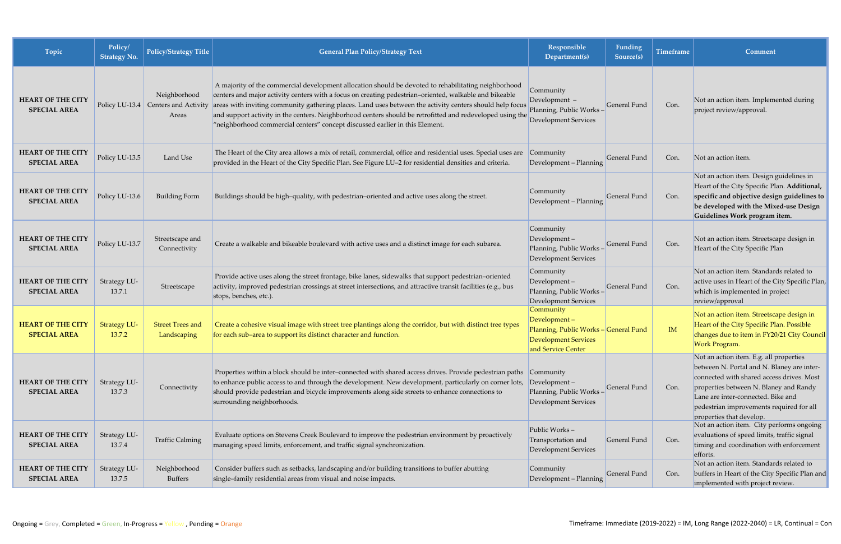| Topic                                           | Policy/<br><b>Strategy No.</b> | Policy/Strategy Title                                        | <b>General Plan Policy/Strategy Text</b>                                                                                                                                                                                                                                                                                                                                                                                                                                                                                | Responsible<br>Department(s)                                                                                            | Funding<br>Source(s) | <b>Timeframe</b> | <b>Comment</b>                                                                                                                                                                                                                                                                             |
|-------------------------------------------------|--------------------------------|--------------------------------------------------------------|-------------------------------------------------------------------------------------------------------------------------------------------------------------------------------------------------------------------------------------------------------------------------------------------------------------------------------------------------------------------------------------------------------------------------------------------------------------------------------------------------------------------------|-------------------------------------------------------------------------------------------------------------------------|----------------------|------------------|--------------------------------------------------------------------------------------------------------------------------------------------------------------------------------------------------------------------------------------------------------------------------------------------|
| <b>HEART OF THE CITY</b><br><b>SPECIAL AREA</b> |                                | Neighborhood<br>Policy LU-13.4 Centers and Activity<br>Areas | A majority of the commercial development allocation should be devoted to rehabilitating neighborhood<br>centers and major activity centers with a focus on creating pedestrian-oriented, walkable and bikeable<br>areas with inviting community gathering places. Land uses between the activity centers should help focus<br>and support activity in the centers. Neighborhood centers should be retrofitted and redeveloped using the<br>"neighborhood commercial centers" concept discussed earlier in this Element. | Community<br>Development -<br>Planning, Public Works-<br><b>Development Services</b>                                    | <b>General Fund</b>  | Con.             | Not an action item. Implemented during<br>project review/approval.                                                                                                                                                                                                                         |
| <b>HEART OF THE CITY</b><br><b>SPECIAL AREA</b> | Policy LU-13.5                 | Land Use                                                     | The Heart of the City area allows a mix of retail, commercial, office and residential uses. Special uses are<br>provided in the Heart of the City Specific Plan. See Figure LU-2 for residential densities and criteria.                                                                                                                                                                                                                                                                                                | Community<br>Development - Planning                                                                                     | General Fund         | Con.             | Not an action item.                                                                                                                                                                                                                                                                        |
| <b>HEART OF THE CITY</b><br><b>SPECIAL AREA</b> | Policy LU-13.6                 | <b>Building Form</b>                                         | Buildings should be high-quality, with pedestrian-oriented and active uses along the street.                                                                                                                                                                                                                                                                                                                                                                                                                            | Community<br>Development - Planning                                                                                     | General Fund         | Con.             | Not an action item. Design guidelines in<br>Heart of the City Specific Plan. Additional,<br>specific and objective design guidelines to<br>be developed with the Mixed-use Design<br>Guidelines Work program item.                                                                         |
| <b>HEART OF THE CITY</b><br><b>SPECIAL AREA</b> | Policy LU-13.7                 | Streetscape and<br>Connectivity                              | Create a walkable and bikeable boulevard with active uses and a distinct image for each subarea.                                                                                                                                                                                                                                                                                                                                                                                                                        | Community<br>Development-<br>Planning, Public Works-<br>Development Services                                            | General Fund         | Con.             | Not an action item. Streetscape design in<br>Heart of the City Specific Plan                                                                                                                                                                                                               |
| <b>HEART OF THE CITY</b><br><b>SPECIAL AREA</b> | Strategy LU-<br>13.7.1         | Streetscape                                                  | Provide active uses along the street frontage, bike lanes, sidewalks that support pedestrian-oriented<br>activity, improved pedestrian crossings at street intersections, and attractive transit facilities (e.g., bus<br>stops, benches, etc.).                                                                                                                                                                                                                                                                        | Community<br>Development-<br>Planning, Public Works-<br><b>Development Services</b>                                     | <b>General Fund</b>  | Con.             | Not an action item. Standards related to<br>active uses in Heart of the City Specific Plan,<br>which is implemented in project<br>review/approval                                                                                                                                          |
| <b>HEART OF THE CITY</b><br><b>SPECIAL AREA</b> | <b>Strategy LU-</b><br>13.7.2  | <b>Street Trees and</b><br>Landscaping                       | Create a cohesive visual image with street tree plantings along the corridor, but with distinct tree types<br>for each sub-area to support its distinct character and function.                                                                                                                                                                                                                                                                                                                                         | Community<br>Development-<br>Planning, Public Works - General Fund<br><b>Development Services</b><br>and Service Center |                      | IM               | Not an action item. Streetscape design in<br>Heart of the City Specific Plan. Possible<br>changes due to item in FY20/21 City Council<br>Work Program.                                                                                                                                     |
| <b>HEART OF THE CITY</b><br><b>SPECIAL AREA</b> | Strategy LU-<br>13.7.3         | Connectivity                                                 | Properties within a block should be inter-connected with shared access drives. Provide pedestrian paths<br>to enhance public access to and through the development. New development, particularly on corner lots,<br>should provide pedestrian and bicycle improvements along side streets to enhance connections to<br>surrounding neighborhoods.                                                                                                                                                                      | Community<br>$Development -$<br>Planning, Public Works-<br><b>Development Services</b>                                  | General Fund         | Con.             | Not an action item. E.g. all properties<br>between N. Portal and N. Blaney are inter-<br>connected with shared access drives. Most<br>properties between N. Blaney and Randy<br>Lane are inter-connected. Bike and<br>pedestrian improvements required for all<br>properties that develop. |
| <b>HEART OF THE CITY</b><br><b>SPECIAL AREA</b> | Strategy LU-<br>13.7.4         | <b>Traffic Calming</b>                                       | Evaluate options on Stevens Creek Boulevard to improve the pedestrian environment by proactively<br>managing speed limits, enforcement, and traffic signal synchronization.                                                                                                                                                                                                                                                                                                                                             | Public Works-<br>Transportation and<br><b>Development Services</b>                                                      | General Fund         | Con.             | Not an action item. City performs ongoing<br>evaluations of speed limits, traffic signal<br>timing and coordination with enforcement<br>efforts.                                                                                                                                           |
| <b>HEART OF THE CITY</b><br><b>SPECIAL AREA</b> | Strategy LU-<br>13.7.5         | Neighborhood<br><b>Buffers</b>                               | Consider buffers such as setbacks, landscaping and/or building transitions to buffer abutting<br>single-family residential areas from visual and noise impacts.                                                                                                                                                                                                                                                                                                                                                         | Community<br>Development - Planning                                                                                     | General Fund         | Con.             | Not an action item. Standards related to<br>buffers in Heart of the City Specific Plan and<br>implemented with project review.                                                                                                                                                             |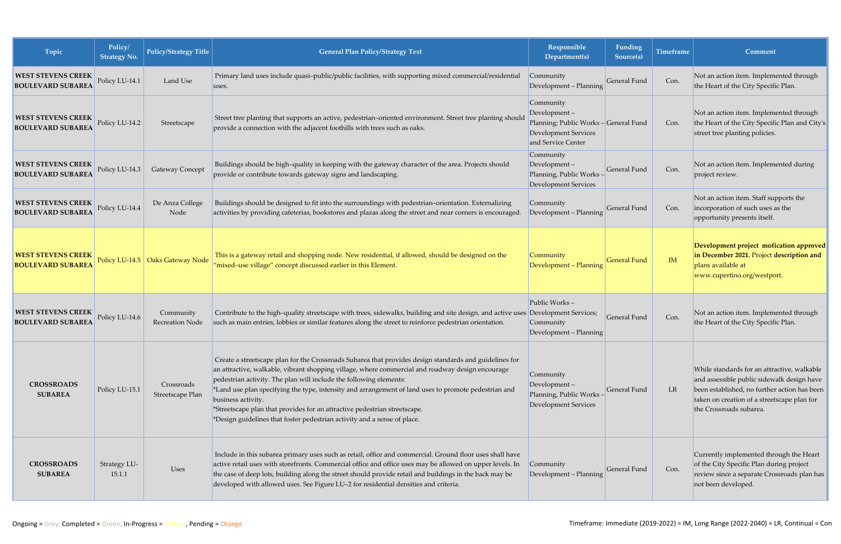| Topic                                                 | Policy/<br><b>Strategy No.</b> | <b>Policy/Strategy Title</b>       | <b>General Plan Policy/Strategy Text</b>                                                                                                                                                                                                                                                                                                                                                                                                                                                                                                                                | Responsible<br>Department(s)                                                                                            | <b>Funding</b><br>Source(s) | <b>Timeframe</b> | Comment                                                                                                                                                                                                             |
|-------------------------------------------------------|--------------------------------|------------------------------------|-------------------------------------------------------------------------------------------------------------------------------------------------------------------------------------------------------------------------------------------------------------------------------------------------------------------------------------------------------------------------------------------------------------------------------------------------------------------------------------------------------------------------------------------------------------------------|-------------------------------------------------------------------------------------------------------------------------|-----------------------------|------------------|---------------------------------------------------------------------------------------------------------------------------------------------------------------------------------------------------------------------|
| <b>WEST STEVENS CREEK</b><br><b>BOULEVARD SUBAREA</b> | Policy LU-14.1                 | Land Use                           | Primary land uses include quasi-public/public facilities, with supporting mixed commercial/residential<br>uses.                                                                                                                                                                                                                                                                                                                                                                                                                                                         | Community<br>Development - Planning                                                                                     | General Fund                | Con.             | Not an action item. Implemented through<br>the Heart of the City Specific Plan.                                                                                                                                     |
| <b>WEST STEVENS CREEK</b><br><b>BOULEVARD SUBAREA</b> | Policy LU-14.2                 | Streetscape                        | Street tree planting that supports an active, pedestrian-oriented environment. Street tree planting should<br>provide a connection with the adjacent foothills with trees such as oaks.                                                                                                                                                                                                                                                                                                                                                                                 | Community<br>Development-<br>Planning; Public Works - General Fund<br><b>Development Services</b><br>and Service Center |                             | Con.             | Not an action item. Implemented through<br>the Heart of the City Specific Plan and City's<br>street tree planting policies.                                                                                         |
| <b>WEST STEVENS CREEK</b><br><b>BOULEVARD SUBAREA</b> | Policy LU-14.3                 | <b>Gateway Concept</b>             | Buildings should be high-quality in keeping with the gateway character of the area. Projects should<br>provide or contribute towards gateway signs and landscaping.                                                                                                                                                                                                                                                                                                                                                                                                     | Community<br>$Development -$<br>Planning, Public Works -<br>Development Services                                        | <b>General Fund</b>         | Con.             | Not an action item. Implemented during<br>project review.                                                                                                                                                           |
| <b>WEST STEVENS CREEK</b><br><b>BOULEVARD SUBAREA</b> | Policy LU-14.4                 | De Anza College<br>Node            | Buildings should be designed to fit into the surroundings with pedestrian-orientation. Externalizing<br>activities by providing cafeterias, bookstores and plazas along the street and near corners is encouraged.                                                                                                                                                                                                                                                                                                                                                      | Community<br>Development - Planning                                                                                     | <b>General Fund</b>         | Con.             | Not an action item. Staff supports the<br>incorporation of such uses as the<br>opportunity presents itself.                                                                                                         |
| <b>WEST STEVENS CREEK</b><br><b>BOULEVARD SUBAREA</b> |                                | Policy LU-14.5   Oaks Gateway Node | This is a gateway retail and shopping node. New residential, if allowed, should be designed on the<br>"mixed-use village" concept discussed earlier in this Element.                                                                                                                                                                                                                                                                                                                                                                                                    | Community<br>Development - Planning                                                                                     | <b>General Fund</b>         | IM               | Development project mofication approved<br>in December 2021. Project description and<br>plans available at<br>www.cupertino.org/westport.                                                                           |
| <b>WEST STEVENS CREEK</b><br><b>BOULEVARD SUBAREA</b> | Policy LU-14.6                 | Community<br>Recreation Node       | Contribute to the high-quality streetscape with trees, sidewalks, building and site design, and active uses Development Services;<br>such as main entries, lobbies or similar features along the street to reinforce pedestrian orientation.                                                                                                                                                                                                                                                                                                                            | Public Works-<br>Community<br>Development - Planning                                                                    | General Fund                | Con.             | Not an action item. Implemented through<br>the Heart of the City Specific Plan.                                                                                                                                     |
| <b>CROSSROADS</b><br><b>SUBAREA</b>                   | Policy LU-15.1                 | Crossroads<br>Streetscape Plan     | Create a streetscape plan for the Crossroads Subarea that provides design standards and guidelines for<br>an attractive, walkable, vibrant shopping village, where commercial and roadway design encourage<br>pedestrian activity. The plan will include the following elements:<br>*Land use plan specifying the type, intensity and arrangement of land uses to promote pedestrian and<br>business activity.<br>*Streetscape plan that provides for an attractive pedestrian streetscape.<br>*Design guidelines that foster pedestrian activity and a sense of place. | Community<br>Development-<br>Planning, Public Works-<br>Development Services                                            | General Fund                | LR               | While standards for an attractive, walkable<br>and assessible public sidewalk design have<br>been established, no further action has been<br>taken on creation of a streetscape plan for<br>the Crossroads subarea. |
| <b>CROSSROADS</b><br><b>SUBAREA</b>                   | Strategy LU-<br>15.1.1         | Uses                               | Include in this subarea primary uses such as retail, office and commercial. Ground floor uses shall have<br>active retail uses with storefronts. Commercial office and office uses may be allowed on upper levels. In<br>the case of deep lots, building along the street should provide retail and buildings in the back may be<br>developed with allowed uses. See Figure LU-2 for residential densities and criteria.                                                                                                                                                | Community<br>Development - Planning                                                                                     | General Fund                | Con.             | Currently implemented through the Heart<br>of the City Specific Plan during project<br>review since a separate Crossroads plan has<br>not been developed.                                                           |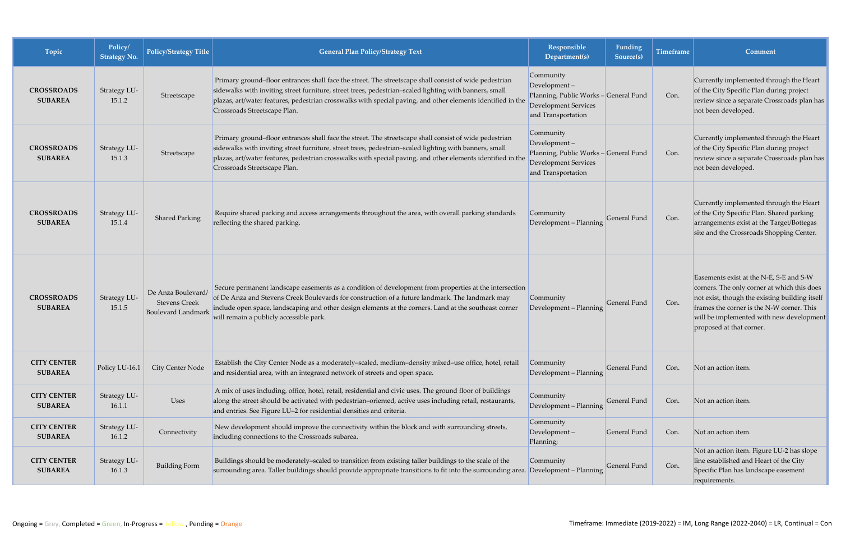| Topic                                | Policy/<br><b>Strategy No.</b> | <b>Policy/Strategy Title</b>                                            | <b>General Plan Policy/Strategy Text</b>                                                                                                                                                                                                                                                                                                                        | Responsible<br>Department(s)                                                                                            | Funding<br>Source(s) | <b>Timeframe</b> | Comment                                                                                                                                                                                                                                                       |
|--------------------------------------|--------------------------------|-------------------------------------------------------------------------|-----------------------------------------------------------------------------------------------------------------------------------------------------------------------------------------------------------------------------------------------------------------------------------------------------------------------------------------------------------------|-------------------------------------------------------------------------------------------------------------------------|----------------------|------------------|---------------------------------------------------------------------------------------------------------------------------------------------------------------------------------------------------------------------------------------------------------------|
| <b>CROSSROADS</b><br><b>SUBAREA</b>  | Strategy LU-<br>15.1.2         | Streetscape                                                             | Primary ground-floor entrances shall face the street. The streetscape shall consist of wide pedestrian<br>sidewalks with inviting street furniture, street trees, pedestrian-scaled lighting with banners, small<br>plazas, art/water features, pedestrian crosswalks with special paving, and other elements identified in the<br>Crossroads Streetscape Plan. | Community<br>Development-<br>Planning, Public Works - General Fund<br><b>Development Services</b><br>and Transportation |                      | Con.             | Currently implemented through the Heart<br>of the City Specific Plan during project<br>review since a separate Crossroads plan has<br>not been developed.                                                                                                     |
| <b>CROSSROADS</b><br><b>SUBAREA</b>  | Strategy LU-<br>15.1.3         | Streetscape                                                             | Primary ground-floor entrances shall face the street. The streetscape shall consist of wide pedestrian<br>sidewalks with inviting street furniture, street trees, pedestrian-scaled lighting with banners, small<br>plazas, art/water features, pedestrian crosswalks with special paving, and other elements identified in the<br>Crossroads Streetscape Plan. | Community<br>Development-<br>Planning, Public Works - General Fund<br><b>Development Services</b><br>and Transportation |                      | Con.             | Currently implemented through the Heart<br>of the City Specific Plan during project<br>review since a separate Crossroads plan has<br>not been developed.                                                                                                     |
| <b>CROSSROADS</b><br><b>SUBAREA</b>  | Strategy LU-<br>15.1.4         | <b>Shared Parking</b>                                                   | Require shared parking and access arrangements throughout the area, with overall parking standards<br>reflecting the shared parking.                                                                                                                                                                                                                            | Community<br>Development - Planning                                                                                     | General Fund         | Con.             | Currently implemented through the Heart<br>of the City Specific Plan. Shared parking<br>arrangements exist at the Target/Bottegas<br>site and the Crossroads Shopping Center.                                                                                 |
| <b>CROSSROADS</b><br><b>SUBAREA</b>  | Strategy LU-<br>15.1.5         | De Anza Boulevard/<br><b>Stevens Creek</b><br><b>Boulevard Landmark</b> | Secure permanent landscape easements as a condition of development from properties at the intersection<br>of De Anza and Stevens Creek Boulevards for construction of a future landmark. The landmark may<br>include open space, landscaping and other design elements at the corners. Land at the southeast corner<br>will remain a publicly accessible park.  | Community<br>Development - Planning                                                                                     | General Fund         | Con.             | Easements exist at the N-E, S-E and S-W<br>corners. The only corner at which this does<br>not exist, though the existing building itself<br>frames the corner is the N-W corner. This<br>will be implemented with new development<br>proposed at that corner. |
| <b>CITY CENTER</b><br><b>SUBAREA</b> | Policy LU-16.1                 | City Center Node                                                        | Establish the City Center Node as a moderately-scaled, medium-density mixed-use office, hotel, retail<br>and residential area, with an integrated network of streets and open space.                                                                                                                                                                            | Community<br>Development - Planning                                                                                     | General Fund         | Con.             | Not an action item.                                                                                                                                                                                                                                           |
| <b>CITY CENTER</b><br><b>SUBAREA</b> | Strategy LU-<br>16.1.1         | Uses                                                                    | A mix of uses including, office, hotel, retail, residential and civic uses. The ground floor of buildings<br>along the street should be activated with pedestrian-oriented, active uses including retail, restaurants,<br>and entries. See Figure LU-2 for residential densities and criteria.                                                                  | Community<br>Development - Planning                                                                                     | General Fund         | Con.             | Not an action item.                                                                                                                                                                                                                                           |
| <b>CITY CENTER</b><br><b>SUBAREA</b> | Strategy LU-<br>16.1.2         | Connectivity                                                            | New development should improve the connectivity within the block and with surrounding streets,<br>including connections to the Crossroads subarea.                                                                                                                                                                                                              | Community<br>Development-<br>Planning;                                                                                  | General Fund         | Con.             | Not an action item.                                                                                                                                                                                                                                           |
| <b>CITY CENTER</b><br><b>SUBAREA</b> | Strategy LU-<br>16.1.3         | <b>Building Form</b>                                                    | Buildings should be moderately-scaled to transition from existing taller buildings to the scale of the<br>surrounding area. Taller buildings should provide appropriate transitions to fit into the surrounding area. Development - Planning                                                                                                                    | Community                                                                                                               | General Fund         | Con.             | Not an action item. Figure LU-2 has slope<br>line established and Heart of the City<br>Specific Plan has landscape easement<br>requirements.                                                                                                                  |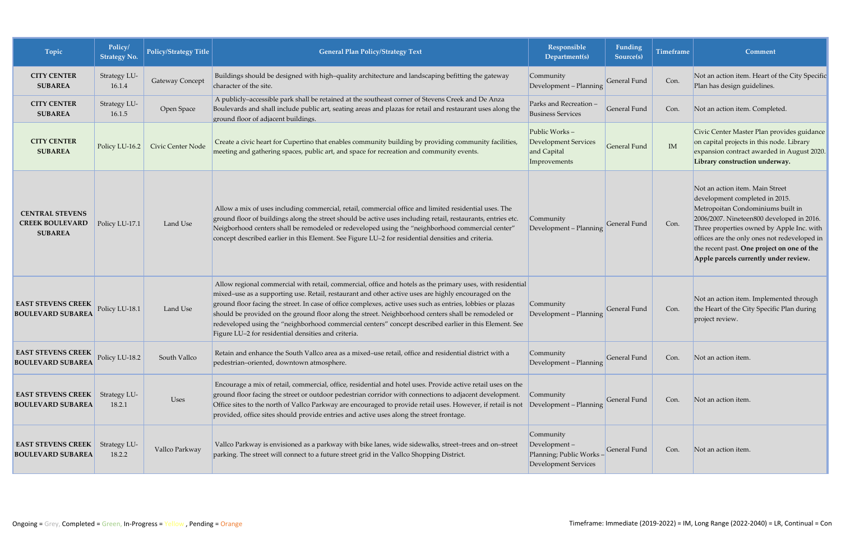| Topic                                                              | Policy/<br><b>Strategy No.</b> | <b>Policy/Strategy Title</b> | <b>General Plan Policy/Strategy Text</b>                                                                                                                                                                                                                                                                                                                                                                                                                                                                                                                                                                  | Responsible<br>Department(s)                                                  | Funding<br>Source(s) | <b>Timeframe</b> | <b>Comment</b>                                                                                                                                                                                                                                                                                                                          |
|--------------------------------------------------------------------|--------------------------------|------------------------------|-----------------------------------------------------------------------------------------------------------------------------------------------------------------------------------------------------------------------------------------------------------------------------------------------------------------------------------------------------------------------------------------------------------------------------------------------------------------------------------------------------------------------------------------------------------------------------------------------------------|-------------------------------------------------------------------------------|----------------------|------------------|-----------------------------------------------------------------------------------------------------------------------------------------------------------------------------------------------------------------------------------------------------------------------------------------------------------------------------------------|
| <b>CITY CENTER</b><br><b>SUBAREA</b>                               | Strategy LU-<br>16.1.4         | Gateway Concept              | Buildings should be designed with high-quality architecture and landscaping befitting the gateway<br>character of the site.                                                                                                                                                                                                                                                                                                                                                                                                                                                                               | Community<br>Development - Planning                                           | <b>General Fund</b>  | Con.             | Not an action item. Heart of the City Specific<br>Plan has design guidelines.                                                                                                                                                                                                                                                           |
| <b>CITY CENTER</b><br><b>SUBAREA</b>                               | Strategy LU-<br>16.1.5         | Open Space                   | A publicly-accessible park shall be retained at the southeast corner of Stevens Creek and De Anza<br>Boulevards and shall include public art, seating areas and plazas for retail and restaurant uses along the<br>ground floor of adjacent buildings.                                                                                                                                                                                                                                                                                                                                                    | Parks and Recreation -<br><b>Business Services</b>                            | General Fund         | Con.             | Not an action item. Completed.                                                                                                                                                                                                                                                                                                          |
| <b>CITY CENTER</b><br><b>SUBAREA</b>                               | Policy LU-16.2                 | Civic Center Node            | Create a civic heart for Cupertino that enables community building by providing community facilities,<br>meeting and gathering spaces, public art, and space for recreation and community events.                                                                                                                                                                                                                                                                                                                                                                                                         | Public Works-<br>Development Services<br>and Capital<br>Improvements          | <b>General Fund</b>  | IM               | Civic Center Master Plan provides guidance<br>on capital projects in this node. Library<br>expansion contract awarded in August 2020.<br>Library construction underway.                                                                                                                                                                 |
| <b>CENTRAL STEVENS</b><br><b>CREEK BOULEVARD</b><br><b>SUBAREA</b> | Policy LU-17.1                 | Land Use                     | Allow a mix of uses including commercial, retail, commercial office and limited residential uses. The<br>ground floor of buildings along the street should be active uses including retail, restaurants, entries etc.<br>Neigborhood centers shall be remodeled or redeveloped using the "neighborhood commercial center"<br>concept described earlier in this Element. See Figure LU-2 for residential densities and criteria.                                                                                                                                                                           | Community<br>Development - Planning                                           | General Fund         | Con.             | Not an action item. Main Street<br>development completed in 2015.<br>Metropoitan Condominiums built in<br>2006/2007. Nineteen800 developed in 2016.<br>Three properties owned by Apple Inc. with<br>offices are the only ones not redeveloped in<br>the recent past. One project on one of the<br>Apple parcels currently under review. |
| <b>EAST STEVENS CREEK</b><br><b>BOULEVARD SUBAREA</b>              | Policy LU-18.1                 | Land Use                     | Allow regional commercial with retail, commercial, office and hotels as the primary uses, with residential<br>mixed-use as a supporting use. Retail, restaurant and other active uses are highly encouraged on the<br>ground floor facing the street. In case of office complexes, active uses such as entries, lobbies or plazas<br>should be provided on the ground floor along the street. Neighborhood centers shall be remodeled or<br>redeveloped using the "neighborhood commercial centers" concept described earlier in this Element. See<br>Figure LU-2 for residential densities and criteria. | Community<br>Development - Planning                                           | General Fund         | Con.             | Not an action item. Implemented through<br>the Heart of the City Specific Plan during<br>project review.                                                                                                                                                                                                                                |
| <b>EAST STEVENS CREEK</b><br><b>BOULEVARD SUBAREA</b>              | Policy LU-18.2                 | South Vallco                 | Retain and enhance the South Vallco area as a mixed-use retail, office and residential district with a<br>pedestrian-oriented, downtown atmosphere.                                                                                                                                                                                                                                                                                                                                                                                                                                                       | Community<br>Development - Planning                                           | General Fund         | Con.             | Not an action item.                                                                                                                                                                                                                                                                                                                     |
| <b>EAST STEVENS CREEK</b><br><b>BOULEVARD SUBAREA</b>              | Strategy LU-<br>18.2.1         | <b>Uses</b>                  | Encourage a mix of retail, commercial, office, residential and hotel uses. Provide active retail uses on the<br>ground floor facing the street or outdoor pedestrian corridor with connections to adjacent development.<br>Office sites to the north of Vallco Parkway are encouraged to provide retail uses. However, if retail is not<br>provided, office sites should provide entries and active uses along the street frontage.                                                                                                                                                                       | Community<br>Development - Planning                                           | General Fund         | Con.             | Not an action item.                                                                                                                                                                                                                                                                                                                     |
| <b>EAST STEVENS CREEK</b><br><b>BOULEVARD SUBAREA</b>              | Strategy LU-<br>18.2.2         | Vallco Parkway               | Vallco Parkway is envisioned as a parkway with bike lanes, wide sidewalks, street-trees and on-street<br>parking. The street will connect to a future street grid in the Vallco Shopping District.                                                                                                                                                                                                                                                                                                                                                                                                        | Community<br>Development-<br>Planning; Public Works -<br>Development Services | General Fund         | Con.             | Not an action item.                                                                                                                                                                                                                                                                                                                     |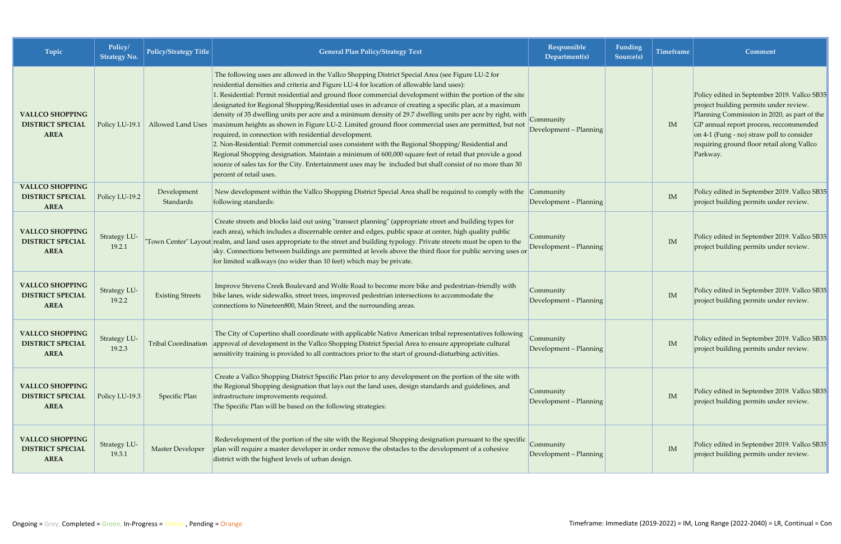| Topic                                                            | Policy/<br>Strategy No.       | <b>Policy/Strategy Title</b> | <b>General Plan Policy/Strategy Text</b>                                                                                                                                                                                                                                                                                                                                                                                                                                                                                                                                                                                                                                                                                                                                                                                                                                                                                                                                                                                                                                     | Responsible<br>Department(s)        | Funding<br>Source(s) | Timeframe | <b>Comment</b>                                                                                                                                                                                                                                                                         |
|------------------------------------------------------------------|-------------------------------|------------------------------|------------------------------------------------------------------------------------------------------------------------------------------------------------------------------------------------------------------------------------------------------------------------------------------------------------------------------------------------------------------------------------------------------------------------------------------------------------------------------------------------------------------------------------------------------------------------------------------------------------------------------------------------------------------------------------------------------------------------------------------------------------------------------------------------------------------------------------------------------------------------------------------------------------------------------------------------------------------------------------------------------------------------------------------------------------------------------|-------------------------------------|----------------------|-----------|----------------------------------------------------------------------------------------------------------------------------------------------------------------------------------------------------------------------------------------------------------------------------------------|
| <b>VALLCO SHOPPING</b><br><b>DISTRICT SPECIAL</b><br><b>AREA</b> | Policy LU-19.1                |                              | The following uses are allowed in the Vallco Shopping District Special Area (see Figure LU-2 for<br>residential densities and criteria and Figure LU-4 for location of allowable land uses):<br>I. Residential: Permit residential and ground floor commercial development within the portion of the site<br>designated for Regional Shopping/Residential uses in advance of creating a specific plan, at a maximum<br>density of 35 dwelling units per acre and a minimum density of 29.7 dwelling units per acre by right, with<br>Allowed Land Uses   maximum heights as shown in Figure LU-2. Limited ground floor commercial uses are permitted, but not<br>required, in connection with residential development.<br>2. Non-Residential: Permit commercial uses consistent with the Regional Shopping/Residential and<br>Regional Shopping designation. Maintain a minimum of 600,000 square feet of retail that provide a good<br>source of sales tax for the City. Entertainment uses may be included but shall consist of no more than 30<br>percent of retail uses. | Community<br>Development - Planning |                      | IM        | Policy edited in September 2019. Vallco SB35<br>project building permits under review.<br>Planning Commission in 2020, as part of the<br>GP annual report process, reccommended<br>on 4-1 (Fung - no) straw poll to consider<br>requiring ground floor retail along Vallco<br>Parkway. |
| <b>VALLCO SHOPPING</b><br><b>DISTRICT SPECIAL</b><br><b>AREA</b> | Policy LU-19.2                | Development<br>Standards     | New development within the Vallco Shopping District Special Area shall be required to comply with the<br>following standards:                                                                                                                                                                                                                                                                                                                                                                                                                                                                                                                                                                                                                                                                                                                                                                                                                                                                                                                                                | Community<br>Development - Planning |                      | IM        | Policy edited in September 2019. Vallco SB35<br>project building permits under review.                                                                                                                                                                                                 |
| <b>VALLCO SHOPPING</b><br><b>DISTRICT SPECIAL</b><br><b>AREA</b> | Strategy LU-<br>19.2.1        |                              | Create streets and blocks laid out using "transect planning" (appropriate street and building types for<br>each area), which includes a discernable center and edges, public space at center, high quality public<br>"Town Center" Layout realm, and land uses appropriate to the street and building typology. Private streets must be open to the<br>sky. Connections between buildings are permitted at levels above the third floor for public serving uses or<br>for limited walkways (no wider than 10 feet) which may be private.                                                                                                                                                                                                                                                                                                                                                                                                                                                                                                                                     | Community<br>Development - Planning |                      | IM        | Policy edited in September 2019. Vallco SB35<br>project building permits under review.                                                                                                                                                                                                 |
| <b>VALLCO SHOPPING</b><br><b>DISTRICT SPECIAL</b><br><b>AREA</b> | Strategy LU-<br>19.2.2        | <b>Existing Streets</b>      | Improve Stevens Creek Boulevard and Wolfe Road to become more bike and pedestrian-friendly with<br>bike lanes, wide sidewalks, street trees, improved pedestrian intersections to accommodate the<br>connections to Nineteen800, Main Street, and the surrounding areas.                                                                                                                                                                                                                                                                                                                                                                                                                                                                                                                                                                                                                                                                                                                                                                                                     | Community<br>Development - Planning |                      | IM        | Policy edited in September 2019. Vallco SB35<br>project building permits under review.                                                                                                                                                                                                 |
| <b>VALLCO SHOPPING</b><br><b>DISTRICT SPECIAL</b><br><b>AREA</b> | <b>Strategy LU-</b><br>19.2.3 |                              | The City of Cupertino shall coordinate with applicable Native American tribal representatives following<br>Tribal Coordination approval of development in the Vallco Shopping District Special Area to ensure appropriate cultural<br>sensitivity training is provided to all contractors prior to the start of ground-disturbing activities.                                                                                                                                                                                                                                                                                                                                                                                                                                                                                                                                                                                                                                                                                                                                | Community<br>Development - Planning |                      | IM        | Policy edited in September 2019. Vallco SB35<br>project building permits under review.                                                                                                                                                                                                 |
| <b>VALLCO SHOPPING</b><br><b>DISTRICT SPECIAL</b><br><b>AREA</b> | Policy LU-19.3                | Specific Plan                | Create a Vallco Shopping District Specific Plan prior to any development on the portion of the site with<br>the Regional Shopping designation that lays out the land uses, design standards and guidelines, and<br>infrastructure improvements required.<br>The Specific Plan will be based on the following strategies:                                                                                                                                                                                                                                                                                                                                                                                                                                                                                                                                                                                                                                                                                                                                                     | Community<br>Development - Planning |                      | IM        | Policy edited in September 2019. Vallco SB35<br>project building permits under review.                                                                                                                                                                                                 |
| <b>VALLCO SHOPPING</b><br><b>DISTRICT SPECIAL</b><br><b>AREA</b> | Strategy LU-<br>19.3.1        | <b>Master Developer</b>      | Redevelopment of the portion of the site with the Regional Shopping designation pursuant to the specific<br>plan will require a master developer in order remove the obstacles to the development of a cohesive<br>district with the highest levels of urban design.                                                                                                                                                                                                                                                                                                                                                                                                                                                                                                                                                                                                                                                                                                                                                                                                         | Community<br>Development - Planning |                      | IM        | Policy edited in September 2019. Vallco SB35<br>project building permits under review.                                                                                                                                                                                                 |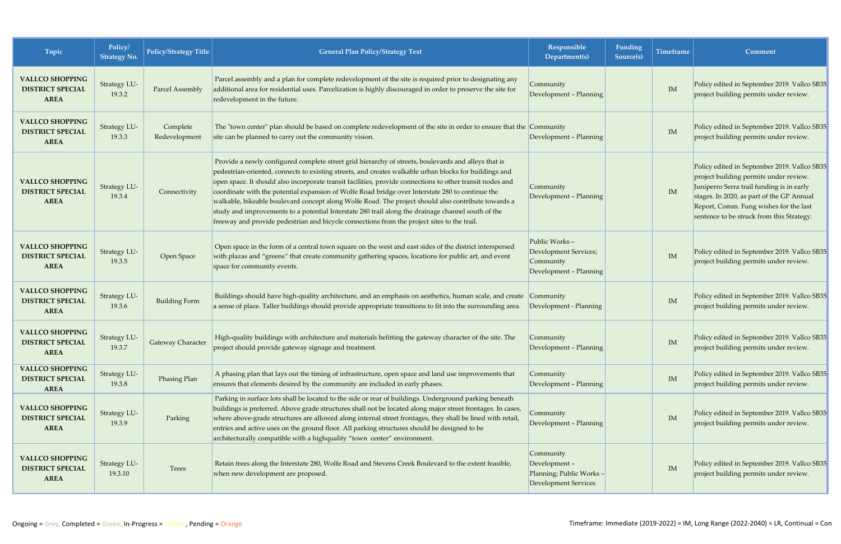| Topic                                                            | Policy/<br><b>Strategy No.</b> | Policy/Strategy Title     | <b>General Plan Policy/Strategy Text</b>                                                                                                                                                                                                                                                                                                                                                                                                                                                                                                                                                                                                                                                                                                   | Responsible<br>Department(s)                                                         | Funding<br>Source(s) | <b>Timeframe</b> | Comment                                                                                                                                                                                                                                                                 |
|------------------------------------------------------------------|--------------------------------|---------------------------|--------------------------------------------------------------------------------------------------------------------------------------------------------------------------------------------------------------------------------------------------------------------------------------------------------------------------------------------------------------------------------------------------------------------------------------------------------------------------------------------------------------------------------------------------------------------------------------------------------------------------------------------------------------------------------------------------------------------------------------------|--------------------------------------------------------------------------------------|----------------------|------------------|-------------------------------------------------------------------------------------------------------------------------------------------------------------------------------------------------------------------------------------------------------------------------|
| <b>VALLCO SHOPPING</b><br><b>DISTRICT SPECIAL</b><br><b>AREA</b> | Strategy LU-<br>19.3.2         | Parcel Assembly           | Parcel assembly and a plan for complete redevelopment of the site is required prior to designating any<br>additional area for residential uses. Parcelization is highly discouraged in order to preserve the site for<br>redevelopment in the future.                                                                                                                                                                                                                                                                                                                                                                                                                                                                                      | Community<br>Development - Planning                                                  |                      | IM               | Policy edited in September 2019. Vallco SB35<br>project building permits under review.                                                                                                                                                                                  |
| <b>VALLCO SHOPPING</b><br><b>DISTRICT SPECIAL</b><br><b>AREA</b> | Strategy LU-<br>19.3.3         | Complete<br>Redevelopment | The "town center" plan should be based on complete redevelopment of the site in order to ensure that the Community<br>site can be planned to carry out the community vision.                                                                                                                                                                                                                                                                                                                                                                                                                                                                                                                                                               | Development - Planning                                                               |                      | IM               | Policy edited in September 2019. Vallco SB35<br>project building permits under review.                                                                                                                                                                                  |
| <b>VALLCO SHOPPING</b><br><b>DISTRICT SPECIAL</b><br><b>AREA</b> | Strategy LU-<br>19.3.4         | Connectivity              | Provide a newly configured complete street grid hierarchy of streets, boulevards and alleys that is<br>pedestrian-oriented, connects to existing streets, and creates walkable urban blocks for buildings and<br>open space. It should also incorporate transit facilities, provide connections to other transit nodes and<br>coordinate with the potential expansion of Wolfe Road bridge over Interstate 280 to continue the<br>walkable, bikeable boulevard concept along Wolfe Road. The project should also contribute towards a<br>study and improvements to a potential Interstate 280 trail along the drainage channel south of the<br>freeway and provide pedestrian and bicycle connections from the project sites to the trail. | Community<br>Development - Planning                                                  |                      | IM               | Policy edited in September 2019. Vallco SB35<br>project building permits under review.<br>Juniperro Serra trail funding is in early<br>stages. In 2020, as part of the GP Annual<br>Report, Comm. Fung wishes for the last<br>sentence to be struck from this Strategy. |
| <b>VALLCO SHOPPING</b><br><b>DISTRICT SPECIAL</b><br><b>AREA</b> | Strategy LU-<br>19.3.5         | Open Space                | Open space in the form of a central town square on the west and east sides of the district interspersed<br>with plazas and "greens" that create community gathering spaces, locations for public art, and event<br>space for community events.                                                                                                                                                                                                                                                                                                                                                                                                                                                                                             | Public Works-<br><b>Development Services;</b><br>Community<br>Development - Planning |                      | IM               | Policy edited in September 2019. Vallco SB35<br>project building permits under review.                                                                                                                                                                                  |
| <b>VALLCO SHOPPING</b><br><b>DISTRICT SPECIAL</b><br><b>AREA</b> | Strategy LU-<br>19.3.6         | <b>Building Form</b>      | Buildings should have high-quality architecture, and an emphasis on aesthetics, human scale, and create Community<br>a sense of place. Taller buildings should provide appropriate transitions to fit into the surrounding area.                                                                                                                                                                                                                                                                                                                                                                                                                                                                                                           | Development - Planning                                                               |                      | IM               | Policy edited in September 2019. Vallco SB35<br>project building permits under review.                                                                                                                                                                                  |
| <b>VALLCO SHOPPING</b><br><b>DISTRICT SPECIAL</b><br><b>AREA</b> | Strategy LU-<br>19.3.7         | Gateway Character         | High-quality buildings with architecture and materials befitting the gateway character of the site. The<br>project should provide gateway signage and treatment.                                                                                                                                                                                                                                                                                                                                                                                                                                                                                                                                                                           | Community<br>Development - Planning                                                  |                      | IM               | Policy edited in September 2019. Vallco SB35<br>project building permits under review.                                                                                                                                                                                  |
| <b>VALLCO SHOPPING</b><br><b>DISTRICT SPECIAL</b><br><b>AREA</b> | Strategy LU-<br>19.3.8         | Phasing Plan              | A phasing plan that lays out the timing of infrastructure, open space and land use improvements that<br>ensures that elements desired by the community are included in early phases.                                                                                                                                                                                                                                                                                                                                                                                                                                                                                                                                                       | Community<br>Development - Planning                                                  |                      | IM               | Policy edited in September 2019. Vallco SB35<br>project building permits under review.                                                                                                                                                                                  |
| <b>VALLCO SHOPPING</b><br><b>DISTRICT SPECIAL</b><br><b>AREA</b> | Strategy LU-<br>19.3.9         | Parking                   | Parking in surface lots shall be located to the side or rear of buildings. Underground parking beneath<br>buildings is preferred. Above grade structures shall not be located along major street frontages. In cases,<br>where above-grade structures are allowed along internal street frontages, they shall be lined with retail,<br>entries and active uses on the ground floor. All parking structures should be designed to be<br>architecturally compatible with a highquality "town center" environment.                                                                                                                                                                                                                            | Community<br>Development - Planning                                                  |                      | IM               | Policy edited in September 2019. Vallco SB35<br>project building permits under review.                                                                                                                                                                                  |
| <b>VALLCO SHOPPING</b><br><b>DISTRICT SPECIAL</b><br><b>AREA</b> | Strategy LU-<br>19.3.10        | Trees                     | Retain trees along the Interstate 280, Wolfe Road and Stevens Creek Boulevard to the extent feasible,<br>when new development are proposed.                                                                                                                                                                                                                                                                                                                                                                                                                                                                                                                                                                                                | Community<br>Development-<br>Planning; Public Works-<br><b>Development Services</b>  |                      | IM               | Policy edited in September 2019. Vallco SB35<br>project building permits under review.                                                                                                                                                                                  |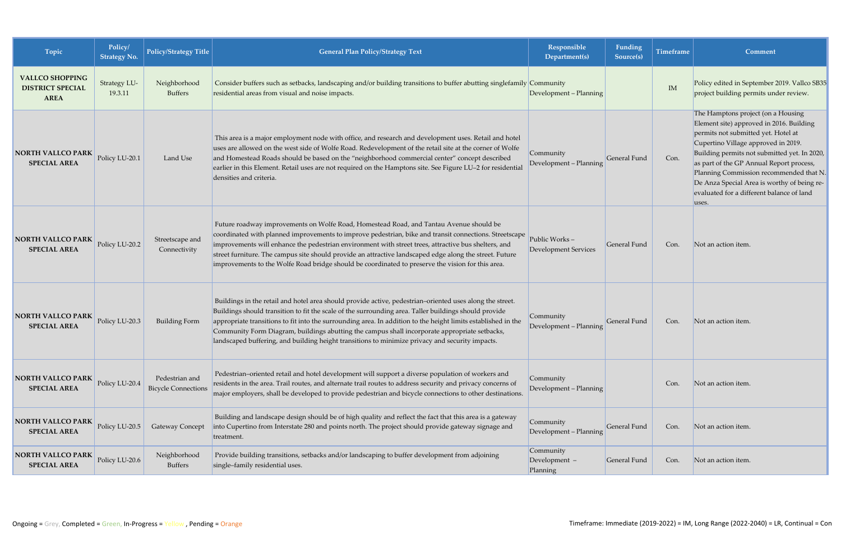| Topic                                                            | Policy/<br><b>Strategy No.</b> | Policy/Strategy Title                        | <b>General Plan Policy/Strategy Text</b>                                                                                                                                                                                                                                                                                                                                                                                                                                                                                               | Responsible<br>Department(s)                 | Funding<br>Source(s) | <b>Timeframe</b> | Comment                                                                                                                                                                                                                                                                                                                                                                                                  |
|------------------------------------------------------------------|--------------------------------|----------------------------------------------|----------------------------------------------------------------------------------------------------------------------------------------------------------------------------------------------------------------------------------------------------------------------------------------------------------------------------------------------------------------------------------------------------------------------------------------------------------------------------------------------------------------------------------------|----------------------------------------------|----------------------|------------------|----------------------------------------------------------------------------------------------------------------------------------------------------------------------------------------------------------------------------------------------------------------------------------------------------------------------------------------------------------------------------------------------------------|
| <b>VALLCO SHOPPING</b><br><b>DISTRICT SPECIAL</b><br><b>AREA</b> | Strategy LU-<br>19.3.11        | Neighborhood<br><b>Buffers</b>               | Consider buffers such as setbacks, landscaping and/or building transitions to buffer abutting singlefamily Community<br>residential areas from visual and noise impacts.                                                                                                                                                                                                                                                                                                                                                               | Development - Planning                       |                      | IM               | Policy edited in September 2019. Vallco SB35<br>project building permits under review.                                                                                                                                                                                                                                                                                                                   |
| <b>NORTH VALLCO PARK</b><br><b>SPECIAL AREA</b>                  | Policy LU-20.1                 | Land Use                                     | This area is a major employment node with office, and research and development uses. Retail and hotel<br>uses are allowed on the west side of Wolfe Road. Redevelopment of the retail site at the corner of Wolfe<br>and Homestead Roads should be based on the "neighborhood commercial center" concept described<br>earlier in this Element. Retail uses are not required on the Hamptons site. See Figure LU-2 for residential<br>densities and criteria.                                                                           | Community<br>Development - Planning          | General Fund         | Con.             | The Hamptons project (on a Housing<br>Element site) approved in 2016. Building<br>permits not submitted yet. Hotel at<br>Cupertino Village approved in 2019.<br>Building permits not submitted yet. In 2020,<br>as part of the GP Annual Report process,<br>Planning Commission recommended that N.<br>De Anza Special Area is worthy of being re-<br>evaluated for a different balance of land<br>uses. |
| <b>NORTH VALLCO PARK</b><br><b>SPECIAL AREA</b>                  | Policy LU-20.2                 | Streetscape and<br>Connectivity              | Future roadway improvements on Wolfe Road, Homestead Road, and Tantau Avenue should be<br>coordinated with planned improvements to improve pedestrian, bike and transit connections. Streetscape<br>improvements will enhance the pedestrian environment with street trees, attractive bus shelters, and<br>street furniture. The campus site should provide an attractive landscaped edge along the street. Future<br>improvements to the Wolfe Road bridge should be coordinated to preserve the vision for this area.               | Public Works-<br><b>Development Services</b> | General Fund         | Con.             | Not an action item.                                                                                                                                                                                                                                                                                                                                                                                      |
| <b>NORTH VALLCO PARK</b><br><b>SPECIAL AREA</b>                  | Policy LU-20.3                 | <b>Building Form</b>                         | Buildings in the retail and hotel area should provide active, pedestrian-oriented uses along the street.<br>Buildings should transition to fit the scale of the surrounding area. Taller buildings should provide<br>appropriate transitions to fit into the surrounding area. In addition to the height limits established in the<br>Community Form Diagram, buildings abutting the campus shall incorporate appropriate setbacks,<br>landscaped buffering, and building height transitions to minimize privacy and security impacts. | Community<br>Development - Planning          | General Fund         | Con.             | Not an action item.                                                                                                                                                                                                                                                                                                                                                                                      |
| <b>NORTH VALLCO PARK</b><br><b>SPECIAL AREA</b>                  | Policy LU-20.4                 | Pedestrian and<br><b>Bicycle Connections</b> | Pedestrian-oriented retail and hotel development will support a diverse population of workers and<br>residents in the area. Trail routes, and alternate trail routes to address security and privacy concerns of<br>major employers, shall be developed to provide pedestrian and bicycle connections to other destinations.                                                                                                                                                                                                           | Community<br>Development - Planning          |                      | Con.             | Not an action item.                                                                                                                                                                                                                                                                                                                                                                                      |
| <b>NORTH VALLCO PARK</b><br><b>SPECIAL AREA</b>                  | Policy LU-20.5                 | <b>Gateway Concept</b>                       | Building and landscape design should be of high quality and reflect the fact that this area is a gateway<br>into Cupertino from Interstate 280 and points north. The project should provide gateway signage and<br>treatment.                                                                                                                                                                                                                                                                                                          | Community<br>Development - Planning          | General Fund         | Con.             | Not an action item.                                                                                                                                                                                                                                                                                                                                                                                      |
| <b>NORTH VALLCO PARK</b><br><b>SPECIAL AREA</b>                  | Policy LU-20.6                 | Neighborhood<br><b>Buffers</b>               | Provide building transitions, setbacks and/or landscaping to buffer development from adjoining<br>single-family residential uses.                                                                                                                                                                                                                                                                                                                                                                                                      | Community<br>Development -<br>Planning       | General Fund         | Con.             | Not an action item.                                                                                                                                                                                                                                                                                                                                                                                      |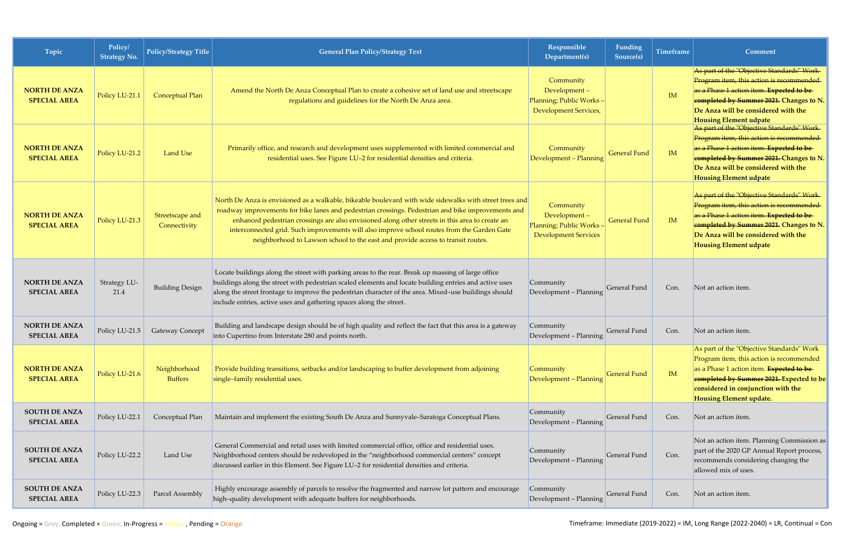| Topic                                       | Policy/<br><b>Strategy No.</b> | Policy/Strategy Title           | <b>General Plan Policy/Strategy Text</b>                                                                                                                                                                                                                                                                                                                                                                                                                                                           | Responsible<br>Department(s)                                                         | Funding<br>Source(s) | <b>Timeframe</b> | Comment                                                                                                                                                                                                                                                      |
|---------------------------------------------|--------------------------------|---------------------------------|----------------------------------------------------------------------------------------------------------------------------------------------------------------------------------------------------------------------------------------------------------------------------------------------------------------------------------------------------------------------------------------------------------------------------------------------------------------------------------------------------|--------------------------------------------------------------------------------------|----------------------|------------------|--------------------------------------------------------------------------------------------------------------------------------------------------------------------------------------------------------------------------------------------------------------|
| <b>NORTH DE ANZA</b><br><b>SPECIAL AREA</b> | Policy LU-21.1                 | Conceptual Plan                 | Amend the North De Anza Conceptual Plan to create a cohesive set of land use and streetscape<br>regulations and guidelines for the North De Anza area.                                                                                                                                                                                                                                                                                                                                             | Community<br>Development-<br>Planning; Public Works-<br><b>Development Services,</b> |                      | IM               | As part of the "Objective Standards" Work-<br>Program item, this action is recommended<br>as a Phase 1 action item. Expected to be<br>completed by Summer 2021. Changes to N.<br>De Anza will be considered with the<br><b>Housing Element udpate</b>        |
| <b>NORTH DE ANZA</b><br><b>SPECIAL AREA</b> | Policy LU-21.2                 | <b>Land Use</b>                 | Primarily office, and research and development uses supplemented with limited commercial and<br>residential uses. See Figure LU-2 for residential densities and criteria.                                                                                                                                                                                                                                                                                                                          | Community<br>Development - Planning                                                  | <b>General Fund</b>  | <b>IM</b>        | As part of the "Objective Standards" Work-<br>Program item, this action is recommended<br>as a Phase 1 action item. Expected to be<br>eompleted by Summer 2021. Changes to N.<br>De Anza will be considered with the<br><b>Housing Element udpate</b>        |
| <b>NORTH DE ANZA</b><br><b>SPECIAL AREA</b> | Policy LU-21.3                 | Streetscape and<br>Connectivity | North De Anza is envisioned as a walkable, bikeable boulevard with wide sidewalks with street trees and<br>roadway improvements for bike lanes and pedestrian crossings. Pedestrian and bike improvements and<br>enhanced pedestrian crossings are also envisioned along other streets in this area to create an<br>interconnected grid. Such improvements will also improve school routes from the Garden Gate<br>neighborhood to Lawson school to the east and provide access to transit routes. | Community<br>Development-<br>Planning; Public Works-<br><b>Development Services</b>  | <b>General Fund</b>  | <b>IM</b>        | As part of the "Objective Standards" Work-<br>Program item, this action is recommended<br>as a Phase 1 action item. Expected to be<br>completed by Summer 2021. Changes to N.<br>De Anza will be considered with the<br><b>Housing Element udpate</b>        |
| <b>NORTH DE ANZA</b><br><b>SPECIAL AREA</b> | Strategy LU-<br>21.4           | <b>Building Design</b>          | Locate buildings along the street with parking areas to the rear. Break up massing of large office<br>buildings along the street with pedestrian scaled elements and locate building entries and active uses<br>along the street frontage to improve the pedestrian character of the area. Mixed-use buildings should<br>include entries, active uses and gathering spaces along the street.                                                                                                       | Community<br>Development - Planning                                                  | General Fund         | Con.             | Not an action item.                                                                                                                                                                                                                                          |
| <b>NORTH DE ANZA</b><br><b>SPECIAL AREA</b> | Policy LU-21.5                 | Gateway Concept                 | Building and landscape design should be of high quality and reflect the fact that this area is a gateway<br>into Cupertino from Interstate 280 and points north.                                                                                                                                                                                                                                                                                                                                   | Community<br>Development - Planning                                                  | General Fund         | Con.             | Not an action item.                                                                                                                                                                                                                                          |
| <b>NORTH DE ANZA</b><br><b>SPECIAL AREA</b> | Policy LU-21.6                 | Neighborhood<br><b>Buffers</b>  | Provide building transitions, setbacks and/or landscaping to buffer development from adjoining<br>single-family residential uses.                                                                                                                                                                                                                                                                                                                                                                  | Community<br>Development - Planning                                                  | <b>General Fund</b>  | IM               | As part of the "Objective Standards" Work<br>Program item, this action is recommended<br>as a Phase 1 action item. <b>Expected to be</b><br>eompleted by Summer 2021. Expected to be<br>considered in conjunction with the<br><b>Housing Element update.</b> |
| <b>SOUTH DE ANZA</b><br><b>SPECIAL AREA</b> | Policy LU-22.1                 | Conceptual Plan                 | Maintain and implement the existing South De Anza and Sunnyvale-Saratoga Conceptual Plans.                                                                                                                                                                                                                                                                                                                                                                                                         | Community<br>Development - Planning                                                  | General Fund         | Con.             | Not an action item.                                                                                                                                                                                                                                          |
| <b>SOUTH DE ANZA</b><br><b>SPECIAL AREA</b> | Policy LU-22.2                 | Land Use                        | General Commercial and retail uses with limited commercial office, office and residential uses.<br>Neighborhood centers should be redeveloped in the "neighborhood commercial centers" concept<br>discussed earlier in this Element. See Figure LU-2 for residential densities and criteria.                                                                                                                                                                                                       | Community<br>Development - Planning                                                  | General Fund         | Con.             | Not an action item. Planning Commission as<br>part of the 2020 GP Annual Report process,<br>recommends considering changing the<br>allowed mix of uses.                                                                                                      |
| <b>SOUTH DE ANZA</b><br><b>SPECIAL AREA</b> | Policy LU-22.3                 | Parcel Assembly                 | Highly encourage assembly of parcels to resolve the fragmented and narrow lot pattern and encourage<br>high-quality development with adequate buffers for neighborhoods.                                                                                                                                                                                                                                                                                                                           | Community<br>Development - Planning                                                  | General Fund         | Con.             | Not an action item.                                                                                                                                                                                                                                          |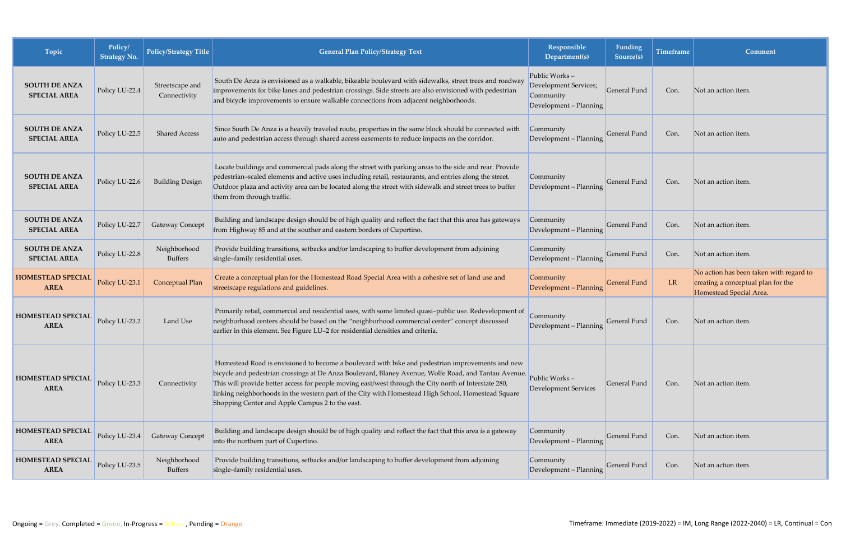| Topic                                       | Policy/<br><b>Strategy No.</b> | <b>Policy/Strategy Title</b>    | <b>General Plan Policy/Strategy Text</b>                                                                                                                                                                                                                                                                                                                                                                                                                                   | Responsible<br>Department(s)                                                  | Funding<br>Source(s) | <b>Timeframe</b> | Comment                                                                                                  |
|---------------------------------------------|--------------------------------|---------------------------------|----------------------------------------------------------------------------------------------------------------------------------------------------------------------------------------------------------------------------------------------------------------------------------------------------------------------------------------------------------------------------------------------------------------------------------------------------------------------------|-------------------------------------------------------------------------------|----------------------|------------------|----------------------------------------------------------------------------------------------------------|
| <b>SOUTH DE ANZA</b><br><b>SPECIAL AREA</b> | Policy LU-22.4                 | Streetscape and<br>Connectivity | South De Anza is envisioned as a walkable, bikeable boulevard with sidewalks, street trees and roadway<br>improvements for bike lanes and pedestrian crossings. Side streets are also envisioned with pedestrian<br>and bicycle improvements to ensure walkable connections from adjacent neighborhoods.                                                                                                                                                                   | Public Works-<br>Development Services;<br>Community<br>Development - Planning | General Fund         | Con.             | Not an action item.                                                                                      |
| <b>SOUTH DE ANZA</b><br><b>SPECIAL AREA</b> | Policy LU-22.5                 | <b>Shared Access</b>            | Since South De Anza is a heavily traveled route, properties in the same block should be connected with<br>auto and pedestrian access through shared access easements to reduce impacts on the corridor.                                                                                                                                                                                                                                                                    | Community<br>Development - Planning                                           | General Fund         | Con.             | Not an action item.                                                                                      |
| <b>SOUTH DE ANZA</b><br><b>SPECIAL AREA</b> | Policy LU-22.6                 | <b>Building Design</b>          | Locate buildings and commercial pads along the street with parking areas to the side and rear. Provide<br>pedestrian-scaled elements and active uses including retail, restaurants, and entries along the street.<br>Outdoor plaza and activity area can be located along the street with sidewalk and street trees to buffer<br>them from through traffic.                                                                                                                | Community<br>Development - Planning                                           | <b>General Fund</b>  | Con.             | Not an action item.                                                                                      |
| <b>SOUTH DE ANZA</b><br><b>SPECIAL AREA</b> | Policy LU-22.7                 | <b>Gateway Concept</b>          | Building and landscape design should be of high quality and reflect the fact that this area has gateways<br>from Highway 85 and at the souther and eastern borders of Cupertino.                                                                                                                                                                                                                                                                                           | Community<br>Development - Planning                                           | General Fund         | Con.             | Not an action item.                                                                                      |
| <b>SOUTH DE ANZA</b><br><b>SPECIAL AREA</b> | Policy LU-22.8                 | Neighborhood<br><b>Buffers</b>  | Provide building transitions, setbacks and/or landscaping to buffer development from adjoining<br>single-family residential uses.                                                                                                                                                                                                                                                                                                                                          | Community<br>Development - Planning                                           | <b>General Fund</b>  | Con.             | Not an action item.                                                                                      |
| <b>HOMESTEAD SPECIAL</b><br><b>AREA</b>     | Policy LU-23.1                 | Conceptual Plan                 | Create a conceptual plan for the Homestead Road Special Area with a cohesive set of land use and<br>streetscape regulations and guidelines.                                                                                                                                                                                                                                                                                                                                | Community<br>Development - Planning                                           | <b>General Fund</b>  | <b>LR</b>        | No action has been taken with regard to<br>creating a conceptual plan for the<br>Homestead Special Area. |
| <b>HOMESTEAD SPECIAL</b><br><b>AREA</b>     | Policy LU-23.2                 | Land Use                        | Primarily retail, commercial and residential uses, with some limited quasi-public use. Redevelopment of<br>neighborhood centers should be based on the "neighborhood commercial center" concept discussed<br>earlier in this element. See Figure LU-2 for residential densities and criteria.                                                                                                                                                                              | Community<br>Development - Planning                                           | General Fund         | Con.             | Not an action item.                                                                                      |
| <b>HOMESTEAD SPECIAL</b><br><b>AREA</b>     | Policy LU-23.3                 | Connectivity                    | Homestead Road is envisioned to become a boulevard with bike and pedestrian improvements and new<br>bicycle and pedestrian crossings at De Anza Boulevard, Blaney Avenue, Wolfe Road, and Tantau Avenue.<br>This will provide better access for people moving east/west through the City north of Interstate 280,<br>linking neighborhoods in the western part of the City with Homestead High School, Homestead Square<br>Shopping Center and Apple Campus 2 to the east. | Public Works-<br><b>Development Services</b>                                  | General Fund         | Con.             | Not an action item.                                                                                      |
| <b>HOMESTEAD SPECIAL</b><br><b>AREA</b>     | Policy LU-23.4                 | <b>Gateway Concept</b>          | Building and landscape design should be of high quality and reflect the fact that this area is a gateway<br>into the northern part of Cupertino.                                                                                                                                                                                                                                                                                                                           | Community<br>Development - Planning                                           | General Fund         | Con.             | Not an action item.                                                                                      |
| <b>HOMESTEAD SPECIAL</b><br><b>AREA</b>     | Policy LU-23.5                 | Neighborhood<br><b>Buffers</b>  | Provide building transitions, setbacks and/or landscaping to buffer development from adjoining<br>single-family residential uses.                                                                                                                                                                                                                                                                                                                                          | Community<br>Development - Planning                                           | General Fund         | Con.             | Not an action item.                                                                                      |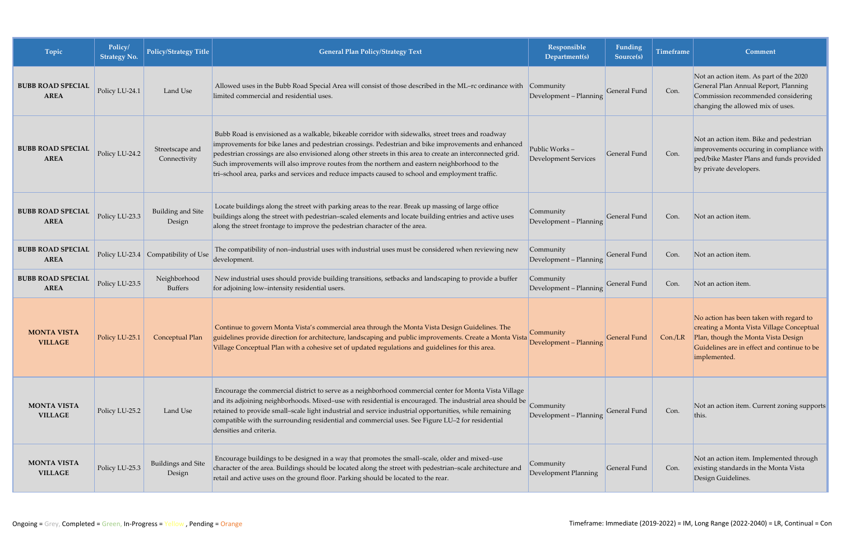| Topic                                   | Policy/<br><b>Strategy No.</b> | <b>Policy/Strategy Title</b>        | <b>General Plan Policy/Strategy Text</b>                                                                                                                                                                                                                                                                                                                                                                                                                                                                                   | Responsible<br>Department(s)                  | Funding<br>Source(s) | <b>Timeframe</b> | Comment                                                                                                                                                                                    |
|-----------------------------------------|--------------------------------|-------------------------------------|----------------------------------------------------------------------------------------------------------------------------------------------------------------------------------------------------------------------------------------------------------------------------------------------------------------------------------------------------------------------------------------------------------------------------------------------------------------------------------------------------------------------------|-----------------------------------------------|----------------------|------------------|--------------------------------------------------------------------------------------------------------------------------------------------------------------------------------------------|
| <b>BUBB ROAD SPECIAL</b><br><b>AREA</b> | Policy LU-24.1                 | Land Use                            | Allowed uses in the Bubb Road Special Area will consist of those described in the ML-rc ordinance with Community<br>limited commercial and residential uses.                                                                                                                                                                                                                                                                                                                                                               | Development - Planning                        | <b>General Fund</b>  | Con.             | Not an action item. As part of the 2020<br>General Plan Annual Report, Planning<br>Commission recommended considering<br>changing the allowed mix of uses.                                 |
| <b>BUBB ROAD SPECIAL</b><br><b>AREA</b> | Policy LU-24.2                 | Streetscape and<br>Connectivity     | Bubb Road is envisioned as a walkable, bikeable corridor with sidewalks, street trees and roadway<br>improvements for bike lanes and pedestrian crossings. Pedestrian and bike improvements and enhanced<br>pedestrian crossings are also envisioned along other streets in this area to create an interconnected grid.<br>Such improvements will also improve routes from the northern and eastern neighborhood to the<br>tri-school area, parks and services and reduce impacts caused to school and employment traffic. | Public Works -<br><b>Development Services</b> | <b>General Fund</b>  | Con.             | Not an action item. Bike and pedestrian<br>improvements occuring in compliance with<br>ped/bike Master Plans and funds provided<br>by private developers.                                  |
| <b>BUBB ROAD SPECIAL</b><br><b>AREA</b> | Policy LU-23.3                 | <b>Building and Site</b><br>Design  | Locate buildings along the street with parking areas to the rear. Break up massing of large office<br>buildings along the street with pedestrian-scaled elements and locate building entries and active uses<br>along the street frontage to improve the pedestrian character of the area.                                                                                                                                                                                                                                 | Community<br>Development - Planning           | General Fund         | Con.             | Not an action item.                                                                                                                                                                        |
| <b>BUBB ROAD SPECIAL</b><br><b>AREA</b> |                                | Policy LU-23.4 Compatibility of Use | The compatibility of non-industrial uses with industrial uses must be considered when reviewing new<br>development.                                                                                                                                                                                                                                                                                                                                                                                                        | Community<br>Development - Planning           | General Fund         | Con.             | Not an action item.                                                                                                                                                                        |
| <b>BUBB ROAD SPECIAL</b><br><b>AREA</b> | Policy LU-23.5                 | Neighborhood<br><b>Buffers</b>      | New industrial uses should provide building transitions, setbacks and landscaping to provide a buffer<br>for adjoining low-intensity residential users.                                                                                                                                                                                                                                                                                                                                                                    | Community<br>Development - Planning           | General Fund         | Con.             | Not an action item.                                                                                                                                                                        |
| <b>MONTA VISTA</b><br><b>VILLAGE</b>    | Policy LU-25.1                 | Conceptual Plan                     | Continue to govern Monta Vista's commercial area through the Monta Vista Design Guidelines. The<br>guidelines provide direction for architecture, landscaping and public improvements. Create a Monta Vista<br>Village Conceptual Plan with a cohesive set of updated regulations and guidelines for this area.                                                                                                                                                                                                            | Community<br>Development - Planning           | General Fund         | Con./LR          | No action has been taken with regard to<br>creating a Monta Vista Village Conceptual<br>Plan, though the Monta Vista Design<br>Guidelines are in effect and continue to be<br>implemented. |
| <b>MONTA VISTA</b><br><b>VILLAGE</b>    | Policy LU-25.2                 | Land Use                            | Encourage the commercial district to serve as a neighborhood commercial center for Monta Vista Village<br>and its adjoining neighborhoods. Mixed-use with residential is encouraged. The industrial area should be<br>retained to provide small-scale light industrial and service industrial opportunities, while remaining<br>compatible with the surrounding residential and commercial uses. See Figure LU-2 for residential<br>densities and criteria.                                                                | Community<br>Development - Planning           | General Fund         | Con.             | Not an action item. Current zoning supports<br>this.                                                                                                                                       |
| <b>MONTA VISTA</b><br><b>VILLAGE</b>    | Policy LU-25.3                 | Buildings and Site<br>Design        | Encourage buildings to be designed in a way that promotes the small-scale, older and mixed-use<br>character of the area. Buildings should be located along the street with pedestrian-scale architecture and<br>retail and active uses on the ground floor. Parking should be located to the rear.                                                                                                                                                                                                                         | Community<br>Development Planning             | General Fund         | Con.             | Not an action item. Implemented through<br>existing standards in the Monta Vista<br>Design Guidelines.                                                                                     |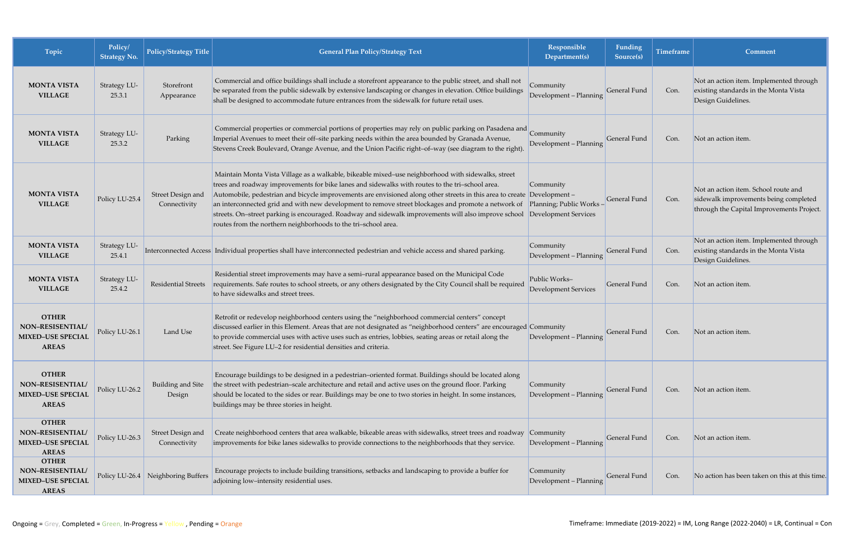| Topic                                                                        | Policy/<br><b>Strategy No.</b> | Policy/Strategy Title              | <b>General Plan Policy/Strategy Text</b>                                                                                                                                                                                                                                                                                                                                                                                                                                                                                                                                                                                                                      | Responsible<br>Department(s)                 | Funding<br>Source(s) | <b>Timeframe</b> | Comment                                                                                                                    |
|------------------------------------------------------------------------------|--------------------------------|------------------------------------|---------------------------------------------------------------------------------------------------------------------------------------------------------------------------------------------------------------------------------------------------------------------------------------------------------------------------------------------------------------------------------------------------------------------------------------------------------------------------------------------------------------------------------------------------------------------------------------------------------------------------------------------------------------|----------------------------------------------|----------------------|------------------|----------------------------------------------------------------------------------------------------------------------------|
| <b>MONTA VISTA</b><br><b>VILLAGE</b>                                         | Strategy LU-<br>25.3.1         | Storefront<br>Appearance           | Commercial and office buildings shall include a storefront appearance to the public street, and shall not<br>be separated from the public sidewalk by extensive landscaping or changes in elevation. Office buildings<br>shall be designed to accommodate future entrances from the sidewalk for future retail uses.                                                                                                                                                                                                                                                                                                                                          | Community<br>Development - Planning          | General Fund         | Con.             | Not an action item. Implemented through<br>existing standards in the Monta Vista<br>Design Guidelines.                     |
| <b>MONTA VISTA</b><br><b>VILLAGE</b>                                         | Strategy LU-<br>25.3.2         | Parking                            | Commercial properties or commercial portions of properties may rely on public parking on Pasadena and<br>Imperial Avenues to meet their off-site parking needs within the area bounded by Granada Avenue,<br>Stevens Creek Boulevard, Orange Avenue, and the Union Pacific right-of-way (see diagram to the right).                                                                                                                                                                                                                                                                                                                                           | Community<br>Development - Planning          | General Fund         | Con.             | Not an action item.                                                                                                        |
| <b>MONTA VISTA</b><br><b>VILLAGE</b>                                         | Policy LU-25.4                 | Street Design and<br>Connectivity  | Maintain Monta Vista Village as a walkable, bikeable mixed-use neighborhood with sidewalks, street<br>trees and roadway improvements for bike lanes and sidewalks with routes to the tri-school area.<br>Automobile, pedestrian and bicycle improvements are envisioned along other streets in this area to create Development -<br>an interconnected grid and with new development to remove street blockages and promote a network of Planning; Public Works<br>streets. On-street parking is encouraged. Roadway and sidewalk improvements will also improve school Development Services<br>routes from the northern neighborhoods to the tri-school area. | Community                                    | General Fund         | Con.             | Not an action item. School route and<br>sidewalk improvements being completed<br>through the Capital Improvements Project. |
| <b>MONTA VISTA</b><br><b>VILLAGE</b>                                         | Strategy LU-<br>25.4.1         |                                    | Interconnected Access Individual properties shall have interconnected pedestrian and vehicle access and shared parking.                                                                                                                                                                                                                                                                                                                                                                                                                                                                                                                                       | Community<br>Development - Planning          | General Fund         | Con.             | Not an action item. Implemented through<br>existing standards in the Monta Vista<br>Design Guidelines.                     |
| <b>MONTA VISTA</b><br><b>VILLAGE</b>                                         | Strategy LU-<br>25.4.2         | Residential Streets                | Residential street improvements may have a semi-rural appearance based on the Municipal Code<br>requirements. Safe routes to school streets, or any others designated by the City Council shall be required<br>to have sidewalks and street trees.                                                                                                                                                                                                                                                                                                                                                                                                            | Public Works-<br><b>Development Services</b> | General Fund         | Con.             | Not an action item                                                                                                         |
| <b>OTHER</b><br>NON-RESISENTIAL/<br><b>MIXED-USE SPECIAL</b><br><b>AREAS</b> | Policy LU-26.1                 | Land Use                           | Retrofit or redevelop neighborhood centers using the "neighborhood commercial centers" concept<br>discussed earlier in this Element. Areas that are not designated as "neighborhood centers" are encouraged Community<br>to provide commercial uses with active uses such as entries, lobbies, seating areas or retail along the<br>street. See Figure LU-2 for residential densities and criteria.                                                                                                                                                                                                                                                           | Development - Planning                       | <b>General Fund</b>  | Con.             | Not an action item                                                                                                         |
| <b>OTHER</b><br>NON-RESISENTIAL/<br><b>MIXED-USE SPECIAL</b><br><b>AREAS</b> | Policy LU-26.2                 | Building and Site<br>Design        | Encourage buildings to be designed in a pedestrian-oriented format. Buildings should be located along<br>the street with pedestrian-scale architecture and retail and active uses on the ground floor. Parking<br>should be located to the sides or rear. Buildings may be one to two stories in height. In some instances,<br>buildings may be three stories in height.                                                                                                                                                                                                                                                                                      | Community<br>Development - Planning          | General Fund         | Con.             | Not an action item.                                                                                                        |
| <b>OTHER</b><br>NON-RESISENTIAL/<br><b>MIXED-USE SPECIAL</b><br><b>AREAS</b> | Policy LU-26.3                 | Street Design and<br>Connectivity  | Create neighborhood centers that area walkable, bikeable areas with sidewalks, street trees and roadway<br>improvements for bike lanes sidewalks to provide connections to the neighborhoods that they service.                                                                                                                                                                                                                                                                                                                                                                                                                                               | Community<br>Development - Planning          | General Fund         | Con.             | Not an action item.                                                                                                        |
| <b>OTHER</b><br>NON-RESISENTIAL/<br><b>MIXED-USE SPECIAL</b><br><b>AREAS</b> |                                | Policy LU-26.4 Neighboring Buffers | Encourage projects to include building transitions, setbacks and landscaping to provide a buffer for<br>adjoining low-intensity residential uses.                                                                                                                                                                                                                                                                                                                                                                                                                                                                                                             | Community<br>Development - Planning          | General Fund         | Con.             | No action has been taken on this at this time.                                                                             |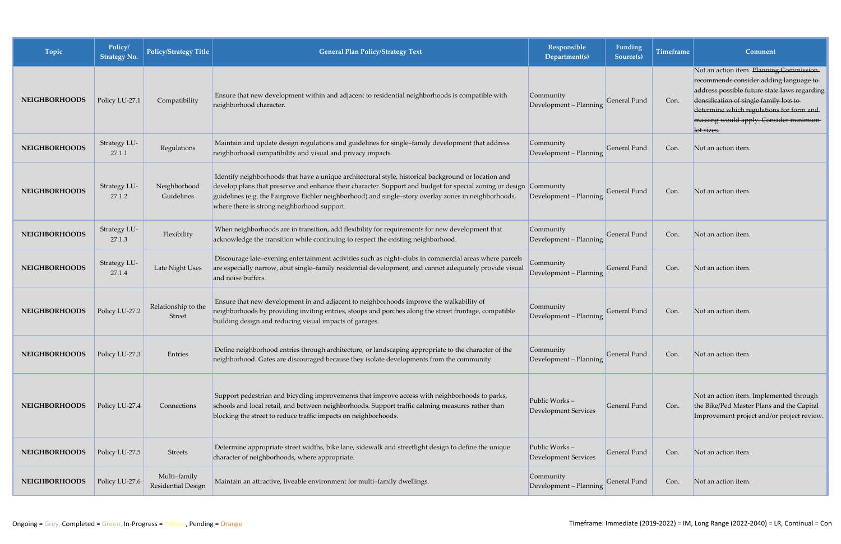| Topic                | Policy/<br><b>Strategy No.</b> | <b>Policy/Strategy Title</b>       | <b>General Plan Policy/Strategy Text</b>                                                                                                                                                                                                                                                                                                                                           | Responsible<br>Department(s)                 | Funding<br>Source(s) | <b>Timeframe</b> | Comment                                                                                                                                                                                                                                                                           |
|----------------------|--------------------------------|------------------------------------|------------------------------------------------------------------------------------------------------------------------------------------------------------------------------------------------------------------------------------------------------------------------------------------------------------------------------------------------------------------------------------|----------------------------------------------|----------------------|------------------|-----------------------------------------------------------------------------------------------------------------------------------------------------------------------------------------------------------------------------------------------------------------------------------|
| <b>NEIGHBORHOODS</b> | Policy LU-27.1                 | Compatibility                      | Ensure that new development within and adjacent to residential neighborhoods is compatible with<br>neighborhood character.                                                                                                                                                                                                                                                         | Community<br>Development - Planning          | General Fund         | Con.             | Not an action item. Planning Commission-<br>recommends consider adding language to<br>address possible future state laws regarding<br>densification of single family lots to<br>determine which regulations for form and-<br>massing would apply. Consider minimum-<br>lot sizes. |
| <b>NEIGHBORHOODS</b> | Strategy LU-<br>27.1.1         | Regulations                        | Maintain and update design regulations and guidelines for single-family development that address<br>neighborhood compatibility and visual and privacy impacts.                                                                                                                                                                                                                     | Community<br>Development - Planning          | General Fund         | Con.             | Not an action item.                                                                                                                                                                                                                                                               |
| <b>NEIGHBORHOODS</b> | Strategy LU-<br>27.1.2         | Neighborhood<br>Guidelines         | Identify neighborhoods that have a unique architectural style, historical background or location and<br>develop plans that preserve and enhance their character. Support and budget for special zoning or design Community<br>guidelines (e.g. the Fairgrove Eichler neighborhood) and single-story overlay zones in neighborhoods,<br>where there is strong neighborhood support. | Development - Planning                       | General Fund         | Con.             | Not an action item.                                                                                                                                                                                                                                                               |
| <b>NEIGHBORHOODS</b> | Strategy LU-<br>27.1.3         | Flexibility                        | When neighborhoods are in transition, add flexibility for requirements for new development that<br>acknowledge the transition while continuing to respect the existing neighborhood.                                                                                                                                                                                               | Community<br>Development - Planning          | General Fund         | Con.             | Not an action item.                                                                                                                                                                                                                                                               |
| <b>NEIGHBORHOODS</b> | Strategy LU-<br>27.1.4         | Late Night Uses                    | Discourage late-evening entertainment activities such as night-clubs in commercial areas where parcels<br>are especially narrow, abut single-family residential development, and cannot adequately provide visual<br>and noise buffers.                                                                                                                                            | Community<br>Development - Planning          | General Fund         | Con.             | Not an action item.                                                                                                                                                                                                                                                               |
| <b>NEIGHBORHOODS</b> | Policy LU-27.2                 | Relationship to the<br>Street      | Ensure that new development in and adjacent to neighborhoods improve the walkability of<br>neighborhoods by providing inviting entries, stoops and porches along the street frontage, compatible<br>building design and reducing visual impacts of garages.                                                                                                                        | Community<br>Development - Planning          | General Fund         | Con.             | Not an action item.                                                                                                                                                                                                                                                               |
| <b>NEIGHBORHOODS</b> | Policy LU-27.3                 | Entries                            | Define neighborhood entries through architecture, or landscaping appropriate to the character of the<br>neighborhood. Gates are discouraged because they isolate developments from the community.                                                                                                                                                                                  | Community<br>Development - Planning          | General Fund         | Con.             | Not an action item.                                                                                                                                                                                                                                                               |
| <b>NEIGHBORHOODS</b> | Policy LU-27.4                 | Connections                        | Support pedestrian and bicycling improvements that improve access with neighborhoods to parks,<br>schools and local retail, and between neighborhoods. Support traffic calming measures rather than<br>blocking the street to reduce traffic impacts on neighborhoods.                                                                                                             | Public Works-<br><b>Development Services</b> | General Fund         | Con.             | Not an action item. Implemented through<br>the Bike/Ped Master Plans and the Capital<br>Improvement project and/or project review.                                                                                                                                                |
| <b>NEIGHBORHOODS</b> | Policy LU-27.5                 | <b>Streets</b>                     | Determine appropriate street widths, bike lane, sidewalk and streetlight design to define the unique<br>character of neighborhoods, where appropriate.                                                                                                                                                                                                                             | Public Works-<br><b>Development Services</b> | General Fund         | Con.             | Not an action item.                                                                                                                                                                                                                                                               |
| <b>NEIGHBORHOODS</b> | Policy LU-27.6                 | Multi-family<br>Residential Design | Maintain an attractive, liveable environment for multi-family dwellings.                                                                                                                                                                                                                                                                                                           | Community<br>Development - Planning          | General Fund         | Con.             | Not an action item.                                                                                                                                                                                                                                                               |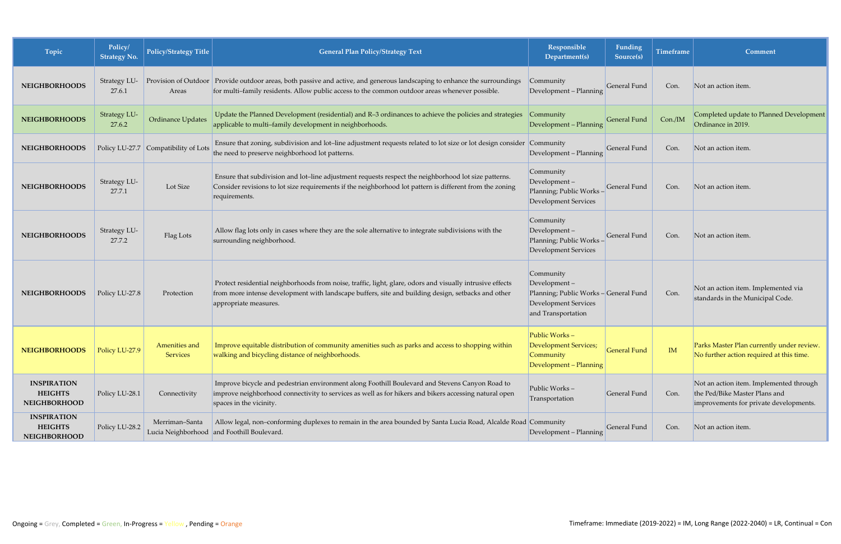| Topic                                                       | Policy/<br><b>Strategy No.</b> | <b>Policy/Strategy Title</b>         | <b>General Plan Policy/Strategy Text</b>                                                                                                                                                                                                 | Responsible<br>Department(s)                                                                                            | Funding<br>Source(s) | <b>Timeframe</b> | Comment                                                                                                            |
|-------------------------------------------------------------|--------------------------------|--------------------------------------|------------------------------------------------------------------------------------------------------------------------------------------------------------------------------------------------------------------------------------------|-------------------------------------------------------------------------------------------------------------------------|----------------------|------------------|--------------------------------------------------------------------------------------------------------------------|
| <b>NEIGHBORHOODS</b>                                        | Strategy LU-<br>27.6.1         | Areas                                | Provision of Outdoor Provide outdoor areas, both passive and active, and generous landscaping to enhance the surroundings<br>for multi-family residents. Allow public access to the common outdoor areas whenever possible.              | Community<br>Development - Planning                                                                                     | General Fund         | Con.             | Not an action item.                                                                                                |
| <b>NEIGHBORHOODS</b>                                        | Strategy LU-<br>27.6.2         | Ordinance Updates                    | Update the Planned Development (residential) and R-3 ordinances to achieve the policies and strategies<br>applicable to multi-family development in neighborhoods.                                                                       | Community<br>Development - Planning                                                                                     | General Fund         | Con./IM          | Completed update to Planned Development<br>Ordinance in 2019.                                                      |
| <b>NEIGHBORHOODS</b>                                        |                                | Policy LU-27.7 Compatibility of Lots | Ensure that zoning, subdivision and lot-line adjustment requests related to lot size or lot design consider Community<br>the need to preserve neighborhood lot patterns.                                                                 | Development - Planning                                                                                                  | General Fund         | Con.             | Not an action item.                                                                                                |
| <b>NEIGHBORHOODS</b>                                        | Strategy LU-<br>27.7.1         | Lot Size                             | Ensure that subdivision and lot-line adjustment requests respect the neighborhood lot size patterns.<br>Consider revisions to lot size requirements if the neighborhood lot pattern is different from the zoning<br>requirements.        | Community<br>Development-<br>Planning; Public Works -<br>Development Services                                           | General Fund         | Con.             | Not an action item.                                                                                                |
| <b>NEIGHBORHOODS</b>                                        | Strategy LU-<br>27.7.2         | Flag Lots                            | Allow flag lots only in cases where they are the sole alternative to integrate subdivisions with the<br>surrounding neighborhood.                                                                                                        | Community<br>Development-<br>Planning; Public Works -<br>Development Services                                           | General Fund         | Con.             | Not an action item.                                                                                                |
| <b>NEIGHBORHOODS</b>                                        | Policy LU-27.8                 | Protection                           | Protect residential neighborhoods from noise, traffic, light, glare, odors and visually intrusive effects<br>from more intense development with landscape buffers, site and building design, setbacks and other<br>appropriate measures. | Community<br>Development-<br>Planning; Public Works - General Fund<br><b>Development Services</b><br>and Transportation |                      | Con.             | Not an action item. Implemented via<br>standards in the Municipal Code.                                            |
| <b>NEIGHBORHOODS</b>                                        | Policy LU-27.9                 | <b>Services</b>                      | Amenities and Improve equitable distribution of community amenities such as parks and access to shopping within<br>walking and bicycling distance of neighborhoods.                                                                      | Public Works-<br>Development Services;<br>Community<br>Development - Planning                                           | <b>General Fund</b>  | IM               | Parks Master Plan currently under review.<br>No further action required at this time.                              |
| <b>INSPIRATION</b><br><b>HEIGHTS</b><br><b>NEIGHBORHOOD</b> | Policy LU-28.1                 | Connectivity                         | Improve bicycle and pedestrian environment along Foothill Boulevard and Stevens Canyon Road to<br>improve neighborhood connectivity to services as well as for hikers and bikers accessing natural open<br>spaces in the vicinity.       | Public Works-<br>Transportation                                                                                         | General Fund         | Con.             | Not an action item. Implemented through<br>the Ped/Bike Master Plans and<br>improvements for private developments. |
| <b>INSPIRATION</b><br><b>HEIGHTS</b><br><b>NEIGHBORHOOD</b> | Policy LU-28.2                 | Merriman-Santa                       | Allow legal, non-conforming duplexes to remain in the area bounded by Santa Lucia Road, Alcalde Road Community<br>Lucia Neighborhood and Foothill Boulevard.                                                                             | Development - Planning                                                                                                  | General Fund         | Con.             | Not an action item.                                                                                                |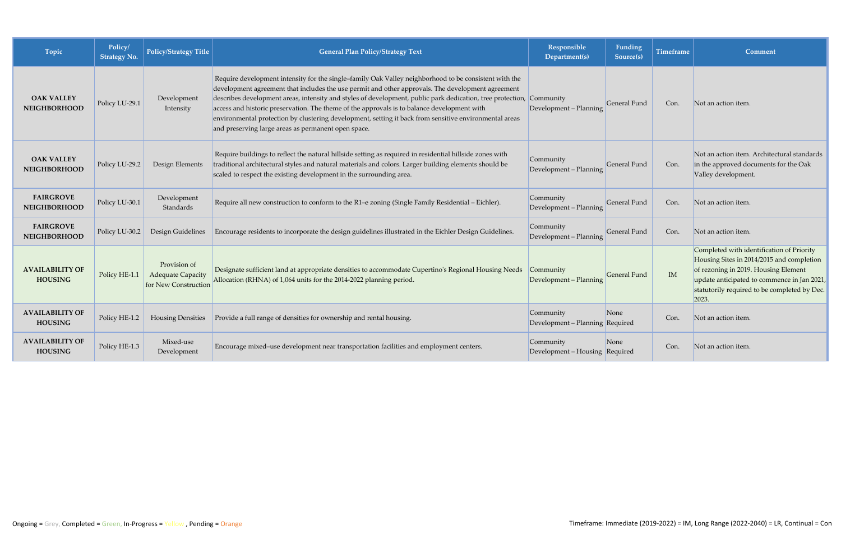| Topic                                    | Policy/<br><b>Strategy No.</b> | <b>Policy/Strategy Title</b>                                     | <b>General Plan Policy/Strategy Text</b>                                                                                                                                                                                                                                                                                                                                                                                                                                                                                                                                                           | Responsible<br>Department(s)                 | Funding<br>Source(s) | <b>Timeframe</b> | Comment                                                                                                                                                                                                                                |
|------------------------------------------|--------------------------------|------------------------------------------------------------------|----------------------------------------------------------------------------------------------------------------------------------------------------------------------------------------------------------------------------------------------------------------------------------------------------------------------------------------------------------------------------------------------------------------------------------------------------------------------------------------------------------------------------------------------------------------------------------------------------|----------------------------------------------|----------------------|------------------|----------------------------------------------------------------------------------------------------------------------------------------------------------------------------------------------------------------------------------------|
| <b>OAK VALLEY</b><br><b>NEIGHBORHOOD</b> | Policy LU-29.1                 | Development<br>Intensity                                         | Require development intensity for the single-family Oak Valley neighborhood to be consistent with the<br>development agreement that includes the use permit and other approvals. The development agreement<br>describes development areas, intensity and styles of development, public park dedication, tree protection, Community<br>access and historic preservation. The theme of the approvals is to balance development with<br>environmental protection by clustering development, setting it back from sensitive environmental areas<br>and preserving large areas as permanent open space. | Development - Planning                       | General Fund         | Con.             | Not an action item.                                                                                                                                                                                                                    |
| <b>OAK VALLEY</b><br><b>NEIGHBORHOOD</b> | Policy LU-29.2                 | Design Elements                                                  | Require buildings to reflect the natural hillside setting as required in residential hillside zones with<br>traditional architectural styles and natural materials and colors. Larger building elements should be<br>scaled to respect the existing development in the surrounding area.                                                                                                                                                                                                                                                                                                           | Community<br>Development - Planning          | General Fund         | Con.             | Not an action item. Architectural standards<br>in the approved documents for the Oak<br>Valley development.                                                                                                                            |
| <b>FAIRGROVE</b><br><b>NEIGHBORHOOD</b>  | Policy LU-30.1                 | Development<br>Standards                                         | Require all new construction to conform to the R1-e zoning (Single Family Residential – Eichler).                                                                                                                                                                                                                                                                                                                                                                                                                                                                                                  | Community<br>Development - Planning          | <b>General Fund</b>  | Con.             | Not an action item.                                                                                                                                                                                                                    |
| <b>FAIRGROVE</b><br><b>NEIGHBORHOOD</b>  | Policy LU-30.2                 | Design Guidelines                                                | Encourage residents to incorporate the design guidelines illustrated in the Eichler Design Guidelines.                                                                                                                                                                                                                                                                                                                                                                                                                                                                                             | Community<br>Development - Planning          | General Fund         | Con.             | Not an action item.                                                                                                                                                                                                                    |
| <b>AVAILABILITY OF</b><br><b>HOUSING</b> | Policy HE-1.1                  | Provision of<br><b>Adequate Capacity</b><br>for New Construction | Designate sufficient land at appropriate densities to accommodate Cupertino's Regional Housing Needs<br>Allocation (RHNA) of 1,064 units for the 2014-2022 planning period.                                                                                                                                                                                                                                                                                                                                                                                                                        | Community<br>Development - Planning          | General Fund         | <b>IM</b>        | Completed with identification of Priority<br>Housing Sites in 2014/2015 and completion<br>of rezoning in 2019. Housing Element<br>update anticipated to commence in Jan 2021,<br>statutorily required to be completed by Dec.<br>2023. |
| <b>AVAILABILITY OF</b><br><b>HOUSING</b> | Policy HE-1.2                  | <b>Housing Densities</b>                                         | Provide a full range of densities for ownership and rental housing.                                                                                                                                                                                                                                                                                                                                                                                                                                                                                                                                | Community<br>Development - Planning Required | None                 | Con.             | Not an action item.                                                                                                                                                                                                                    |
| <b>AVAILABILITY OF</b><br><b>HOUSING</b> | Policy HE-1.3                  | Mixed-use<br>Development                                         | Encourage mixed-use development near transportation facilities and employment centers.                                                                                                                                                                                                                                                                                                                                                                                                                                                                                                             | Community<br>Development - Housing Required  | None                 | Con.             | Not an action item.                                                                                                                                                                                                                    |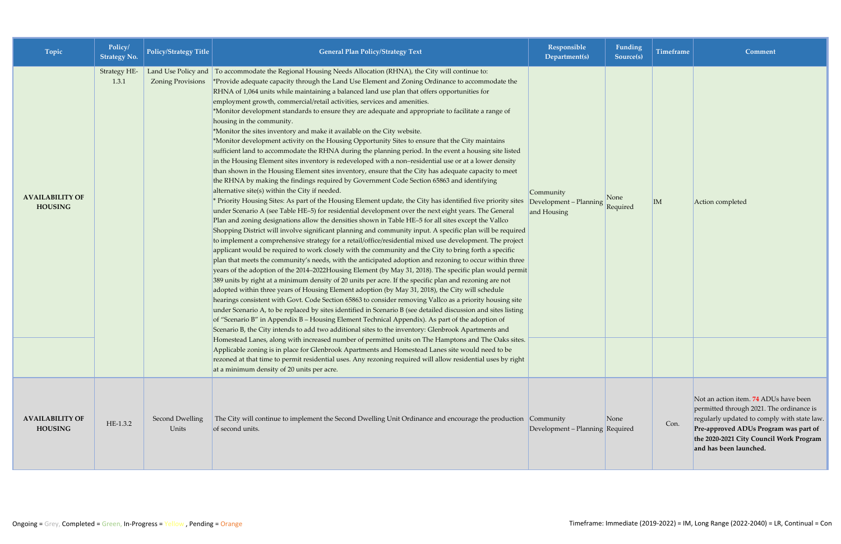| Topic                                    | Policy/<br><b>Strategy No.</b> | <b>Policy/Strategy Title</b>    | <b>General Plan Policy/Strategy Text</b>                                                                                                                                                                                                                                                                                                                                                                                                                                                                                                                                                                                                                                                                                                                                                                                                                                                                                                                                                                                                                                                                                                                                                                                                                                                                                                                                                                                                                                                                                                                                                                                                                                                                                                                                                                                                                                                                                                                                                                                                                                                                                                                                                                                                                                                                                                                                                                                                                                                                                                                                                                                                                                                                                                | Responsible<br>Department(s)                       | Funding<br>Source(s) | <b>Timeframe</b> | Comment                                                                                                                                                                                                                                        |
|------------------------------------------|--------------------------------|---------------------------------|-----------------------------------------------------------------------------------------------------------------------------------------------------------------------------------------------------------------------------------------------------------------------------------------------------------------------------------------------------------------------------------------------------------------------------------------------------------------------------------------------------------------------------------------------------------------------------------------------------------------------------------------------------------------------------------------------------------------------------------------------------------------------------------------------------------------------------------------------------------------------------------------------------------------------------------------------------------------------------------------------------------------------------------------------------------------------------------------------------------------------------------------------------------------------------------------------------------------------------------------------------------------------------------------------------------------------------------------------------------------------------------------------------------------------------------------------------------------------------------------------------------------------------------------------------------------------------------------------------------------------------------------------------------------------------------------------------------------------------------------------------------------------------------------------------------------------------------------------------------------------------------------------------------------------------------------------------------------------------------------------------------------------------------------------------------------------------------------------------------------------------------------------------------------------------------------------------------------------------------------------------------------------------------------------------------------------------------------------------------------------------------------------------------------------------------------------------------------------------------------------------------------------------------------------------------------------------------------------------------------------------------------------------------------------------------------------------------------------------------------|----------------------------------------------------|----------------------|------------------|------------------------------------------------------------------------------------------------------------------------------------------------------------------------------------------------------------------------------------------------|
| <b>AVAILABILITY OF</b><br><b>HOUSING</b> | Strategy HE-<br>1.3.1          | <b>Zoning Provisions</b>        | Land Use Policy and To accommodate the Regional Housing Needs Allocation (RHNA), the City will continue to:<br>*Provide adequate capacity through the Land Use Element and Zoning Ordinance to accommodate the<br>RHNA of 1,064 units while maintaining a balanced land use plan that offers opportunities for<br>employment growth, commercial/retail activities, services and amenities.<br>*Monitor development standards to ensure they are adequate and appropriate to facilitate a range of<br>housing in the community.<br>*Monitor the sites inventory and make it available on the City website.<br>*Monitor development activity on the Housing Opportunity Sites to ensure that the City maintains<br>sufficient land to accommodate the RHNA during the planning period. In the event a housing site listed<br>in the Housing Element sites inventory is redeveloped with a non-residential use or at a lower density<br>than shown in the Housing Element sites inventory, ensure that the City has adequate capacity to meet<br>the RHNA by making the findings required by Government Code Section 65863 and identifying<br>alternative site(s) within the City if needed.<br>* Priority Housing Sites: As part of the Housing Element update, the City has identified five priority sites<br>under Scenario A (see Table HE-5) for residential development over the next eight years. The General<br>Plan and zoning designations allow the densities shown in Table HE-5 for all sites except the Vallco<br>Shopping District will involve significant planning and community input. A specific plan will be required<br>to implement a comprehensive strategy for a retail/office/residential mixed use development. The project<br>applicant would be required to work closely with the community and the City to bring forth a specific<br>plan that meets the community's needs, with the anticipated adoption and rezoning to occur within three<br>years of the adoption of the 2014-2022Housing Element (by May 31, 2018). The specific plan would permit<br>389 units by right at a minimum density of 20 units per acre. If the specific plan and rezoning are not<br>adopted within three years of Housing Element adoption (by May 31, 2018), the City will schedule<br>hearings consistent with Govt. Code Section 65863 to consider removing Vallco as a priority housing site<br>under Scenario A, to be replaced by sites identified in Scenario B (see detailed discussion and sites listing<br>of "Scenario B" in Appendix B - Housing Element Technical Appendix). As part of the adoption of<br>Scenario B, the City intends to add two additional sites to the inventory: Glenbrook Apartments and | Community<br>Development - Planning<br>and Housing | None<br>Required     | $\vert$ IM       | Action completed                                                                                                                                                                                                                               |
|                                          |                                |                                 | Homestead Lanes, along with increased number of permitted units on The Hamptons and The Oaks sites.<br>Applicable zoning is in place for Glenbrook Apartments and Homestead Lanes site would need to be<br>rezoned at that time to permit residential uses. Any rezoning required will allow residential uses by right<br>at a minimum density of 20 units per acre.                                                                                                                                                                                                                                                                                                                                                                                                                                                                                                                                                                                                                                                                                                                                                                                                                                                                                                                                                                                                                                                                                                                                                                                                                                                                                                                                                                                                                                                                                                                                                                                                                                                                                                                                                                                                                                                                                                                                                                                                                                                                                                                                                                                                                                                                                                                                                                    |                                                    |                      |                  |                                                                                                                                                                                                                                                |
| <b>AVAILABILITY OF</b><br><b>HOUSING</b> | HE-1.3.2                       | <b>Second Dwelling</b><br>Units | The City will continue to implement the Second Dwelling Unit Ordinance and encourage the production Community<br>of second units.                                                                                                                                                                                                                                                                                                                                                                                                                                                                                                                                                                                                                                                                                                                                                                                                                                                                                                                                                                                                                                                                                                                                                                                                                                                                                                                                                                                                                                                                                                                                                                                                                                                                                                                                                                                                                                                                                                                                                                                                                                                                                                                                                                                                                                                                                                                                                                                                                                                                                                                                                                                                       | Development - Planning Required                    | None                 | Con.             | Not an action item. 74 ADUs have been<br>permitted through 2021. The ordinance is<br>regularly updated to comply with state law.<br>Pre-approved ADUs Program was part of<br>the 2020-2021 City Council Work Program<br>and has been launched. |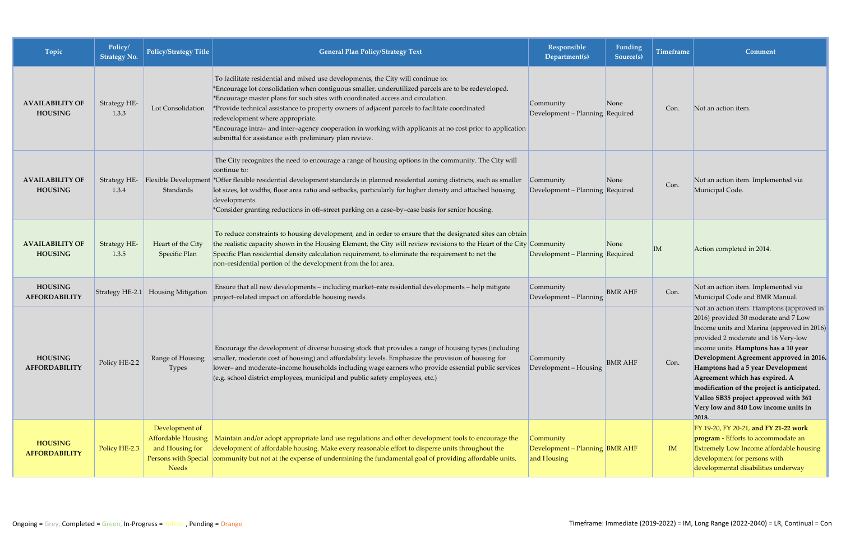| Topic                                    | Policy/<br><b>Strategy No.</b> | <b>Policy/Strategy Title</b>                                            | <b>General Plan Policy/Strategy Text</b>                                                                                                                                                                                                                                                                                                                                                                                                                                                                                                                                               | Responsible<br>Department(s)                               | Funding<br>Source(s) | <b>Timeframe</b> | Comment                                                                                                                                                                                                                                                                                                                                                                                                                                                                  |
|------------------------------------------|--------------------------------|-------------------------------------------------------------------------|----------------------------------------------------------------------------------------------------------------------------------------------------------------------------------------------------------------------------------------------------------------------------------------------------------------------------------------------------------------------------------------------------------------------------------------------------------------------------------------------------------------------------------------------------------------------------------------|------------------------------------------------------------|----------------------|------------------|--------------------------------------------------------------------------------------------------------------------------------------------------------------------------------------------------------------------------------------------------------------------------------------------------------------------------------------------------------------------------------------------------------------------------------------------------------------------------|
| <b>AVAILABILITY OF</b><br><b>HOUSING</b> | Strategy HE-<br>1.3.3          | Lot Consolidation                                                       | To facilitate residential and mixed use developments, the City will continue to:<br>*Encourage lot consolidation when contiguous smaller, underutilized parcels are to be redeveloped.<br>*Encourage master plans for such sites with coordinated access and circulation.<br>*Provide technical assistance to property owners of adjacent parcels to facilitate coordinated<br>redevelopment where appropriate.<br>*Encourage intra- and inter-agency cooperation in working with applicants at no cost prior to application<br>submittal for assistance with preliminary plan review. | Community<br>Development - Planning Required               | None                 | Con.             | Not an action item.                                                                                                                                                                                                                                                                                                                                                                                                                                                      |
| <b>AVAILABILITY OF</b><br><b>HOUSING</b> | 1.3.4                          | Standards                                                               | The City recognizes the need to encourage a range of housing options in the community. The City will<br>continue to:<br>Strategy HE- Flexible Development *Offer flexible residential development standards in planned residential zoning districts, such as smaller<br>lot sizes, lot widths, floor area ratio and setbacks, particularly for higher density and attached housing<br>developments.<br>*Consider granting reductions in off-street parking on a case-by-case basis for senior housing.                                                                                 | Community<br>Development - Planning Required               | None                 | Con.             | Not an action item. Implemented via<br>Municipal Code.                                                                                                                                                                                                                                                                                                                                                                                                                   |
| <b>AVAILABILITY OF</b><br><b>HOUSING</b> | <b>Strategy HE-</b><br>1.3.5   | Heart of the City<br><b>Specific Plan</b>                               | To reduce constraints to housing development, and in order to ensure that the designated sites can obtain<br>the realistic capacity shown in the Housing Element, the City will review revisions to the Heart of the City Community<br>Specific Plan residential density calculation requirement, to eliminate the requirement to net the<br>non-residential portion of the development from the lot area.                                                                                                                                                                             | Development - Planning Required                            | None                 | IM               | Action completed in 2014.                                                                                                                                                                                                                                                                                                                                                                                                                                                |
| <b>HOUSING</b><br>AFFORDABILITY          |                                | Strategy HE-2.1 Housing Mitigation                                      | Ensure that all new developments - including market-rate residential developments - help mitigate<br>project-related impact on affordable housing needs.                                                                                                                                                                                                                                                                                                                                                                                                                               | Community<br>Development - Planning                        | <b>BMR AHF</b>       | Con.             | Not an action item. Implemented via<br>Municipal Code and BMR Manual.                                                                                                                                                                                                                                                                                                                                                                                                    |
| <b>HOUSING</b><br><b>AFFORDABILITY</b>   | Policy HE-2.2                  | Range of Housing<br><b>Types</b>                                        | Encourage the development of diverse housing stock that provides a range of housing types (including<br>smaller, moderate cost of housing) and affordability levels. Emphasize the provision of housing for<br>lower- and moderate-income households including wage earners who provide essential public services<br>(e.g. school district employees, municipal and public safety employees, etc.)                                                                                                                                                                                     | Community<br>Development - Housing                         | <b>BMR AHF</b>       | Con.             | Not an action item. Hamptons (approved in<br>2016) provided 30 moderate and 7 Low<br>Income units and Marina (approved in 2016)<br>provided 2 moderate and 16 Very-low<br>income units. Hamptons has a 10 year<br>Development Agreement approved in 2016.<br>Hamptons had a 5 year Development<br>Agreement which has expired. A<br>modification of the project is anticipated.<br>Vallco SB35 project approved with 361<br>Very low and 840 Low income units in<br>2018 |
| <b>HOUSING</b><br><b>AFFORDABILITY</b>   | Policy HE-2.3                  | Development of<br><b>Affordable Housing</b><br>and Housing for<br>Needs | Maintain and/or adopt appropriate land use regulations and other development tools to encourage the<br>development of affordable housing. Make every reasonable effort to disperse units throughout the<br>Persons with Special community but not at the expense of undermining the fundamental goal of providing affordable units.                                                                                                                                                                                                                                                    | Community<br>Development - Planning BMR AHF<br>and Housing |                      | IM               | FY 19-20, FY 20-21, and FY 21-22 work<br>program - Efforts to accommodate an<br>Extremely Low Income affordable housing<br>development for persons with<br>developmental disabilities underway                                                                                                                                                                                                                                                                           |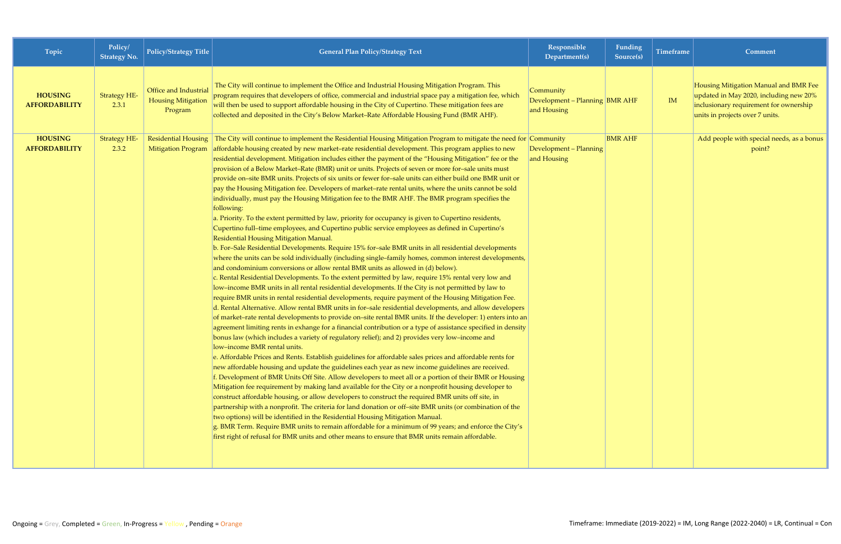| Topic                                  | Policy/<br><b>Strategy No.</b> | <b>Policy/Strategy Title</b>                                  | <b>General Plan Policy/Strategy Text</b>                                                                                                                                                                                                                                                                                                                                                                                                                                                                                                                                                                                                                                                                                                                                                                                                                                                                                                                                                                                                                                                                                                                                                                                                                                                                                                                                                                                                                                                                                                                                                                                                                                                                                                                                                                                                                                                                                                                                                                                                                                                                                                                                                                                                                                                                                                                                                                                                                                                                                                                                                                                                                                                                                                                                                                                                                                                                                                                                                                                                                                                             | Responsible<br>Department(s)                               | Funding<br>Source(s) | <b>Timeframe</b> | Comment                                                                                                                                                      |
|----------------------------------------|--------------------------------|---------------------------------------------------------------|------------------------------------------------------------------------------------------------------------------------------------------------------------------------------------------------------------------------------------------------------------------------------------------------------------------------------------------------------------------------------------------------------------------------------------------------------------------------------------------------------------------------------------------------------------------------------------------------------------------------------------------------------------------------------------------------------------------------------------------------------------------------------------------------------------------------------------------------------------------------------------------------------------------------------------------------------------------------------------------------------------------------------------------------------------------------------------------------------------------------------------------------------------------------------------------------------------------------------------------------------------------------------------------------------------------------------------------------------------------------------------------------------------------------------------------------------------------------------------------------------------------------------------------------------------------------------------------------------------------------------------------------------------------------------------------------------------------------------------------------------------------------------------------------------------------------------------------------------------------------------------------------------------------------------------------------------------------------------------------------------------------------------------------------------------------------------------------------------------------------------------------------------------------------------------------------------------------------------------------------------------------------------------------------------------------------------------------------------------------------------------------------------------------------------------------------------------------------------------------------------------------------------------------------------------------------------------------------------------------------------------------------------------------------------------------------------------------------------------------------------------------------------------------------------------------------------------------------------------------------------------------------------------------------------------------------------------------------------------------------------------------------------------------------------------------------------------------------------|------------------------------------------------------------|----------------------|------------------|--------------------------------------------------------------------------------------------------------------------------------------------------------------|
| <b>HOUSING</b><br><b>AFFORDABILITY</b> | <b>Strategy HE-</b><br>2.3.1   | Office and Industrial<br><b>Housing Mitigation</b><br>Program | The City will continue to implement the Office and Industrial Housing Mitigation Program. This<br>program requires that developers of office, commercial and industrial space pay a mitigation fee, which<br>will then be used to support affordable housing in the City of Cupertino. These mitigation fees are<br>collected and deposited in the City's Below Market-Rate Affordable Housing Fund (BMR AHF).                                                                                                                                                                                                                                                                                                                                                                                                                                                                                                                                                                                                                                                                                                                                                                                                                                                                                                                                                                                                                                                                                                                                                                                                                                                                                                                                                                                                                                                                                                                                                                                                                                                                                                                                                                                                                                                                                                                                                                                                                                                                                                                                                                                                                                                                                                                                                                                                                                                                                                                                                                                                                                                                                       | Community<br>Development - Planning BMR AHF<br>and Housing |                      | IM               | Housing Mitigation Manual and BMR Fee<br>updated in May 2020, including new 20%<br>inclusionary requirement for ownership<br>units in projects over 7 units. |
| <b>HOUSING</b><br><b>AFFORDABILITY</b> | <b>Strategy HE-</b><br>2.3.2   | <b>Residential Housing</b><br>Mitigation Program              | The City will continue to implement the Residential Housing Mitigation Program to mitigate the need for Community<br>affordable housing created by new market-rate residential development. This program applies to new<br>residential development. Mitigation includes either the payment of the "Housing Mitigation" fee or the<br>provision of a Below Market-Rate (BMR) unit or units. Projects of seven or more for-sale units must<br>provide on-site BMR units. Projects of six units or fewer for-sale units can either build one BMR unit or<br>pay the Housing Mitigation fee. Developers of market-rate rental units, where the units cannot be sold<br>individually, must pay the Housing Mitigation fee to the BMR AHF. The BMR program specifies the<br>following:<br>a. Priority. To the extent permitted by law, priority for occupancy is given to Cupertino residents,<br>Cupertino full-time employees, and Cupertino public service employees as defined in Cupertino's<br>Residential Housing Mitigation Manual.<br>b. For-Sale Residential Developments. Require 15% for-sale BMR units in all residential developments<br>where the units can be sold individually (including single-family homes, common interest developments,<br>and condominium conversions or allow rental BMR units as allowed in (d) below).<br>c. Rental Residential Developments. To the extent permitted by law, require 15% rental very low and<br>low-income BMR units in all rental residential developments. If the City is not permitted by law to<br>require BMR units in rental residential developments, require payment of the Housing Mitigation Fee.<br>d. Rental Alternative. Allow rental BMR units in for-sale residential developments, and allow developers<br>of market–rate rental developments to provide on–site rental BMR units. If the developer: 1) enters into an<br>agreement limiting rents in exhange for a financial contribution or a type of assistance specified in density<br>bonus law (which includes a variety of regulatory relief); and 2) provides very low-income and<br>low-income BMR rental units.<br>e. Affordable Prices and Rents. Establish guidelines for affordable sales prices and affordable rents for<br>new affordable housing and update the guidelines each year as new income guidelines are received.<br>f. Development of BMR Units Off Site. Allow developers to meet all or a portion of their BMR or Housing<br>Mitigation fee requirement by making land available for the City or a nonprofit housing developer to<br>construct affordable housing, or allow developers to construct the required BMR units off site, in<br>partnership with a nonprofit. The criteria for land donation or off-site BMR units (or combination of the<br>two options) will be identified in the Residential Housing Mitigation Manual.<br>g. BMR Term. Require BMR units to remain affordable for a minimum of 99 years; and enforce the City's<br>first right of refusal for BMR units and other means to ensure that BMR units remain affordable. | Development - Planning<br>and Housing                      | <b>BMR AHF</b>       |                  | Add people with special needs, as a bonus<br>point?                                                                                                          |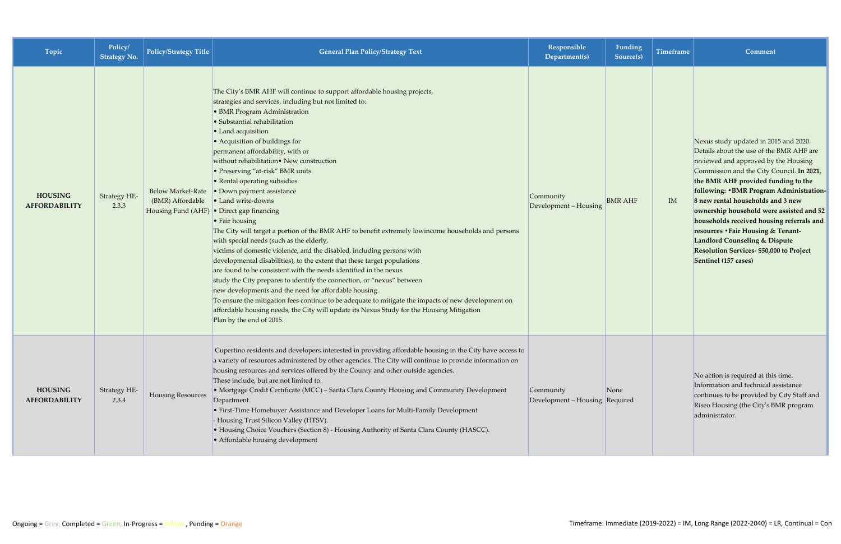| <b>Topic</b>                           | Policy/<br><b>Strategy No.</b> | Policy/Strategy Title                        | <b>General Plan Policy/Strategy Text</b>                                                                                                                                                                                                                                                                                                                                                                                                                                                                                                                                                                                                                                                                                                                                                                                                                                                                                                                                                                                                                                                                                                                                                                                                                                                | Responsible<br>Department(s)                | <b>Funding</b><br>Source(s) | Timeframe | Comment                                                                                                                                                                                                                                                                                                                                                                                                                                                                                                                                       |
|----------------------------------------|--------------------------------|----------------------------------------------|-----------------------------------------------------------------------------------------------------------------------------------------------------------------------------------------------------------------------------------------------------------------------------------------------------------------------------------------------------------------------------------------------------------------------------------------------------------------------------------------------------------------------------------------------------------------------------------------------------------------------------------------------------------------------------------------------------------------------------------------------------------------------------------------------------------------------------------------------------------------------------------------------------------------------------------------------------------------------------------------------------------------------------------------------------------------------------------------------------------------------------------------------------------------------------------------------------------------------------------------------------------------------------------------|---------------------------------------------|-----------------------------|-----------|-----------------------------------------------------------------------------------------------------------------------------------------------------------------------------------------------------------------------------------------------------------------------------------------------------------------------------------------------------------------------------------------------------------------------------------------------------------------------------------------------------------------------------------------------|
| <b>HOUSING</b><br><b>AFFORDABILITY</b> | Strategy HE-<br>2.3.3          | <b>Below Market-Rate</b><br>(BMR) Affordable | The City's BMR AHF will continue to support affordable housing projects,<br>strategies and services, including but not limited to:<br>• BMR Program Administration<br>· Substantial rehabilitation<br>• Land acquisition<br>• Acquisition of buildings for<br>permanent affordability, with or<br>without rehabilitation• New construction<br>• Preserving "at-risk" BMR units<br>• Rental operating subsidies<br>• Down payment assistance<br>• Land write-downs<br>Housing Fund (AHF) • Direct gap financing<br>$\cdot$ Fair housing<br>The City will target a portion of the BMR AHF to benefit extremely lowincome households and persons<br>with special needs (such as the elderly,<br>victims of domestic violence, and the disabled, including persons with<br>developmental disabilities), to the extent that these target populations<br>are found to be consistent with the needs identified in the nexus<br>study the City prepares to identify the connection, or "nexus" between<br>new developments and the need for affordable housing.<br>To ensure the mitigation fees continue to be adequate to mitigate the impacts of new development on<br>affordable housing needs, the City will update its Nexus Study for the Housing Mitigation<br>Plan by the end of 2015. | Community<br>Development - Housing          | <b>BMR AHF</b>              | IM        | Nexus study updated in 2015 and 2020.<br>Details about the use of the BMR AHF are<br>reviewed and approved by the Housing<br>Commission and the City Council. In 2021,<br>the BMR AHF provided funding to the<br>following: • BMR Program Administration-<br>8 new rental households and 3 new<br>ownership household were assisted and 52<br>households received housing referrals and<br>resources . Fair Housing & Tenant-<br><b>Landlord Counseling &amp; Dispute</b><br>Resolution Services- \$50,000 to Project<br>Sentinel (157 cases) |
| <b>HOUSING</b><br><b>AFFORDABILITY</b> | Strategy HE-<br>2.3.4          | <b>Housing Resources</b>                     | Cupertino residents and developers interested in providing affordable housing in the City have access to<br>a variety of resources administered by other agencies. The City will continue to provide information on<br>housing resources and services offered by the County and other outside agencies.<br>These include, but are not limited to:<br>• Mortgage Credit Certificate (MCC) - Santa Clara County Housing and Community Development<br>Department.<br>• First-Time Homebuyer Assistance and Developer Loans for Multi-Family Development<br>- Housing Trust Silicon Valley (HTSV).<br>• Housing Choice Vouchers (Section 8) - Housing Authority of Santa Clara County (HASCC).<br>• Affordable housing development                                                                                                                                                                                                                                                                                                                                                                                                                                                                                                                                                          | Community<br>Development - Housing Required | None                        |           | No action is required at this time.<br>Information and technical assistance<br>continues to be provided by City Staff and<br>Riseo Housing (the City's BMR program<br>administrator.                                                                                                                                                                                                                                                                                                                                                          |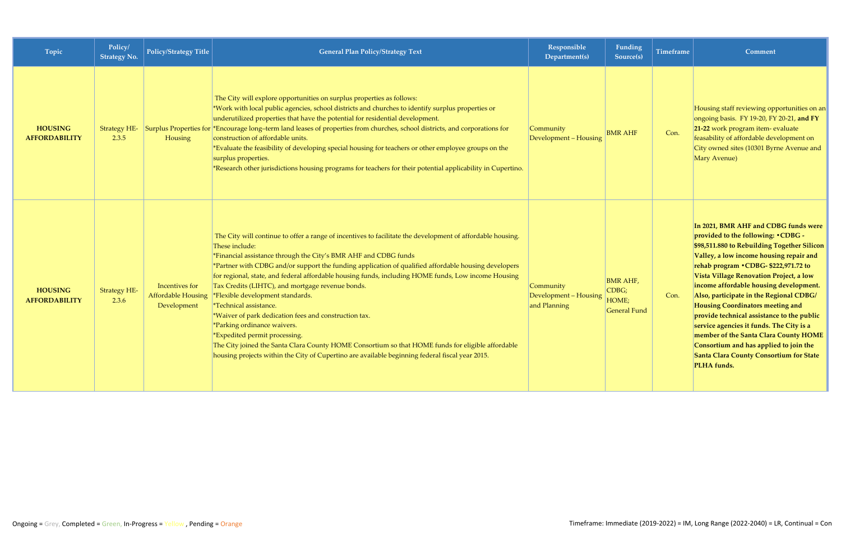| Topic                                  | Policy/<br><b>Strategy No.</b> | <b>Policy/Strategy Title</b>                               | <b>General Plan Policy/Strategy Text</b>                                                                                                                                                                                                                                                                                                                                                                                                                                                                                                                                                                                                                                                                                                                                                                                                                                        | Responsible<br>Department(s)                       | Funding<br>Source(s)                                     | <b>Timeframe</b> | Comment                                                                                                                                                                                                                                                                                                                                                                                                                                                                                                                                                                                                                                 |
|----------------------------------------|--------------------------------|------------------------------------------------------------|---------------------------------------------------------------------------------------------------------------------------------------------------------------------------------------------------------------------------------------------------------------------------------------------------------------------------------------------------------------------------------------------------------------------------------------------------------------------------------------------------------------------------------------------------------------------------------------------------------------------------------------------------------------------------------------------------------------------------------------------------------------------------------------------------------------------------------------------------------------------------------|----------------------------------------------------|----------------------------------------------------------|------------------|-----------------------------------------------------------------------------------------------------------------------------------------------------------------------------------------------------------------------------------------------------------------------------------------------------------------------------------------------------------------------------------------------------------------------------------------------------------------------------------------------------------------------------------------------------------------------------------------------------------------------------------------|
| <b>HOUSING</b><br><b>AFFORDABILITY</b> | 2.3.5                          | Housing                                                    | The City will explore opportunities on surplus properties as follows:<br>*Work with local public agencies, school districts and churches to identify surplus properties or<br>underutilized properties that have the potential for residential development.<br>Strategy HE- Surplus Properties for *Encourage long-term land leases of properties from churches, school districts, and corporations for<br>construction of affordable units.<br>*Evaluate the feasibility of developing special housing for teachers or other employee groups on the<br>surplus properties.<br>*Research other jurisdictions housing programs for teachers for their potential applicability in Cupertino.                                                                                                                                                                                      | Community<br>Development - Housing                 | <b>BMR AHF</b>                                           | Con.             | Housing staff reviewing opportunities on an<br>ongoing basis. FY 19-20, FY 20-21, and FY<br>21-22 work program item- evaluate<br>feasability of affordable development on<br>City owned sites (10301 Byrne Avenue and<br>Mary Avenue)                                                                                                                                                                                                                                                                                                                                                                                                   |
| <b>HOUSING</b><br><b>AFFORDABILITY</b> | <b>Strategy HE-</b><br>2.3.6   | Incentives for<br><b>Affordable Housing</b><br>Development | The City will continue to offer a range of incentives to facilitate the development of affordable housing.<br>These include:<br>*Financial assistance through the City's BMR AHF and CDBG funds<br>*Partner with CDBG and/or support the funding application of qualified affordable housing developers<br>for regional, state, and federal affordable housing funds, including HOME funds, Low income Housing<br>Tax Credits (LIHTC), and mortgage revenue bonds.<br>*Flexible development standards.<br><i><b>*Technical assistance.</b></i><br>*Waiver of park dedication fees and construction tax.<br>*Parking ordinance waivers.<br>*Expedited permit processing.<br>The City joined the Santa Clara County HOME Consortium so that HOME funds for eligible affordable<br>housing projects within the City of Cupertino are available beginning federal fiscal year 2015. | Community<br>Development - Housing<br>and Planning | <b>BMR AHF,</b><br>CDBG;<br>HOME;<br><b>General Fund</b> | Con.             | In 2021, BMR AHF and CDBG funds were<br>provided to the following: . CDBG -<br>\$98,511.880 to Rebuilding Together Silicon<br>Valley, a low income housing repair and<br>rehab program • CDBG- \$222,971.72 to<br>Vista Village Renovation Project, a low<br>income affordable housing development.<br>Also, participate in the Regional CDBG/<br><b>Housing Coordinators meeting and</b><br>provide technical assistance to the public<br>service agencies it funds. The City is a<br>member of the Santa Clara County HOME<br>Consortium and has applied to join the<br><b>Santa Clara County Consortium for State</b><br>PLHA funds. |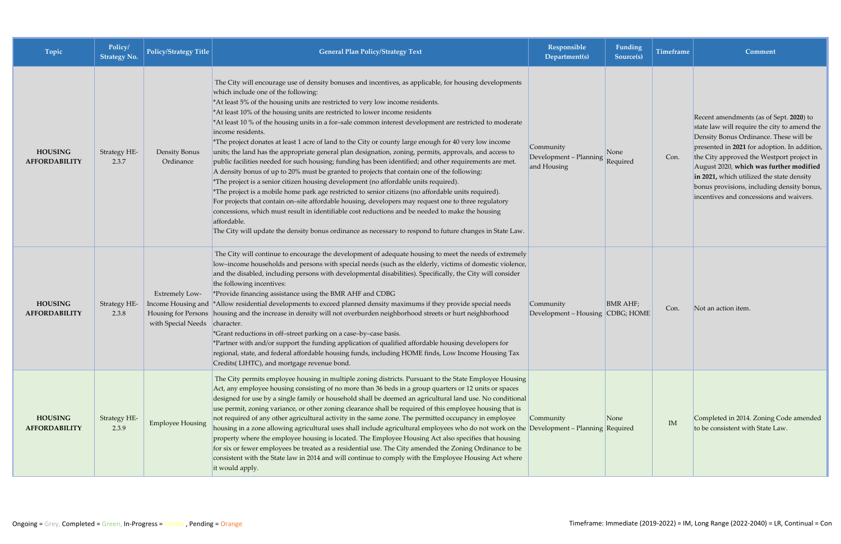| <b>Topic</b>                           | Policy/<br><b>Strategy No.</b> | <b>Policy/Strategy Title</b>                           | <b>General Plan Policy/Strategy Text</b>                                                                                                                                                                                                                                                                                                                                                                                                                                                                                                                                                                                                                                                                                                                                                                                                                                                                                                                                                                                                                                                                                                                                                                                                                                                                                                                                                                             | Responsible<br>Department(s)                       | Funding<br>Source(s)           | Timeframe | <b>Comment</b>                                                                                                                                                                                                                                                                                                                                                                                                  |
|----------------------------------------|--------------------------------|--------------------------------------------------------|----------------------------------------------------------------------------------------------------------------------------------------------------------------------------------------------------------------------------------------------------------------------------------------------------------------------------------------------------------------------------------------------------------------------------------------------------------------------------------------------------------------------------------------------------------------------------------------------------------------------------------------------------------------------------------------------------------------------------------------------------------------------------------------------------------------------------------------------------------------------------------------------------------------------------------------------------------------------------------------------------------------------------------------------------------------------------------------------------------------------------------------------------------------------------------------------------------------------------------------------------------------------------------------------------------------------------------------------------------------------------------------------------------------------|----------------------------------------------------|--------------------------------|-----------|-----------------------------------------------------------------------------------------------------------------------------------------------------------------------------------------------------------------------------------------------------------------------------------------------------------------------------------------------------------------------------------------------------------------|
| <b>HOUSING</b><br><b>AFFORDABILITY</b> | Strategy HE-<br>2.3.7          | Density Bonus<br>Ordinance                             | The City will encourage use of density bonuses and incentives, as applicable, for housing developments<br>which include one of the following:<br>*At least 5% of the housing units are restricted to very low income residents.<br>*At least 10% of the housing units are restricted to lower income residents<br>*At least 10 % of the housing units in a for-sale common interest development are restricted to moderate<br>income residents.<br>*The project donates at least 1 acre of land to the City or county large enough for 40 very low income<br>units; the land has the appropriate general plan designation, zoning, permits, approvals, and access to<br>public facilities needed for such housing; funding has been identified; and other requirements are met.<br>A density bonus of up to 20% must be granted to projects that contain one of the following:<br>*The project is a senior citizen housing development (no affordable units required).<br>The project is a mobile home park age restricted to senior citizens (no affordable units required).<br>For projects that contain on-site affordable housing, developers may request one to three regulatory<br>concessions, which must result in identifiable cost reductions and be needed to make the housing<br>affordable.<br>The City will update the density bonus ordinance as necessary to respond to future changes in State Law. | Community<br>Development - Planning<br>and Housing | None<br>Required               | Con.      | Recent amendments (as of Sept. 2020) to<br>state law will require the city to amend the<br>Density Bonus Ordinance. These will be<br>presented in 2021 for adoption. In addition,<br>the City approved the Westport project in<br>August 2020, which was further modified<br>in 2021, which utilized the state density<br>bonus provisions, including density bonus,<br>incentives and concessions and waivers. |
| <b>HOUSING</b><br><b>AFFORDABILITY</b> | Strategy HE-<br>2.3.8          | <b>Extremely Low-</b><br>with Special Needs character. | The City will continue to encourage the development of adequate housing to meet the needs of extremely<br>low-income households and persons with special needs (such as the elderly, victims of domestic violence,<br>and the disabled, including persons with developmental disabilities). Specifically, the City will consider<br>the following incentives:<br>*Provide financing assistance using the BMR AHF and CDBG<br>Income Housing and *Allow residential developments to exceed planned density maximums if they provide special needs<br>Housing for Persons housing and the increase in density will not overburden neighborhood streets or hurt neighborhood<br>*Grant reductions in off-street parking on a case-by-case basis.<br>*Partner with and/or support the funding application of qualified affordable housing developers for<br>regional, state, and federal affordable housing funds, including HOME finds, Low Income Housing Tax<br>Credits(LIHTC), and mortgage revenue bond.                                                                                                                                                                                                                                                                                                                                                                                                            | Community<br>Development - Housing                 | <b>BMR AHF</b> ;<br>CDBG; HOME | Con.      | Not an action item.                                                                                                                                                                                                                                                                                                                                                                                             |
| <b>HOUSING</b><br><b>AFFORDABILITY</b> | Strategy HE-<br>2.3.9          | <b>Employee Housing</b>                                | The City permits employee housing in multiple zoning districts. Pursuant to the State Employee Housing<br>Act, any employee housing consisting of no more than 36 beds in a group quarters or 12 units or spaces<br>designed for use by a single family or household shall be deemed an agricultural land use. No conditional<br>use permit, zoning variance, or other zoning clearance shall be required of this employee housing that is<br>not required of any other agricultural activity in the same zone. The permitted occupancy in employee<br>housing in a zone allowing agricultural uses shall include agricultural employees who do not work on the Development - Planning Required<br>property where the employee housing is located. The Employee Housing Act also specifies that housing<br>for six or fewer employees be treated as a residential use. The City amended the Zoning Ordinance to be<br>consistent with the State law in 2014 and will continue to comply with the Employee Housing Act where<br>it would apply.                                                                                                                                                                                                                                                                                                                                                                       | Community                                          | None                           | $\rm IM$  | Completed in 2014. Zoning Code amended<br>to be consistent with State Law.                                                                                                                                                                                                                                                                                                                                      |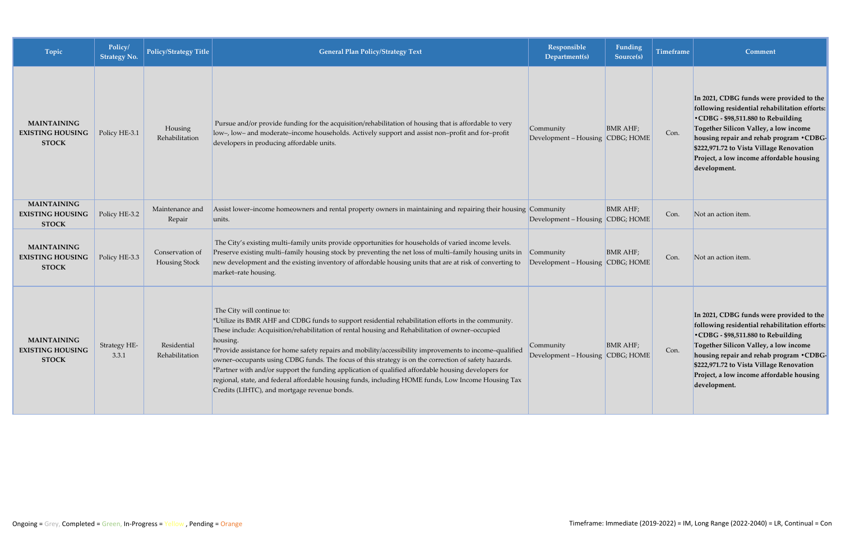| Topic                                                         | Policy/<br><b>Strategy No.</b> | Policy/Strategy Title            | <b>General Plan Policy/Strategy Text</b>                                                                                                                                                                                                                                                                                                                                                                                                                                                                                                                                                                                                                                                                                           | Responsible<br>Department(s)                  | Funding<br>Source(s) | <b>Timeframe</b> | Comment                                                                                                                                                                                                                                                                                                                      |
|---------------------------------------------------------------|--------------------------------|----------------------------------|------------------------------------------------------------------------------------------------------------------------------------------------------------------------------------------------------------------------------------------------------------------------------------------------------------------------------------------------------------------------------------------------------------------------------------------------------------------------------------------------------------------------------------------------------------------------------------------------------------------------------------------------------------------------------------------------------------------------------------|-----------------------------------------------|----------------------|------------------|------------------------------------------------------------------------------------------------------------------------------------------------------------------------------------------------------------------------------------------------------------------------------------------------------------------------------|
| <b>MAINTAINING</b><br><b>EXISTING HOUSING</b><br><b>STOCK</b> | Policy HE-3.1                  | Housing<br>Rehabilitation        | Pursue and/or provide funding for the acquisition/rehabilitation of housing that is affordable to very<br>low-, low- and moderate-income households. Actively support and assist non-profit and for-profit<br>developers in producing affordable units.                                                                                                                                                                                                                                                                                                                                                                                                                                                                            | Community<br>Development - Housing CDBG; HOME | <b>BMR AHF;</b>      | Con.             | In 2021, CDBG funds were provided to the<br>following residential rehabilitation efforts:<br>•CDBG - \$98,511.880 to Rebuilding<br>Together Silicon Valley, a low income<br>housing repair and rehab program . CDBG-<br>\$222,971.72 to Vista Village Renovation<br>Project, a low income affordable housing<br>development. |
| <b>MAINTAINING</b><br><b>EXISTING HOUSING</b><br><b>STOCK</b> | Policy HE-3.2                  | Maintenance and<br>Repair        | Assist lower-income homeowners and rental property owners in maintaining and repairing their housing Community<br>units.                                                                                                                                                                                                                                                                                                                                                                                                                                                                                                                                                                                                           | Development – Housing CDBG; HOME              | <b>BMR AHF;</b>      | Con.             | Not an action item.                                                                                                                                                                                                                                                                                                          |
| <b>MAINTAINING</b><br><b>EXISTING HOUSING</b><br><b>STOCK</b> | Policy HE-3.3                  | Conservation of<br>Housing Stock | The City's existing multi-family units provide opportunities for households of varied income levels.<br>Preserve existing multi-family housing stock by preventing the net loss of multi-family housing units in<br>new development and the existing inventory of affordable housing units that are at risk of converting to<br>market-rate housing.                                                                                                                                                                                                                                                                                                                                                                               | Community<br>Development – Housing CDBG; HOME | <b>BMR AHF</b> ;     | Con.             | Not an action item.                                                                                                                                                                                                                                                                                                          |
| <b>MAINTAINING</b><br><b>EXISTING HOUSING</b><br><b>STOCK</b> | Strategy HE-<br>3.3.1          | Residential<br>Rehabilitation    | The City will continue to:<br>*Utilize its BMR AHF and CDBG funds to support residential rehabilitation efforts in the community.<br>These include: Acquisition/rehabilitation of rental housing and Rehabilitation of owner-occupied<br>housing.<br>*Provide assistance for home safety repairs and mobility/accessibility improvements to income-qualified<br>owner-occupants using CDBG funds. The focus of this strategy is on the correction of safety hazards.<br>*Partner with and/or support the funding application of qualified affordable housing developers for<br>regional, state, and federal affordable housing funds, including HOME funds, Low Income Housing Tax<br>Credits (LIHTC), and mortgage revenue bonds. | Community<br>Development - Housing CDBG; HOME | <b>BMR AHF;</b>      | Con.             | In 2021, CDBG funds were provided to the<br>following residential rehabilitation efforts:<br>•CDBG - \$98,511.880 to Rebuilding<br>Together Silicon Valley, a low income<br>housing repair and rehab program .CDBG-<br>\$222,971.72 to Vista Village Renovation<br>Project, a low income affordable housing<br>development.  |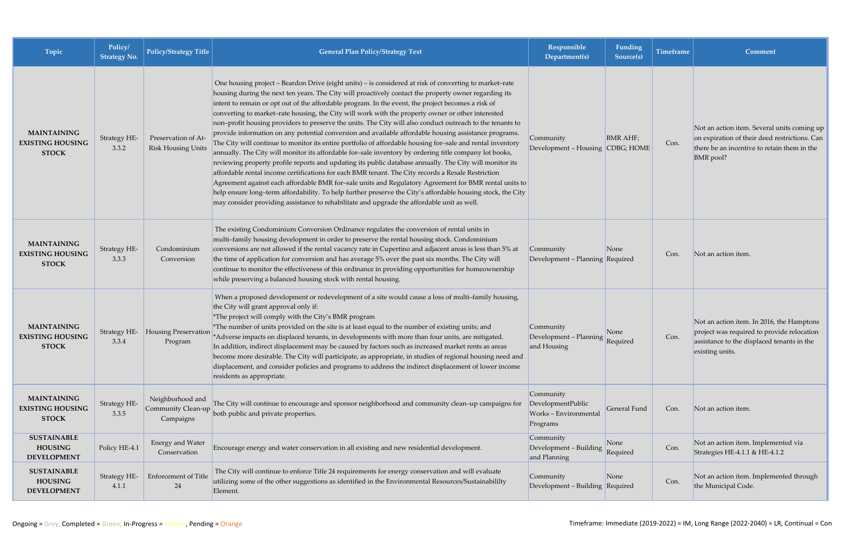| Topic                                                         | Policy/<br><b>Strategy No.</b> | <b>Policy/Strategy Title</b>                     | <b>General Plan Policy/Strategy Text</b>                                                                                                                                                                                                                                                                                                                                                                                                                                                                                                                                                                                                                                                                                                                                                                                                                                                                                                                                                                                                                                                                                                                                                                                                                                                                                                                                                                        | Responsible<br>Department(s)                                        | Funding<br>Source(s) | <b>Timeframe</b> | <b>Comment</b>                                                                                                                                                  |
|---------------------------------------------------------------|--------------------------------|--------------------------------------------------|-----------------------------------------------------------------------------------------------------------------------------------------------------------------------------------------------------------------------------------------------------------------------------------------------------------------------------------------------------------------------------------------------------------------------------------------------------------------------------------------------------------------------------------------------------------------------------------------------------------------------------------------------------------------------------------------------------------------------------------------------------------------------------------------------------------------------------------------------------------------------------------------------------------------------------------------------------------------------------------------------------------------------------------------------------------------------------------------------------------------------------------------------------------------------------------------------------------------------------------------------------------------------------------------------------------------------------------------------------------------------------------------------------------------|---------------------------------------------------------------------|----------------------|------------------|-----------------------------------------------------------------------------------------------------------------------------------------------------------------|
| <b>MAINTAINING</b><br><b>EXISTING HOUSING</b><br><b>STOCK</b> | Strategy HE-<br>3.3.2          | Preservation of At-<br><b>Risk Housing Units</b> | One housing project – Beardon Drive (eight units) – is considered at risk of converting to market-rate<br>housing during the next ten years. The City will proactively contact the property owner regarding its<br>intent to remain or opt out of the affordable program. In the event, the project becomes a risk of<br>converting to market-rate housing, the City will work with the property owner or other interested<br>non-profit housing providers to preserve the units. The City will also conduct outreach to the tenants to<br>provide information on any potential conversion and available affordable housing assistance programs.<br>The City will continue to monitor its entire portfolio of affordable housing for-sale and rental inventory<br>annually. The City will monitor its affordable for-sale inventory by ordering title company lot books,<br>reviewing property profile reports and updating its public database annually. The City will monitor its<br>affordable rental income certifications for each BMR tenant. The City records a Resale Restriction<br>Agreement against each affordable BMR for-sale units and Regulatory Agreement for BMR rental units to<br>help ensure long-term affordability. To help further preserve the City's affordable housing stock, the City<br>may consider providing assistance to rehabilitate and upgrade the affordable unit as well. | Community<br>Development – Housing CDBG; HOME                       | <b>BMR AHF;</b>      | Con.             | Not an action item. Several units coming up<br>on expiration of their deed restrictions. Can<br>there be an incentive to retain them in the<br><b>BMR</b> pool? |
| <b>MAINTAINING</b><br><b>EXISTING HOUSING</b><br><b>STOCK</b> | Strategy HE-<br>3.3.3          | Condominium<br>Conversion                        | The existing Condominium Conversion Ordinance regulates the conversion of rental units in<br>multi-family housing development in order to preserve the rental housing stock. Condominium<br>conversions are not allowed if the rental vacancy rate in Cupertino and adjacent areas is less than 5% at<br>the time of application for conversion and has average 5% over the past six months. The City will<br>continue to monitor the effectiveness of this ordinance in providing opportunities for homeownership<br>while preserving a balanced housing stock with rental housing.                                                                                                                                                                                                                                                                                                                                                                                                                                                                                                                                                                                                                                                                                                                                                                                                                            | Community<br>Development – Planning Required                        | None                 | Con.             | Not an action item.                                                                                                                                             |
| <b>MAINTAINING</b><br><b>EXISTING HOUSING</b><br><b>STOCK</b> | Strategy HE-<br>3.3.4          | <b>Housing Preservation</b><br>Program           | When a proposed development or redevelopment of a site would cause a loss of multi-family housing,<br>the City will grant approval only if:<br>*The project will comply with the City's BMR program<br>*The number of units provided on the site is at least equal to the number of existing units; and<br>*Adverse impacts on displaced tenants, in developments with more than four units, are mitigated.<br>In addition, indirect displacement may be caused by factors such as increased market rents as areas<br>become more desirable. The City will participate, as appropriate, in studies of regional housing need and<br>displacement, and consider policies and programs to address the indirect displacement of lower income<br>residents as appropriate.                                                                                                                                                                                                                                                                                                                                                                                                                                                                                                                                                                                                                                           | Community<br>Development - Planning Required<br>and Housing         | None                 | Con.             | Not an action item. In 2016, the Hamptons<br>project was required to provide relocation<br>assistance to the displaced tenants in the<br>existing units.        |
| <b>MAINTAINING</b><br><b>EXISTING HOUSING</b><br><b>STOCK</b> | Strategy HE-<br>3.3.5          | Neighborhood and<br>Campaigns                    | The City will continue to encourage and sponsor neighborhood and community clean-up campaigns for<br>Community Clean-up<br>both public and private properties.                                                                                                                                                                                                                                                                                                                                                                                                                                                                                                                                                                                                                                                                                                                                                                                                                                                                                                                                                                                                                                                                                                                                                                                                                                                  | Community<br>DevelopmentPublic<br>Works - Environmental<br>Programs | General Fund         | Con.             | Not an action item.                                                                                                                                             |
| <b>SUSTAINABLE</b><br><b>HOUSING</b><br><b>DEVELOPMENT</b>    | Policy HE-4.1                  | Energy and Water<br>Conservation                 | Encourage energy and water conservation in all existing and new residential development.                                                                                                                                                                                                                                                                                                                                                                                                                                                                                                                                                                                                                                                                                                                                                                                                                                                                                                                                                                                                                                                                                                                                                                                                                                                                                                                        | Community<br>Development - Building<br>and Planning                 | None<br>Required     | Con.             | Not an action item. Implemented via<br>Strategies HE-4.1.1 & HE-4.1.2                                                                                           |
| <b>SUSTAINABLE</b><br><b>HOUSING</b><br><b>DEVELOPMENT</b>    | Strategy HE-<br>4.1.1          | Enforcement of Title<br>24                       | The City will continue to enforce Title 24 requirements for energy conservation and will evaluate<br>utilizing some of the other suggestions as identified in the Environmental Resources/Sustainabililty<br>Element.                                                                                                                                                                                                                                                                                                                                                                                                                                                                                                                                                                                                                                                                                                                                                                                                                                                                                                                                                                                                                                                                                                                                                                                           | Community<br>Development - Building Required                        | None                 | Con.             | Not an action item. Implemented through<br>the Municipal Code.                                                                                                  |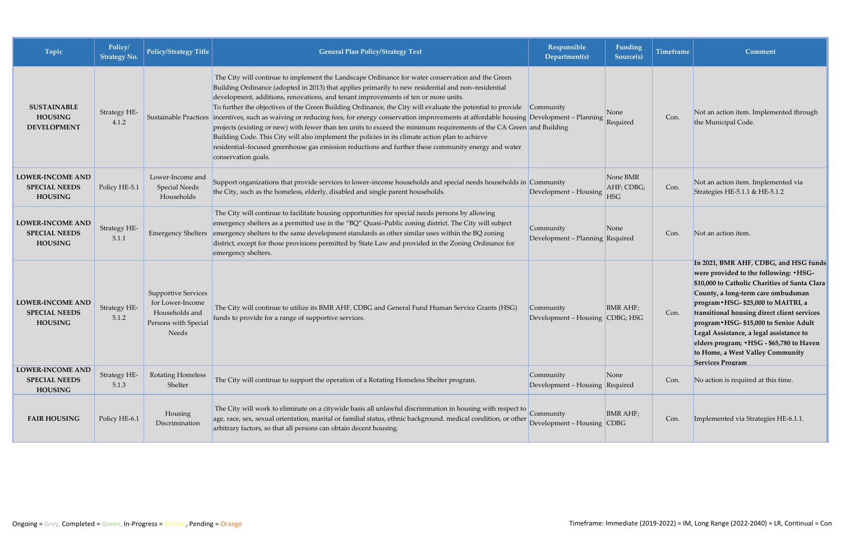| Topic                                                             | Policy/<br><b>Strategy No.</b> | Policy/Strategy Title                                                                             | <b>General Plan Policy/Strategy Text</b>                                                                                                                                                                                                                                                                                                                                                                                                                                                                                                                                                                                                                                                                                                                                                                                                                                                                                               | Responsible<br>Department(s)                 | <b>Funding</b><br>Source(s)          | <b>Timeframe</b> | Comment                                                                                                                                                                                                                                                                                                                                                                                                                                                         |
|-------------------------------------------------------------------|--------------------------------|---------------------------------------------------------------------------------------------------|----------------------------------------------------------------------------------------------------------------------------------------------------------------------------------------------------------------------------------------------------------------------------------------------------------------------------------------------------------------------------------------------------------------------------------------------------------------------------------------------------------------------------------------------------------------------------------------------------------------------------------------------------------------------------------------------------------------------------------------------------------------------------------------------------------------------------------------------------------------------------------------------------------------------------------------|----------------------------------------------|--------------------------------------|------------------|-----------------------------------------------------------------------------------------------------------------------------------------------------------------------------------------------------------------------------------------------------------------------------------------------------------------------------------------------------------------------------------------------------------------------------------------------------------------|
| <b>SUSTAINABLE</b><br><b>HOUSING</b><br><b>DEVELOPMENT</b>        | Strategy HE-<br>4.1.2          |                                                                                                   | The City will continue to implement the Landscape Ordinance for water conservation and the Green<br>Building Ordinance (adopted in 2013) that applies primarily to new residential and non-residential<br>development, additions, renovations, and tenant improvements of ten or more units.<br>To further the objectives of the Green Building Ordinance, the City will evaluate the potential to provide Community<br>Sustainable Practices incentives, such as waiving or reducing fees, for energy conservation improvements at affordable housing Development - Planning<br>projects (existing or new) with fewer than ten units to exceed the minimum requirements of the CA Green and Building<br>Building Code. This City will also implement the policies in its climate action plan to achieve<br>residential-focused greenhouse gas emission reductions and further these community energy and water<br>conservation goals. |                                              | None<br>Required                     | Con.             | Not an action item. Implemented through<br>the Municipal Code.                                                                                                                                                                                                                                                                                                                                                                                                  |
| <b>LOWER-INCOME AND</b><br><b>SPECIAL NEEDS</b><br><b>HOUSING</b> | Policy HE-5.1                  | Lower-Income and<br><b>Special Needs</b><br>Households                                            | Support organizations that provide services to lower-income households and special needs households in Community<br>the City, such as the homeless, elderly, disabled and single parent households.                                                                                                                                                                                                                                                                                                                                                                                                                                                                                                                                                                                                                                                                                                                                    | Development - Housing                        | None BMR<br>AHF; CDBG;<br><b>HSG</b> | Con.             | Not an action item. Implemented via<br>Strategies HE-5.1.1 & HE-5.1.2                                                                                                                                                                                                                                                                                                                                                                                           |
| <b>LOWER-INCOME AND</b><br><b>SPECIAL NEEDS</b><br><b>HOUSING</b> | Strategy HE-<br>5.1.1          | <b>Emergency Shelters</b>                                                                         | The City will continue to facilitate housing opportunities for special needs persons by allowing<br>emergency shelters as a permitted use in the "BQ" Quasi-Public zoning district. The City will subject<br>emergency shelters to the same development standards as other similar uses within the BQ zoning<br>district, except for those provisions permitted by State Law and provided in the Zoning Ordinance for<br>emergency shelters.                                                                                                                                                                                                                                                                                                                                                                                                                                                                                           | Community<br>Development - Planning Required | None                                 | Con.             | Not an action item.                                                                                                                                                                                                                                                                                                                                                                                                                                             |
| <b>LOWER-INCOME AND</b><br><b>SPECIAL NEEDS</b><br><b>HOUSING</b> | Strategy HE-<br>5.1.2          | <b>Supportive Services</b><br>for Lower-Income<br>Households and<br>Persons with Special<br>Needs | The City will continue to utilize its BMR AHF, CDBG and General Fund Human Service Grants (HSG)<br>funds to provide for a range of supportive services.                                                                                                                                                                                                                                                                                                                                                                                                                                                                                                                                                                                                                                                                                                                                                                                | Community<br>Development - Housing CDBG; HSG | <b>BMR AHF</b> ;                     | Con.             | In 2021, BMR AHF, CDBG, and HSG funds<br>were provided to the following: . HSG-<br>\$10,000 to Catholic Charities of Santa Clara<br>County, a long-term care ombudsman<br>program • HSG- \$25,000 to MAITRI, a<br>transitional housing direct client services<br>program . HSG- \$15,000 to Senior Adult<br>Legal Assistance, a legal assistance to<br>elders program; • HSG - \$65,780 to Haven<br>to Home, a West Valley Community<br><b>Services Program</b> |
| <b>LOWER-INCOME AND</b><br><b>SPECIAL NEEDS</b><br><b>HOUSING</b> | Strategy HE-<br>5.1.3          | <b>Rotating Homeless</b><br>Shelter                                                               | The City will continue to support the operation of a Rotating Homeless Shelter program.                                                                                                                                                                                                                                                                                                                                                                                                                                                                                                                                                                                                                                                                                                                                                                                                                                                | Community<br>Development - Housing Required  | None                                 | Con.             | No action is required at this time.                                                                                                                                                                                                                                                                                                                                                                                                                             |
| <b>FAIR HOUSING</b>                                               | Policy HE-6.1                  | Housing<br>Discrimination                                                                         | The City will work to eliminate on a citywide basis all unlawful discrimination in housing with respect to<br>age, race, sex, sexual orientation, marital or familial status, ethnic background. medical condition, or other<br>arbitrary factors, so that all persons can obtain decent housing.                                                                                                                                                                                                                                                                                                                                                                                                                                                                                                                                                                                                                                      | Community<br>Development – Housing CDBG      | <b>BMR AHF;</b>                      | Con.             | Implemented via Strategies HE-6.1.1.                                                                                                                                                                                                                                                                                                                                                                                                                            |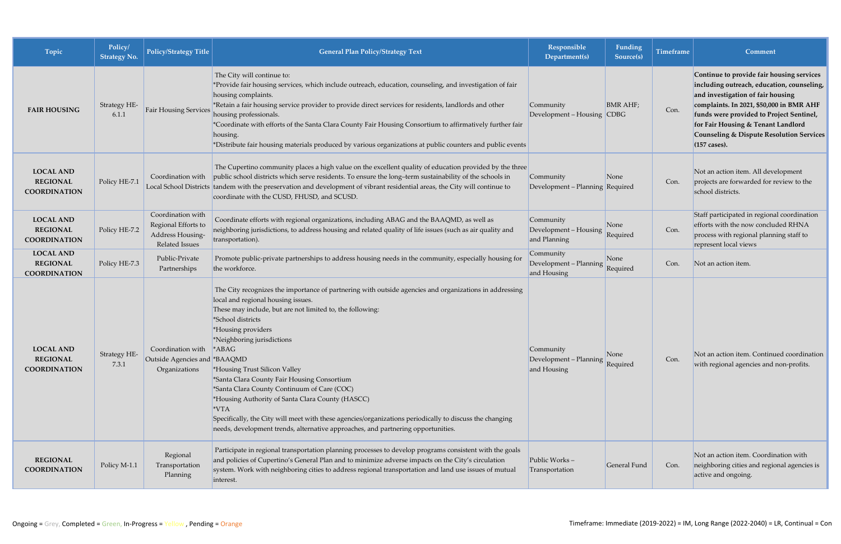| Topic                                                      | Policy/<br><b>Strategy No.</b> | <b>Policy/Strategy Title</b>                                                   | <b>General Plan Policy/Strategy Text</b>                                                                                                                                                                                                                                                                                                                                                                                                                                                                                                                                                                                                                                     | Responsible<br>Department(s)                       | Funding<br>Source(s) | <b>Timeframe</b> | Comment                                                                                                                                                                                                                                                                                                                           |
|------------------------------------------------------------|--------------------------------|--------------------------------------------------------------------------------|------------------------------------------------------------------------------------------------------------------------------------------------------------------------------------------------------------------------------------------------------------------------------------------------------------------------------------------------------------------------------------------------------------------------------------------------------------------------------------------------------------------------------------------------------------------------------------------------------------------------------------------------------------------------------|----------------------------------------------------|----------------------|------------------|-----------------------------------------------------------------------------------------------------------------------------------------------------------------------------------------------------------------------------------------------------------------------------------------------------------------------------------|
| <b>FAIR HOUSING</b>                                        | Strategy HE-<br>6.1.1          | <b>Fair Housing Services</b>                                                   | The City will continue to:<br>*Provide fair housing services, which include outreach, education, counseling, and investigation of fair<br>housing complaints.<br>*Retain a fair housing service provider to provide direct services for residents, landlords and other<br>housing professionals.<br>*Coordinate with efforts of the Santa Clara County Fair Housing Consortium to affirmatively further fair<br>housing.<br>*Distribute fair housing materials produced by various organizations at public counters and public events                                                                                                                                        | Community<br>Development – Housing CDBG            | <b>BMR AHF</b> ;     | Con.             | Continue to provide fair housing services<br>including outreach, education, counseling,<br>and investigation of fair housing<br>complaints. In 2021, \$50,000 in BMR AHF<br>funds were provided to Project Sentinel,<br>for Fair Housing & Tenant Landlord<br><b>Counseling &amp; Dispute Resolution Services</b><br>(157 cases). |
| <b>LOCAL AND</b><br><b>REGIONAL</b><br><b>COORDINATION</b> | Policy HE-7.1                  | Coordination with                                                              | The Cupertino community places a high value on the excellent quality of education provided by the three<br>public school districts which serve residents. To ensure the long-term sustainability of the schools in<br>Local School Districts tandem with the preservation and development of vibrant residential areas, the City will continue to<br>coordinate with the CUSD, FHUSD, and SCUSD.                                                                                                                                                                                                                                                                             | Community<br>Development - Planning Required       | None                 | Con.             | Not an action item. All development<br>projects are forwarded for review to the<br>school districts.                                                                                                                                                                                                                              |
| <b>LOCAL AND</b><br><b>REGIONAL</b><br><b>COORDINATION</b> | Policy HE-7.2                  | Coordination with<br>Regional Efforts to<br>Address Housing-<br>Related Issues | Coordinate efforts with regional organizations, including ABAG and the BAAQMD, as well as<br>neighboring jurisdictions, to address housing and related quality of life issues (such as air quality and<br>transportation).                                                                                                                                                                                                                                                                                                                                                                                                                                                   | Community<br>Development - Housing<br>and Planning | None<br>Required     | Con.             | Staff participated in regional coordination<br>efforts with the now concluded RHNA<br>process with regional planning staff to<br>represent local views                                                                                                                                                                            |
| <b>LOCAL AND</b><br><b>REGIONAL</b><br><b>COORDINATION</b> | Policy HE-7.3                  | Public-Private<br>Partnerships                                                 | Promote public-private partnerships to address housing needs in the community, especially housing for<br>the workforce.                                                                                                                                                                                                                                                                                                                                                                                                                                                                                                                                                      | Community<br>Development - Planning<br>and Housing | None<br>Required     | Con.             | Not an action item.                                                                                                                                                                                                                                                                                                               |
| <b>LOCAL AND</b><br><b>REGIONAL</b><br><b>COORDINATION</b> | Strategy HE-<br>7.3.1          | Coordination with *ABAG<br>Outside Agencies and *BAAQMD<br>Organizations       | The City recognizes the importance of partnering with outside agencies and organizations in addressing<br>local and regional housing issues.<br>These may include, but are not limited to, the following:<br>*School districts<br>*Housing providers<br>*Neighboring jurisdictions<br>*Housing Trust Silicon Valley<br>*Santa Clara County Fair Housing Consortium<br>*Santa Clara County Continuum of Care (COC)<br>*Housing Authority of Santa Clara County (HASCC)<br>*VTA<br>Specifically, the City will meet with these agencies/organizations periodically to discuss the changing<br>needs, development trends, alternative approaches, and partnering opportunities. | Community<br>Development - Planning<br>and Housing | None<br>Required     | Con.             | Not an action item. Continued coordination<br>with regional agencies and non-profits.                                                                                                                                                                                                                                             |
| <b>REGIONAL</b><br><b>COORDINATION</b>                     | Policy M-1.1                   | Regional<br>Transportation<br>Planning                                         | Participate in regional transportation planning processes to develop programs consistent with the goals<br>and policies of Cupertino's General Plan and to minimize adverse impacts on the City's circulation<br>system. Work with neighboring cities to address regional transportation and land use issues of mutual<br>interest.                                                                                                                                                                                                                                                                                                                                          | Public Works-<br>Transportation                    | General Fund         | Con.             | Not an action item. Coordination with<br>neighboring cities and regional agencies is<br>active and ongoing.                                                                                                                                                                                                                       |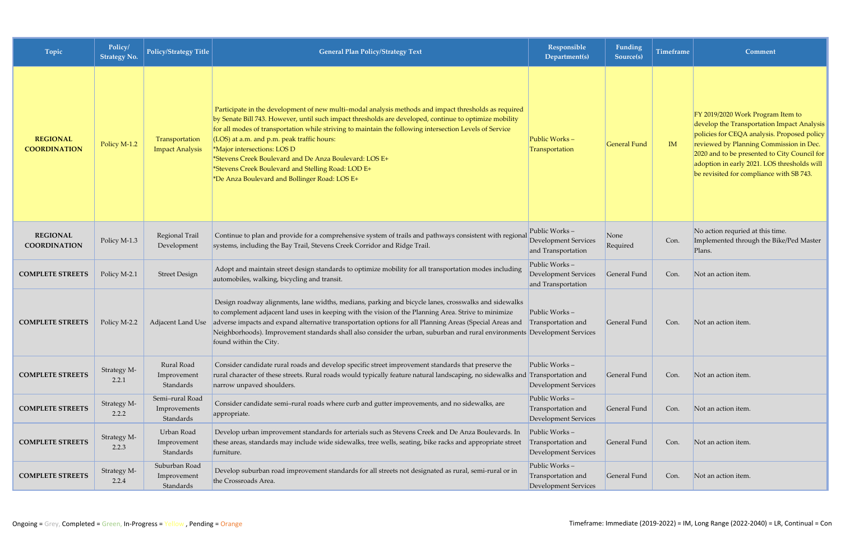| Topic                                  | Policy/<br><b>Strategy No.</b> | Policy/Strategy Title                        | <b>General Plan Policy/Strategy Text</b>                                                                                                                                                                                                                                                                                                                                                                                                                                                                                                                                | Responsible<br>Department(s)                                          | Funding<br>Source(s) | Timeframe | Comment                                                                                                                                                                                                                                                                                                              |
|----------------------------------------|--------------------------------|----------------------------------------------|-------------------------------------------------------------------------------------------------------------------------------------------------------------------------------------------------------------------------------------------------------------------------------------------------------------------------------------------------------------------------------------------------------------------------------------------------------------------------------------------------------------------------------------------------------------------------|-----------------------------------------------------------------------|----------------------|-----------|----------------------------------------------------------------------------------------------------------------------------------------------------------------------------------------------------------------------------------------------------------------------------------------------------------------------|
| <b>REGIONAL</b><br><b>COORDINATION</b> | Policy M-1.2                   | Transportation<br><b>Impact Analysis</b>     | Participate in the development of new multi-modal analysis methods and impact thresholds as required<br>by Senate Bill 743. However, until such impact thresholds are developed, continue to optimize mobility<br>for all modes of transportation while striving to maintain the following intersection Levels of Service<br>(LOS) at a.m. and p.m. peak traffic hours:<br>*Major intersections: LOS D<br>*Stevens Creek Boulevard and De Anza Boulevard: LOS E+<br>*Stevens Creek Boulevard and Stelling Road: LOD E+<br>*De Anza Boulevard and Bollinger Road: LOS E+ | Public Works-<br>Transportation                                       | <b>General Fund</b>  | IM        | FY 2019/2020 Work Program Item to<br>develop the Transportation Impact Analysis<br>policies for CEQA analysis. Proposed policy<br>reviewed by Planning Commission in Dec.<br>2020 and to be presented to City Council for<br>adoption in early 2021. LOS thresholds will<br>be revisited for compliance with SB 743. |
| <b>REGIONAL</b><br><b>COORDINATION</b> | Policy M-1.3                   | Regional Trail<br>Development                | Continue to plan and provide for a comprehensive system of trails and pathways consistent with regional<br>systems, including the Bay Trail, Stevens Creek Corridor and Ridge Trail.                                                                                                                                                                                                                                                                                                                                                                                    | Public Works-<br><b>Development Services</b><br>and Transportation    | None<br>Required     | Con.      | No action requried at this time.<br>Implemented through the Bike/Ped Master<br>Plans.                                                                                                                                                                                                                                |
| <b>COMPLETE STREETS</b>                | Policy M-2.1                   | <b>Street Design</b>                         | Adopt and maintain street design standards to optimize mobility for all transportation modes including<br>automobiles, walking, bicycling and transit.                                                                                                                                                                                                                                                                                                                                                                                                                  | Public Works-<br>Development Services<br>and Transportation           | General Fund         | Con.      | Not an action item.                                                                                                                                                                                                                                                                                                  |
| <b>COMPLETE STREETS</b>                | Policy M-2.2                   | Adjacent Land Use                            | Design roadway alignments, lane widths, medians, parking and bicycle lanes, crosswalks and sidewalks<br>to complement adjacent land uses in keeping with the vision of the Planning Area. Strive to minimize<br>adverse impacts and expand alternative transportation options for all Planning Areas (Special Areas and<br>Neighborhoods). Improvement standards shall also consider the urban, suburban and rural environments Development Services<br>found within the City.                                                                                          | Public Works-<br>Transportation and                                   | General Fund         | Con.      | Not an action item.                                                                                                                                                                                                                                                                                                  |
| <b>COMPLETE STREETS</b>                | Strategy M-<br>2.2.1           | Rural Road<br>Improvement<br>Standards       | Consider candidate rural roads and develop specific street improvement standards that preserve the<br>rural character of these streets. Rural roads would typically feature natural landscaping, no sidewalks and Transportation and<br>narrow unpaved shoulders.                                                                                                                                                                                                                                                                                                       | Public Works-<br><b>Development Services</b>                          | General Fund         | Con.      | Not an action item.                                                                                                                                                                                                                                                                                                  |
| <b>COMPLETE STREETS</b>                | Strategy M-<br>2.2.2           | Semi-rural Road<br>Improvements<br>Standards | Consider candidate semi-rural roads where curb and gutter improvements, and no sidewalks, are<br>appropriate.                                                                                                                                                                                                                                                                                                                                                                                                                                                           | Public Works-<br>Transportation and<br>Development Services           | General Fund         | Con.      | Not an action item.                                                                                                                                                                                                                                                                                                  |
| <b>COMPLETE STREETS</b>                | Strategy M-<br>2.2.3           | Urban Road<br>Improvement<br>Standards       | Develop urban improvement standards for arterials such as Stevens Creek and De Anza Boulevards. In<br>these areas, standards may include wide sidewalks, tree wells, seating, bike racks and appropriate street<br>furniture.                                                                                                                                                                                                                                                                                                                                           | Public Works $-$<br>Transportation and<br><b>Development Services</b> | General Fund         | Con.      | Not an action item.                                                                                                                                                                                                                                                                                                  |
| <b>COMPLETE STREETS</b>                | Strategy M-<br>2.2.4           | Suburban Road<br>Improvement<br>Standards    | Develop suburban road improvement standards for all streets not designated as rural, semi-rural or in<br>the Crossroads Area.                                                                                                                                                                                                                                                                                                                                                                                                                                           | Public Works-<br>Transportation and<br><b>Development Services</b>    | General Fund         | Con.      | Not an action item.                                                                                                                                                                                                                                                                                                  |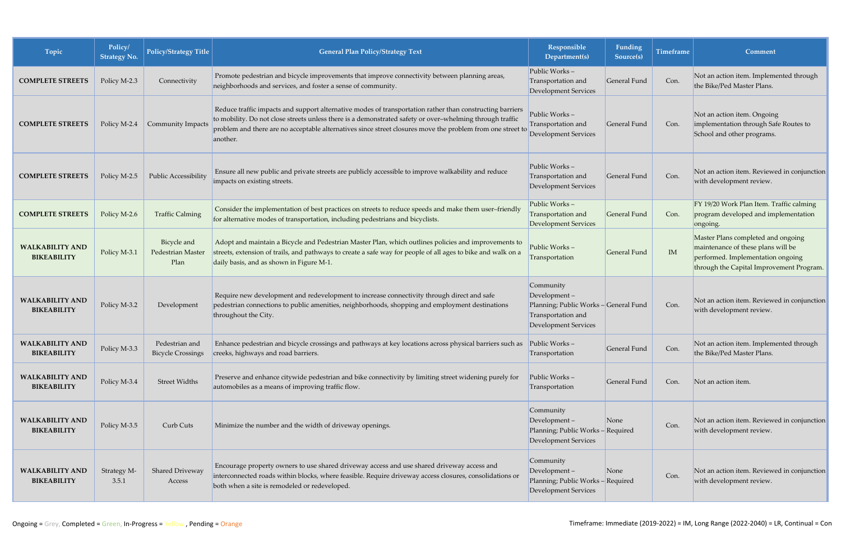| Topic                                        | Policy/<br><b>Strategy No.</b> | Policy/Strategy Title                    | <b>General Plan Policy/Strategy Text</b>                                                                                                                                                                                                                                                                                                       | Responsible<br>Department(s)                                                                                            | Funding<br>Source(s) | <b>Timeframe</b> | Comment                                                                                                                                                   |
|----------------------------------------------|--------------------------------|------------------------------------------|------------------------------------------------------------------------------------------------------------------------------------------------------------------------------------------------------------------------------------------------------------------------------------------------------------------------------------------------|-------------------------------------------------------------------------------------------------------------------------|----------------------|------------------|-----------------------------------------------------------------------------------------------------------------------------------------------------------|
| <b>COMPLETE STREETS</b>                      | Policy M-2.3                   | Connectivity                             | Promote pedestrian and bicycle improvements that improve connectivity between planning areas,<br>neighborhoods and services, and foster a sense of community.                                                                                                                                                                                  | Public Works-<br>Transportation and<br><b>Development Services</b>                                                      | General Fund         | Con.             | Not an action item. Implemented through<br>the Bike/Ped Master Plans.                                                                                     |
| <b>COMPLETE STREETS</b>                      | Policy M-2.4                   | <b>Community Impacts</b>                 | Reduce traffic impacts and support alternative modes of transportation rather than constructing barriers<br>to mobility. Do not close streets unless there is a demonstrated safety or over-whelming through traffic<br>problem and there are no acceptable alternatives since street closures move the problem from one street to<br>another. | Public Works-<br>Transportation and<br><b>Development Services</b>                                                      | General Fund         | Con.             | Not an action item. Ongoing<br>implementation through Safe Routes to<br>School and other programs.                                                        |
| <b>COMPLETE STREETS</b>                      | Policy M-2.5                   | <b>Public Accessibility</b>              | Ensure all new public and private streets are publicly accessible to improve walkability and reduce<br>impacts on existing streets.                                                                                                                                                                                                            | Public Works-<br>Transportation and<br><b>Development Services</b>                                                      | General Fund         | Con.             | Not an action item. Reviewed in conjunction<br>with development review.                                                                                   |
| <b>COMPLETE STREETS</b>                      | Policy M-2.6                   | <b>Traffic Calming</b>                   | Consider the implementation of best practices on streets to reduce speeds and make them user-friendly<br>for alternative modes of transportation, including pedestrians and bicyclists.                                                                                                                                                        | Public Works-<br>Transportation and<br><b>Development Services</b>                                                      | General Fund         | Con.             | FY 19/20 Work Plan Item. Traffic calming<br>program developed and implementation<br>ongoing.                                                              |
| <b>WALKABILITY AND</b><br><b>BIKEABILITY</b> | Policy M-3.1                   | Bicycle and<br>Pedestrian Master<br>Plan | Adopt and maintain a Bicycle and Pedestrian Master Plan, which outlines policies and improvements to<br>streets, extension of trails, and pathways to create a safe way for people of all ages to bike and walk on a<br>daily basis, and as shown in Figure M-1.                                                                               | Public Works-<br>Transportation                                                                                         | General Fund         | IM               | Master Plans completed and ongoing<br>maintenance of these plans will be<br>performed. Implementation ongoing<br>through the Capital Improvement Program. |
| <b>WALKABILITY AND</b><br><b>BIKEABILITY</b> | Policy M-3.2                   | Development                              | Require new development and redevelopment to increase connectivity through direct and safe<br>pedestrian connections to public amenities, neighborhoods, shopping and employment destinations<br>throughout the City.                                                                                                                          | Community<br>Development-<br>Planning; Public Works - General Fund<br>Transportation and<br><b>Development Services</b> |                      | Con.             | Not an action item. Reviewed in conjunction<br>with development review.                                                                                   |
| <b>WALKABILITY AND</b><br><b>BIKEABILITY</b> | Policy M-3.3                   | Pedestrian and                           | Enhance pedestrian and bicycle crossings and pathways at key locations across physical barriers such as Public Works -<br>Bicycle Crossings   creeks, highways and road barriers.                                                                                                                                                              | Transportation                                                                                                          | General Fund         | Con.             | Not an action item. Implemented through<br>the Bike/Ped Master Plans.                                                                                     |
| <b>WALKABILITY AND</b><br><b>BIKEABILITY</b> | Policy M-3.4                   | <b>Street Widths</b>                     | Preserve and enhance citywide pedestrian and bike connectivity by limiting street widening purely for<br>automobiles as a means of improving traffic flow.                                                                                                                                                                                     | Public Works-<br>Transportation                                                                                         | General Fund         | Con.             | Not an action item.                                                                                                                                       |
| <b>WALKABILITY AND</b><br><b>BIKEABILITY</b> | Policy M-3.5                   | Curb Cuts                                | Minimize the number and the width of driveway openings.                                                                                                                                                                                                                                                                                        | Community<br>Development-<br>Planning; Public Works - Required<br><b>Development Services</b>                           | None                 | Con.             | Not an action item. Reviewed in conjunction<br>with development review.                                                                                   |
| <b>WALKABILITY AND</b><br><b>BIKEABILITY</b> | Strategy M-<br>3.5.1           | <b>Shared Driveway</b><br>Access         | Encourage property owners to use shared driveway access and use shared driveway access and<br>interconnected roads within blocks, where feasible. Require driveway access closures, consolidations or<br>both when a site is remodeled or redeveloped.                                                                                         | Community<br>Development-<br>Planning; Public Works - Required<br><b>Development Services</b>                           | None                 | Con.             | Not an action item. Reviewed in conjunction<br>with development review.                                                                                   |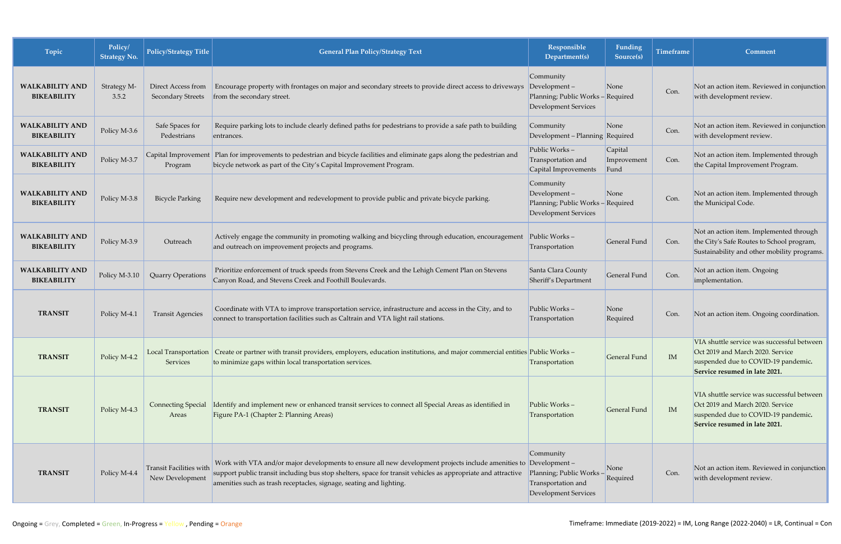| Topic                                        | Policy/<br><b>Strategy No.</b> | Policy/Strategy Title                             | <b>General Plan Policy/Strategy Text</b>                                                                                                                                                                                                                                                                 | Responsible<br>Department(s)                                                                     | Funding<br>Source(s)           | <b>Timeframe</b> | Comment                                                                                                                                                |
|----------------------------------------------|--------------------------------|---------------------------------------------------|----------------------------------------------------------------------------------------------------------------------------------------------------------------------------------------------------------------------------------------------------------------------------------------------------------|--------------------------------------------------------------------------------------------------|--------------------------------|------------------|--------------------------------------------------------------------------------------------------------------------------------------------------------|
| <b>WALKABILITY AND</b><br><b>BIKEABILITY</b> | Strategy M-<br>3.5.2           | Direct Access from<br><b>Secondary Streets</b>    | Encourage property with frontages on major and secondary streets to provide direct access to driveways<br>from the secondary street.                                                                                                                                                                     | Community<br>$Development -$<br>Planning; Public Works - Required<br><b>Development Services</b> | None                           | Con.             | Not an action item. Reviewed in conjunction<br>with development review.                                                                                |
| <b>WALKABILITY AND</b><br><b>BIKEABILITY</b> | Policy M-3.6                   | Safe Spaces for<br>Pedestrians                    | Require parking lots to include clearly defined paths for pedestrians to provide a safe path to building<br>entrances.                                                                                                                                                                                   | Community<br>Development – Planning Required                                                     | None                           | Con.             | Not an action item. Reviewed in conjunction<br>with development review.                                                                                |
| <b>WALKABILITY AND</b><br><b>BIKEABILITY</b> | Policy M-3.7                   | Program                                           | Capital Improvement Plan for improvements to pedestrian and bicycle facilities and eliminate gaps along the pedestrian and<br>bicycle network as part of the City's Capital Improvement Program.                                                                                                         | Public Works-<br>Transportation and<br>Capital Improvements                                      | Capital<br>Improvement<br>Fund | Con.             | Not an action item. Implemented through<br>the Capital Improvement Program.                                                                            |
| <b>WALKABILITY AND</b><br><b>BIKEABILITY</b> | Policy M-3.8                   | <b>Bicycle Parking</b>                            | Require new development and redevelopment to provide public and private bicycle parking.                                                                                                                                                                                                                 | Community<br>Development-<br>Planning; Public Works - Required<br><b>Development Services</b>    | None                           | Con.             | Not an action item. Implemented through<br>the Municipal Code.                                                                                         |
| <b>WALKABILITY AND</b><br><b>BIKEABILITY</b> | Policy M-3.9                   | Outreach                                          | Actively engage the community in promoting walking and bicycling through education, encouragement<br>and outreach on improvement projects and programs.                                                                                                                                                  | Public Works-<br>Transportation                                                                  | General Fund                   | Con.             | Not an action item. Implemented through<br>the City's Safe Routes to School program,<br>Sustainability and other mobility programs.                    |
| <b>WALKABILITY AND</b><br><b>BIKEABILITY</b> | Policy M-3.10                  | <b>Quarry Operations</b>                          | Prioritize enforcement of truck speeds from Stevens Creek and the Lehigh Cement Plan on Stevens<br>Canyon Road, and Stevens Creek and Foothill Boulevards.                                                                                                                                               | Santa Clara County<br>Sheriff's Department                                                       | General Fund                   | Con.             | Not an action item. Ongoing<br>implementation.                                                                                                         |
| <b>TRANSIT</b>                               | Policy M-4.1                   | <b>Transit Agencies</b>                           | Coordinate with VTA to improve transportation service, infrastructure and access in the City, and to<br>connect to transportation facilities such as Caltrain and VTA light rail stations.                                                                                                               | Public Works-<br>Transportation                                                                  | None<br>Required               | Con.             | Not an action item. Ongoing coordination.                                                                                                              |
| <b>TRANSIT</b>                               | Policy M-4.2                   | Local Transportation<br>Services                  | Create or partner with transit providers, employers, education institutions, and major commercial entities Public Works -<br>to minimize gaps within local transportation services.                                                                                                                      | Transportation                                                                                   | General Fund                   | IM               | VIA shuttle service was successful between<br>Oct 2019 and March 2020. Service<br>suspended due to COVID-19 pandemic.<br>Service resumed in late 2021. |
| <b>TRANSIT</b>                               | Policy M-4.3                   | <b>Connecting Special</b><br>Areas                | Identify and implement new or enhanced transit services to connect all Special Areas as identified in<br>Figure PA-1 (Chapter 2: Planning Areas)                                                                                                                                                         | Public Works-<br>Transportation                                                                  | General Fund                   | IM               | VIA shuttle service was successful between<br>Oct 2019 and March 2020. Service<br>suspended due to COVID-19 pandemic.<br>Service resumed in late 2021. |
| <b>TRANSIT</b>                               | Policy M-4.4                   | <b>Transit Facilities with</b><br>New Development | Work with VTA and/or major developments to ensure all new development projects include amenities to Development -<br>support public transit including bus stop shelters, space for transit vehicles as appropriate and attractive<br>amenities such as trash receptacles, signage, seating and lighting. | Community<br>Planning; Public Works-<br>Transportation and<br><b>Development Services</b>        | None<br>Required               | Con.             | Not an action item. Reviewed in conjunction<br>with development review.                                                                                |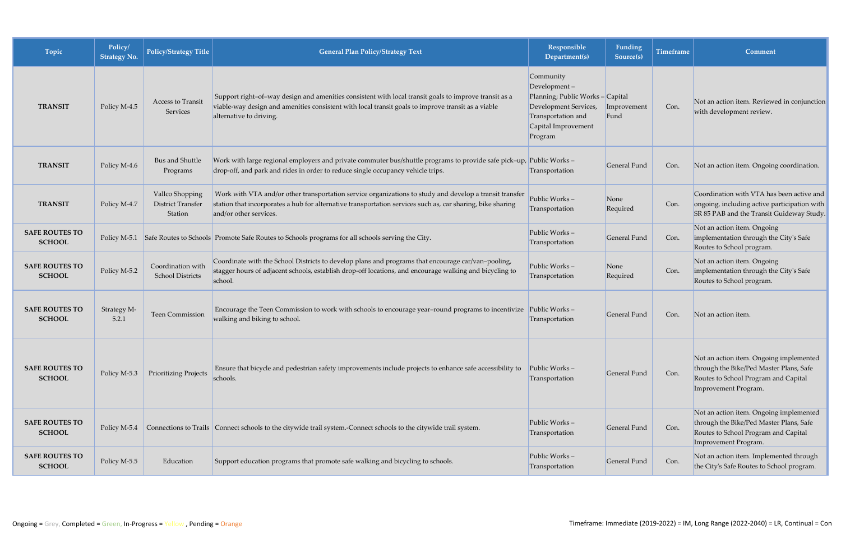| Topic                                  | Policy/<br><b>Strategy No.</b> | <b>Policy/Strategy Title</b>                    | <b>General Plan Policy/Strategy Text</b>                                                                                                                                                                                                        | Responsible<br>Department(s)                                                                                                                 | Funding<br>Source(s) | Timeframe | Comment                                                                                                                                            |
|----------------------------------------|--------------------------------|-------------------------------------------------|-------------------------------------------------------------------------------------------------------------------------------------------------------------------------------------------------------------------------------------------------|----------------------------------------------------------------------------------------------------------------------------------------------|----------------------|-----------|----------------------------------------------------------------------------------------------------------------------------------------------------|
| <b>TRANSIT</b>                         | Policy M-4.5                   | Access to Transit<br>Services                   | Support right-of-way design and amenities consistent with local transit goals to improve transit as a<br>viable-way design and amenities consistent with local transit goals to improve transit as a viable<br>alternative to driving.          | Community<br>Development-<br>Planning; Public Works-Capital<br>Development Services,<br>Transportation and<br>Capital Improvement<br>Program | Improvement<br>Fund  | Con.      | Not an action item. Reviewed in conjunction<br>with development review.                                                                            |
| <b>TRANSIT</b>                         | Policy M-4.6                   | Bus and Shuttle<br>Programs                     | Work with large regional employers and private commuter bus/shuttle programs to provide safe pick-up, Public Works -<br>drop-off, and park and rides in order to reduce single occupancy vehicle trips.                                         | Transportation                                                                                                                               | General Fund         | Con.      | Not an action item. Ongoing coordination.                                                                                                          |
| <b>TRANSIT</b>                         | Policy M-4.7                   | Vallco Shopping<br>District Transfer<br>Station | Work with VTA and/or other transportation service organizations to study and develop a transit transfer<br>station that incorporates a hub for alternative transportation services such as, car sharing, bike sharing<br>and/or other services. | Public Works-<br>Transportation                                                                                                              | None<br>Required     | Con.      | Coordination with VTA has been active and<br>ongoing, including active participation with<br>SR 85 PAB and the Transit Guideway Study.             |
| <b>SAFE ROUTES TO</b><br><b>SCHOOL</b> |                                |                                                 | Policy M-5.1 Safe Routes to Schools Promote Safe Routes to Schools programs for all schools serving the City.                                                                                                                                   | Public Works-<br>Transportation                                                                                                              | General Fund         | Con.      | Not an action item. Ongoing<br>implementation through the City's Safe<br>Routes to School program.                                                 |
| <b>SAFE ROUTES TO</b><br><b>SCHOOL</b> | Policy M-5.2                   | Coordination with<br><b>School Districts</b>    | Coordinate with the School Districts to develop plans and programs that encourage car/van-pooling,<br>stagger hours of adjacent schools, establish drop-off locations, and encourage walking and bicycling to<br>school.                        | Public Works-<br>Transportation                                                                                                              | None<br>Required     | Con.      | Not an action item. Ongoing<br>implementation through the City's Safe<br>Routes to School program.                                                 |
| <b>SAFE ROUTES TO</b><br><b>SCHOOL</b> | Strategy M-<br>5.2.1           | Teen Commission                                 | Encourage the Teen Commission to work with schools to encourage year-round programs to incentivize<br>walking and biking to school.                                                                                                             | Public Works $-$<br>Transportation                                                                                                           | General Fund         | Con.      | Not an action item.                                                                                                                                |
| <b>SAFE ROUTES TO</b><br><b>SCHOOL</b> | Policy M-5.3                   | <b>Prioritizing Projects</b>                    | Ensure that bicycle and pedestrian safety improvements include projects to enhance safe accessibility to<br>schools.                                                                                                                            | Public Works-<br>Transportation                                                                                                              | General Fund         | Con.      | Not an action item. Ongoing implemented<br>through the Bike/Ped Master Plans, Safe<br>Routes to School Program and Capital<br>Improvement Program. |
| <b>SAFE ROUTES TO</b><br><b>SCHOOL</b> | Policy M-5.4                   |                                                 | Connections to Trails   Connect schools to the citywide trail system.-Connect schools to the citywide trail system.                                                                                                                             | Public Works-<br>Transportation                                                                                                              | General Fund         | Con.      | Not an action item. Ongoing implemented<br>through the Bike/Ped Master Plans, Safe<br>Routes to School Program and Capital<br>Improvement Program. |
| <b>SAFE ROUTES TO</b><br><b>SCHOOL</b> | Policy M-5.5                   | Education                                       | Support education programs that promote safe walking and bicycling to schools.                                                                                                                                                                  | Public Works-<br>Transportation                                                                                                              | General Fund         | Con.      | Not an action item. Implemented through<br>the City's Safe Routes to School program.                                                               |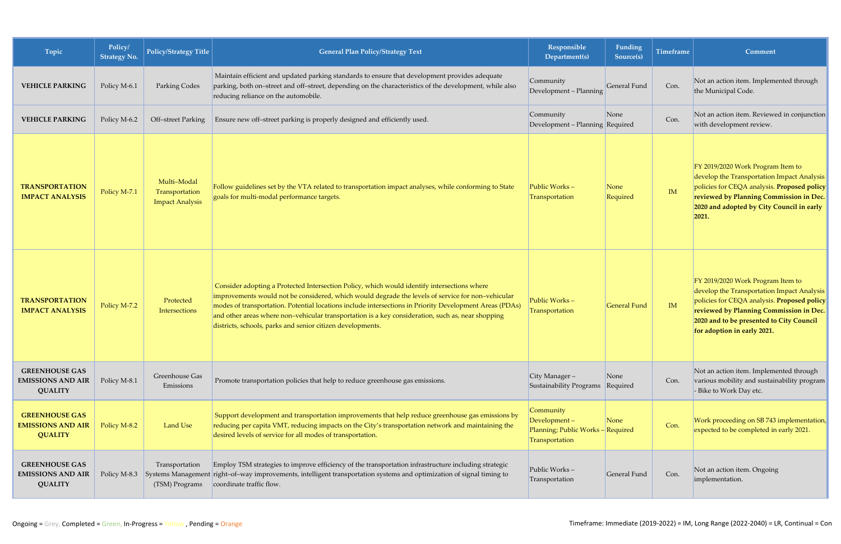| Topic                                                               | Policy/<br><b>Strategy No.</b> | <b>Policy/Strategy Title</b>                            | <b>General Plan Policy/Strategy Text</b>                                                                                                                                                                                                                                                                                                                                                                                                                                       | Responsible<br>Department(s)                                                     | Funding<br>Source(s) | <b>Timeframe</b> | Comment                                                                                                                                                                                                                                              |
|---------------------------------------------------------------------|--------------------------------|---------------------------------------------------------|--------------------------------------------------------------------------------------------------------------------------------------------------------------------------------------------------------------------------------------------------------------------------------------------------------------------------------------------------------------------------------------------------------------------------------------------------------------------------------|----------------------------------------------------------------------------------|----------------------|------------------|------------------------------------------------------------------------------------------------------------------------------------------------------------------------------------------------------------------------------------------------------|
| <b>VEHICLE PARKING</b>                                              | Policy M-6.1                   | <b>Parking Codes</b>                                    | Maintain efficient and updated parking standards to ensure that development provides adequate<br>parking, both on-street and off-street, depending on the characteristics of the development, while also<br>reducing reliance on the automobile.                                                                                                                                                                                                                               | Community<br>Development - Planning                                              | General Fund         | Con.             | Not an action item. Implemented through<br>the Municipal Code.                                                                                                                                                                                       |
| <b>VEHICLE PARKING</b>                                              | Policy M-6.2                   | Off-street Parking                                      | Ensure new off-street parking is properly designed and efficiently used.                                                                                                                                                                                                                                                                                                                                                                                                       | Community<br>Development - Planning Required                                     | None                 | Con.             | Not an action item. Reviewed in conjunction<br>with development review.                                                                                                                                                                              |
| <b>TRANSPORTATION</b><br><b>IMPACT ANALYSIS</b>                     | Policy M-7.1                   | Multi-Modal<br>Transportation<br><b>Impact Analysis</b> | Follow guidelines set by the VTA related to transportation impact analyses, while conforming to State<br>goals for multi-modal performance targets.                                                                                                                                                                                                                                                                                                                            | Public Works-<br>Transportation                                                  | None<br>Required     | IM               | FY 2019/2020 Work Program Item to<br>develop the Transportation Impact Analysis<br>policies for CEQA analysis. Proposed policy<br>reviewed by Planning Commission in Dec.<br>2020 and adopted by City Council in early<br>2021.                      |
| <b>TRANSPORTATION</b><br><b>IMPACT ANALYSIS</b>                     | Policy M-7.2                   | Protected<br>Intersections                              | Consider adopting a Protected Intersection Policy, which would identify intersections where<br>improvements would not be considered, which would degrade the levels of service for non-vehicular<br>modes of transportation. Potential locations include intersections in Priority Development Areas (PDAs)<br>and other areas where non-vehicular transportation is a key consideration, such as, near shopping<br>districts, schools, parks and senior citizen developments. | Public Works-<br>Transportation                                                  | <b>General Fund</b>  | IM               | FY 2019/2020 Work Program Item to<br>develop the Transportation Impact Analysis<br>policies for CEQA analysis. Proposed policy<br>reviewed by Planning Commission in Dec.<br>2020 and to be presented to City Council<br>for adoption in early 2021. |
| <b>GREENHOUSE GAS</b><br><b>EMISSIONS AND AIR</b><br><b>QUALITY</b> | Policy M-8.1                   | Greenhouse Gas<br>Emissions                             | Promote transportation policies that help to reduce greenhouse gas emissions.                                                                                                                                                                                                                                                                                                                                                                                                  | City Manager-<br>Sustainability Programs                                         | None<br>Required     | Con.             | Not an action item. Implemented through<br>various mobility and sustainability program<br>- Bike to Work Day etc.                                                                                                                                    |
| <b>GREENHOUSE GAS</b><br><b>EMISSIONS AND AIR</b><br><b>QUALITY</b> | Policy M-8.2                   | Land Use                                                | Support development and transportation improvements that help reduce greenhouse gas emissions by<br>reducing per capita VMT, reducing impacts on the City's transportation network and maintaining the<br>desired levels of service for all modes of transportation.                                                                                                                                                                                                           | Community<br>Development-<br>Planning; Public Works - Required<br>Transportation | None                 | Con.             | Work proceeding on SB 743 implementation,<br>expected to be completed in early 2021.                                                                                                                                                                 |
| <b>GREENHOUSE GAS</b><br><b>EMISSIONS AND AIR</b><br><b>QUALITY</b> | Policy M-8.3                   | Transportation<br>(TSM) Programs                        | Employ TSM strategies to improve efficiency of the transportation infrastructure including strategic<br>Systems Management right-of-way improvements, intelligent transportation systems and optimization of signal timing to<br>coordinate traffic flow.                                                                                                                                                                                                                      | Public Works-<br>Transportation                                                  | General Fund         | Con.             | Not an action item. Ongoing<br>implementation.                                                                                                                                                                                                       |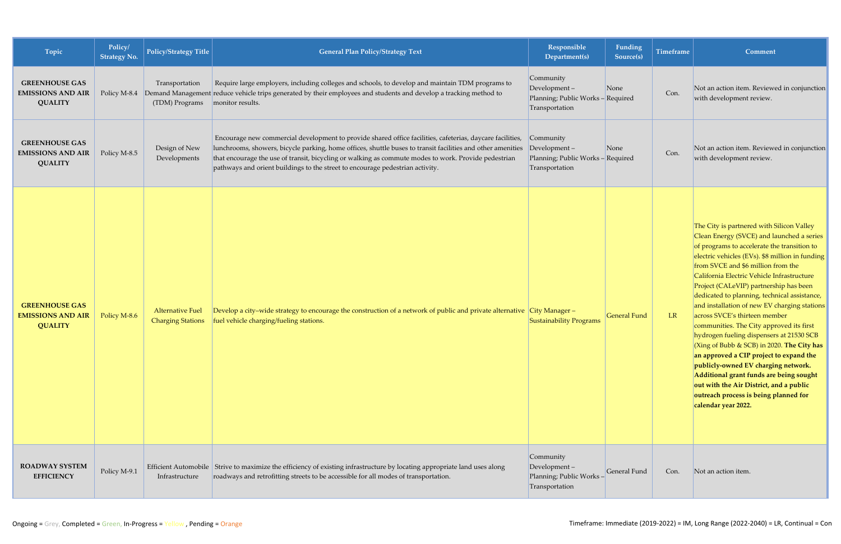| Topic                                                               | Policy/<br><b>Strategy No.</b> | Policy/Strategy Title                               | <b>General Plan Policy/Strategy Text</b>                                                                                                                                                                                                                                                                                                                                                                          | Responsible<br>Department(s)                                                        | Funding<br>Source(s) | <b>Timeframe</b> | Comment                                                                                                                                                                                                                                                                                                                                                                                                                                                                                                                                                                                                                                                                                                                                                                                                                               |
|---------------------------------------------------------------------|--------------------------------|-----------------------------------------------------|-------------------------------------------------------------------------------------------------------------------------------------------------------------------------------------------------------------------------------------------------------------------------------------------------------------------------------------------------------------------------------------------------------------------|-------------------------------------------------------------------------------------|----------------------|------------------|---------------------------------------------------------------------------------------------------------------------------------------------------------------------------------------------------------------------------------------------------------------------------------------------------------------------------------------------------------------------------------------------------------------------------------------------------------------------------------------------------------------------------------------------------------------------------------------------------------------------------------------------------------------------------------------------------------------------------------------------------------------------------------------------------------------------------------------|
| <b>GREENHOUSE GAS</b><br><b>EMISSIONS AND AIR</b><br><b>QUALITY</b> | Policy M-8.4                   | Transportation<br>(TDM) Programs                    | Require large employers, including colleges and schools, to develop and maintain TDM programs to<br>Demand Management reduce vehicle trips generated by their employees and students and develop a tracking method to<br>monitor results.                                                                                                                                                                         | Community<br>Development-<br>Planning; Public Works - Required<br>Transportation    | None                 | Con.             | Not an action item. Reviewed in conjunction<br>with development review.                                                                                                                                                                                                                                                                                                                                                                                                                                                                                                                                                                                                                                                                                                                                                               |
| <b>GREENHOUSE GAS</b><br><b>EMISSIONS AND AIR</b><br><b>QUALITY</b> | Policy M-8.5                   | Design of New<br>Developments                       | Encourage new commercial development to provide shared office facilities, cafeterias, daycare facilities,<br>lunchrooms, showers, bicycle parking, home offices, shuttle buses to transit facilities and other amenities<br>that encourage the use of transit, bicycling or walking as commute modes to work. Provide pedestrian<br>pathways and orient buildings to the street to encourage pedestrian activity. | Community<br>$Development -$<br>Planning; Public Works - Required<br>Transportation | None                 | Con.             | Not an action item. Reviewed in conjunction<br>with development review.                                                                                                                                                                                                                                                                                                                                                                                                                                                                                                                                                                                                                                                                                                                                                               |
| <b>GREENHOUSE GAS</b><br><b>EMISSIONS AND AIR</b><br><b>QUALITY</b> | Policy M-8.6                   | <b>Alternative Fuel</b><br><b>Charging Stations</b> | Develop a city-wide strategy to encourage the construction of a network of public and private alternative City Manager-<br>fuel vehicle charging/fueling stations.                                                                                                                                                                                                                                                | Sustainability Programs                                                             | <b>General Fund</b>  | LR               | The City is partnered with Silicon Valley<br>Clean Energy (SVCE) and launched a series<br>of programs to accelerate the transition to<br>electric vehicles (EVs). \$8 million in funding<br>from SVCE and \$6 million from the<br>California Electric Vehicle Infrastructure<br>Project (CALeVIP) partnership has been<br>dedicated to planning, technical assistance,<br>and installation of new EV charging stations<br>across SVCE's thirteen member<br>communities. The City approved its first<br>hydrogen fueling dispensers at 21530 SCB<br>(Xing of Bubb & SCB) in 2020. The City has<br>an approved a CIP project to expand the<br>publicly-owned EV charging network.<br>Additional grant funds are being sought<br>out with the Air District, and a public<br>outreach process is being planned for<br>calendar year 2022. |
| <b>ROADWAY SYSTEM</b><br><b>EFFICIENCY</b>                          | Policy M-9.1                   | Infrastructure                                      | Efficient Automobile Strive to maximize the efficiency of existing infrastructure by locating appropriate land uses along<br>roadways and retrofitting streets to be accessible for all modes of transportation.                                                                                                                                                                                                  | Community<br>Development-<br>Planning; Public Works-<br>Transportation              | General Fund         | Con.             | Not an action item.                                                                                                                                                                                                                                                                                                                                                                                                                                                                                                                                                                                                                                                                                                                                                                                                                   |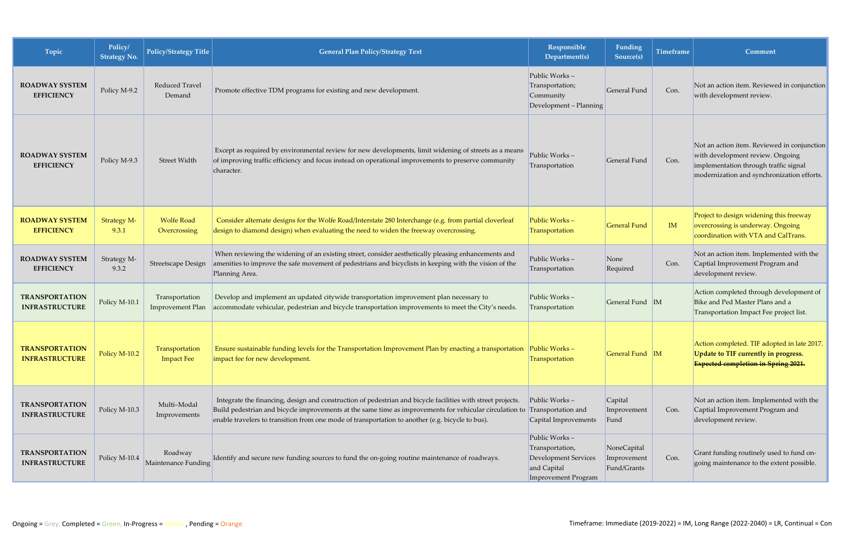| Topic                                          | Policy/<br><b>Strategy No.</b> | <b>Policy/Strategy Title</b>              | <b>General Plan Policy/Strategy Text</b>                                                                                                                                                                                                                                                                                   | Responsible<br>Department(s)                                                                                 | Funding<br>Source(s)                      | <b>Timeframe</b> | Comment                                                                                                                                                                |
|------------------------------------------------|--------------------------------|-------------------------------------------|----------------------------------------------------------------------------------------------------------------------------------------------------------------------------------------------------------------------------------------------------------------------------------------------------------------------------|--------------------------------------------------------------------------------------------------------------|-------------------------------------------|------------------|------------------------------------------------------------------------------------------------------------------------------------------------------------------------|
| <b>ROADWAY SYSTEM</b><br><b>EFFICIENCY</b>     | Policy M-9.2                   | Reduced Travel<br>Demand                  | Promote effective TDM programs for existing and new development.                                                                                                                                                                                                                                                           | Public Works-<br>Transportation;<br>Community<br>Development - Planning                                      | General Fund                              | Con.             | Not an action item. Reviewed in conjunction<br>with development review.                                                                                                |
| <b>ROADWAY SYSTEM</b><br><b>EFFICIENCY</b>     | Policy M-9.3                   | Street Width                              | Except as required by environmental review for new developments, limit widening of streets as a means<br>of improving traffic efficiency and focus instead on operational improvements to preserve community<br>character.                                                                                                 | Public Works-<br>Transportation                                                                              | General Fund                              | Con.             | Not an action item. Reviewed in conjunction<br>with development review. Ongoing<br>implementation through traffic signal<br>modernization and synchronization efforts. |
| <b>ROADWAY SYSTEM</b><br><b>EFFICIENCY</b>     | <b>Strategy M-</b><br>9.3.1    | <b>Wolfe Road</b><br>Overcrossing         | Consider alternate designs for the Wolfe Road/Interstate 280 Interchange (e.g. from partial cloverleaf<br>design to diamond design) when evaluating the need to widen the freeway overcrossing.                                                                                                                            | Public Works-<br>Transportation                                                                              | <b>General Fund</b>                       | IM               | Project to design widening this freeway<br>overcrossing is underway. Ongoing<br>coordination with VTA and CalTrans.                                                    |
| <b>ROADWAY SYSTEM</b><br><b>EFFICIENCY</b>     | Strategy M-<br>9.3.2           | <b>Streetscape Design</b>                 | When reviewing the widening of an existing street, consider aesthetically pleasing enhancements and<br>amenities to improve the safe movement of pedestrians and bicyclists in keeping with the vision of the<br>Planning Area.                                                                                            | Public Works-<br>Transportation                                                                              | None<br>Required                          | Con.             | Not an action item. Implemented with the<br>Captial Improvement Program and<br>development review.                                                                     |
| <b>TRANSPORTATION</b><br><b>INFRASTRUCTURE</b> | Policy M-10.1                  | Transportation<br><b>Improvement Plan</b> | Develop and implement an updated citywide transportation improvement plan necessary to<br>accommodate vehicular, pedestrian and bicycle transportation improvements to meet the City's needs.                                                                                                                              | Public Works-<br>Transportation                                                                              | General Fund M                            |                  | Action completed through development of<br>Bike and Ped Master Plans and a<br>Transportation Impact Fee project list.                                                  |
| <b>TRANSPORTATION</b><br><b>INFRASTRUCTURE</b> | Policy M-10.2                  | Transportation<br><b>Impact Fee</b>       | Ensure sustainable funding levels for the Transportation Improvement Plan by enacting a transportation<br>impact fee for new development.                                                                                                                                                                                  | Public Works-<br>Transportation                                                                              | General Fund M                            |                  | Action completed. TIF adopted in late 2017.<br>Update to TIF currently in progress.<br><b>Expected completion in Spring 2021.</b>                                      |
| <b>TRANSPORTATION</b><br><b>INFRASTRUCTURE</b> | Policy M-10.3                  | Multi-Modal<br>Improvements               | Integrate the financing, design and construction of pedestrian and bicycle facilities with street projects.<br>Build pedestrian and bicycle improvements at the same time as improvements for vehicular circulation to<br>enable travelers to transition from one mode of transportation to another (e.g. bicycle to bus). | Public Works -<br>Transportation and<br>Capital Improvements                                                 | Capital<br>Improvement<br>Fund            | Con.             | Not an action item. Implemented with the<br>Captial Improvement Program and<br>development review.                                                                     |
| <b>TRANSPORTATION</b><br><b>INFRASTRUCTURE</b> | Policy M-10.4                  | Roadway<br>Maintenance Funding            | Identify and secure new funding sources to fund the on-going routine maintenance of roadways.                                                                                                                                                                                                                              | Public Works-<br>Transportation,<br><b>Development Services</b><br>and Capital<br><b>Improvement Program</b> | NoneCapital<br>Improvement<br>Fund/Grants | Con.             | Grant funding routinely used to fund on-<br>going maintenance to the extent possible.                                                                                  |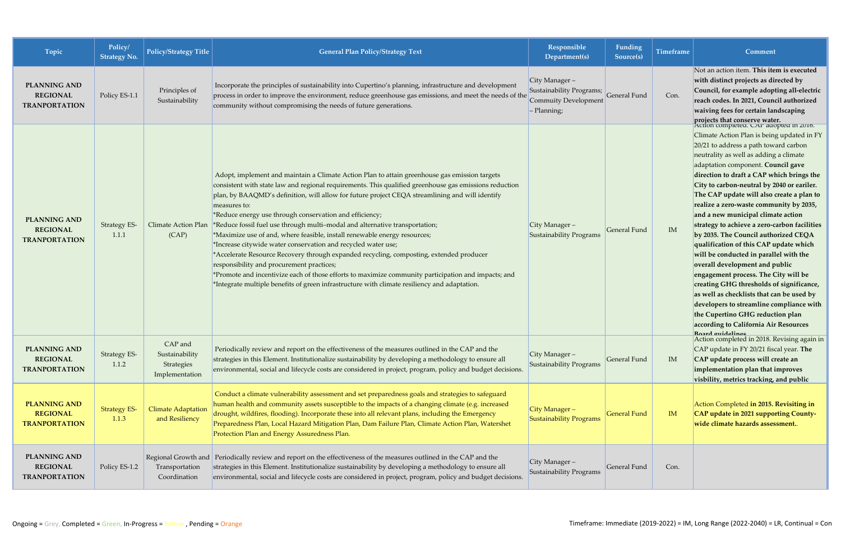| Topic                                                          | Policy/<br><b>Strategy No.</b> | <b>Policy/Strategy Title</b>                              | <b>General Plan Policy/Strategy Text</b>                                                                                                                                                                                                                                                                                                                                                                                                                                                                                                                                                                                                                                                                                                                                                                                                                                                                                                                          | <b>Responsible</b><br>Department(s)                                                | Funding<br>Source(s) | <b>Timeframe</b> | <b>Comment</b>                                                                                                                                                                                                                                                                                                                                                                                                                                                                                                                                                                                                                                                                                                                                                                                                                                                                           |
|----------------------------------------------------------------|--------------------------------|-----------------------------------------------------------|-------------------------------------------------------------------------------------------------------------------------------------------------------------------------------------------------------------------------------------------------------------------------------------------------------------------------------------------------------------------------------------------------------------------------------------------------------------------------------------------------------------------------------------------------------------------------------------------------------------------------------------------------------------------------------------------------------------------------------------------------------------------------------------------------------------------------------------------------------------------------------------------------------------------------------------------------------------------|------------------------------------------------------------------------------------|----------------------|------------------|------------------------------------------------------------------------------------------------------------------------------------------------------------------------------------------------------------------------------------------------------------------------------------------------------------------------------------------------------------------------------------------------------------------------------------------------------------------------------------------------------------------------------------------------------------------------------------------------------------------------------------------------------------------------------------------------------------------------------------------------------------------------------------------------------------------------------------------------------------------------------------------|
| <b>PLANNING AND</b><br><b>REGIONAL</b><br><b>TRANPORTATION</b> | Policy ES-1.1                  | Principles of<br>Sustainability                           | Incorporate the principles of sustainability into Cupertino's planning, infrastructure and development<br>process in order to improve the environment, reduce greenhouse gas emissions, and meet the needs of the<br>community without compromising the needs of future generations.                                                                                                                                                                                                                                                                                                                                                                                                                                                                                                                                                                                                                                                                              | City Manager-<br>Sustainability Programs;<br>Commuity Development<br>$-$ Planning; | General Fund         | Con.             | Not an action item. This item is executed<br>with distinct projects as directed by<br>Council, for example adopting all-electric<br>reach codes. In 2021, Council authorized<br>waiving fees for certain landscaping<br>projects that conserve water.<br>Action completed, CAP adopted in 2016.                                                                                                                                                                                                                                                                                                                                                                                                                                                                                                                                                                                          |
| <b>PLANNING AND</b><br><b>REGIONAL</b><br><b>TRANPORTATION</b> | <b>Strategy ES-</b><br>1.1.1   | <b>Climate Action Plan</b><br>(CAP)                       | Adopt, implement and maintain a Climate Action Plan to attain greenhouse gas emission targets<br>consistent with state law and regional requirements. This qualified greenhouse gas emissions reduction<br>plan, by BAAQMD's definition, will allow for future project CEQA streamlining and will identify<br>measures to:<br>*Reduce energy use through conservation and efficiency;<br>*Reduce fossil fuel use through multi-modal and alternative transportation;<br>*Maximize use of and, where feasible, install renewable energy resources;<br>*Increase citywide water conservation and recycled water use;<br>*Accelerate Resource Recovery through expanded recycling, composting, extended producer<br>responsibility and procurement practices;<br>*Promote and incentivize each of those efforts to maximize community participation and impacts; and<br>*Integrate multiple benefits of green infrastructure with climate resiliency and adaptation. | City Manager-<br>Sustainability Programs                                           | General Fund         | IM               | Climate Action Plan is being updated in FY<br>20/21 to address a path toward carbon<br>neutrality as well as adding a climate<br>adaptation component. Council gave<br>direction to draft a CAP which brings the<br>City to carbon-neutral by 2040 or eariler.<br>The CAP update will also create a plan to<br>realize a zero-waste community by 2035,<br>and a new municipal climate action<br>strategy to achieve a zero-carbon facilities<br>by 2035. The Council authorized CEQA<br>qualification of this CAP update which<br>will be conducted in parallel with the<br>overall development and public<br>engagement process. The City will be<br>creating GHG thresholds of significance,<br>as well as checklists that can be used by<br>developers to streamline compliance with<br>the Cupertino GHG reduction plan<br>according to California Air Resources<br>Roard muidalings |
| <b>PLANNING AND</b><br><b>REGIONAL</b><br><b>TRANPORTATION</b> | <b>Strategy ES-</b><br>1.1.2   | CAP and<br>Sustainability<br>Strategies<br>Implementation | Periodically review and report on the effectiveness of the measures outlined in the CAP and the<br>strategies in this Element. Institutionalize sustainability by developing a methodology to ensure all<br>environmental, social and lifecycle costs are considered in project, program, policy and budget decisions.                                                                                                                                                                                                                                                                                                                                                                                                                                                                                                                                                                                                                                            | City Manager-<br>Sustainability Programs                                           | General Fund         | IM               | Action completed in 2018. Revising again in<br>CAP update in FY 20/21 fiscal year. The<br>CAP update process will create an<br>implementation plan that improves<br>visbility, metrics tracking, and public                                                                                                                                                                                                                                                                                                                                                                                                                                                                                                                                                                                                                                                                              |
| <b>PLANNING AND</b><br><b>REGIONAL</b><br><b>TRANPORTATION</b> | <b>Strategy ES-</b><br>1.1.3   | <b>Climate Adaptation</b><br>and Resiliency               | Conduct a climate vulnerability assessment and set preparedness goals and strategies to safeguard<br>human health and community assets susceptible to the impacts of a changing climate (e.g. increased<br>drought, wildfires, flooding). Incorporate these into all relevant plans, including the Emergency<br>Preparedness Plan, Local Hazard Mitigation Plan, Dam Failure Plan, Climate Action Plan, Watershet<br>Protection Plan and Energy Assuredness Plan.                                                                                                                                                                                                                                                                                                                                                                                                                                                                                                 | City Manager-<br><b>Sustainability Programs</b>                                    | <b>General Fund</b>  | IM               | Action Completed in 2015. Revisiting in<br>CAP update in 2021 supporting County-<br>wide climate hazards assessment                                                                                                                                                                                                                                                                                                                                                                                                                                                                                                                                                                                                                                                                                                                                                                      |
| <b>PLANNING AND</b><br><b>REGIONAL</b><br><b>TRANPORTATION</b> | Policy ES-1.2                  | Regional Growth and<br>Transportation<br>Coordination     | Periodically review and report on the effectiveness of the measures outlined in the CAP and the<br>strategies in this Element. Institutionalize sustainability by developing a methodology to ensure all<br>environmental, social and lifecycle costs are considered in project, program, policy and budget decisions.                                                                                                                                                                                                                                                                                                                                                                                                                                                                                                                                                                                                                                            | City Manager-<br>Sustainability Programs                                           | General Fund         | Con.             |                                                                                                                                                                                                                                                                                                                                                                                                                                                                                                                                                                                                                                                                                                                                                                                                                                                                                          |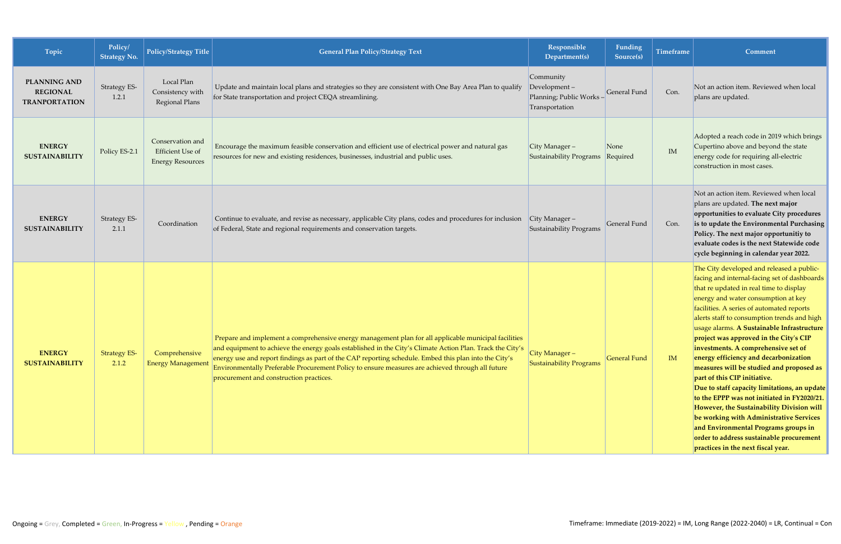| Topic                                                          | Policy/<br><b>Strategy No.</b> | Policy/Strategy Title                                           | <b>General Plan Policy/Strategy Text</b>                                                                                                                                                                                                                                                                                                                                                                                                                                  | Responsible<br>Department(s)                                            | Funding<br>Source(s) | <b>Timeframe</b> | <b>Comment</b>                                                                                                                                                                                                                                                                                                                                                                                                                                                                                                                                                                                                                                                                                                                                                                                                                               |
|----------------------------------------------------------------|--------------------------------|-----------------------------------------------------------------|---------------------------------------------------------------------------------------------------------------------------------------------------------------------------------------------------------------------------------------------------------------------------------------------------------------------------------------------------------------------------------------------------------------------------------------------------------------------------|-------------------------------------------------------------------------|----------------------|------------------|----------------------------------------------------------------------------------------------------------------------------------------------------------------------------------------------------------------------------------------------------------------------------------------------------------------------------------------------------------------------------------------------------------------------------------------------------------------------------------------------------------------------------------------------------------------------------------------------------------------------------------------------------------------------------------------------------------------------------------------------------------------------------------------------------------------------------------------------|
| <b>PLANNING AND</b><br><b>REGIONAL</b><br><b>TRANPORTATION</b> | <b>Strategy ES-</b><br>1.2.1   | Local Plan<br>Consistency with<br>Regional Plans                | Update and maintain local plans and strategies so they are consistent with One Bay Area Plan to qualify<br>for State transportation and project CEQA streamlining.                                                                                                                                                                                                                                                                                                        | Community<br>Development-<br>Planning; Public Works -<br>Transportation | <b>General Fund</b>  | Con.             | Not an action item. Reviewed when local<br>plans are updated.                                                                                                                                                                                                                                                                                                                                                                                                                                                                                                                                                                                                                                                                                                                                                                                |
| <b>ENERGY</b><br><b>SUSTAINABILITY</b>                         | Policy ES-2.1                  | Conservation and<br>Efficient Use of<br><b>Energy Resources</b> | Encourage the maximum feasible conservation and efficient use of electrical power and natural gas<br>resources for new and existing residences, businesses, industrial and public uses.                                                                                                                                                                                                                                                                                   | $City Manager -$<br>Sustainability Programs                             | None<br>Required     | IM               | Adopted a reach code in 2019 which brings<br>Cupertino above and beyond the state<br>energy code for requiring all-electric<br>construction in most cases.                                                                                                                                                                                                                                                                                                                                                                                                                                                                                                                                                                                                                                                                                   |
| <b>ENERGY</b><br><b>SUSTAINABILITY</b>                         | Strategy ES-<br>2.1.1          | Coordination                                                    | Continue to evaluate, and revise as necessary, applicable City plans, codes and procedures for inclusion<br>of Federal, State and regional requirements and conservation targets.                                                                                                                                                                                                                                                                                         | $City Manager -$<br>Sustainability Programs                             | General Fund         | Con.             | Not an action item. Reviewed when local<br>plans are updated. The next major<br>opportunities to evaluate City procedures<br>is to update the Environmental Purchasing<br>Policy. The next major opportunitiy to<br>evaluate codes is the next Statewide code<br>cycle beginning in calendar year 2022.                                                                                                                                                                                                                                                                                                                                                                                                                                                                                                                                      |
| <b>ENERGY</b><br><b>SUSTAINABILITY</b>                         | <b>Strategy ES-</b><br>2.1.2   | Comprehensive<br><b>Energy Management</b>                       | Prepare and implement a comprehensive energy management plan for all applicable municipal facilities<br>and equipment to achieve the energy goals established in the City's Climate Action Plan. Track the City's<br>energy use and report findings as part of the CAP reporting schedule. Embed this plan into the City's<br>Environmentally Preferable Procurement Policy to ensure measures are achieved through all future<br>procurement and construction practices. | City Manager-<br><b>Sustainability Programs</b>                         | <b>General Fund</b>  | IM               | The City developed and released a public-<br>facing and internal-facing set of dashboards<br>that re updated in real time to display<br>energy and water consumption at key<br>facilities. A series of automated reports<br>alerts staff to consumption trends and high<br>usage alarms. A Sustainable Infrastructure<br>project was approved in the City's CIP<br>investments. A comprehensive set of<br>energy efficiency and decarbonization<br>measures will be studied and proposed as<br>part of this CIP initiative.<br>Due to staff capacity limitations, an update<br>to the EPPP was not initiated in FY2020/21.<br>However, the Sustainability Division will<br>be working with Administrative Services<br>and Environmental Programs groups in<br>order to address sustainable procurement<br>practices in the next fiscal year. |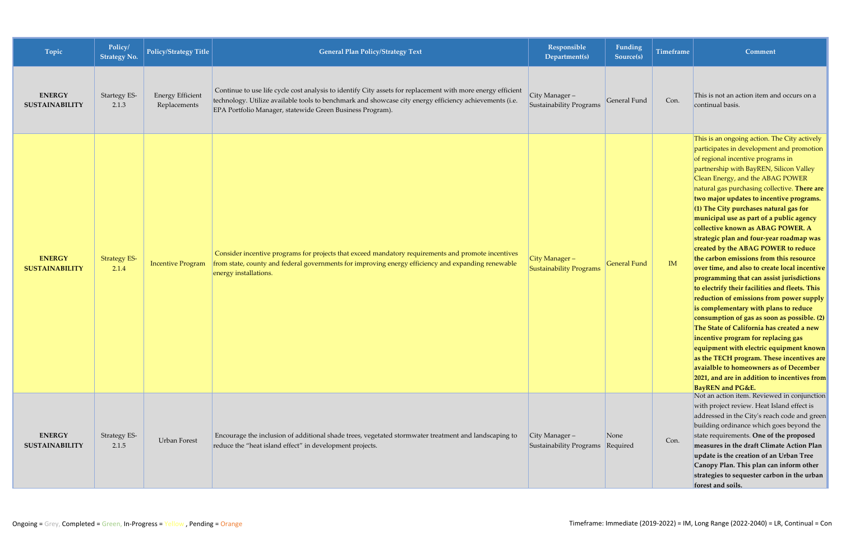| Topic                                  | Policy/<br><b>Strategy No.</b> | <b>Policy/Strategy Title</b>            | <b>General Plan Policy/Strategy Text</b>                                                                                                                                                                                                                                            | Responsible<br>Department(s)                     | Funding<br>Source(s) | <b>Timeframe</b> | Comment                                                                                                                                                                                                                                                                                                                                                                                                                                                                                                                                                                                                                                                                                                                                                                                                                                                                                                                                                                                                                                                                                                                                            |
|----------------------------------------|--------------------------------|-----------------------------------------|-------------------------------------------------------------------------------------------------------------------------------------------------------------------------------------------------------------------------------------------------------------------------------------|--------------------------------------------------|----------------------|------------------|----------------------------------------------------------------------------------------------------------------------------------------------------------------------------------------------------------------------------------------------------------------------------------------------------------------------------------------------------------------------------------------------------------------------------------------------------------------------------------------------------------------------------------------------------------------------------------------------------------------------------------------------------------------------------------------------------------------------------------------------------------------------------------------------------------------------------------------------------------------------------------------------------------------------------------------------------------------------------------------------------------------------------------------------------------------------------------------------------------------------------------------------------|
| <b>ENERGY</b><br><b>SUSTAINABILITY</b> | <b>Startegy ES-</b><br>2.1.3   | <b>Energy Efficient</b><br>Replacements | Continue to use life cycle cost analysis to identify City assets for replacement with more energy efficient<br>technology. Utilize available tools to benchmark and showcase city energy efficiency achievements (i.e.<br>EPA Portfolio Manager, statewide Green Business Program). | City Manager-<br>Sustainability Programs         | General Fund         | Con.             | This is not an action item and occurs on a<br>continual basis.                                                                                                                                                                                                                                                                                                                                                                                                                                                                                                                                                                                                                                                                                                                                                                                                                                                                                                                                                                                                                                                                                     |
| <b>ENERGY</b><br><b>SUSTAINABILITY</b> | <b>Strategy ES-</b><br>2.1.4   | <b>Incentive Program</b>                | Consider incentive programs for projects that exceed mandatory requirements and promote incentives<br>from state, county and federal governments for improving energy efficiency and expanding renewable<br>energy installations.                                                   | City Manager -<br><b>Sustainability Programs</b> | <b>General Fund</b>  | IM               | This is an ongoing action. The City actively<br>participates in development and promotion<br>of regional incentive programs in<br>partnership with BayREN, Silicon Valley<br>Clean Energy, and the ABAG POWER<br>natural gas purchasing collective. There are<br>two major updates to incentive programs.<br>$(1)$ The City purchases natural gas for<br>municipal use as part of a public agency<br>collective known as ABAG POWER. A<br>strategic plan and four-year roadmap was<br>created by the ABAG POWER to reduce<br>the carbon emissions from this resource<br>over time, and also to create local incentive<br>programming that can assist jurisdictions<br>to electrify their facilities and fleets. This<br>reduction of emissions from power supply<br>is complementary with plans to reduce<br>consumption of gas as soon as possible. (2)<br>The State of California has created a new<br>incentive program for replacing gas<br>equipment with electric equipment known<br>as the TECH program. These incentives are<br>avaialble to homeowners as of December<br>2021, and are in addition to incentives from<br>BayREN and PG&E. |
| <b>ENERGY</b><br><b>SUSTAINABILITY</b> | Strategy ES-<br>2.1.5          | <b>Urban Forest</b>                     | Encourage the inclusion of additional shade trees, vegetated stormwater treatment and landscaping to<br>reduce the "heat island effect" in development projects.                                                                                                                    | City Manager -<br><b>Sustainability Programs</b> | None<br>Required     | Con.             | Not an action item. Reviewed in conjunction<br>with project review. Heat Island effect is<br>addressed in the City's reach code and green<br>building ordinance which goes beyond the<br>state requirements. One of the proposed<br>measures in the draft Climate Action Plan<br>update is the creation of an Urban Tree<br>Canopy Plan. This plan can inform other<br>strategies to sequester carbon in the urban<br>forest and soils.                                                                                                                                                                                                                                                                                                                                                                                                                                                                                                                                                                                                                                                                                                            |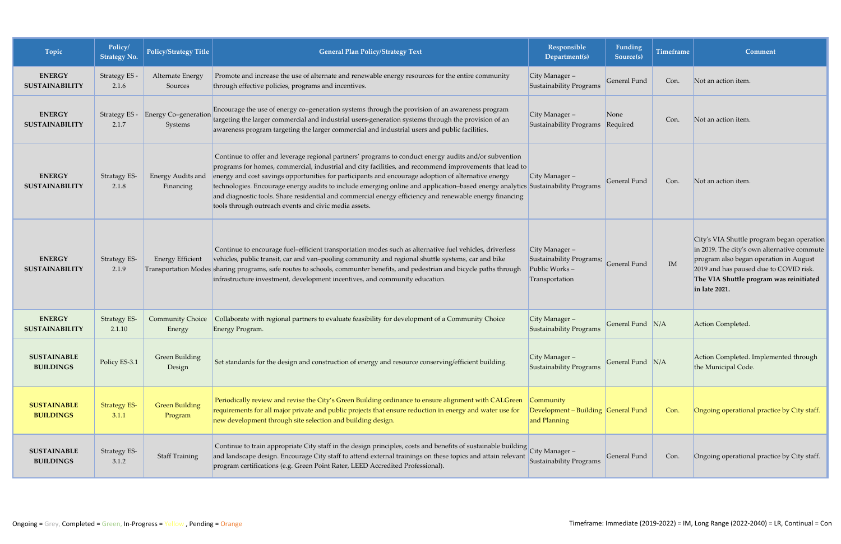| Topic                                  | Policy/<br><b>Strategy No.</b> | <b>Policy/Strategy Title</b>      | <b>General Plan Policy/Strategy Text</b>                                                                                                                                                                                                                                                                                                                                                                                                                                                                                                                                                                                       | Responsible<br>Department(s)                                                  | <b>Funding</b><br>Source(s) | <b>Timeframe</b> | Comment                                                                                                                                                                                                                                      |
|----------------------------------------|--------------------------------|-----------------------------------|--------------------------------------------------------------------------------------------------------------------------------------------------------------------------------------------------------------------------------------------------------------------------------------------------------------------------------------------------------------------------------------------------------------------------------------------------------------------------------------------------------------------------------------------------------------------------------------------------------------------------------|-------------------------------------------------------------------------------|-----------------------------|------------------|----------------------------------------------------------------------------------------------------------------------------------------------------------------------------------------------------------------------------------------------|
| <b>ENERGY</b><br><b>SUSTAINABILITY</b> | Strategy ES -<br>2.1.6         | Alternate Energy<br>Sources       | Promote and increase the use of alternate and renewable energy resources for the entire community<br>through effective policies, programs and incentives.                                                                                                                                                                                                                                                                                                                                                                                                                                                                      | City Manager-<br>Sustainability Programs                                      | General Fund                | Con.             | Not an action item.                                                                                                                                                                                                                          |
| <b>ENERGY</b><br><b>SUSTAINABILITY</b> | Strategy ES -<br>2.1.7         | Energy Co-generation<br>Systems   | Encourage the use of energy co-generation systems through the provision of an awareness program<br>targeting the larger commercial and industrial users-generation systems through the provision of an<br>awareness program targeting the larger commercial and industrial users and public facilities.                                                                                                                                                                                                                                                                                                                        | City Manager -<br>Sustainability Programs                                     | None<br>Required            | Con.             | Not an action item.                                                                                                                                                                                                                          |
| <b>ENERGY</b><br><b>SUSTAINABILITY</b> | Stratagy ES-<br>2.1.8          | Energy Audits and<br>Financing    | Continue to offer and leverage regional partners' programs to conduct energy audits and/or subvention<br>programs for homes, commercial, industrial and city facilities, and recommend improvements that lead to<br>energy and cost savings opportunities for participants and encourage adoption of alternative energy<br>technologies. Encourage energy audits to include emerging online and application-based energy analytics Sustainability Programs<br>and diagnostic tools. Share residential and commercial energy efficiency and renewable energy financing<br>tools through outreach events and civic media assets. | City Manager $-$                                                              | General Fund                | Con.             | Not an action item.                                                                                                                                                                                                                          |
| <b>ENERGY</b><br><b>SUSTAINABILITY</b> | <b>Strategy ES-</b><br>2.1.9   | <b>Energy Efficient</b>           | Continue to encourage fuel-efficient transportation modes such as alternative fuel vehicles, driverless<br>vehicles, public transit, car and van-pooling community and regional shuttle systems, car and bike<br>Transportation Modes sharing programs, safe routes to schools, communter benefits, and pedestrian and bicycle paths through<br>infrastructure investment, development incentives, and community education.                                                                                                                                                                                                    | City Manager -<br>Sustainability Programs;<br>Public Works-<br>Transportation | General Fund                | IM               | City's VIA Shuttle program began operation<br>in 2019. The city's own alternative commute<br>program also began operation in August<br>2019 and has paused due to COVID risk.<br>The VIA Shuttle program was reinitiated<br>$\ln$ late 2021. |
| <b>ENERGY</b><br><b>SUSTAINABILITY</b> | <b>Strategy ES-</b><br>2.1.10  | <b>Community Choice</b><br>Energy | Collaborate with regional partners to evaluate feasibility for development of a Community Choice<br>Energy Program.                                                                                                                                                                                                                                                                                                                                                                                                                                                                                                            | City Manager $-$<br>Sustainability Programs                                   | General Fund N/A            |                  | Action Completed.                                                                                                                                                                                                                            |
| <b>SUSTAINABLE</b><br><b>BUILDINGS</b> | Policy ES-3.1                  | <b>Green Building</b><br>Design   | Set standards for the design and construction of energy and resource conserving/efficient building.                                                                                                                                                                                                                                                                                                                                                                                                                                                                                                                            | City Manager-<br>Sustainability Programs                                      | General Fund N/A            |                  | Action Completed. Implemented through<br>the Municipal Code.                                                                                                                                                                                 |
| <b>SUSTAINABLE</b><br><b>BUILDINGS</b> | <b>Strategy ES-</b><br>3.1.1   | <b>Green Building</b><br>Program  | Periodically review and revise the City's Green Building ordinance to ensure alignment with CALGreen<br>requirements for all major private and public projects that ensure reduction in energy and water use for<br>new development through site selection and building design.                                                                                                                                                                                                                                                                                                                                                | Community<br>Development - Building General Fund<br>and Planning              |                             | Con.             | Ongoing operational practice by City staff.                                                                                                                                                                                                  |
| <b>SUSTAINABLE</b><br><b>BUILDINGS</b> | Strategy ES-<br>3.1.2          | <b>Staff Training</b>             | Continue to train appropriate City staff in the design principles, costs and benefits of sustainable building City Manager -<br>and landscape design. Encourage City staff to attend external trainings on these topics and attain relevant<br>program certifications (e.g. Green Point Rater, LEED Accredited Professional).                                                                                                                                                                                                                                                                                                  | Sustainability Programs                                                       | General Fund                | Con.             | Ongoing operational practice by City staff.                                                                                                                                                                                                  |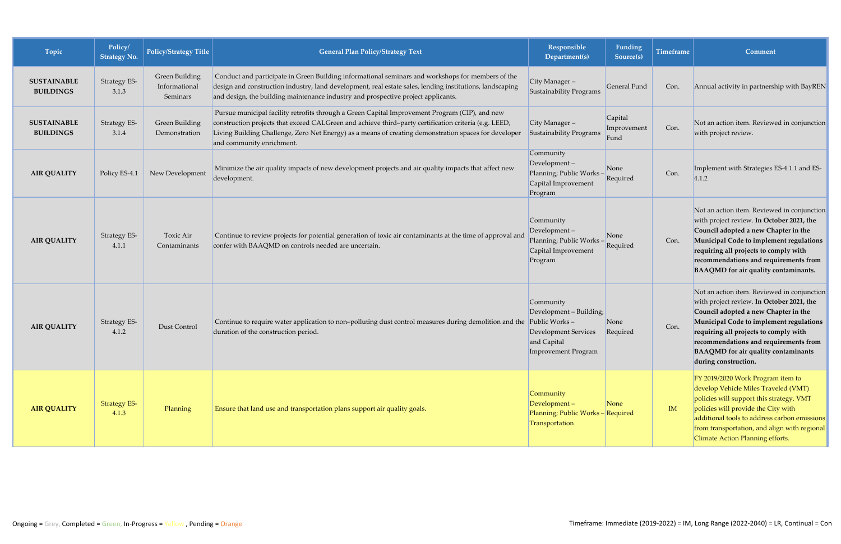| Topic                                  | Policy/<br><b>Strategy No.</b> | <b>Policy/Strategy Title</b>                | <b>General Plan Policy/Strategy Text</b>                                                                                                                                                                                                                                                                                                      | Responsible<br>Department(s)                                                                                        | Funding<br>Source(s)           | <b>Timeframe</b> | Comment                                                                                                                                                                                                                                                                                                                             |
|----------------------------------------|--------------------------------|---------------------------------------------|-----------------------------------------------------------------------------------------------------------------------------------------------------------------------------------------------------------------------------------------------------------------------------------------------------------------------------------------------|---------------------------------------------------------------------------------------------------------------------|--------------------------------|------------------|-------------------------------------------------------------------------------------------------------------------------------------------------------------------------------------------------------------------------------------------------------------------------------------------------------------------------------------|
| <b>SUSTAINABLE</b><br><b>BUILDINGS</b> | <b>Strategy ES-</b><br>3.1.3   | Green Building<br>Informational<br>Seminars | Conduct and participate in Green Building informational seminars and workshops for members of the<br>design and construction industry, land development, real estate sales, lending institutions, landscaping<br>and design, the building maintenance industry and prospective project applicants.                                            | City Manager-<br>Sustainability Programs                                                                            | General Fund                   | Con.             | Annual activity in partnership with BayREN                                                                                                                                                                                                                                                                                          |
| <b>SUSTAINABLE</b><br><b>BUILDINGS</b> | <b>Strategy ES-</b><br>3.1.4   | Green Building<br>Demonstration             | Pursue municipal facility retrofits through a Green Capital Improvement Program (CIP), and new<br>construction projects that exceed CALGreen and achieve third-party certification criteria (e.g. LEED,<br>Living Building Challenge, Zero Net Energy) as a means of creating demonstration spaces for developer<br>and community enrichment. | City Manager-<br>Sustainability Programs                                                                            | Capital<br>Improvement<br>Fund | Con.             | Not an action item. Reviewed in conjunction<br>with project review.                                                                                                                                                                                                                                                                 |
| <b>AIR QUALITY</b>                     | Policy ES-4.1                  | New Development                             | Minimize the air quality impacts of new development projects and air quality impacts that affect new<br>development.                                                                                                                                                                                                                          | Community<br>Development-<br>Planning; Public Works-<br>Capital Improvement<br>Program                              | None<br>Required               | Con.             | Implement with Strategies ES-4.1.1 and ES-<br> 4.1.2                                                                                                                                                                                                                                                                                |
| <b>AIR QUALITY</b>                     | Strategy ES-<br>4.1.1          | Toxic Air<br>Contaminants                   | Continue to review projects for potential generation of toxic air contaminants at the time of approval and<br>confer with BAAQMD on controls needed are uncertain.                                                                                                                                                                            | Community<br>Development-<br>Planning; Public Works -<br>Capital Improvement<br>Program                             | None<br>Required               | Con.             | Not an action item. Reviewed in conjunction<br>with project review. In October 2021, the<br>Council adopted a new Chapter in the<br>Municipal Code to implement regulations<br>requiring all projects to comply with<br>recommendations and requirements from<br>BAAQMD for air quality contaminants.                               |
| <b>AIR QUALITY</b>                     | Strategy ES-<br>4.1.2          | Dust Control                                | Continue to require water application to non-polluting dust control measures during demolition and the<br>duration of the construction period.                                                                                                                                                                                                | Community<br>Development - Building;<br>Public Works-<br>Development Services<br>and Capital<br>Improvement Program | None<br>Required               | Con.             | Not an action item. Reviewed in conjunction<br>with project review. In October 2021, the<br>Council adopted a new Chapter in the<br>Municipal Code to implement regulations<br>requiring all projects to comply with<br>recommendations and requirements from<br><b>BAAQMD</b> for air quality contaminants<br>during construction. |
| <b>AIR QUALITY</b>                     | <b>Strategy ES-</b><br>4.1.3   | Planning                                    | Ensure that land use and transportation plans support air quality goals.                                                                                                                                                                                                                                                                      | Community<br>Development-<br>Planning; Public Works - Required<br>Transportation                                    | None                           | IM               | FY 2019/2020 Work Program item to<br>develop Vehicle Miles Traveled (VMT)<br>policies will support this strategy. VMT<br>policies will provide the City with<br>additional tools to address carbon emissions<br>from transportation, and align with regional<br>Climate Action Planning efforts.                                    |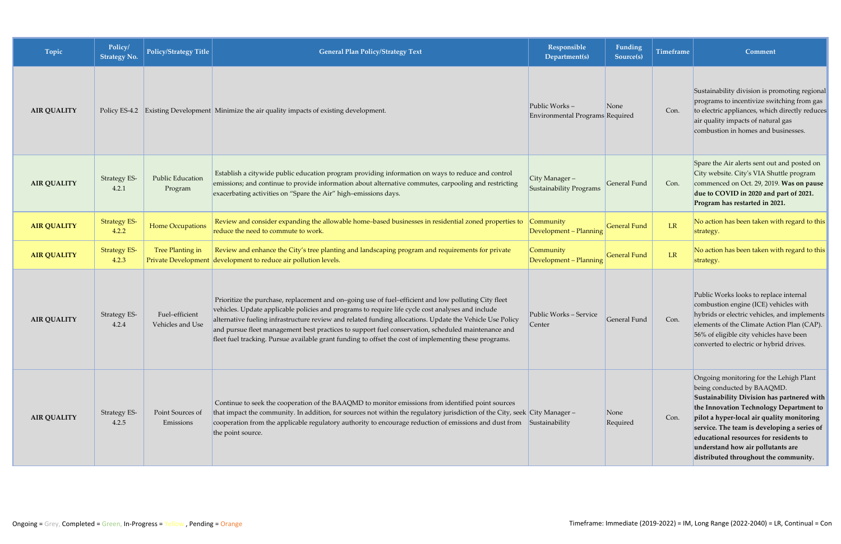| Topic              | Policy/<br><b>Strategy No.</b> | <b>Policy/Strategy Title</b>       | <b>General Plan Policy/Strategy Text</b>                                                                                                                                                                                                                                                                                                                                                                                                                                                                                              | Responsible<br>Department(s)                     | Funding<br>Source(s) | Timeframe | Comment                                                                                                                                                                                                                                                                                                                                                                             |
|--------------------|--------------------------------|------------------------------------|---------------------------------------------------------------------------------------------------------------------------------------------------------------------------------------------------------------------------------------------------------------------------------------------------------------------------------------------------------------------------------------------------------------------------------------------------------------------------------------------------------------------------------------|--------------------------------------------------|----------------------|-----------|-------------------------------------------------------------------------------------------------------------------------------------------------------------------------------------------------------------------------------------------------------------------------------------------------------------------------------------------------------------------------------------|
| <b>AIR QUALITY</b> |                                |                                    | Policy ES-4.2 Existing Development Minimize the air quality impacts of existing development.                                                                                                                                                                                                                                                                                                                                                                                                                                          | Public Works-<br>Environmental Programs Required | None                 | Con.      | Sustainability division is promoting regional<br>programs to incentivize switching from gas<br>to electric appliances, which directly reduces<br>air quality impacts of natural gas<br>combustion in homes and businesses.                                                                                                                                                          |
| <b>AIR QUALITY</b> | <b>Strategy ES-</b><br>4.2.1   | Public Education<br>Program        | Establish a citywide public education program providing information on ways to reduce and control<br>emissions; and continue to provide information about alternative commutes, carpooling and restricting<br>exacerbating activities on "Spare the Air" high-emissions days.                                                                                                                                                                                                                                                         | City Manager -<br><b>Sustainability Programs</b> | General Fund         | Con.      | Spare the Air alerts sent out and posted on<br>City website. City's VIA Shuttle program<br>commenced on Oct. 29, 2019. Was on pause<br>due to COVID in 2020 and part of 2021.<br>Program has restarted in 2021.                                                                                                                                                                     |
| <b>AIR QUALITY</b> | <b>Strategy ES-</b><br>4.2.2   | Home Occupations                   | Review and consider expanding the allowable home-based businesses in residential zoned properties to<br>reduce the need to commute to work.                                                                                                                                                                                                                                                                                                                                                                                           | Community<br>Development - Planning              | <b>General Fund</b>  | LR        | No action has been taken with regard to this<br>strategy.                                                                                                                                                                                                                                                                                                                           |
| <b>AIR QUALITY</b> | <b>Strategy ES-</b><br>4.2.3   | Tree Planting in                   | Review and enhance the City's tree planting and landscaping program and requirements for private<br>Private Development development to reduce air pollution levels.                                                                                                                                                                                                                                                                                                                                                                   | Community<br>Development - Planning              | <b>General Fund</b>  | LR        | No action has been taken with regard to this<br>strategy.                                                                                                                                                                                                                                                                                                                           |
| <b>AIR QUALITY</b> | Strategy ES-<br>4.2.4          | Fuel-efficient<br>Vehicles and Use | Prioritize the purchase, replacement and on-going use of fuel-efficient and low polluting City fleet<br>vehicles. Update applicable policies and programs to require life cycle cost analyses and include<br>alternative fueling infrastructure review and related funding allocations. Update the Vehicle Use Policy<br>and pursue fleet management best practices to support fuel conservation, scheduled maintenance and<br>fleet fuel tracking. Pursue available grant funding to offset the cost of implementing these programs. | Public Works - Service<br>Center                 | General Fund         | Con.      | Public Works looks to replace internal<br>combustion engine (ICE) vehicles with<br>hybrids or electric vehicles, and implements<br>elements of the Climate Action Plan (CAP).<br>56% of eligible city vehicles have been<br>converted to electric or hybrid drives.                                                                                                                 |
| <b>AIR QUALITY</b> | <b>Strategy ES-</b><br>4.2.5   | Point Sources of<br>Emissions      | Continue to seek the cooperation of the BAAQMD to monitor emissions from identified point sources<br>that impact the community. In addition, for sources not within the regulatory jurisdiction of the City, seek City Manager -<br>cooperation from the applicable regulatory authority to encourage reduction of emissions and dust from Sustainability<br>the point source.                                                                                                                                                        |                                                  | None<br>Required     | Con.      | Ongoing monitoring for the Lehigh Plant<br>being conducted by BAAQMD.<br>Sustainability Division has partnered with<br>the Innovation Technology Department to<br>pilot a hyper-local air quality monitoring<br>service. The team is developing a series of<br>educational resources for residents to<br>understand how air pollutants are<br>distributed throughout the community. |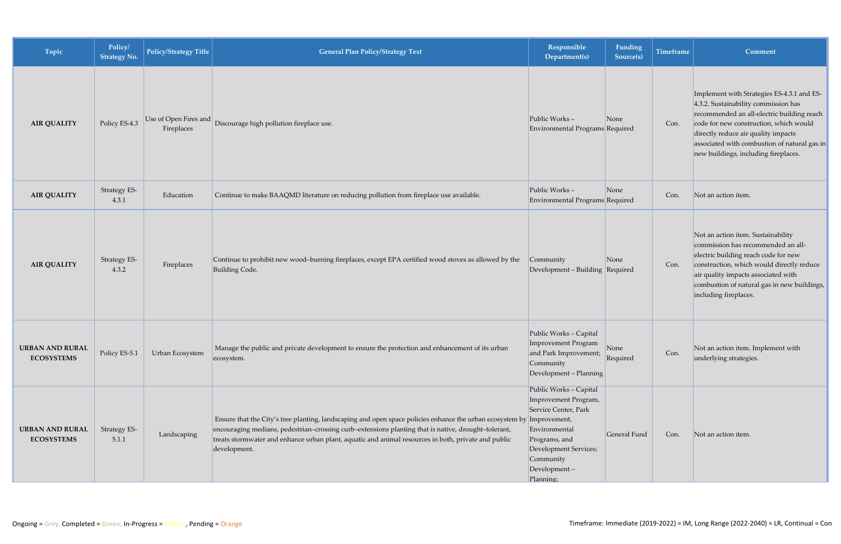| Topic                                       | Policy/<br><b>Strategy No.</b> | Policy/Strategy Title               | <b>General Plan Policy/Strategy Text</b>                                                                                                                                                                                                                                                                                                            | Responsible<br>Department(s)                                                                                                                                                | Funding<br>Source(s) | <b>Timeframe</b> | Comment                                                                                                                                                                                                                                                                                                   |
|---------------------------------------------|--------------------------------|-------------------------------------|-----------------------------------------------------------------------------------------------------------------------------------------------------------------------------------------------------------------------------------------------------------------------------------------------------------------------------------------------------|-----------------------------------------------------------------------------------------------------------------------------------------------------------------------------|----------------------|------------------|-----------------------------------------------------------------------------------------------------------------------------------------------------------------------------------------------------------------------------------------------------------------------------------------------------------|
| <b>AIR QUALITY</b>                          | Policy ES-4.3                  | Use of Open Fires and<br>Fireplaces | Discourage high pollution fireplace use.                                                                                                                                                                                                                                                                                                            | Public Works-<br>Environmental Programs Required                                                                                                                            | None                 | Con.             | Implement with Strategies ES-4.3.1 and ES-<br>4.3.2. Sustainability commission has<br>recommended an all-electric building reach<br>code for new construction, which would<br>directly reduce air quality impacts<br>associated with combustion of natural gas in<br>new buildings, including fireplaces. |
| <b>AIR QUALITY</b>                          | Strategy ES-<br>4.3.1          | Education                           | Continue to make BAAQMD literature on reducing pollution from fireplace use available.                                                                                                                                                                                                                                                              | Public Works-<br>Environmental Programs Required                                                                                                                            | None                 | Con.             | Not an action item.                                                                                                                                                                                                                                                                                       |
| <b>AIR QUALITY</b>                          | Strategy ES-<br>4.3.2          | Fireplaces                          | Continue to prohibit new wood-burning fireplaces, except EPA certified wood stoves as allowed by the<br><b>Building Code.</b>                                                                                                                                                                                                                       | Community<br>Development - Building Required                                                                                                                                | None                 | Con.             | Not an action item. Sustainability<br>commission has recommended an all-<br>electric building reach code for new<br>construction, which would directly reduce<br>air quality impacts associated with<br>combustion of natural gas in new buildings,<br>including fireplaces.                              |
| <b>URBAN AND RURAL</b><br><b>ECOSYSTEMS</b> | Policy ES-5.1                  | Urban Ecosystem                     | Manage the public and private development to ensure the protection and enhancement of its urban<br>ecosystem.                                                                                                                                                                                                                                       | Public Works - Capital<br>Improvement Program<br>and Park Improvement;<br>Community<br>Development - Planning                                                               | None<br>Required     | Con.             | Not an action item. Implement with<br>underlying strategies.                                                                                                                                                                                                                                              |
| <b>URBAN AND RURAL</b><br><b>ECOSYSTEMS</b> | Strategy ES-<br>5.1.1          | Landscaping                         | Ensure that the City's tree planting, landscaping and open space policies enhance the urban ecosystem by Improvement,<br>encouraging medians, pedestrian-crossing curb-extensions planting that is native, drought-tolerant,<br>treats stormwater and enhance urban plant, aquatic and animal resources in both, private and public<br>development. | Public Works - Capital<br>Improvement Program,<br>Service Center, Park<br>Environmental<br>Programs, and<br>Development Services;<br>Community<br>Development-<br>Planning; | General Fund         | Con.             | Not an action item.                                                                                                                                                                                                                                                                                       |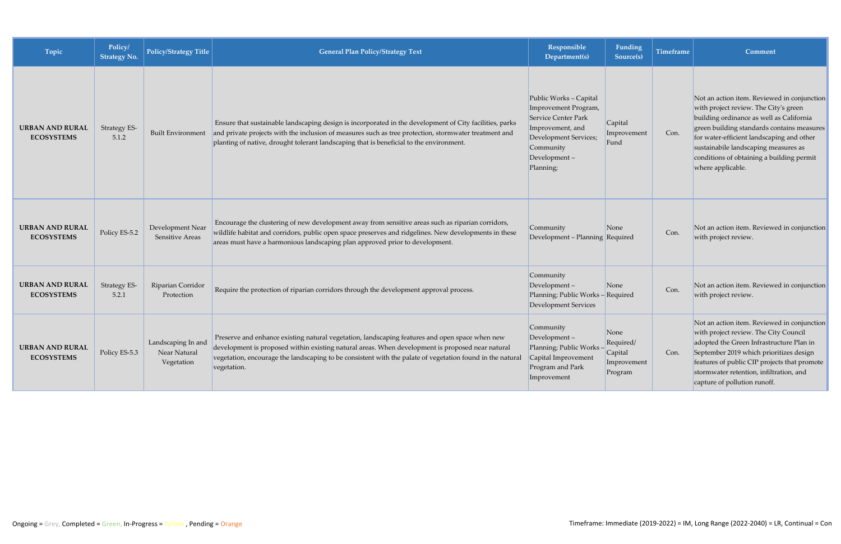| Topic                                       | Policy/<br><b>Strategy No.</b> | <b>Policy/Strategy Title</b>                     | <b>General Plan Policy/Strategy Text</b>                                                                                                                                                                                                                                                                                       | Responsible<br>Department(s)                                                                                                                                 | Funding<br>Source(s)                                   | <b>Timeframe</b> | Comment                                                                                                                                                                                                                                                                                                                               |
|---------------------------------------------|--------------------------------|--------------------------------------------------|--------------------------------------------------------------------------------------------------------------------------------------------------------------------------------------------------------------------------------------------------------------------------------------------------------------------------------|--------------------------------------------------------------------------------------------------------------------------------------------------------------|--------------------------------------------------------|------------------|---------------------------------------------------------------------------------------------------------------------------------------------------------------------------------------------------------------------------------------------------------------------------------------------------------------------------------------|
| <b>URBAN AND RURAL</b><br><b>ECOSYSTEMS</b> | <b>Strategy ES-</b><br>5.1.2   | Built Environment                                | Ensure that sustainable landscaping design is incorporated in the development of City facilities, parks<br>and private projects with the inclusion of measures such as tree protection, stormwater treatment and<br>planting of native, drought tolerant landscaping that is beneficial to the environment.                    | Public Works - Capital<br>Improvement Program,<br>Service Center Park<br>Improvement, and<br>Development Services;<br>Community<br>Development-<br>Planning; | Capital<br>Improvement<br>Fund                         | Con.             | Not an action item. Reviewed in conjunction<br>with project review. The City's green<br>building ordinance as well as California<br>green building standards contains measures<br>for water-efficient landscaping and other<br>sustainabile landscaping measures as<br>conditions of obtaining a building permit<br>where applicable. |
| <b>URBAN AND RURAL</b><br><b>ECOSYSTEMS</b> | Policy ES-5.2                  | Development Near<br>Sensitive Areas              | Encourage the clustering of new development away from sensitive areas such as riparian corridors,<br>wildlife habitat and corridors, public open space preserves and ridgelines. New developments in these<br>areas must have a harmonious landscaping plan approved prior to development.                                     | Community<br>Development - Planning Required                                                                                                                 | None                                                   | Con.             | Not an action item. Reviewed in conjunction<br>with project review.                                                                                                                                                                                                                                                                   |
| <b>URBAN AND RURAL</b><br><b>ECOSYSTEMS</b> | <b>Strategy ES-</b><br>5.2.1   | Riparian Corridor<br>Protection                  | Require the protection of riparian corridors through the development approval process.                                                                                                                                                                                                                                         | Community<br>Development-<br>Planning; Public Works - Required<br>Development Services                                                                       | None                                                   | Con.             | Not an action item. Reviewed in conjunction<br>with project review.                                                                                                                                                                                                                                                                   |
| <b>URBAN AND RURAL</b><br><b>ECOSYSTEMS</b> | Policy ES-5.3                  | Landscaping In and<br>Near Natural<br>Vegetation | Preserve and enhance existing natural vegetation, landscaping features and open space when new<br>development is proposed within existing natural areas. When development is proposed near natural<br>vegetation, encourage the landscaping to be consistent with the palate of vegetation found in the natural<br>vegetation. | Community<br>Development-<br>Planning; Public Works<br>Capital Improvement<br>Program and Park<br>Improvement                                                | None<br>Required/<br>Capital<br>Improvement<br>Program | Con.             | Not an action item. Reviewed in conjunction<br>with project review. The City Council<br>adopted the Green Infrastructure Plan in<br>September 2019 which prioritizes design<br>features of public CIP projects that promote<br>stormwater retention, infiltration, and<br>capture of pollution runoff.                                |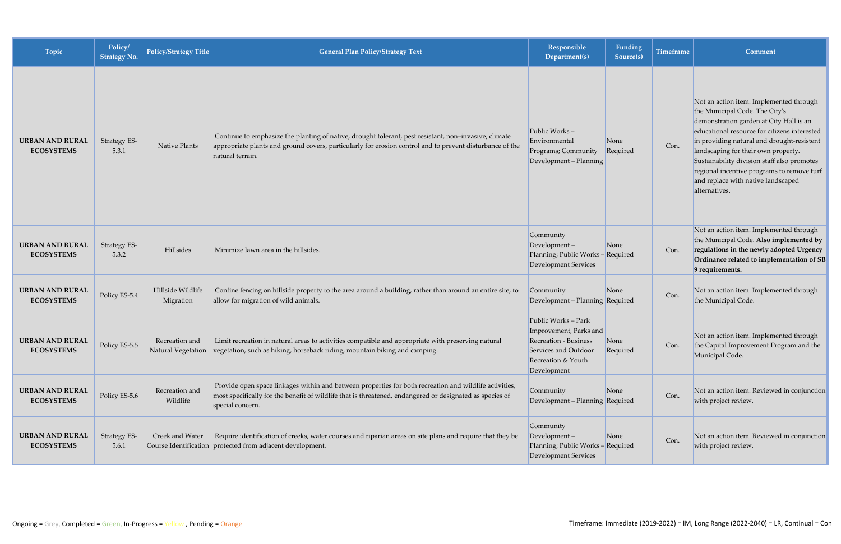| Topic                                       | Policy/<br><b>Strategy No.</b> | <b>Policy/Strategy Title</b>   | <b>General Plan Policy/Strategy Text</b>                                                                                                                                                                                               | Responsible<br>Department(s)                                                                                                               | <b>Funding</b><br>Source(s) | <b>Timeframe</b> | Comment                                                                                                                                                                                                                                                                                                                                                                                                       |
|---------------------------------------------|--------------------------------|--------------------------------|----------------------------------------------------------------------------------------------------------------------------------------------------------------------------------------------------------------------------------------|--------------------------------------------------------------------------------------------------------------------------------------------|-----------------------------|------------------|---------------------------------------------------------------------------------------------------------------------------------------------------------------------------------------------------------------------------------------------------------------------------------------------------------------------------------------------------------------------------------------------------------------|
| <b>URBAN AND RURAL</b><br><b>ECOSYSTEMS</b> | Strategy ES-<br>5.3.1          | Native Plants                  | Continue to emphasize the planting of native, drought tolerant, pest resistant, non-invasive, climate<br>appropriate plants and ground covers, particularly for erosion control and to prevent disturbance of the<br>natural terrain.  | Public Works-<br>Environmental<br>Programs; Community<br>Development - Planning                                                            | None<br>Required            | Con.             | Not an action item. Implemented through<br>the Municipal Code. The City's<br>demonstration garden at City Hall is an<br>educational resource for citizens interested<br>in providing natural and drought-resistent<br>landscaping for their own property.<br>Sustainability division staff also promotes<br>regional incentive programs to remove turf<br>and replace with native landscaped<br>alternatives. |
| <b>URBAN AND RURAL</b><br><b>ECOSYSTEMS</b> | Strategy ES-<br>5.3.2          | Hillsides                      | Minimize lawn area in the hillsides.                                                                                                                                                                                                   | Community<br>Development-<br>Planning; Public Works - Required<br>Development Services                                                     | None                        | Con.             | Not an action item. Implemented through<br>the Municipal Code. Also implemented by<br>regulations in the newly adopted Urgency<br>Ordinance related to implementation of SB<br>9 requirements.                                                                                                                                                                                                                |
| <b>URBAN AND RURAL</b><br><b>ECOSYSTEMS</b> | Policy ES-5.4                  | Hillside Wildlife<br>Migration | Confine fencing on hillside property to the area around a building, rather than around an entire site, to<br>allow for migration of wild animals.                                                                                      | Community<br>Development - Planning Required                                                                                               | None                        | Con.             | Not an action item. Implemented through<br>the Municipal Code.                                                                                                                                                                                                                                                                                                                                                |
| <b>URBAN AND RURAL</b><br><b>ECOSYSTEMS</b> | Policy ES-5.5                  | Recreation and                 | Limit recreation in natural areas to activities compatible and appropriate with preserving natural<br>Natural Vegetation vegetation, such as hiking, horseback riding, mountain biking and camping.                                    | Public Works - Park<br>Improvement, Parks and<br><b>Recreation - Business</b><br>Services and Outdoor<br>Recreation & Youth<br>Development | None<br>Required            | Con.             | Not an action item. Implemented through<br>the Capital Improvement Program and the<br>Municipal Code.                                                                                                                                                                                                                                                                                                         |
| <b>URBAN AND RURAL</b><br><b>ECOSYSTEMS</b> | Policy ES-5.6                  | Recreation and<br>Wildlife     | Provide open space linkages within and between properties for both recreation and wildlife activities,<br>most specifically for the benefit of wildlife that is threatened, endangered or designated as species of<br>special concern. | Community<br>Development - Planning Required                                                                                               | None                        | Con.             | Not an action item. Reviewed in conjunction<br>with project review.                                                                                                                                                                                                                                                                                                                                           |
| <b>URBAN AND RURAL</b><br><b>ECOSYSTEMS</b> | <b>Strategy ES-</b><br>5.6.1   | Creek and Water                | Require identification of creeks, water courses and riparian areas on site plans and require that they be<br>Course Identification protected from adjacent development.                                                                | Community<br>Development-<br>Planning; Public Works - Required<br>Development Services                                                     | None                        | Con.             | Not an action item. Reviewed in conjunction<br>with project review.                                                                                                                                                                                                                                                                                                                                           |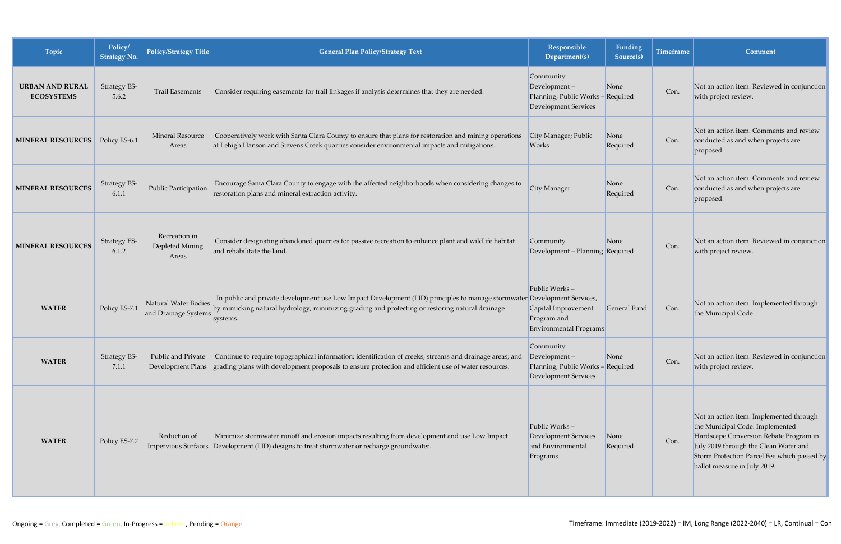| Topic                                       | Policy/<br><b>Strategy No.</b> | <b>Policy/Strategy Title</b>                 | <b>General Plan Policy/Strategy Text</b>                                                                                                                                                                                                | <b>Responsible</b><br>Department(s)                                                             | Funding<br>Source(s) | <b>Timeframe</b> | Comment                                                                                                                                                                                                                                      |
|---------------------------------------------|--------------------------------|----------------------------------------------|-----------------------------------------------------------------------------------------------------------------------------------------------------------------------------------------------------------------------------------------|-------------------------------------------------------------------------------------------------|----------------------|------------------|----------------------------------------------------------------------------------------------------------------------------------------------------------------------------------------------------------------------------------------------|
| <b>URBAN AND RURAL</b><br><b>ECOSYSTEMS</b> | Strategy ES-<br>5.6.2          | <b>Trail Easements</b>                       | Consider requiring easements for trail linkages if analysis determines that they are needed.                                                                                                                                            | Community<br>$Development -$<br>Planning; Public Works - Required<br>Development Services       | None                 | Con.             | Not an action item. Reviewed in conjunction<br>with project review.                                                                                                                                                                          |
| <b>MINERAL RESOURCES</b>                    | Policy ES-6.1                  | <b>Mineral Resource</b><br>Areas             | Cooperatively work with Santa Clara County to ensure that plans for restoration and mining operations<br>at Lehigh Hanson and Stevens Creek quarries consider environmental impacts and mitigations.                                    | City Manager; Public<br>Works                                                                   | None<br>Required     | Con.             | Not an action item. Comments and review<br>conducted as and when projects are<br>proposed.                                                                                                                                                   |
| <b>MINERAL RESOURCES</b>                    | Strategy ES-<br>6.1.1          | Public Participation                         | Encourage Santa Clara County to engage with the affected neighborhoods when considering changes to<br>restoration plans and mineral extraction activity.                                                                                | City Manager                                                                                    | None<br>Required     | Con.             | Not an action item. Comments and review<br>conducted as and when projects are<br>proposed.                                                                                                                                                   |
| <b>MINERAL RESOURCES</b>                    | Strategy ES-<br>6.1.2          | Recreation in<br>Depleted Mining<br>Areas    | Consider designating abandoned quarries for passive recreation to enhance plant and wildlife habitat<br>and rehabilitate the land.                                                                                                      | Community<br>Development - Planning Required                                                    | None                 | Con.             | Not an action item. Reviewed in conjunction<br>with project review.                                                                                                                                                                          |
| <b>WATER</b>                                | Policy ES-7.1                  | Natural Water Bodies<br>and Drainage Systems | In public and private development use Low Impact Development (LID) principles to manage stormwater Development Services,<br>by mimicking natural hydrology, minimizing grading and protecting or restoring natural drainage<br>systems. | Public Works-<br>Capital Improvement<br>Program and<br>Environmental Programs                   | General Fund         | Con.             | Not an action item. Implemented through<br>the Municipal Code.                                                                                                                                                                               |
| <b>WATER</b>                                | Strategy ES-<br>7.1.1          | Public and Private<br>Development Plans      | Continue to require topographical information; identification of creeks, streams and drainage areas; and<br>grading plans with development proposals to ensure protection and efficient use of water resources.                         | Community<br>$\vert$ Development –<br>Planning; Public Works - Required<br>Development Services | None                 | Con.             | Not an action item. Reviewed in conjunction<br>with project review.                                                                                                                                                                          |
| <b>WATER</b>                                | Policy ES-7.2                  | Reduction of                                 | Minimize stormwater runoff and erosion impacts resulting from development and use Low Impact<br>Impervious Surfaces Development (LID) designs to treat stormwater or recharge groundwater.                                              | Public Works-<br>Development Services<br>and Environmental<br>Programs                          | None<br>Required     | Con.             | Not an action item. Implemented through<br>the Municipal Code. Implemented<br>Hardscape Conversion Rebate Program in<br>July 2019 through the Clean Water and<br>Storm Protection Parcel Fee which passed by<br>ballot measure in July 2019. |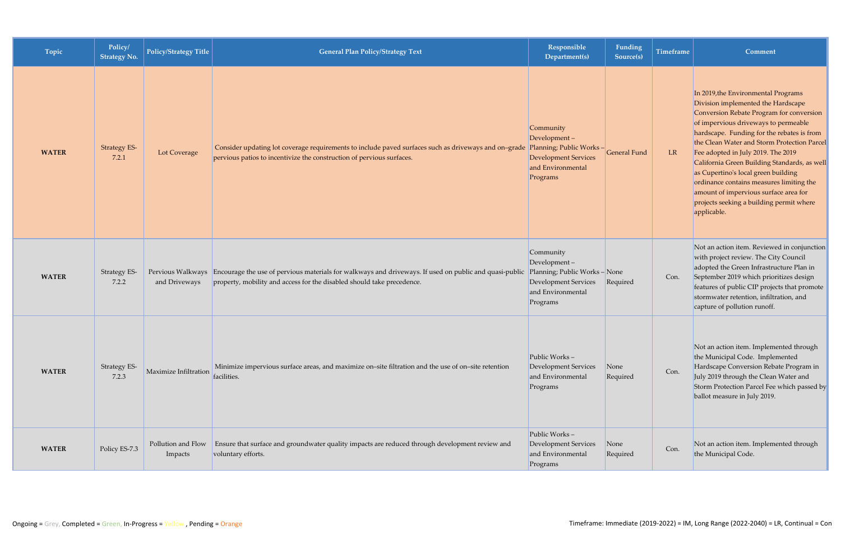| Topic        | Policy/<br><b>Strategy No.</b> | <b>Policy/Strategy Title</b>       | <b>General Plan Policy/Strategy Text</b>                                                                                                                                                              | Responsible<br>Department(s)                                                                                                  | Funding<br>Source(s) | <b>Timeframe</b> | Comment                                                                                                                                                                                                                                                                                                                                                                                                                                                                                                                                 |
|--------------|--------------------------------|------------------------------------|-------------------------------------------------------------------------------------------------------------------------------------------------------------------------------------------------------|-------------------------------------------------------------------------------------------------------------------------------|----------------------|------------------|-----------------------------------------------------------------------------------------------------------------------------------------------------------------------------------------------------------------------------------------------------------------------------------------------------------------------------------------------------------------------------------------------------------------------------------------------------------------------------------------------------------------------------------------|
| <b>WATER</b> | Strategy ES-<br>7.2.1          | Lot Coverage                       | Consider updating lot coverage requirements to include paved surfaces such as driveways and on-grade Planning; Public Works-<br>pervious patios to incentivize the construction of pervious surfaces. | Community<br>$\vert$ Development –<br><b>Development Services</b><br>and Environmental<br>Programs                            | General Fund         | LR               | In 2019, the Environmental Programs<br>Division implemented the Hardscape<br>Conversion Rebate Program for conversion<br>of impervious driveways to permeable<br>hardscape. Funding for the rebates is from<br>the Clean Water and Storm Protection Parcel<br>Fee adopted in July 2019. The 2019<br>California Green Building Standards, as well<br>as Cupertino's local green building<br>ordinance contains measures limiting the<br>amount of impervious surface area for<br>projects seeking a building permit where<br>applicable. |
| <b>WATER</b> | <b>Strategy ES-</b><br>7.2.2   | Pervious Walkways<br>and Driveways | Encourage the use of pervious materials for walkways and driveways. If used on public and quasi-public<br>property, mobility and access for the disabled should take precedence.                      | Community<br>$Development -$<br>Planning; Public Works - None<br><b>Development Services</b><br>and Environmental<br>Programs | Required             | Con.             | Not an action item. Reviewed in conjunction<br>with project review. The City Council<br>adopted the Green Infrastructure Plan in<br>September 2019 which prioritizes design<br>features of public CIP projects that promote<br>stormwater retention, infiltration, and<br>capture of pollution runoff.                                                                                                                                                                                                                                  |
| <b>WATER</b> | Strategy ES-<br>7.2.3          | Maximize Infiltration              | Minimize impervious surface areas, and maximize on-site filtration and the use of on-site retention<br>facilities.                                                                                    | Public Works-<br><b>Development Services</b><br>and Environmental<br>Programs                                                 | None<br>Required     | Con.             | Not an action item. Implemented through<br>the Municipal Code. Implemented<br>Hardscape Conversion Rebate Program in<br>July 2019 through the Clean Water and<br>Storm Protection Parcel Fee which passed by<br>ballot measure in July 2019.                                                                                                                                                                                                                                                                                            |
| <b>WATER</b> | Policy ES-7.3                  | Pollution and Flow<br>Impacts      | Ensure that surface and groundwater quality impacts are reduced through development review and<br>voluntary efforts.                                                                                  | Public Works-<br>Development Services<br>and Environmental<br>Programs                                                        | None<br>Required     | Con.             | Not an action item. Implemented through<br>the Municipal Code.                                                                                                                                                                                                                                                                                                                                                                                                                                                                          |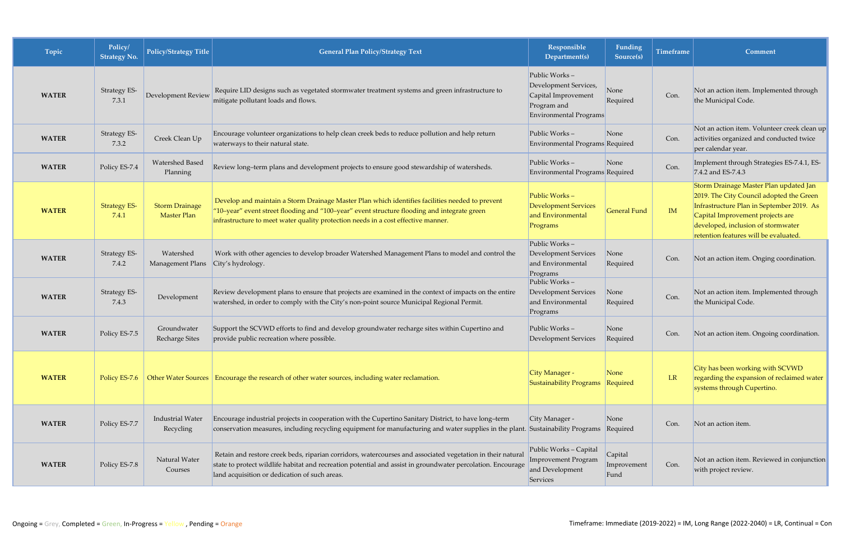| Topic        | Policy/<br><b>Strategy No.</b> | <b>Policy/Strategy Title</b>                | <b>General Plan Policy/Strategy Text</b>                                                                                                                                                                                                                                            | Responsible<br>Department(s)                                                                           | Funding<br>Source(s)           | <b>Timeframe</b> | Comment                                                                                                                                                                                                                                            |
|--------------|--------------------------------|---------------------------------------------|-------------------------------------------------------------------------------------------------------------------------------------------------------------------------------------------------------------------------------------------------------------------------------------|--------------------------------------------------------------------------------------------------------|--------------------------------|------------------|----------------------------------------------------------------------------------------------------------------------------------------------------------------------------------------------------------------------------------------------------|
| <b>WATER</b> | <b>Strategy ES-</b><br>7.3.1   | <b>Development Review</b>                   | Require LID designs such as vegetated stormwater treatment systems and green infrastructure to<br>mitigate pollutant loads and flows.                                                                                                                                               | Public Works-<br>Development Services,<br>Capital Improvement<br>Program and<br>Environmental Programs | None<br>Required               | Con.             | Not an action item. Implemented through<br>the Municipal Code.                                                                                                                                                                                     |
| <b>WATER</b> | Strategy ES-<br>7.3.2          | Creek Clean Up                              | Encourage volunteer organizations to help clean creek beds to reduce pollution and help return<br>waterways to their natural state.                                                                                                                                                 | Public Works-<br>Environmental Programs Required                                                       | None                           | Con.             | Not an action item. Volunteer creek clean up<br>activities organized and conducted twice<br>per calendar year.                                                                                                                                     |
| <b>WATER</b> | Policy ES-7.4                  | Watershed Based<br>Planning                 | Review long-term plans and development projects to ensure good stewardship of watersheds.                                                                                                                                                                                           | Public Works-<br>Environmental Programs Required                                                       | None                           | Con.             | Implement through Strategies ES-7.4.1, ES-<br>7.4.2 and ES-7.4.3                                                                                                                                                                                   |
| <b>WATER</b> | <b>Strategy ES-</b><br>7.4.1   | <b>Storm Drainage</b><br><b>Master Plan</b> | Develop and maintain a Storm Drainage Master Plan which identifies facilities needed to prevent<br>'10-year" event street flooding and "100-year" event structure flooding and integrate green<br>infrastructure to meet water quality protection needs in a cost effective manner. | Public Works-<br><b>Development Services</b><br>and Environmental<br>Programs                          | <b>General Fund</b>            | IM               | Storm Drainage Master Plan updated Jan<br>2019. The City Council adopted the Green<br>Infrastructure Plan in September 2019. As<br>Capital Improvement projects are<br>developed, inclusion of stormwater<br>retention features will be evaluated. |
| <b>WATER</b> | <b>Strategy ES-</b><br>7.4.2   | Watershed<br><b>Management Plans</b>        | Work with other agencies to develop broader Watershed Management Plans to model and control the<br>City's hydrology.                                                                                                                                                                | Public Works-<br><b>Development Services</b><br>and Environmental<br>Programs                          | None<br>Required               | Con.             | Not an action item. Onging coordination.                                                                                                                                                                                                           |
| <b>WATER</b> | Strategy ES-<br>7.4.3          | Development                                 | Review development plans to ensure that projects are examined in the context of impacts on the entire<br>watershed, in order to comply with the City's non-point source Municipal Regional Permit.                                                                                  | Public Works-<br><b>Development Services</b><br>and Environmental<br>Programs                          | None<br>Required               | Con.             | Not an action item. Implemented through<br>the Municipal Code.                                                                                                                                                                                     |
| <b>WATER</b> | Policy ES-7.5                  | Groundwater<br><b>Recharge Sites</b>        | Support the SCVWD efforts to find and develop groundwater recharge sites within Cupertino and<br>provide public recreation where possible.                                                                                                                                          | Public Works-<br><b>Development Services</b>                                                           | None<br>Required               | Con.             | Not an action item. Ongoing coordination.                                                                                                                                                                                                          |
| <b>WATER</b> | Policy ES-7.6                  |                                             | Other Water Sources   Encourage the research of other water sources, including water reclamation.                                                                                                                                                                                   | City Manager -<br>Sustainability Programs Required                                                     | None                           | LR               | City has been working with SCVWD<br>regarding the expansion of reclaimed water<br>systems through Cupertino.                                                                                                                                       |
| <b>WATER</b> | Policy ES-7.7                  | Industrial Water<br>Recycling               | Encourage industrial projects in cooperation with the Cupertino Sanitary District, to have long-term<br>conservation measures, including recycling equipment for manufacturing and water supplies in the plant. Sustainability Programs Required                                    | City Manager -                                                                                         | None                           | Con.             | Not an action item.                                                                                                                                                                                                                                |
| <b>WATER</b> | Policy ES-7.8                  | Natural Water<br>Courses                    | Retain and restore creek beds, riparian corridors, watercourses and associated vegetation in their natural<br>state to protect wildlife habitat and recreation potential and assist in groundwater percolation. Encourage<br>land acquisition or dedication of such areas.          | Public Works - Capital<br><b>Improvement Program</b><br>and Development<br>Services                    | Capital<br>Improvement<br>Fund | Con.             | Not an action item. Reviewed in conjunction<br>with project review.                                                                                                                                                                                |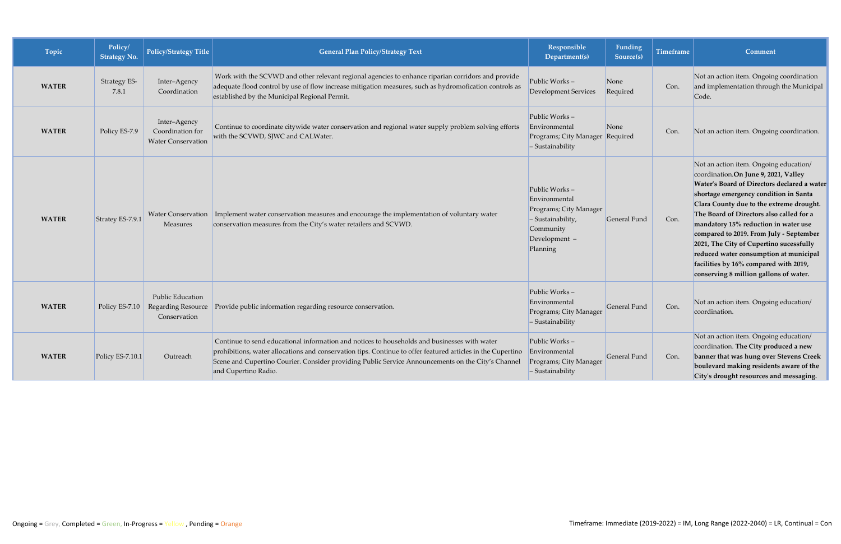| Topic        | Policy/<br><b>Strategy No.</b> | <b>Policy/Strategy Title</b>                                  | <b>General Plan Policy/Strategy Text</b>                                                                                                                                                                                                                                                                                                  | Responsible<br>Department(s)                                                                                            | Funding<br>Source(s) | <b>Timeframe</b> | Comment                                                                                                                                                                                                                                                                                                                                                                                                                                                                                                                   |
|--------------|--------------------------------|---------------------------------------------------------------|-------------------------------------------------------------------------------------------------------------------------------------------------------------------------------------------------------------------------------------------------------------------------------------------------------------------------------------------|-------------------------------------------------------------------------------------------------------------------------|----------------------|------------------|---------------------------------------------------------------------------------------------------------------------------------------------------------------------------------------------------------------------------------------------------------------------------------------------------------------------------------------------------------------------------------------------------------------------------------------------------------------------------------------------------------------------------|
| <b>WATER</b> | Strategy ES-<br>7.8.1          | Inter-Agency<br>Coordination                                  | Work with the SCVWD and other relevant regional agencies to enhance riparian corridors and provide<br>adequate flood control by use of flow increase mitigation measures, such as hydromofication controls as<br>established by the Municipal Regional Permit.                                                                            | Public Works-<br><b>Development Services</b>                                                                            | None<br>Required     | Con.             | Not an action item. Ongoing coordination<br>and implementation through the Municipal<br>Code.                                                                                                                                                                                                                                                                                                                                                                                                                             |
| <b>WATER</b> | Policy ES-7.9                  | Inter-Agency<br>Coordination for<br><b>Water Conservation</b> | Continue to coordinate citywide water conservation and regional water supply problem solving efforts<br>with the SCVWD, SJWC and CALWater.                                                                                                                                                                                                | Public Works-<br>Environmental<br>Programs; City Manager Required<br>- Sustainability                                   | None                 | Con.             | Not an action item. Ongoing coordination.                                                                                                                                                                                                                                                                                                                                                                                                                                                                                 |
| <b>WATER</b> | Stratey ES-7.9.1               | <b>Measures</b>                                               | Water Conservation   Implement water conservation measures and encourage the implementation of voluntary water<br>conservation measures from the City's water retailers and SCVWD.                                                                                                                                                        | Public Works-<br>Environmental<br>Programs; City Manager<br>- Sustainability,<br>Community<br>Development -<br>Planning | General Fund         | Con.             | Not an action item. Ongoing education/<br>coordination.On June 9, 2021, Valley<br>Water's Board of Directors declared a water<br>shortage emergency condition in Santa<br>Clara County due to the extreme drought.<br>The Board of Directors also called for a<br>mandatory 15% reduction in water use<br>compared to 2019. From July - September<br>2021, The City of Cupertino sucessfully<br>reduced water consumption at municipal<br>facilities by 16% compared with 2019,<br>conserving 8 million gallons of water. |
| <b>WATER</b> | Policy ES-7.10                 | <b>Public Education</b><br>Regarding Resource<br>Conservation | Provide public information regarding resource conservation.                                                                                                                                                                                                                                                                               | Public Works-<br>Environmental<br>Programs; City Manager<br>$-$ Sustainability                                          | General Fund         | Con.             | Not an action item. Ongoing education/<br>coordination.                                                                                                                                                                                                                                                                                                                                                                                                                                                                   |
| <b>WATER</b> | Policy ES-7.10.1               | Outreach                                                      | Continue to send educational information and notices to households and businesses with water<br>prohibitions, water allocations and conservation tips. Continue to offer featured articles in the Cupertino<br>Scene and Cupertino Courier. Consider providing Public Service Announcements on the City's Channel<br>and Cupertino Radio. | Public Works-<br>Environmental<br>Programs; City Manager<br>$-$ Sustainability                                          | General Fund         | Con.             | Not an action item. Ongoing education/<br>coordination. The City produced a new<br>banner that was hung over Stevens Creek<br>boulevard making residents aware of the<br>City's drought resources and messaging.                                                                                                                                                                                                                                                                                                          |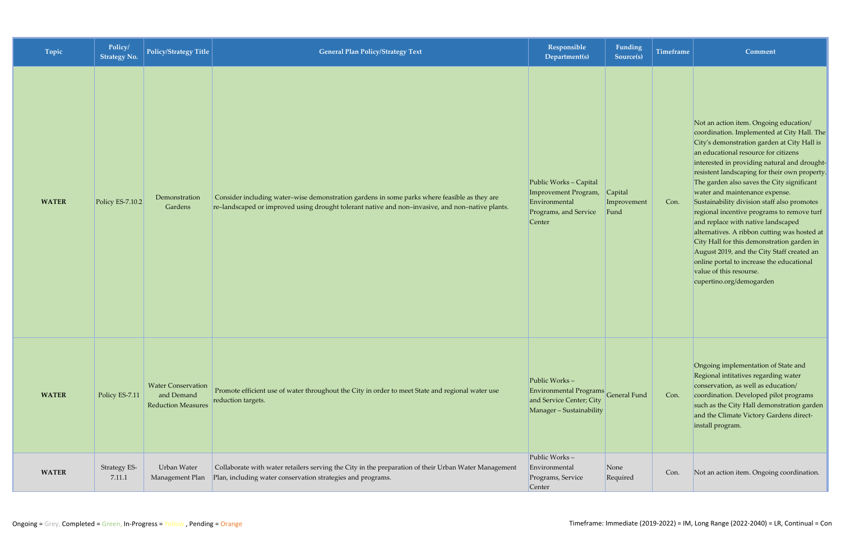| Topic        | Policy/<br><b>Strategy No.</b> | Policy/Strategy Title                                                | General Plan Policy/Strategy Text                                                                                                                                                                | Responsible<br>Department(s)                                                                                       | Funding<br>Source(s) | <b>Timeframe</b> | Comment                                                                                                                                                                                                                                                                                                                                                                                                                                                                                                                                                                                                                                                                                                                                          |
|--------------|--------------------------------|----------------------------------------------------------------------|--------------------------------------------------------------------------------------------------------------------------------------------------------------------------------------------------|--------------------------------------------------------------------------------------------------------------------|----------------------|------------------|--------------------------------------------------------------------------------------------------------------------------------------------------------------------------------------------------------------------------------------------------------------------------------------------------------------------------------------------------------------------------------------------------------------------------------------------------------------------------------------------------------------------------------------------------------------------------------------------------------------------------------------------------------------------------------------------------------------------------------------------------|
| <b>WATER</b> | Policy ES-7.10.2               | Demonstration<br>Gardens                                             | Consider including water-wise demonstration gardens in some parks where feasible as they are<br>re-landscaped or improved using drought tolerant native and non-invasive, and non-native plants. | Public Works - Capital<br>Improvement Program, Capital<br>Environmental<br>Programs, and Service<br>Center         | Improvement<br>Fund  | Con.             | Not an action item. Ongoing education/<br>coordination. Implemented at City Hall. The<br>City's demonstration garden at City Hall is<br>an educational resource for citizens<br>interested in providing natural and drought-<br>resistent landscaping for their own property.<br>The garden also saves the City significant<br>water and maintenance expense.<br>Sustainability division staff also promotes<br>regional incentive programs to remove turf<br>and replace with native landscaped<br>alternatives. A ribbon cutting was hosted at<br>City Hall for this demonstration garden in<br>August 2019, and the City Staff created an<br>online portal to increase the educational<br>value of this resourse.<br>cupertino.org/demogarden |
| <b>WATER</b> | Policy ES-7.11                 | <b>Water Conservation</b><br>and Demand<br><b>Reduction Measures</b> | Promote efficient use of water throughout the City in order to meet State and regional water use<br>reduction targets.                                                                           | Public Works $-$<br>Environmental Programs<br>General Fund<br>and Service Center; City<br>Manager - Sustainability |                      | Con.             | Ongoing implementation of State and<br>Regional intitatives regarding water<br>conservation, as well as education/<br>coordination. Developed pilot programs<br>such as the City Hall demonstration garden<br>and the Climate Victory Gardens direct-<br>install program.                                                                                                                                                                                                                                                                                                                                                                                                                                                                        |
| <b>WATER</b> | Strategy ES-<br>7.11.1         | Urban Water<br>Management Plan                                       | Collaborate with water retailers serving the City in the preparation of their Urban Water Management<br>Plan, including water conservation strategies and programs.                              | Public Works-<br>Environmental<br>Programs, Service<br>Center                                                      | None<br>Required     | Con.             | Not an action item. Ongoing coordination.                                                                                                                                                                                                                                                                                                                                                                                                                                                                                                                                                                                                                                                                                                        |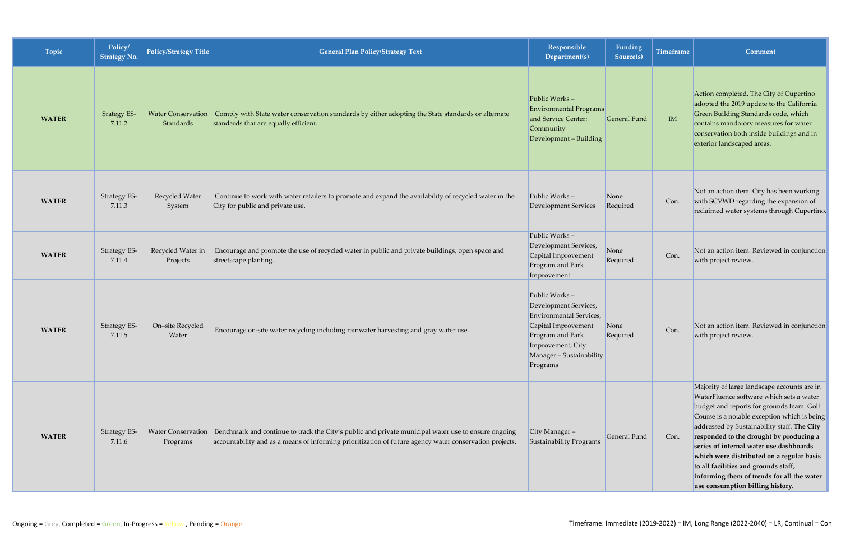| Topic        | Policy/<br><b>Strategy No.</b> | Policy/Strategy Title           | <b>General Plan Policy/Strategy Text</b>                                                                                                                                                                                            | Responsible<br>Department(s)                                                                                                                                                      | Funding<br>Source(s) | <b>Timeframe</b> | Comment                                                                                                                                                                                                                                                                                                                                                                                                                                                                                          |
|--------------|--------------------------------|---------------------------------|-------------------------------------------------------------------------------------------------------------------------------------------------------------------------------------------------------------------------------------|-----------------------------------------------------------------------------------------------------------------------------------------------------------------------------------|----------------------|------------------|--------------------------------------------------------------------------------------------------------------------------------------------------------------------------------------------------------------------------------------------------------------------------------------------------------------------------------------------------------------------------------------------------------------------------------------------------------------------------------------------------|
| <b>WATER</b> | <b>Srategy ES-</b><br>7.11.2   | Water Conservation<br>Standards | Comply with State water conservation standards by either adopting the State standards or alternate<br>standards that are equally efficient.                                                                                         | Public Works-<br><b>Environmental Programs</b><br>and Service Center;<br>Community<br>Development - Building                                                                      | General Fund         | IM               | Action completed. The City of Cupertino<br>adopted the 2019 update to the California<br>Green Building Standards code, which<br>contains mandatory measures for water<br>conservation both inside buildings and in<br>exterior landscaped areas.                                                                                                                                                                                                                                                 |
| <b>WATER</b> | <b>Strategy ES-</b><br>7.11.3  | Recycled Water<br>System        | Continue to work with water retailers to promote and expand the availability of recycled water in the<br>City for public and private use.                                                                                           | Public Works-<br><b>Development Services</b>                                                                                                                                      | None<br>Required     | Con.             | Not an action item. City has been working<br>with SCVWD regarding the expansion of<br>reclaimed water systems through Cupertino.                                                                                                                                                                                                                                                                                                                                                                 |
| <b>WATER</b> | <b>Strategy ES-</b><br>7.11.4  | Recycled Water in<br>Projects   | Encourage and promote the use of recycled water in public and private buildings, open space and<br>streetscape planting.                                                                                                            | Public Works-<br>Development Services,<br>Capital Improvement<br>Program and Park<br>Improvement                                                                                  | None<br>Required     | Con.             | Not an action item. Reviewed in conjunction<br>with project review.                                                                                                                                                                                                                                                                                                                                                                                                                              |
| <b>WATER</b> | <b>Strategy ES-</b><br>7.11.5  | On-site Recycled<br>Water       | Encourage on-site water recycling including rainwater harvesting and gray water use.                                                                                                                                                | Public Works-<br>Development Services,<br><b>Environmental Services</b> ,<br>Capital Improvement<br>Program and Park<br>Improvement; City<br>Manager - Sustainability<br>Programs | None<br>Required     | Con.             | Not an action item. Reviewed in conjunction<br>with project review.                                                                                                                                                                                                                                                                                                                                                                                                                              |
| <b>WATER</b> | <b>Strategy ES-</b><br>7.11.6  | Programs                        | Water Conservation   Benchmark and continue to track the City's public and private municipal water use to ensure ongoing<br>accountability and as a means of informing prioritization of future agency water conservation projects. | City Manager -<br>Sustainability Programs                                                                                                                                         | General Fund         | Con.             | Majority of large landscape accounts are in<br>WaterFluence software which sets a water<br>budget and reports for grounds team. Golf<br>Course is a notable exception which is being<br>addressed by Sustainability staff. The City<br>responded to the drought by producing a<br>series of internal water use dashboards<br>which were distributed on a regular basis<br>to all facilities and grounds staff,<br>informing them of trends for all the water<br>use consumption billing history. |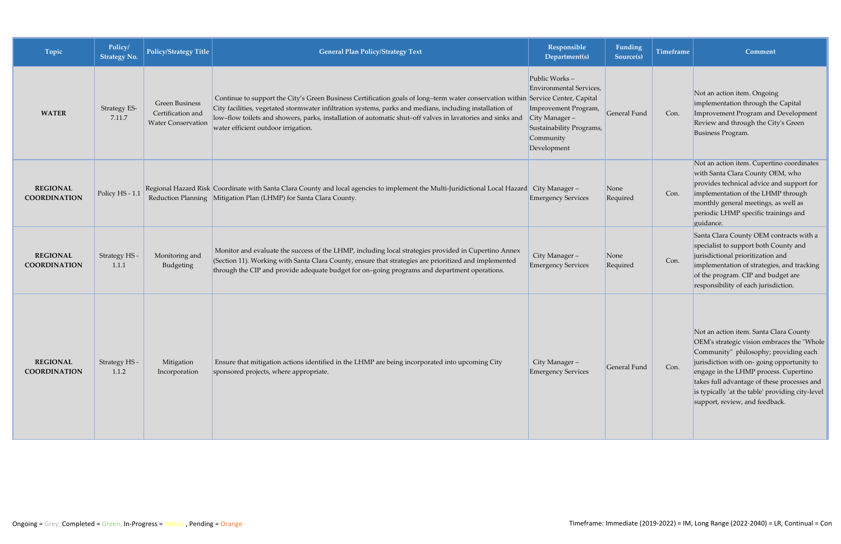| Topic                                  | Policy/<br><b>Strategy No.</b> | Policy/Strategy Title                                                   | <b>General Plan Policy/Strategy Text</b>                                                                                                                                                                                                                                                                                                                                                          | Responsible<br>Department(s)                                                                                                              | Funding<br>Source(s) | <b>Timeframe</b> | Comment                                                                                                                                                                                                                                                                                                                                                   |
|----------------------------------------|--------------------------------|-------------------------------------------------------------------------|---------------------------------------------------------------------------------------------------------------------------------------------------------------------------------------------------------------------------------------------------------------------------------------------------------------------------------------------------------------------------------------------------|-------------------------------------------------------------------------------------------------------------------------------------------|----------------------|------------------|-----------------------------------------------------------------------------------------------------------------------------------------------------------------------------------------------------------------------------------------------------------------------------------------------------------------------------------------------------------|
| <b>WATER</b>                           | <b>Strategy ES-</b><br>7.11.7  | <b>Green Business</b><br>Certification and<br><b>Water Conservation</b> | Continue to support the City's Green Business Certification goals of long-term water conservation within Service Center, Capital<br>City facilities, vegetated stormwater infiltration systems, parks and medians, including installation of<br>low-flow toilets and showers, parks, installation of automatic shut-off valves in lavatories and sinks and<br>water efficient outdoor irrigation. | Public Works-<br>Environmental Services,<br>Improvement Program,<br>City Manager-<br>Sustainability Programs,<br>Community<br>Development | General Fund         | Con.             | Not an action item. Ongoing<br>implementation through the Capital<br>Improvement Program and Development<br>Review and through the City's Green<br>Business Program.                                                                                                                                                                                      |
| <b>REGIONAL</b><br><b>COORDINATION</b> | Policy HS - 1.1                |                                                                         | Regional Hazard Risk Coordinate with Santa Clara County and local agencies to implement the Multi-Juridictional Local Hazard City Manager -<br>Reduction Planning Mitigation Plan (LHMP) for Santa Clara County.                                                                                                                                                                                  | <b>Emergency Services</b>                                                                                                                 | None<br>Required     | Con.             | Not an action item. Cupertino coordinates<br>with Santa Clara County OEM, who<br>provides technical advice and support for<br>implementation of the LHMP through<br>monthly general meetings, as well as<br>periodic LHMP specific trainings and<br>guidance.                                                                                             |
| <b>REGIONAL</b><br><b>COORDINATION</b> | Strategy HS -<br>1.1.1         | Monitoring and<br>Budgeting                                             | Monitor and evaluate the success of the LHMP, including local strategies provided in Cupertino Annex<br>(Section 11). Working with Santa Clara County, ensure that strategies are prioritized and implemented<br>through the CIP and provide adequate budget for on-going programs and department operations.                                                                                     | City Manager-<br><b>Emergency Services</b>                                                                                                | None<br>Required     | Con.             | Santa Clara County OEM contracts with a<br>specialist to support both County and<br>jurisdictional prioritization and<br>implementation of strategies, and tracking<br>of the program. CIP and budget are<br>responsibility of each jurisdiction.                                                                                                         |
| <b>REGIONAL</b><br><b>COORDINATION</b> | Strategy HS -<br>1.1.2         | Mitigation<br>Incorporation                                             | Ensure that mitigation actions identified in the LHMP are being incorporated into upcoming City<br>sponsored projects, where appropriate.                                                                                                                                                                                                                                                         | City Manager-<br><b>Emergency Services</b>                                                                                                | General Fund         | Con.             | Not an action item. Santa Clara County<br>OEM's strategic vision embraces the "Whole"<br>Community" philosophy; providing each<br>jurisdiction with on-going opportunity to<br>engage in the LHMP process. Cupertino<br>takes full advantage of these processes and<br>is typically 'at the table' providing city-level<br>support, review, and feedback. |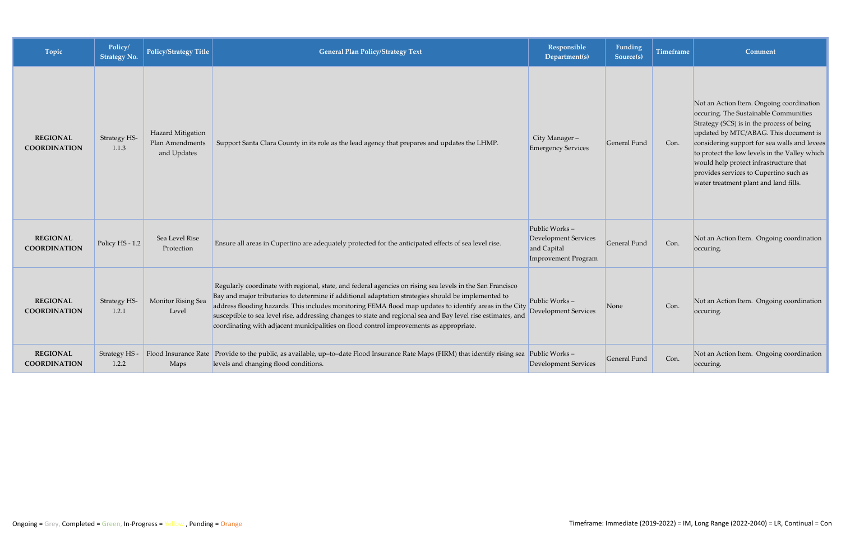| Topic                                  | Policy/<br><b>Strategy No.</b> | <b>Policy/Strategy Title</b>                        | <b>General Plan Policy/Strategy Text</b>                                                                                                                                                                                                                                                                                                                                                                                                                                                                                                | Responsible<br>Department(s)                                                | Funding<br>Source(s) | <b>Timeframe</b> | Comment                                                                                                                                                                                                                                                                                                                                                                                               |
|----------------------------------------|--------------------------------|-----------------------------------------------------|-----------------------------------------------------------------------------------------------------------------------------------------------------------------------------------------------------------------------------------------------------------------------------------------------------------------------------------------------------------------------------------------------------------------------------------------------------------------------------------------------------------------------------------------|-----------------------------------------------------------------------------|----------------------|------------------|-------------------------------------------------------------------------------------------------------------------------------------------------------------------------------------------------------------------------------------------------------------------------------------------------------------------------------------------------------------------------------------------------------|
| <b>REGIONAL</b><br><b>COORDINATION</b> | Strategy HS-<br>1.1.3          | Hazard Mitigation<br>Plan Amendments<br>and Updates | Support Santa Clara County in its role as the lead agency that prepares and updates the LHMP.                                                                                                                                                                                                                                                                                                                                                                                                                                           | City Manager-<br><b>Emergency Services</b>                                  | General Fund         | Con.             | Not an Action Item. Ongoing coordination<br>occuring. The Sustainable Communities<br>Strategy (SCS) is in the process of being<br>updated by MTC/ABAG. This document is<br>considering support for sea walls and levees<br>to protect the low levels in the Valley which<br>would help protect infrastructure that<br>provides services to Cupertino such as<br>water treatment plant and land fills. |
| <b>REGIONAL</b><br><b>COORDINATION</b> | Policy HS - 1.2                | Sea Level Rise<br>Protection                        | Ensure all areas in Cupertino are adequately protected for the anticipated effects of sea level rise.                                                                                                                                                                                                                                                                                                                                                                                                                                   | Public Works-<br>Development Services<br>and Capital<br>Improvement Program | General Fund         | Con.             | Not an Action Item. Ongoing coordination<br>occuring.                                                                                                                                                                                                                                                                                                                                                 |
| <b>REGIONAL</b><br><b>COORDINATION</b> | Strategy HS-<br>1.2.1          | Monitor Rising Sea<br>Level                         | Regularly coordinate with regional, state, and federal agencies on rising sea levels in the San Francisco<br>Bay and major tributaries to determine if additional adaptation strategies should be implemented to<br>address flooding hazards. This includes monitoring FEMA flood map updates to identify areas in the City<br>susceptible to sea level rise, addressing changes to state and regional sea and Bay level rise estimates, and<br>coordinating with adjacent municipalities on flood control improvements as appropriate. | Public Works-<br><b>Development Services</b>                                | None                 | Con.             | Not an Action Item. Ongoing coordination<br>occuring.                                                                                                                                                                                                                                                                                                                                                 |
| <b>REGIONAL</b><br><b>COORDINATION</b> | Strategy HS -<br>1.2.2         | Maps                                                | Flood Insurance Rate Provide to the public, as available, up-to-date Flood Insurance Rate Maps (FIRM) that identify rising sea<br>levels and changing flood conditions.                                                                                                                                                                                                                                                                                                                                                                 | Public Works-<br>Development Services                                       | General Fund         | Con.             | Not an Action Item. Ongoing coordination<br>occuring.                                                                                                                                                                                                                                                                                                                                                 |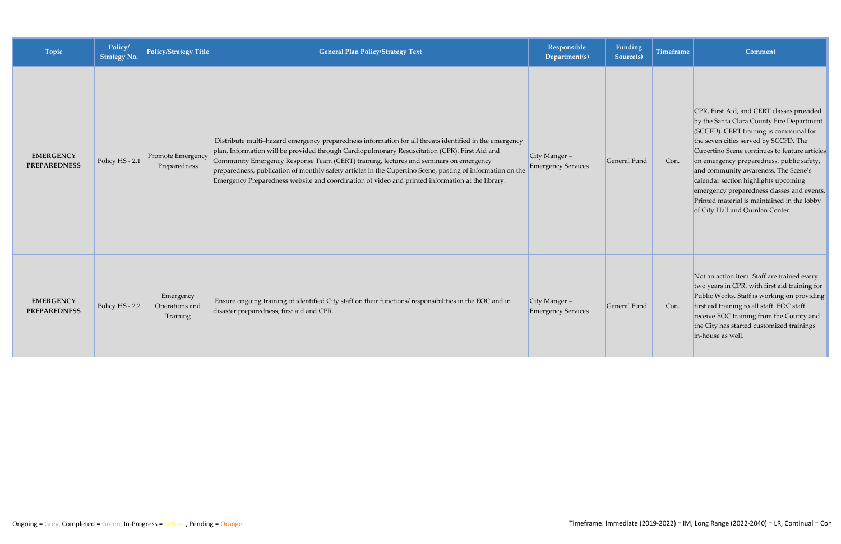| Topic                                   | Policy/<br>Strategy No. | Policy/Strategy Title                   | <b>General Plan Policy/Strategy Text</b>                                                                                                                                                                                                                                                                                                                                                                                                                                                                           | Responsible<br>Department(s)                  | Funding<br>Source(s) | <b>Timeframe</b> | Comment                                                                                                                                                                                                                                                                                                                                                                                                                                                                                 |
|-----------------------------------------|-------------------------|-----------------------------------------|--------------------------------------------------------------------------------------------------------------------------------------------------------------------------------------------------------------------------------------------------------------------------------------------------------------------------------------------------------------------------------------------------------------------------------------------------------------------------------------------------------------------|-----------------------------------------------|----------------------|------------------|-----------------------------------------------------------------------------------------------------------------------------------------------------------------------------------------------------------------------------------------------------------------------------------------------------------------------------------------------------------------------------------------------------------------------------------------------------------------------------------------|
| <b>EMERGENCY</b><br><b>PREPAREDNESS</b> | Policy HS - 2.1         | Promote Emergency<br>Preparedness       | Distribute multi-hazard emergency preparedness information for all threats identified in the emergency<br>plan. Information will be provided through Cardiopulmonary Resuscitation (CPR), First Aid and<br>Community Emergency Response Team (CERT) training, lectures and seminars on emergency<br>preparedness, publication of monthly safety articles in the Cupertino Scene, posting of information on the<br>Emergency Preparedness website and coordination of video and printed information at the library. | City Manger $-$<br><b>Emergency Services</b>  | General Fund         | Con.             | CPR, First Aid, and CERT classes provided<br>by the Santa Clara County Fire Department<br>(SCCFD). CERT training is communal for<br>the seven cities served by SCCFD. The<br>Cupertino Scene continues to feature articles<br>on emergency preparedness, public safety,<br>and community awareness. The Scene's<br>calendar section highlights upcoming<br>emergency preparedness classes and events.<br>Printed material is maintained in the lobby<br>of City Hall and Quinlan Center |
| <b>EMERGENCY</b><br><b>PREPAREDNESS</b> | Policy HS - 2.2         | Emergency<br>Operations and<br>Training | Ensure ongoing training of identified City staff on their functions/responsibilities in the EOC and in<br>disaster preparedness, first aid and CPR.                                                                                                                                                                                                                                                                                                                                                                | $City Manager -$<br><b>Emergency Services</b> | General Fund         | Con.             | Not an action item. Staff are trained every<br>two years in CPR, with first aid training for<br>Public Works. Staff is working on providing<br>first aid training to all staff. EOC staff<br>receive EOC training from the County and<br>the City has started customized trainings<br>in-house as well.                                                                                                                                                                                 |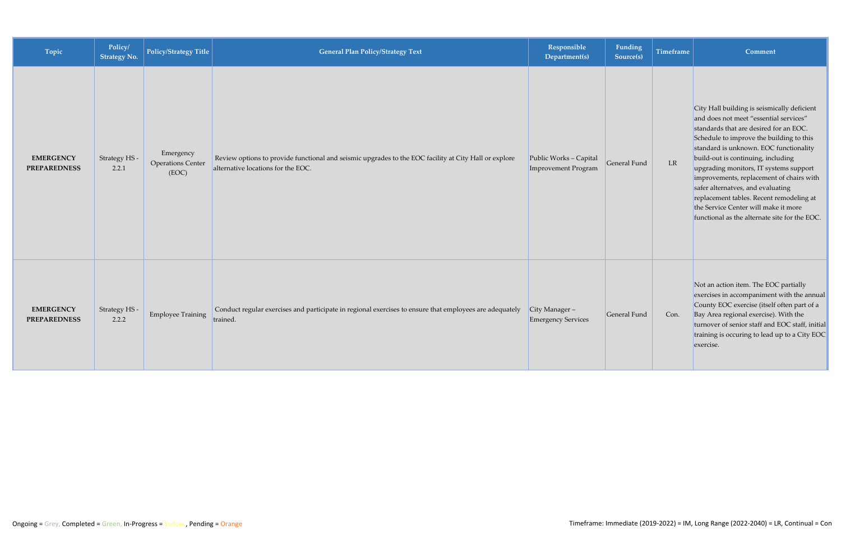| Topic                                   | Policy/<br><b>Strategy No.</b> | <b>Policy/Strategy Title</b>                   | <b>General Plan Policy/Strategy Text</b>                                                                                                    | Responsible<br>Department(s)                  | Funding<br>Source(s) | Timeframe | Comment                                                                                                                                                                                                                                                                                                                                                                                                                                                                                                                     |
|-----------------------------------------|--------------------------------|------------------------------------------------|---------------------------------------------------------------------------------------------------------------------------------------------|-----------------------------------------------|----------------------|-----------|-----------------------------------------------------------------------------------------------------------------------------------------------------------------------------------------------------------------------------------------------------------------------------------------------------------------------------------------------------------------------------------------------------------------------------------------------------------------------------------------------------------------------------|
| <b>EMERGENCY</b><br><b>PREPAREDNESS</b> | Strategy HS-<br>2.2.1          | Emergency<br><b>Operations Center</b><br>(EOC) | Review options to provide functional and seismic upgrades to the EOC facility at City Hall or explore<br>alternative locations for the EOC. | Public Works - Capital<br>Improvement Program | General Fund         | LR        | City Hall building is seismically deficient<br>and does not meet "essential services"<br>standards that are desired for an EOC.<br>Schedule to improve the building to this<br>standard is unknown. EOC functionality<br>build-out is continuing, including<br>upgrading monitors, IT systems support<br>improvements, replacement of chairs with<br>safer alternatves, and evaluating<br>replacement tables. Recent remodeling at<br>the Service Center will make it more<br>functional as the alternate site for the EOC. |
| <b>EMERGENCY</b><br><b>PREPAREDNESS</b> | Strategy HS -<br>2.2.2         | <b>Employee Training</b>                       | Conduct regular exercises and participate in regional exercises to ensure that employees are adequately<br>trained.                         | City Manager $-$<br><b>Emergency Services</b> | General Fund         | Con.      | Not an action item. The EOC partially<br>exercises in accompaniment with the annual<br>County EOC exercise (itself often part of a<br>Bay Area regional exercise). With the<br>turnover of senior staff and EOC staff, initial<br>training is occuring to lead up to a City EOC<br>exercise.                                                                                                                                                                                                                                |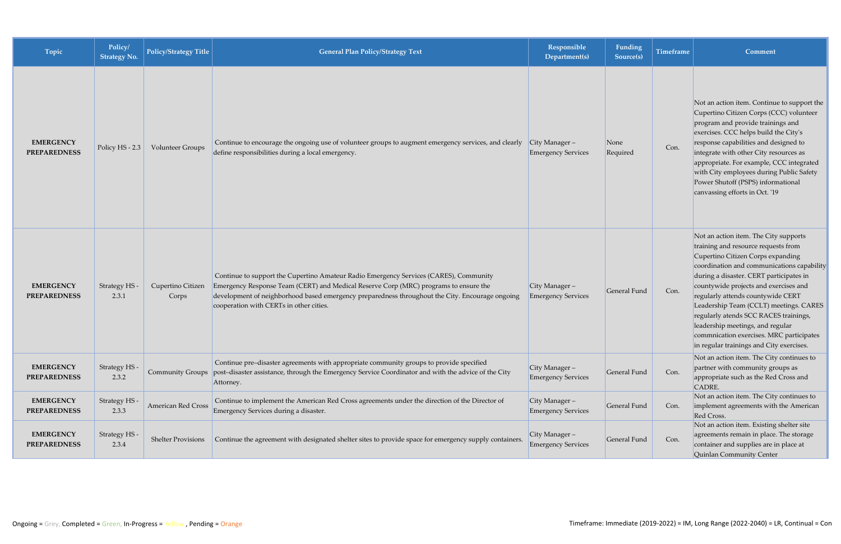| Topic                                   | Policy/<br><b>Strategy No.</b> | Policy/Strategy Title      | <b>General Plan Policy/Strategy Text</b>                                                                                                                                                                                                                                                                                    | Responsible<br>Department(s)                  | Funding<br>Source(s) | <b>Timeframe</b> | Comment                                                                                                                                                                                                                                                                                                                                                                                                                                                                                                 |
|-----------------------------------------|--------------------------------|----------------------------|-----------------------------------------------------------------------------------------------------------------------------------------------------------------------------------------------------------------------------------------------------------------------------------------------------------------------------|-----------------------------------------------|----------------------|------------------|---------------------------------------------------------------------------------------------------------------------------------------------------------------------------------------------------------------------------------------------------------------------------------------------------------------------------------------------------------------------------------------------------------------------------------------------------------------------------------------------------------|
| <b>EMERGENCY</b><br><b>PREPAREDNESS</b> | Policy HS - 2.3                | Volunteer Groups           | Continue to encourage the ongoing use of volunteer groups to augment emergency services, and clearly<br>define responsibilities during a local emergency.                                                                                                                                                                   | $City Manager -$<br><b>Emergency Services</b> | None<br>Required     | Con.             | Not an action item. Continue to support the<br>Cupertino Citizen Corps (CCC) volunteer<br>program and provide trainings and<br>exercises. CCC helps build the City's<br>response capabilities and designed to<br>integrate with other City resources as<br>appropriate. For example, CCC integrated<br>with City employees during Public Safety<br>Power Shutoff (PSPS) informational<br>canvassing efforts in Oct. '19                                                                                 |
| <b>EMERGENCY</b><br><b>PREPAREDNESS</b> | Strategy HS -<br>2.3.1         | Cupertino Citizen<br>Corps | Continue to support the Cupertino Amateur Radio Emergency Services (CARES), Community<br>Emergency Response Team (CERT) and Medical Reserve Corp (MRC) programs to ensure the<br>development of neighborhood based emergency preparedness throughout the City. Encourage ongoing<br>cooperation with CERTs in other cities. | $City Manager -$<br><b>Emergency Services</b> | General Fund         | Con.             | Not an action item. The City supports<br>training and resource requests from<br>Cupertino Citizen Corps expanding<br>coordination and communications capability<br>during a disaster. CERT participates in<br>countywide projects and exercises and<br>regularly attends countywide CERT<br>Leadership Team (CCLT) meetings. CARES<br>regularly atends SCC RACES trainings,<br>leadership meetings, and regular<br>commnication exercises. MRC participates<br>in regular trainings and City exercises. |
| <b>EMERGENCY</b><br><b>PREPAREDNESS</b> | Strategy HS -<br>2.3.2         | <b>Community Groups</b>    | Continue pre-disaster agreements with appropriate community groups to provide specified<br>post-disaster assistance, through the Emergency Service Coordinator and with the advice of the City<br>Attorney.                                                                                                                 | City Manager-<br><b>Emergency Services</b>    | General Fund         | Con.             | Not an action item. The City continues to<br>partner with community groups as<br>appropriate such as the Red Cross and<br>CADRE.                                                                                                                                                                                                                                                                                                                                                                        |
| <b>EMERGENCY</b><br><b>PREPAREDNESS</b> | Strategy HS<br>2.3.3           | <b>American Red Cross</b>  | Continue to implement the American Red Cross agreements under the direction of the Director of<br>Emergency Services during a disaster.                                                                                                                                                                                     | $City Manager -$<br><b>Emergency Services</b> | General Fund         | Con.             | Not an action item. The City continues to<br>implement agreements with the American<br>Red Cross.                                                                                                                                                                                                                                                                                                                                                                                                       |
| <b>EMERGENCY</b><br><b>PREPAREDNESS</b> | Strategy HS -<br>2.3.4         | <b>Shelter Provisions</b>  | Continue the agreement with designated shelter sites to provide space for emergency supply containers.                                                                                                                                                                                                                      | $City Manager -$<br><b>Emergency Services</b> | General Fund         | Con.             | Not an action item. Existing shelter site<br>agreements remain in place. The storage<br>container and supplies are in place at<br>Quinlan Community Center                                                                                                                                                                                                                                                                                                                                              |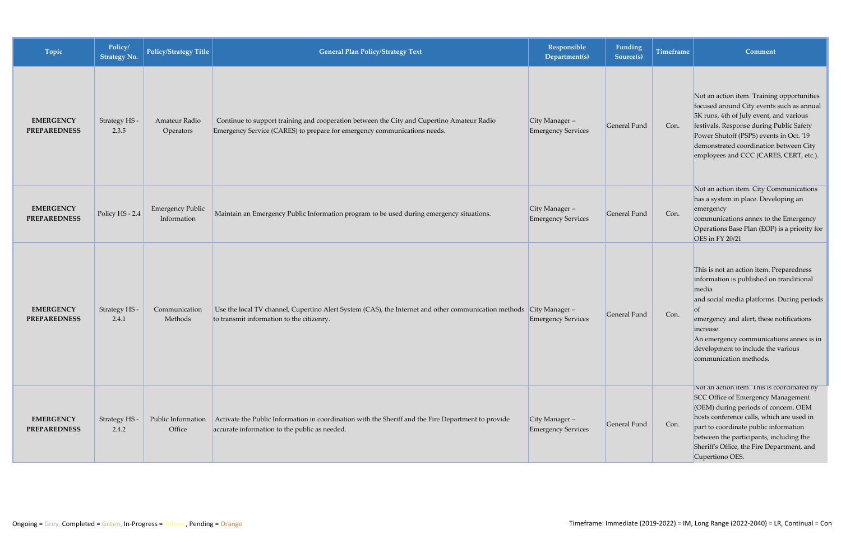| Topic                                   | Policy/<br><b>Strategy No.</b> | Policy/Strategy Title                  | <b>General Plan Policy/Strategy Text</b>                                                                                                                              | Responsible<br>Department(s)                  | Funding<br>Source(s) | <b>Timeframe</b> | <b>Comment</b>                                                                                                                                                                                                                                                                                                                    |
|-----------------------------------------|--------------------------------|----------------------------------------|-----------------------------------------------------------------------------------------------------------------------------------------------------------------------|-----------------------------------------------|----------------------|------------------|-----------------------------------------------------------------------------------------------------------------------------------------------------------------------------------------------------------------------------------------------------------------------------------------------------------------------------------|
| <b>EMERGENCY</b><br><b>PREPAREDNESS</b> | Strategy HS -<br>2.3.5         | Amateur Radio<br>Operators             | Continue to support training and cooperation between the City and Cupertino Amateur Radio<br>Emergency Service (CARES) to prepare for emergency communications needs. | $City Manager -$<br><b>Emergency Services</b> | General Fund         | Con.             | Not an action item. Training opportunities<br>focused around City events such as annual<br>5K runs, 4th of July event, and various<br>festivals. Response during Public Safety<br>Power Shutoff (PSPS) events in Oct. '19<br>demonstrated coordination between City<br>employees and CCC (CARES, CERT, etc.).                     |
| <b>EMERGENCY</b><br><b>PREPAREDNESS</b> | Policy HS - 2.4                | <b>Emergency Public</b><br>Information | Maintain an Emergency Public Information program to be used during emergency situations.                                                                              | City Manager -<br><b>Emergency Services</b>   | General Fund         | Con.             | Not an action item. City Communications<br>has a system in place. Developing an<br>emergency<br>communications annex to the Emergency<br>Operations Base Plan (EOP) is a priority for<br>OES in FY 20/21                                                                                                                          |
| <b>EMERGENCY</b><br><b>PREPAREDNESS</b> | Strategy HS -<br>2.4.1         | Communication<br>Methods               | Use the local TV channel, Cupertino Alert System (CAS), the Internet and other communication methods City Manager -<br>to transmit information to the citizenry.      | <b>Emergency Services</b>                     | General Fund         | Con.             | This is not an action item. Preparedness<br>information is published on tranditional<br>media<br>and social media platforms. During periods<br>$\sigma$<br>emergency and alert, these notifications<br>increase.<br>An emergency communications annex is in<br>development to include the various<br>communication methods.       |
| <b>EMERGENCY</b><br><b>PREPAREDNESS</b> | Strategy HS-<br>2.4.2          | Public Information<br>Office           | Activate the Public Information in coordination with the Sheriff and the Fire Department to provide<br>accurate information to the public as needed.                  | $City Manager -$<br><b>Emergency Services</b> | General Fund         | Con.             | Not an action item. This is coordinated by<br><b>SCC Office of Emergency Management</b><br>(OEM) during periods of concern. OEM<br>hosts conference calls, which are used in<br>part to coordinate public information<br>between the participants, including the<br>Sheriff's Office, the Fire Department, and<br>Cupertiono OES. |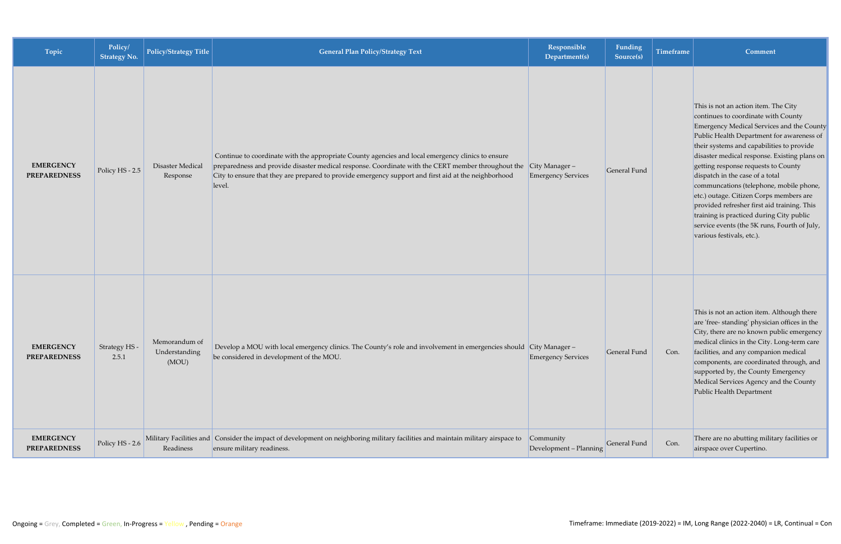| Topic                                   | Policy/<br><b>Strategy No.</b> | <b>Policy/Strategy Title</b>            | <b>General Plan Policy/Strategy Text</b>                                                                                                                                                                                                                                                                                  | Responsible<br>Department(s)                  | Funding<br>Source(s) | <b>Timeframe</b> | Comment                                                                                                                                                                                                                                                                                                                                                                                                                                                                                                                                                                                                    |
|-----------------------------------------|--------------------------------|-----------------------------------------|---------------------------------------------------------------------------------------------------------------------------------------------------------------------------------------------------------------------------------------------------------------------------------------------------------------------------|-----------------------------------------------|----------------------|------------------|------------------------------------------------------------------------------------------------------------------------------------------------------------------------------------------------------------------------------------------------------------------------------------------------------------------------------------------------------------------------------------------------------------------------------------------------------------------------------------------------------------------------------------------------------------------------------------------------------------|
| <b>EMERGENCY</b><br><b>PREPAREDNESS</b> | Policy HS - 2.5                | Disaster Medical<br>Response            | Continue to coordinate with the appropriate County agencies and local emergency clinics to ensure<br>preparedness and provide disaster medical response. Coordinate with the CERT member throughout the<br>City to ensure that they are prepared to provide emergency support and first aid at the neighborhood<br>level. | $City Manager -$<br><b>Emergency Services</b> | General Fund         |                  | This is not an action item. The City<br>continues to coordinate with County<br>Emergency Medical Services and the County<br>Public Health Department for awareness of<br>their systems and capabilities to provide<br>disaster medical response. Existing plans on<br>getting response requests to County<br>dispatch in the case of a total<br>communcations (telephone, mobile phone,<br>etc.) outage. Citizen Corps members are<br>provided refresher first aid training. This<br>training is practiced during City public<br>service events (the 5K runs, Fourth of July,<br>various festivals, etc.). |
| <b>EMERGENCY</b><br><b>PREPAREDNESS</b> | Strategy HS -<br>2.5.1         | Memorandum of<br>Understanding<br>(MOU) | Develop a MOU with local emergency clinics. The County's role and involvement in emergencies should City Manager-<br>be considered in development of the MOU.                                                                                                                                                             | <b>Emergency Services</b>                     | General Fund         | Con.             | This is not an action item. Although there<br>are 'free-standing' physician offices in the<br>City, there are no known public emergency<br>medical clinics in the City. Long-term care<br>facilities, and any companion medical<br>components, are coordinated through, and<br>supported by, the County Emergency<br>Medical Services Agency and the County<br>Public Health Department                                                                                                                                                                                                                    |
| <b>EMERGENCY</b><br><b>PREPAREDNESS</b> | Policy HS - 2.6                | Readiness                               | Military Facilities and Consider the impact of development on neighboring military facilities and maintain military airspace to<br>ensure military readiness.                                                                                                                                                             | Community<br>Development - Planning           | General Fund         | Con.             | There are no abutting military facilities or<br>airspace over Cupertino.                                                                                                                                                                                                                                                                                                                                                                                                                                                                                                                                   |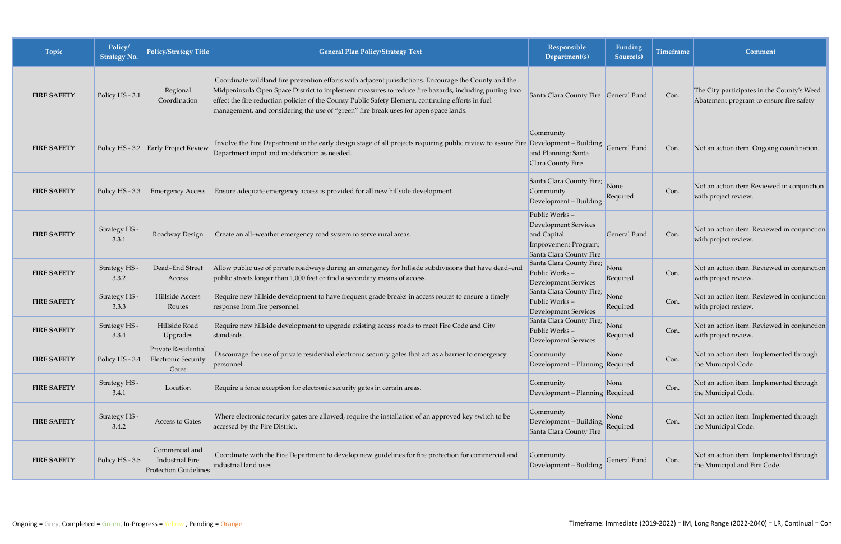| Topic              | Policy/<br><b>Strategy No.</b> | <b>Policy/Strategy Title</b>                                             | <b>General Plan Policy/Strategy Text</b>                                                                                                                                                                                                                                                                                                                                                                     | Responsible<br>Department(s)                                                                            | Funding<br>Source(s) | <b>Timeframe</b> | Comment                                                                               |
|--------------------|--------------------------------|--------------------------------------------------------------------------|--------------------------------------------------------------------------------------------------------------------------------------------------------------------------------------------------------------------------------------------------------------------------------------------------------------------------------------------------------------------------------------------------------------|---------------------------------------------------------------------------------------------------------|----------------------|------------------|---------------------------------------------------------------------------------------|
| <b>FIRE SAFETY</b> | Policy HS - 3.1                | Regional<br>Coordination                                                 | Coordinate wildland fire prevention efforts with adjacent jurisdictions. Encourage the County and the<br>Midpeninsula Open Space District to implement measures to reduce fire hazards, including putting into<br>effect the fire reduction policies of the County Public Safety Element, continuing efforts in fuel<br>management, and considering the use of "green" fire break uses for open space lands. | Santa Clara County Fire General Fund                                                                    |                      | Con.             | The City participates in the County's Weed<br>Abatement program to ensure fire safety |
| <b>FIRE SAFETY</b> |                                | Policy HS - 3.2 Early Project Review                                     | Involve the Fire Department in the early design stage of all projects requiring public review to assure Fire Development - Building General Fund<br>Department input and modification as needed.                                                                                                                                                                                                             | Community<br>and Planning; Santa<br>Clara County Fire                                                   |                      | Con.             | Not an action item. Ongoing coordination.                                             |
| <b>FIRE SAFETY</b> | Policy HS - 3.3                | <b>Emergency Access</b>                                                  | Ensure adequate emergency access is provided for all new hillside development.                                                                                                                                                                                                                                                                                                                               | Santa Clara County Fire;<br>Community<br>Development - Building                                         | None<br>Required     | Con.             | Not an action item.Reviewed in conjunction<br>with project review.                    |
| <b>FIRE SAFETY</b> | Strategy HS -<br>3.3.1         | Roadway Design                                                           | Create an all-weather emergency road system to serve rural areas.                                                                                                                                                                                                                                                                                                                                            | Public Works-<br>Development Services<br>and Capital<br>Improvement Program;<br>Santa Clara County Fire | General Fund         | Con.             | Not an action item. Reviewed in conjunction<br>with project review.                   |
| <b>FIRE SAFETY</b> | Strategy HS<br>3.3.2           | Dead-End Street<br>Access                                                | Allow public use of private roadways during an emergency for hillside subdivisions that have dead-end<br>public streets longer than 1,000 feet or find a secondary means of access.                                                                                                                                                                                                                          | Santa Clara County Fire;<br>Public Works-<br>Development Services                                       | None<br>Required     | Con.             | Not an action item. Reviewed in conjunction<br>with project review.                   |
| <b>FIRE SAFETY</b> | Strategy HS -<br>3.3.3         | Hillside Access<br>Routes                                                | Require new hillside development to have frequent grade breaks in access routes to ensure a timely<br>response from fire personnel.                                                                                                                                                                                                                                                                          | Santa Clara County Fire;<br>Public Works-<br>Development Services                                       | None<br>Required     | Con.             | Not an action item. Reviewed in conjunction<br>with project review.                   |
| <b>FIRE SAFETY</b> | Strategy HS -<br>3.3.4         | Hillside Road<br>Upgrades                                                | Require new hillside development to upgrade existing access roads to meet Fire Code and City<br>standards.                                                                                                                                                                                                                                                                                                   | Santa Clara County Fire;<br>Public Works-<br>Development Services                                       | None<br>Required     | Con.             | Not an action item. Reviewed in conjunction<br>with project review.                   |
| <b>FIRE SAFETY</b> | Policy HS - 3.4                | Private Residential<br><b>Electronic Security</b><br>Gates               | Discourage the use of private residential electronic security gates that act as a barrier to emergency<br>personnel.                                                                                                                                                                                                                                                                                         | Community<br>Development - Planning Required                                                            | None                 | Con.             | Not an action item. Implemented through<br>the Municipal Code.                        |
| <b>FIRE SAFETY</b> | Strategy HS -<br>3.4.1         | Location                                                                 | Require a fence exception for electronic security gates in certain areas.                                                                                                                                                                                                                                                                                                                                    | Community<br>Development - Planning Required                                                            | None                 | Con.             | Not an action item. Implemented through<br>the Municipal Code.                        |
| <b>FIRE SAFETY</b> | Strategy HS -<br>3.4.2         | Access to Gates                                                          | Where electronic security gates are allowed, require the installation of an approved key switch to be<br>accessed by the Fire District.                                                                                                                                                                                                                                                                      | Community<br>Development – Building; Required<br>Santa Clara County Fire                                |                      | Con.             | Not an action item. Implemented through<br>the Municipal Code.                        |
| <b>FIRE SAFETY</b> | Policy HS - 3.5                | Commercial and<br><b>Industrial Fire</b><br><b>Protection Guidelines</b> | Coordinate with the Fire Department to develop new guidelines for fire protection for commercial and<br>industrial land uses.                                                                                                                                                                                                                                                                                | Community<br>Development - Building                                                                     | General Fund         | Con.             | Not an action item. Implemented through<br>the Municipal and Fire Code.               |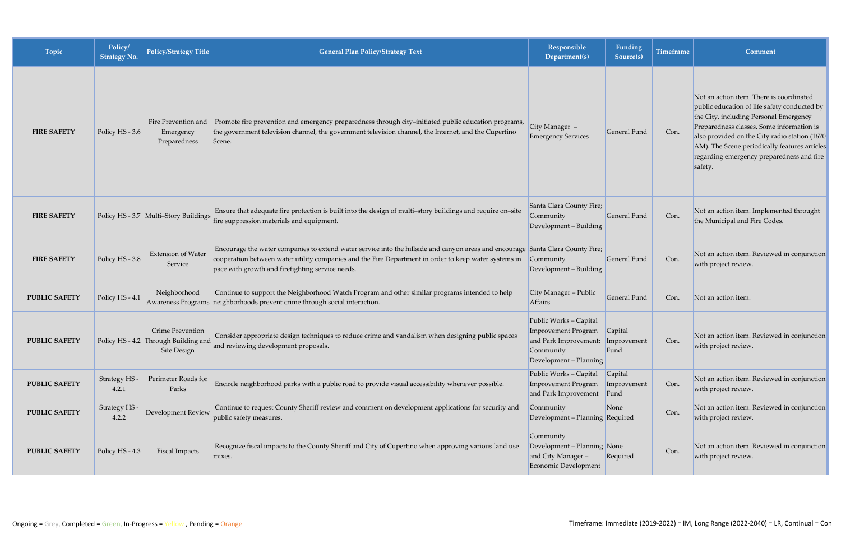| Topic                | Policy/<br><b>Strategy No.</b> | Policy/Strategy Title                                                          | <b>General Plan Policy/Strategy Text</b>                                                                                                                                                                                                                                                     | Responsible<br>Department(s)                                                                                                     | Funding<br>Source(s)   | <b>Timeframe</b> | Comment                                                                                                                                                                                                                                                                                                                                    |
|----------------------|--------------------------------|--------------------------------------------------------------------------------|----------------------------------------------------------------------------------------------------------------------------------------------------------------------------------------------------------------------------------------------------------------------------------------------|----------------------------------------------------------------------------------------------------------------------------------|------------------------|------------------|--------------------------------------------------------------------------------------------------------------------------------------------------------------------------------------------------------------------------------------------------------------------------------------------------------------------------------------------|
| <b>FIRE SAFETY</b>   | Policy HS - 3.6                | Fire Prevention and<br>Emergency<br>Preparedness                               | Promote fire prevention and emergency preparedness through city-initiated public education programs,<br>the government television channel, the government television channel, the Internet, and the Cupertino<br>Scene.                                                                      | City Manager -<br><b>Emergency Services</b>                                                                                      | General Fund           | Con.             | Not an action item. There is coordinated<br>public education of life safety conducted by<br>the City, including Personal Emergency<br>Preparedness classes. Some information is<br>also provided on the City radio station (1670)<br>AM). The Scene periodically features articles<br>regarding emergency preparedness and fire<br>safety. |
| <b>FIRE SAFETY</b>   |                                | Policy HS - 3.7 Multi-Story Buildings                                          | Ensure that adequate fire protection is built into the design of multi-story buildings and require on-site<br>fire suppression materials and equipment.                                                                                                                                      | Santa Clara County Fire;<br>Community<br>Development - Building                                                                  | General Fund           | Con.             | Not an action item. Implemented throught<br>the Municipal and Fire Codes.                                                                                                                                                                                                                                                                  |
| <b>FIRE SAFETY</b>   | Policy HS - 3.8                | <b>Extension of Water</b><br>Service                                           | Encourage the water companies to extend water service into the hillside and canyon areas and encourage Santa Clara County Fire;<br>cooperation between water utility companies and the Fire Department in order to keep water systems in<br>pace with growth and firefighting service needs. | Community<br>Development - Building                                                                                              | General Fund           | Con.             | Not an action item. Reviewed in conjunction<br>with project review.                                                                                                                                                                                                                                                                        |
| <b>PUBLIC SAFETY</b> | Policy HS - 4.1                | Neighborhood                                                                   | Continue to support the Neighborhood Watch Program and other similar programs intended to help<br>Awareness Programs neighborhoods prevent crime through social interaction.                                                                                                                 | City Manager - Public<br><b>Affairs</b>                                                                                          | General Fund           | Con.             | Not an action item.                                                                                                                                                                                                                                                                                                                        |
| <b>PUBLIC SAFETY</b> |                                | Crime Prevention<br>Policy HS - 4.2 Through Building and<br><b>Site Design</b> | Consider appropriate design techniques to reduce crime and vandalism when designing public spaces<br>and reviewing development proposals.                                                                                                                                                    | Public Works - Capital<br><b>Improvement Program</b><br>and Park Improvement; Improvement<br>Community<br>Development - Planning | Capital<br>Fund        | Con.             | Not an action item. Reviewed in conjunction<br>with project review.                                                                                                                                                                                                                                                                        |
| <b>PUBLIC SAFETY</b> | Strategy HS -<br>4.2.1         | Perimeter Roads for<br>Parks                                                   | Encircle neighborhood parks with a public road to provide visual accessibility whenever possible.                                                                                                                                                                                            | Public Works - Capital<br><b>Improvement Program</b><br>and Park Improvement Fund                                                | Capital<br>Improvement | Con.             | Not an action item. Reviewed in conjunction<br>with project review.                                                                                                                                                                                                                                                                        |
| <b>PUBLIC SAFETY</b> | Strategy HS<br>4.2.2           | <b>Development Review</b>                                                      | Continue to request County Sheriff review and comment on development applications for security and<br>public safety measures.                                                                                                                                                                | Community<br>Development – Planning Required                                                                                     | None                   | Con.             | Not an action item. Reviewed in conjunction<br>with project review.                                                                                                                                                                                                                                                                        |
| <b>PUBLIC SAFETY</b> | Policy HS - 4.3                | Fiscal Impacts                                                                 | Recognize fiscal impacts to the County Sheriff and City of Cupertino when approving various land use<br>mixes.                                                                                                                                                                               | Community<br>Development - Planning None<br>and City Manager-<br><b>Economic Development</b>                                     | Required               | Con.             | Not an action item. Reviewed in conjunction<br>with project review.                                                                                                                                                                                                                                                                        |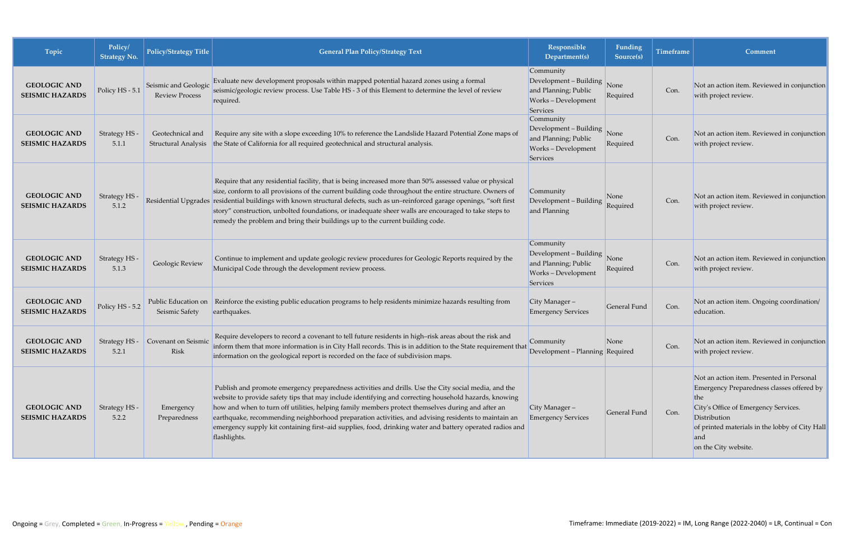| Topic                                         | Policy/<br><b>Strategy No.</b> | <b>Policy/Strategy Title</b>                   | <b>General Plan Policy/Strategy Text</b>                                                                                                                                                                                                                                                                                                                                                                                                                                                                                                              | Responsible<br>Department(s)                                                                   | Funding<br>Source(s) | <b>Timeframe</b> | Comment                                                                                                                                                                                                                                |
|-----------------------------------------------|--------------------------------|------------------------------------------------|-------------------------------------------------------------------------------------------------------------------------------------------------------------------------------------------------------------------------------------------------------------------------------------------------------------------------------------------------------------------------------------------------------------------------------------------------------------------------------------------------------------------------------------------------------|------------------------------------------------------------------------------------------------|----------------------|------------------|----------------------------------------------------------------------------------------------------------------------------------------------------------------------------------------------------------------------------------------|
| <b>GEOLOGIC AND</b><br><b>SEISMIC HAZARDS</b> | Policy HS - 5.1                | Seismic and Geologic<br><b>Review Process</b>  | Evaluate new development proposals within mapped potential hazard zones using a formal<br>seismic/geologic review process. Use Table HS - 3 of this Element to determine the level of review<br>required.                                                                                                                                                                                                                                                                                                                                             | Community<br>Development - Building<br>and Planning; Public<br>Works - Development<br>Services | None<br>Required     | Con.             | Not an action item. Reviewed in conjunction<br>with project review.                                                                                                                                                                    |
| <b>GEOLOGIC AND</b><br><b>SEISMIC HAZARDS</b> | Strategy HS -<br>5.1.1         | Geotechnical and<br><b>Structural Analysis</b> | Require any site with a slope exceeding 10% to reference the Landslide Hazard Potential Zone maps of<br>the State of California for all required geotechnical and structural analysis.                                                                                                                                                                                                                                                                                                                                                                | Community<br>Development - Building<br>and Planning; Public<br>Works - Development<br>Services | None<br>Required     | Con.             | Not an action item. Reviewed in conjunction<br>with project review.                                                                                                                                                                    |
| <b>GEOLOGIC AND</b><br><b>SEISMIC HAZARDS</b> | Strategy HS<br>5.1.2           |                                                | Require that any residential facility, that is being increased more than 50% assessed value or physical<br>size, conform to all provisions of the current building code throughout the entire structure. Owners of<br>Residential Upgrades residential buildings with known structural defects, such as un-reinforced garage openings, "soft first<br>story" construction, unbolted foundations, or inadequate sheer walls are encouraged to take steps to<br>remedy the problem and bring their buildings up to the current building code.           | Community<br>Development - Building<br>and Planning                                            | None<br>Required     | Con.             | Not an action item. Reviewed in conjunction<br>with project review.                                                                                                                                                                    |
| <b>GEOLOGIC AND</b><br><b>SEISMIC HAZARDS</b> | Strategy HS -<br>5.1.3         | Geologic Review                                | Continue to implement and update geologic review procedures for Geologic Reports required by the<br>Municipal Code through the development review process.                                                                                                                                                                                                                                                                                                                                                                                            | Community<br>Development - Building<br>and Planning; Public<br>Works - Development<br>Services | None<br>Required     | Con.             | Not an action item. Reviewed in conjunction<br>with project review.                                                                                                                                                                    |
| <b>GEOLOGIC AND</b><br><b>SEISMIC HAZARDS</b> | Policy HS - 5.2                | Public Education on<br>Seismic Safety          | Reinforce the existing public education programs to help residents minimize hazards resulting from<br>earthquakes.                                                                                                                                                                                                                                                                                                                                                                                                                                    | City Manager $-$<br><b>Emergency Services</b>                                                  | General Fund         | Con.             | Not an action item. Ongoing coordination/<br>education.                                                                                                                                                                                |
| <b>GEOLOGIC AND</b><br><b>SEISMIC HAZARDS</b> | 5.2.1                          | Strategy HS - Covenant on Seismic<br>Risk      | Require developers to record a covenant to tell future residents in high-risk areas about the risk and<br>inform them that more information is in City Hall records. This is in addition to the State requirement that<br>information on the geological report is recorded on the face of subdivision maps.                                                                                                                                                                                                                                           | Community<br>Development - Planning Required                                                   | None                 | Con.             | Not an action item. Reviewed in conjunction<br>with project review.                                                                                                                                                                    |
| <b>GEOLOGIC AND</b><br><b>SEISMIC HAZARDS</b> | Strategy HS -<br>5.2.2         | Emergency<br>Preparedness                      | Publish and promote emergency preparedness activities and drills. Use the City social media, and the<br>website to provide safety tips that may include identifying and correcting household hazards, knowing<br>how and when to turn off utilities, helping family members protect themselves during and after an<br>earthquake, recommending neighborhood preparation activities, and advising residents to maintain an<br>emergency supply kit containing first-aid supplies, food, drinking water and battery operated radios and<br>flashlights. | City Manager-<br><b>Emergency Services</b>                                                     | General Fund         | Con.             | Not an action item. Presented in Personal<br>Emergency Preparedness classes offered by<br>the<br>City's Office of Emergency Services.<br>Distribution<br>of printed materials in the lobby of City Hall<br>and<br>on the City website. |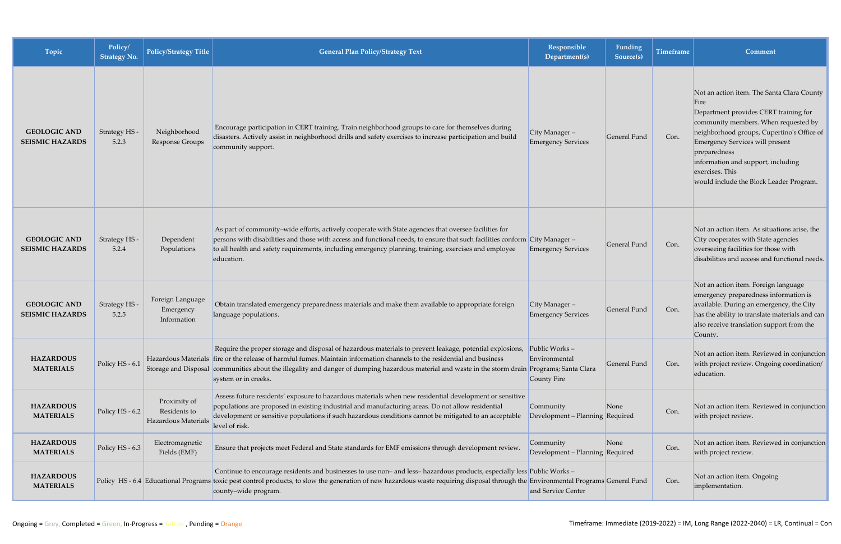| Topic                                         | Policy/<br><b>Strategy No.</b> | <b>Policy/Strategy Title</b>                        | <b>General Plan Policy/Strategy Text</b>                                                                                                                                                                                                                                                                                                                                                                                        | Responsible<br>Department(s)                  | <b>Funding</b><br>Source(s) | <b>Timeframe</b> | <b>Comment</b>                                                                                                                                                                                                                                                                                                                                  |
|-----------------------------------------------|--------------------------------|-----------------------------------------------------|---------------------------------------------------------------------------------------------------------------------------------------------------------------------------------------------------------------------------------------------------------------------------------------------------------------------------------------------------------------------------------------------------------------------------------|-----------------------------------------------|-----------------------------|------------------|-------------------------------------------------------------------------------------------------------------------------------------------------------------------------------------------------------------------------------------------------------------------------------------------------------------------------------------------------|
| <b>GEOLOGIC AND</b><br><b>SEISMIC HAZARDS</b> | Strategy HS -<br>5.2.3         | Neighborhood<br>Response Groups                     | Encourage participation in CERT training. Train neighborhood groups to care for themselves during<br>disasters. Actively assist in neighborhood drills and safety exercises to increase participation and build<br>community support.                                                                                                                                                                                           | City Manager $-$<br><b>Emergency Services</b> | General Fund                | Con.             | Not an action item. The Santa Clara County<br>Fire<br>Department provides CERT training for<br>community members. When requested by<br>neighborhood groups, Cupertino's Office of<br><b>Emergency Services will present</b><br>preparedness<br>information and support, including<br>exercises. This<br>would include the Block Leader Program. |
| <b>GEOLOGIC AND</b><br><b>SEISMIC HAZARDS</b> | Strategy HS -<br>5.2.4         | Dependent<br>Populations                            | As part of community-wide efforts, actively cooperate with State agencies that oversee facilities for<br>persons with disabilities and those with access and functional needs, to ensure that such facilities conform City Manager-<br>to all health and safety requirements, including emergency planning, training, exercises and employee<br>education.                                                                      | <b>Emergency Services</b>                     | General Fund                | Con.             | Not an action item. As situations arise, the<br>City cooperates with State agencies<br>overseeing facilities for those with<br>disabilities and access and functional needs.                                                                                                                                                                    |
| <b>GEOLOGIC AND</b><br><b>SEISMIC HAZARDS</b> | Strategy HS -<br>5.2.5         | Foreign Language<br>Emergency<br>Information        | Obtain translated emergency preparedness materials and make them available to appropriate foreign<br>language populations.                                                                                                                                                                                                                                                                                                      | City Manager-<br><b>Emergency Services</b>    | General Fund                | Con.             | Not an action item. Foreign language<br>emergency preparedness information is<br>available. During an emergency, the City<br>has the ability to translate materials and can<br>also receive translation support from the<br>County.                                                                                                             |
| <b>HAZARDOUS</b><br><b>MATERIALS</b>          | Policy HS - 6.1                |                                                     | Require the proper storage and disposal of hazardous materials to prevent leakage, potential explosions, Public Works -<br>Hazardous Materials fire or the release of harmful fumes. Maintain information channels to the residential and business<br>Storage and Disposal communities about the illegality and danger of dumping hazardous material and waste in the storm drain Programs; Santa Clara<br>system or in creeks. | Environmental<br>County Fire                  | General Fund                | Con.             | Not an action item. Reviewed in conjunction<br>with project review. Ongoing coordination/<br>education.                                                                                                                                                                                                                                         |
| <b>HAZARDOUS</b><br><b>MATERIALS</b>          | Policy HS - 6.2                | Proximity of<br>Residents to<br>Hazardous Materials | Assess future residents' exposure to hazardous materials when new residential development or sensitive<br>populations are proposed in existing industrial and manufacturing areas. Do not allow residential<br>development or sensitive populations if such hazardous conditions cannot be mitigated to an acceptable<br>level of risk.                                                                                         | Community<br>Development - Planning Required  | None                        | Con.             | Not an action item. Reviewed in conjunction<br>with project review.                                                                                                                                                                                                                                                                             |
| <b>HAZARDOUS</b><br><b>MATERIALS</b>          | Policy HS - 6.3                | Electromagnetic<br>Fields (EMF)                     | Ensure that projects meet Federal and State standards for EMF emissions through development review.                                                                                                                                                                                                                                                                                                                             | Community<br>Development - Planning Required  | None                        | Con.             | Not an action item. Reviewed in conjunction<br>with project review.                                                                                                                                                                                                                                                                             |
| <b>HAZARDOUS</b><br><b>MATERIALS</b>          |                                |                                                     | Continue to encourage residents and businesses to use non- and less-hazardous products, especially less Public Works -<br>Policy HS - 6.4 Educational Programs toxic pest control products, to slow the generation of new hazardous waste requiring disposal through the Environmental Programs General Fund<br>county-wide program.                                                                                            | and Service Center                            |                             | Con.             | Not an action item. Ongoing<br>implementation.                                                                                                                                                                                                                                                                                                  |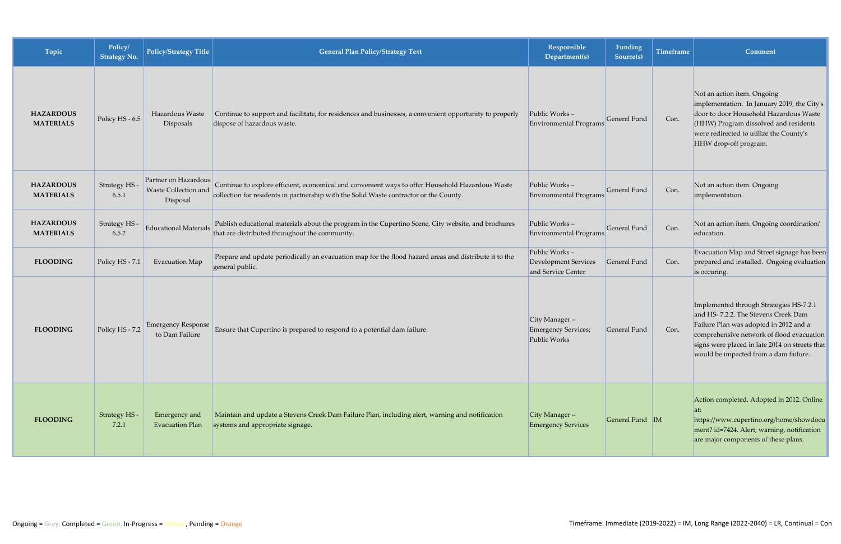| Topic                                | Policy/<br><b>Strategy No.</b> | <b>Policy/Strategy Title</b>                             | <b>General Plan Policy/Strategy Text</b>                                                                                                                                                   | <b>Responsible</b><br>Department(s)                                | <b>Funding</b><br>Source(s) | <b>Timeframe</b> | Comment                                                                                                                                                                                                                                                          |
|--------------------------------------|--------------------------------|----------------------------------------------------------|--------------------------------------------------------------------------------------------------------------------------------------------------------------------------------------------|--------------------------------------------------------------------|-----------------------------|------------------|------------------------------------------------------------------------------------------------------------------------------------------------------------------------------------------------------------------------------------------------------------------|
| <b>HAZARDOUS</b><br><b>MATERIALS</b> | Policy HS - 6.5                | Hazardous Waste<br>Disposals                             | Continue to support and facilitate, for residences and businesses, a convenient opportunity to properly<br>dispose of hazardous waste.                                                     | Public Works-<br>Environmental Programs                            | General Fund                | Con.             | Not an action item. Ongoing<br>implementation. In January 2019, the City's<br>door to door Household Hazardous Waste<br>(HHW) Program dissolved and residents<br>were redirected to utilize the County's<br>HHW drop-off program.                                |
| <b>HAZARDOUS</b><br><b>MATERIALS</b> | Strategy HS<br>6.5.1           | Partner on Hazardous<br>Waste Collection and<br>Disposal | Continue to explore efficient, economical and convenient ways to offer Household Hazardous Waste<br>collection for residents in partnership with the Solid Waste contractor or the County. | Public Works-<br>Environmental Programs                            | General Fund                | Con.             | Not an action item. Ongoing<br>implementation.                                                                                                                                                                                                                   |
| <b>HAZARDOUS</b><br><b>MATERIALS</b> | Strategy HS .<br>6.5.2         | <b>Educational Materials</b>                             | Publish educational materials about the program in the Cupertino Scene, City website, and brochures<br>that are distributed throughout the community.                                      | Public Works-<br>Environmental Programs                            | General Fund                | Con.             | Not an action item. Ongoing coordination/<br>education.                                                                                                                                                                                                          |
| <b>FLOODING</b>                      | Policy HS - 7.1                | <b>Evacuation Map</b>                                    | Prepare and update periodically an evacuation map for the flood hazard areas and distribute it to the<br>general public.                                                                   | Public Works-<br><b>Development Services</b><br>and Service Center | General Fund                | Con.             | Evacuation Map and Street signage has been<br>prepared and installed. Ongoing evaluation<br>is occuring.                                                                                                                                                         |
| <b>FLOODING</b>                      | Policy HS - 7.2                | <b>Emergency Response</b><br>to Dam Failure              | Ensure that Cupertino is prepared to respond to a potential dam failure.                                                                                                                   | City Manager-<br><b>Emergency Services;</b><br>Public Works        | General Fund                | Con.             | Implemented through Strategies HS-7.2.1<br>and HS-7.2.2. The Stevens Creek Dam<br>Failure Plan was adopted in 2012 and a<br>comprehensive network of flood evacuation<br>signs were placed in late 2014 on streets that<br>would be impacted from a dam failure. |
| <b>FLOODING</b>                      | Strategy HS -<br>7.2.1         | Emergency and<br>Evacuation Plan                         | Maintain and update a Stevens Creek Dam Failure Plan, including alert, warning and notification<br>systems and appropriate signage.                                                        | City Manager -<br><b>Emergency Services</b>                        | General Fund M              |                  | Action completed. Adopted in 2012. Online<br>$ $ at:<br>https://www.cupertino.org/home/showdocu<br>ment? id=7424. Alert, warning, notification<br>are major components of these plans.                                                                           |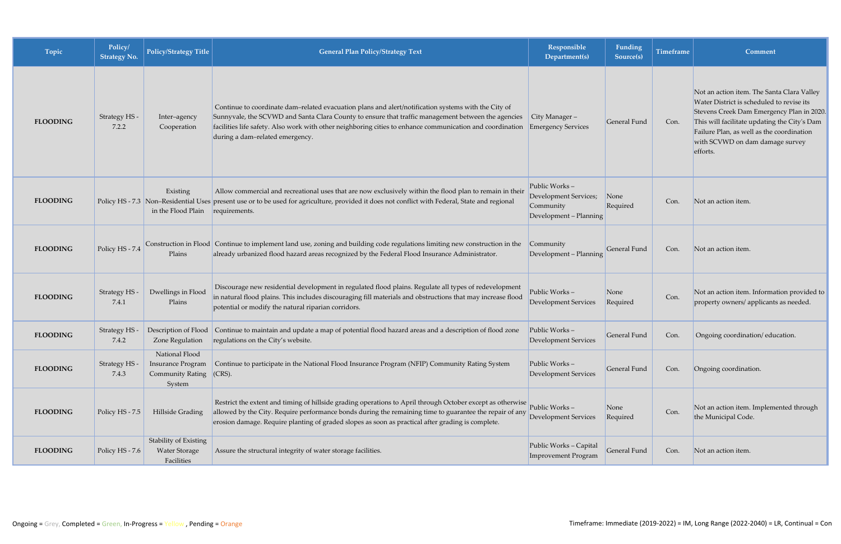| Topic           | Policy/<br><b>Strategy No.</b> | <b>Policy/Strategy Title</b>                                                    | <b>General Plan Policy/Strategy Text</b>                                                                                                                                                                                                                                                                                                                  | Responsible<br>Department(s)                                                  | <b>Funding</b><br>Source(s) | <b>Timeframe</b> | Comment                                                                                                                                                                                                                                                                          |
|-----------------|--------------------------------|---------------------------------------------------------------------------------|-----------------------------------------------------------------------------------------------------------------------------------------------------------------------------------------------------------------------------------------------------------------------------------------------------------------------------------------------------------|-------------------------------------------------------------------------------|-----------------------------|------------------|----------------------------------------------------------------------------------------------------------------------------------------------------------------------------------------------------------------------------------------------------------------------------------|
| <b>FLOODING</b> | Strategy HS -<br>7.2.2         | Inter-agency<br>Cooperation                                                     | Continue to coordinate dam-related evacuation plans and alert/notification systems with the City of<br>Sunnyvale, the SCVWD and Santa Clara County to ensure that traffic management between the agencies<br>facilities life safety. Also work with other neighboring cities to enhance communication and coordination<br>during a dam-related emergency. | City Manager -<br><b>Emergency Services</b>                                   | General Fund                | Con.             | Not an action item. The Santa Clara Valley<br>Water District is scheduled to revise its<br>Stevens Creek Dam Emergency Plan in 2020.<br>This will facilitate updating the City's Dam<br>Failure Plan, as well as the coordination<br>with SCVWD on dam damage survey<br>efforts. |
| <b>FLOODING</b> |                                | Existing<br>in the Flood Plain requirements.                                    | Allow commercial and recreational uses that are now exclusively within the flood plan to remain in their<br>Policy HS - 7.3 Non-Residential Uses present use or to be used for agriculture, provided it does not conflict with Federal, State and regional                                                                                                | Public Works-<br>Development Services;<br>Community<br>Development - Planning | None<br>Required            | Con.             | Not an action item.                                                                                                                                                                                                                                                              |
| <b>FLOODING</b> | Policy HS - 7.4                | Plains                                                                          | Construction in Flood Continue to implement land use, zoning and building code regulations limiting new construction in the<br>already urbanized flood hazard areas recognized by the Federal Flood Insurance Administrator.                                                                                                                              | Community<br>Development - Planning                                           | General Fund                | Con.             | Not an action item.                                                                                                                                                                                                                                                              |
| <b>FLOODING</b> | Strategy HS -<br>7.4.1         | Dwellings in Flood<br>Plains                                                    | Discourage new residential development in regulated flood plains. Regulate all types of redevelopment<br>in natural flood plains. This includes discouraging fill materials and obstructions that may increase flood<br>potential or modify the natural riparian corridors.                                                                               | Public Works-<br>Development Services                                         | None<br>Required            | Con.             | Not an action item. Information provided to<br>property owners/ applicants as needed.                                                                                                                                                                                            |
| <b>FLOODING</b> | <b>Strategy HS</b><br>7.4.2    |                                                                                 | Description of Flood Continue to maintain and update a map of potential flood hazard areas and a description of flood zone<br>Zone Regulation regulations on the City's website.                                                                                                                                                                          | Public Works-<br>Development Services                                         | General Fund                | Con.             | Ongoing coordination/education.                                                                                                                                                                                                                                                  |
| <b>FLOODING</b> | Strategy HS<br>7.4.3           | National Flood<br><b>Insurance Program</b><br><b>Community Rating</b><br>System | Continue to participate in the National Flood Insurance Program (NFIP) Community Rating System<br>$ CRS $ .                                                                                                                                                                                                                                               | Public Works-<br>Development Services                                         | General Fund                | Con.             | Ongoing coordination.                                                                                                                                                                                                                                                            |
| <b>FLOODING</b> | Policy HS - 7.5                | Hillside Grading                                                                | Restrict the extent and timing of hillside grading operations to April through October except as otherwise<br>allowed by the City. Require performance bonds during the remaining time to guarantee the repair of any<br>erosion damage. Require planting of graded slopes as soon as practical after grading is complete.                                | Public Works-<br><b>Development Services</b>                                  | None<br>Required            | Con.             | Not an action item. Implemented through<br>the Municipal Code.                                                                                                                                                                                                                   |
| <b>FLOODING</b> | Policy HS - 7.6                | Stability of Existing<br><b>Water Storage</b><br>Facilities                     | Assure the structural integrity of water storage facilities.                                                                                                                                                                                                                                                                                              | Public Works - Capital<br><b>Improvement Program</b>                          | General Fund                | Con.             | Not an action item.                                                                                                                                                                                                                                                              |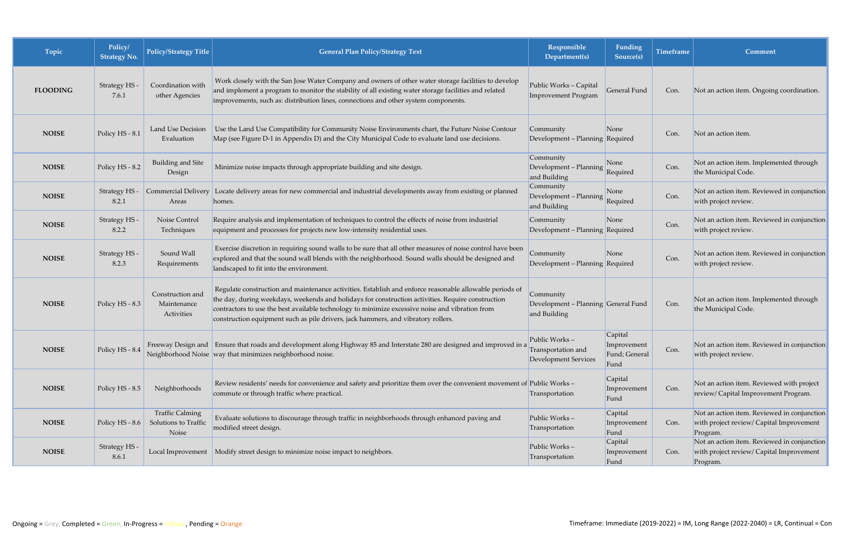| Topic           | Policy/<br><b>Strategy No.</b> | Policy/Strategy Title                                   | <b>General Plan Policy/Strategy Text</b>                                                                                                                                                                                                                                                                                                                                                             | Responsible<br>Department(s)                                     | Funding<br>Source(s)                            | Timeframe | Comment                                                                                             |
|-----------------|--------------------------------|---------------------------------------------------------|------------------------------------------------------------------------------------------------------------------------------------------------------------------------------------------------------------------------------------------------------------------------------------------------------------------------------------------------------------------------------------------------------|------------------------------------------------------------------|-------------------------------------------------|-----------|-----------------------------------------------------------------------------------------------------|
| <b>FLOODING</b> | Strategy HS -<br>7.6.1         | Coordination with<br>other Agencies                     | Work closely with the San Jose Water Company and owners of other water storage facilities to develop<br>and implement a program to monitor the stability of all existing water storage facilities and related<br>improvements, such as: distribution lines, connections and other system components.                                                                                                 | Public Works - Capital<br><b>Improvement Program</b>             | General Fund                                    | Con.      | Not an action item. Ongoing coordination.                                                           |
| <b>NOISE</b>    | Policy HS - 8.1                | Land Use Decision<br>Evaluation                         | Use the Land Use Compatibility for Community Noise Environments chart, the Future Noise Contour<br>Map (see Figure D-1 in Appendix D) and the City Municipal Code to evaluate land use decisions.                                                                                                                                                                                                    | Community<br>Development - Planning Required                     | None                                            | Con.      | Not an action item.                                                                                 |
| <b>NOISE</b>    | Policy HS - 8.2                | Building and Site<br>Design                             | Minimize noise impacts through appropriate building and site design.                                                                                                                                                                                                                                                                                                                                 | Community<br>Development - Planning<br>and Building              | None<br>Required                                | Con.      | Not an action item. Implemented through<br>the Municipal Code.                                      |
| <b>NOISE</b>    | Strategy HS -<br>8.2.1         | <b>Commercial Delivery</b><br>Areas                     | Locate delivery areas for new commercial and industrial developments away from existing or planned<br>homes.                                                                                                                                                                                                                                                                                         | Community<br>Development - Planning<br>and Building              | None<br>Required                                | Con.      | Not an action item. Reviewed in conjunction<br>with project review.                                 |
| <b>NOISE</b>    | Strategy HS -<br>8.2.2         | Noise Control<br>Techniques                             | Require analysis and implementation of techniques to control the effects of noise from industrial<br>equipment and processes for projects new low-intensity residential uses.                                                                                                                                                                                                                        | Community<br>Development - Planning Required                     | None                                            | Con.      | Not an action item. Reviewed in conjunction<br>with project review.                                 |
| <b>NOISE</b>    | Strategy HS -<br>8.2.3         | Sound Wall<br>Requirements                              | Exercise discretion in requiring sound walls to be sure that all other measures of noise control have been<br>explored and that the sound wall blends with the neighborhood. Sound walls should be designed and<br>landscaped to fit into the environment.                                                                                                                                           | Community<br>Development - Planning Required                     | None                                            | Con.      | Not an action item. Reviewed in conjunction<br>with project review.                                 |
| <b>NOISE</b>    | Policy HS - 8.3                | Construction and<br>Maintenance<br>Activities           | Regulate construction and maintenance activities. Establish and enforce reasonable allowable periods of<br>the day, during weekdays, weekends and holidays for construction activities. Require construction<br>contractors to use the best available technology to minimize excessive noise and vibration from<br>construction equipment such as pile drivers, jack hammers, and vibratory rollers. | Community<br>Development - Planning General Fund<br>and Building |                                                 | Con.      | Not an action item. Implemented through<br>the Municipal Code.                                      |
| <b>NOISE</b>    | Policy HS - 8.4                |                                                         | Freeway Design and Ensure that roads and development along Highway 85 and Interstate 280 are designed and improved in a<br>Neighborhood Noise way that minimizes neighborhood noise.                                                                                                                                                                                                                 | Public Works-<br>Transportation and<br>Development Services      | Capital<br>Improvement<br>Fund; General<br>Fund | Con.      | Not an action item. Reviewed in conjunction<br>with project review.                                 |
| <b>NOISE</b>    | Policy HS - 8.5                | Neighborhoods                                           | Review residents' needs for convenience and safety and prioritize them over the convenient movement of Public Works –<br>commute or through traffic where practical.                                                                                                                                                                                                                                 | Transportation                                                   | Capital<br>Improvement<br>Fund                  | Con.      | Not an action item. Reviewed with project<br>review/ Capital Improvement Program.                   |
| <b>NOISE</b>    | Policy HS - $8.6$              | <b>Traffic Calming</b><br>Solutions to Traffic<br>Noise | Evaluate solutions to discourage through traffic in neighborhoods through enhanced paving and<br>modified street design.                                                                                                                                                                                                                                                                             | Public Works-<br>Transportation                                  | Capital<br>Improvement<br>Fund                  | Con.      | Not an action item. Reviewed in conjunction<br>with project review/ Capital Improvement<br>Program. |
| <b>NOISE</b>    | Strategy HS -<br>8.6.1         | Local Improvement                                       | Modify street design to minimize noise impact to neighbors.                                                                                                                                                                                                                                                                                                                                          | Public Works-<br>Transportation                                  | Capital<br>Improvement<br>Fund                  | Con.      | Not an action item. Reviewed in conjunction<br>with project review/ Capital Improvement<br>Program. |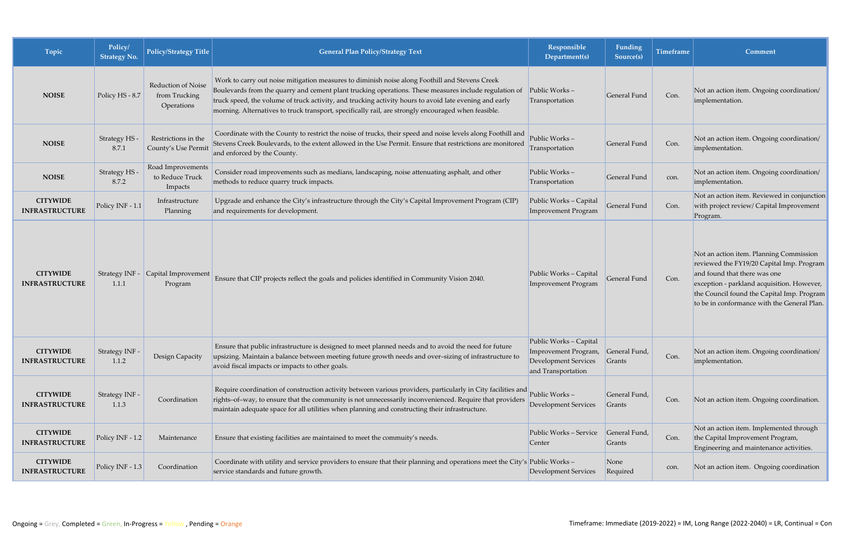| Topic                                    | Policy/<br><b>Strategy No.</b> | <b>Policy/Strategy Title</b>                      | <b>General Plan Policy/Strategy Text</b>                                                                                                                                                                                                                                                                                                                                                                                 | Responsible<br>Department(s)                                                                 | Funding<br>Source(s)    | Timeframe | Comment                                                                                                                                                                                                                                                         |
|------------------------------------------|--------------------------------|---------------------------------------------------|--------------------------------------------------------------------------------------------------------------------------------------------------------------------------------------------------------------------------------------------------------------------------------------------------------------------------------------------------------------------------------------------------------------------------|----------------------------------------------------------------------------------------------|-------------------------|-----------|-----------------------------------------------------------------------------------------------------------------------------------------------------------------------------------------------------------------------------------------------------------------|
| <b>NOISE</b>                             | Policy HS - 8.7                | Reduction of Noise<br>from Trucking<br>Operations | Work to carry out noise mitigation measures to diminish noise along Foothill and Stevens Creek<br>Boulevards from the quarry and cement plant trucking operations. These measures include regulation of<br>truck speed, the volume of truck activity, and trucking activity hours to avoid late evening and early<br>morning. Alternatives to truck transport, specifically rail, are strongly encouraged when feasible. | Public Works-<br>Transportation                                                              | General Fund            | Con.      | Not an action item. Ongoing coordination/<br>implementation.                                                                                                                                                                                                    |
| <b>NOISE</b>                             | Strategy HS -<br>8.7.1         | Restrictions in the<br>County's Use Permit        | Coordinate with the County to restrict the noise of trucks, their speed and noise levels along Foothill and<br>Stevens Creek Boulevards, to the extent allowed in the Use Permit. Ensure that restrictions are monitored<br>and enforced by the County.                                                                                                                                                                  | Public Works-<br>Transportation                                                              | General Fund            | Con.      | Not an action item. Ongoing coordination/<br>implementation.                                                                                                                                                                                                    |
| <b>NOISE</b>                             | Strategy HS<br>8.7.2           | Road Improvements<br>to Reduce Truck<br>Impacts   | Consider road improvements such as medians, landscaping, noise attenuating asphalt, and other<br>methods to reduce quarry truck impacts.                                                                                                                                                                                                                                                                                 | Public Works-<br>Transportation                                                              | General Fund            | con.      | Not an action item. Ongoing coordination/<br>implementation.                                                                                                                                                                                                    |
| <b>CITYWIDE</b><br><b>INFRASTRUCTURE</b> | Policy INF - 1.1               | Infrastructure<br>Planning                        | Upgrade and enhance the City's infrastructure through the City's Capital Improvement Program (CIP)<br>and requirements for development.                                                                                                                                                                                                                                                                                  | Public Works - Capital<br>Improvement Program                                                | General Fund            | Con.      | Not an action item. Reviewed in conjunction<br>with project review/ Capital Improvement<br>Program.                                                                                                                                                             |
| <b>CITYWIDE</b><br><b>INFRASTRUCTURE</b> | Strategy INF -<br>1.1.1        | Capital Improvement<br>Program                    | Ensure that CIP projects reflect the goals and policies identified in Community Vision 2040.                                                                                                                                                                                                                                                                                                                             | Public Works - Capital<br>Improvement Program                                                | General Fund            | Con.      | Not an action item. Planning Commission<br>reviewed the FY19/20 Capital Imp. Program<br>and found that there was one<br>exception - parkland acquisition. However,<br>the Council found the Capital Imp. Program<br>to be in conformance with the General Plan. |
| <b>CITYWIDE</b><br><b>INFRASTRUCTURE</b> | Strategy INF -<br>1.1.2        | Design Capacity                                   | Ensure that public infrastructure is designed to meet planned needs and to avoid the need for future<br>upsizing. Maintain a balance between meeting future growth needs and over-sizing of infrastructure to<br>avoid fiscal impacts or impacts to other goals.                                                                                                                                                         | Public Works - Capital<br>Improvement Program,<br>Development Services<br>and Transportation | General Fund,<br>Grants | Con.      | Not an action item. Ongoing coordination/<br>implementation.                                                                                                                                                                                                    |
| <b>CITYWIDE</b><br><b>INFRASTRUCTURE</b> | Strategy INF -<br>1.1.3        | Coordination                                      | Require coordination of construction activity between various providers, particularly in City facilities and<br>rights-of-way, to ensure that the community is not unnecessarily inconvenienced. Require that providers<br>maintain adequate space for all utilities when planning and constructing their infrastructure.                                                                                                | Public Works-<br>Development Services                                                        | General Fund,<br>Grants | Con.      | Not an action item. Ongoing coordination.                                                                                                                                                                                                                       |
| <b>CITYWIDE</b><br><b>INFRASTRUCTURE</b> | Policy INF - 1.2               | Maintenance                                       | Ensure that existing facilities are maintained to meet the commuity's needs.                                                                                                                                                                                                                                                                                                                                             | Public Works - Service<br>Center                                                             | General Fund,<br>Grants | Con.      | Not an action item. Implemented through<br>the Capital Improvement Program,<br>Engineering and maintenance activities.                                                                                                                                          |
| <b>CITYWIDE</b><br><b>INFRASTRUCTURE</b> | Policy INF - 1.3               | Coordination                                      | Coordinate with utility and service providers to ensure that their planning and operations meet the City's Public Works -<br>service standards and future growth.                                                                                                                                                                                                                                                        | Development Services                                                                         | None<br>Required        | con.      | Not an action item. Ongoing coordination                                                                                                                                                                                                                        |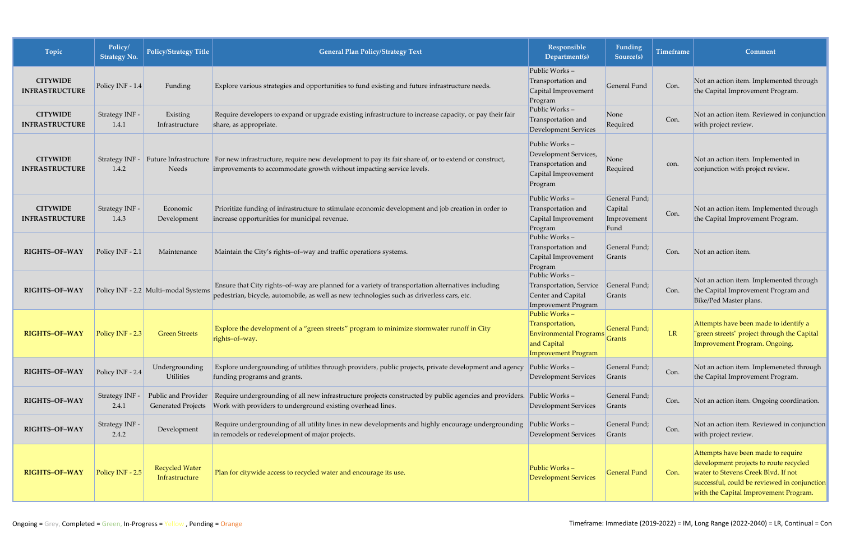| Topic                                    | Policy/<br><b>Strategy No.</b>  | <b>Policy/Strategy Title</b>                     | <b>General Plan Policy/Strategy Text</b>                                                                                                                                                           | Responsible<br>Department(s)                                                                                   | <b>Funding</b><br>Source(s)                     | <b>Timeframe</b> | Comment                                                                                                                                                                                                      |
|------------------------------------------|---------------------------------|--------------------------------------------------|----------------------------------------------------------------------------------------------------------------------------------------------------------------------------------------------------|----------------------------------------------------------------------------------------------------------------|-------------------------------------------------|------------------|--------------------------------------------------------------------------------------------------------------------------------------------------------------------------------------------------------------|
| <b>CITYWIDE</b><br><b>INFRASTRUCTURE</b> | Policy INF - 1.4                | Funding                                          | Explore various strategies and opportunities to fund existing and future infrastructure needs.                                                                                                     | Public Works-<br>Transportation and<br>Capital Improvement<br>Program                                          | General Fund                                    | Con.             | Not an action item. Implemented through<br>the Capital Improvement Program.                                                                                                                                  |
| <b>CITYWIDE</b><br><b>INFRASTRUCTURE</b> | Strategy INF -<br>1.4.1         | Existing<br>Infrastructure                       | Require developers to expand or upgrade existing infrastructure to increase capacity, or pay their fair<br>share, as appropriate.                                                                  | Public Works-<br>Transportation and<br>Development Services                                                    | None<br>Required                                | Con.             | Not an action item. Reviewed in conjunction<br>with project review.                                                                                                                                          |
| <b>CITYWIDE</b><br><b>INFRASTRUCTURE</b> | Strategy INF - $\vert$<br>1.4.2 | Needs                                            | Future Infrastructure For new infrastructure, require new development to pay its fair share of, or to extend or construct,<br>improvements to accommodate growth without impacting service levels. | Public Works-<br>Development Services,<br>Transportation and<br>Capital Improvement<br>Program                 | None<br>Required                                | con.             | Not an action item. Implemented in<br>conjunction with project review.                                                                                                                                       |
| <b>CITYWIDE</b><br><b>INFRASTRUCTURE</b> | Strategy INF -<br>1.4.3         | Economic<br>Development                          | Prioritize funding of infrastructure to stimulate economic development and job creation in order to<br>increase opportunities for municipal revenue.                                               | Public Works-<br>Transportation and<br>Capital Improvement<br>Program                                          | General Fund;<br>Capital<br>Improvement<br>Fund | Con.             | Not an action item. Implemented through<br>the Capital Improvement Program.                                                                                                                                  |
| RIGHTS-OF-WAY                            | Policy INF - 2.1                | Maintenance                                      | Maintain the City's rights-of-way and traffic operations systems.                                                                                                                                  | Public Works-<br>Transportation and<br>Capital Improvement<br>Program                                          | General Fund;<br>Grants                         | Con.             | Not an action item.                                                                                                                                                                                          |
| RIGHTS-OF-WAY                            |                                 | Policy INF - 2.2 Multi-modal Systems             | Ensure that City rights-of-way are planned for a variety of transportation alternatives including<br>pedestrian, bicycle, automobile, as well as new technologies such as driverless cars, etc.    | Public Works-<br>Transportation, Service<br>Center and Capital<br>Improvement Program                          | General Fund;<br>Grants                         | Con.             | Not an action item. Implemented through<br>the Capital Improvement Program and<br>Bike/Ped Master plans.                                                                                                     |
| RIGHTS-OF-WAY                            | Policy INF - 2.3                | <b>Green Streets</b>                             | Explore the development of a "green streets" program to minimize stormwater runoff in City<br>rights-of-way.                                                                                       | Public Works-<br>Transportation,<br><b>Environmental Programs</b><br>and Capital<br><b>Improvement Program</b> | General Fund;<br><b>Grants</b>                  | LR               | Attempts have been made to identify a<br>"green streets" project through the Capital<br><b>Improvement Program. Ongoing.</b>                                                                                 |
| RIGHTS-OF-WAY                            | Policy INF - 2.4                | Undergrounding<br><b>Utilities</b>               | Explore undergrounding of utilities through providers, public projects, private development and agency<br>funding programs and grants.                                                             | Public Works $-$<br>Development Services                                                                       | General Fund;<br>Grants                         | Con.             | Not an action item. Implemeneted through<br>the Capital Improvement Program.                                                                                                                                 |
| RIGHTS-OF-WAY                            | Strategy INF -<br>2.4.1         | Public and Provider<br><b>Generated Projects</b> | Require undergrounding of all new infrastructure projects constructed by public agencies and providers. Public Works –<br>Work with providers to underground existing overhead lines.              | Development Services                                                                                           | General Fund;<br>Grants                         | Con.             | Not an action item. Ongoing coordination.                                                                                                                                                                    |
| RIGHTS-OF-WAY                            | Strategy INF -<br>2.4.2         | Development                                      | Require undergrounding of all utility lines in new developments and highly encourage undergrounding<br>in remodels or redevelopment of major projects.                                             | Public Works $-$<br>Development Services                                                                       | General Fund;<br>Grants                         | Con.             | Not an action item. Reviewed in conjunction<br>with project review.                                                                                                                                          |
| RIGHTS-OF-WAY                            | Policy INF - 2.5                | <b>Recycled Water</b><br>Infrastructure          | Plan for citywide access to recycled water and encourage its use.                                                                                                                                  | Public Works-<br><b>Development Services</b>                                                                   | <b>General Fund</b>                             | Con.             | Attempts have been made to require<br>development projects to route recycled<br>water to Stevens Creek Blvd. If not<br>successful, could be reviewed in conjunction<br>with the Capital Improvement Program. |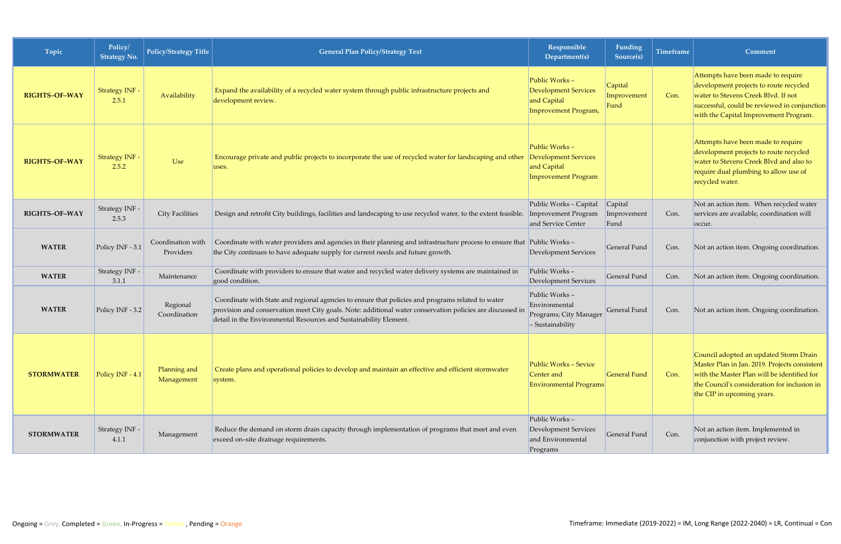| Topic                | Policy/<br><b>Strategy No.</b> | Policy/Strategy Title          | <b>General Plan Policy/Strategy Text</b>                                                                                                                                                                                                                                            | Responsible<br>Department(s)                                                              | <b>Funding</b><br>Source(s)    | <b>Timeframe</b> | Comment                                                                                                                                                                                                              |
|----------------------|--------------------------------|--------------------------------|-------------------------------------------------------------------------------------------------------------------------------------------------------------------------------------------------------------------------------------------------------------------------------------|-------------------------------------------------------------------------------------------|--------------------------------|------------------|----------------------------------------------------------------------------------------------------------------------------------------------------------------------------------------------------------------------|
| <b>RIGHTS-OF-WAY</b> | <b>Strategy INF -</b><br>2.5.1 | Availability                   | Expand the availability of a recycled water system through public infrastructure projects and<br>development review.                                                                                                                                                                | Public Works-<br><b>Development Services</b><br>and Capital<br>Improvement Program,       | Capital<br>Improvement<br>Fund | Con.             | Attempts have been made to require<br>development projects to route recycled<br>water to Stevens Creek Blvd. If not<br>successful, could be reviewed in conjunction<br>with the Capital Improvement Program.         |
| <b>RIGHTS-OF-WAY</b> | Strategy INF -<br>2.5.2        | Use                            | Encourage private and public projects to incorporate the use of recycled water for landscaping and other<br>uses.                                                                                                                                                                   | Public Works-<br><b>Development Services</b><br>and Capital<br><b>Improvement Program</b> |                                |                  | Attempts have been made to require<br>development projects to route recycled<br>water to Stevens Creek Blvd and also to<br>require dual plumbing to allow use of<br>recycled water.                                  |
| RIGHTS-OF-WAY        | Strategy INF -<br>2.5.3        | <b>City Facilities</b>         | Design and retrofit City buildings, facilities and landscaping to use recycled water, to the extent feasible. Improvement Program                                                                                                                                                   | Public Works - Capital<br>and Service Center                                              | Capital<br>Improvement<br>Fund | Con.             | Not an action item. When recycled water<br>services are available, coordination will<br>occur.                                                                                                                       |
| <b>WATER</b>         | Policy INF - 3.1               | Coordination with<br>Providers | Coordinate with water providers and agencies in their planning and infrastructure process to ensure that<br>the City continues to have adequate supply for current needs and future growth.                                                                                         | Public Works-<br><b>Development Services</b>                                              | General Fund                   | Con.             | Not an action item. Ongoing coordination.                                                                                                                                                                            |
| <b>WATER</b>         | Strategy INF -<br>3.1.1        | Maintenance                    | Coordinate with providers to ensure that water and recycled water delivery systems are maintained in<br>good condition.                                                                                                                                                             | Public Works-<br><b>Development Services</b>                                              | General Fund                   | Con.             | Not an action item. Ongoing coordination.                                                                                                                                                                            |
| <b>WATER</b>         | Policy INF - 3.2               | Regional<br>Coordination       | Coordinate with State and regional agencies to ensure that policies and programs related to water<br>provision and conservation meet City goals. Note: additional water conservation policies are discussed in<br>detail in the Environmental Resources and Sustainability Element. | Public Works-<br>Environmental<br>Programs; City Manager<br>- Sustainability              | General Fund                   | Con.             | Not an action item. Ongoing coordination.                                                                                                                                                                            |
| <b>STORMWATER</b>    | Policy INF - 4.1               | Planning and<br>Management     | Create plans and operational policies to develop and maintain an effective and efficient stormwater<br>system.                                                                                                                                                                      | <b>Public Works - Sevice</b><br>Center and<br><b>Environmental Programs</b>               | <b>General Fund</b>            | Con.             | Council adopted an updated Storm Drain<br>Master Plan in Jan. 2019. Projects consistent<br>with the Master Plan will be identified for<br>the Council's consideration for inclusion in<br>the CIP in upcoming years. |
| <b>STORMWATER</b>    | Strategy INF -<br>4.1.1        | Management                     | Reduce the demand on storm drain capacity through implementation of programs that meet and even<br>exceed on-site drainage requirements.                                                                                                                                            | Public Works-<br><b>Development Services</b><br>and Environmental<br>Programs             | General Fund                   | Con.             | Not an action item. Implemented in<br>conjunction with project review.                                                                                                                                               |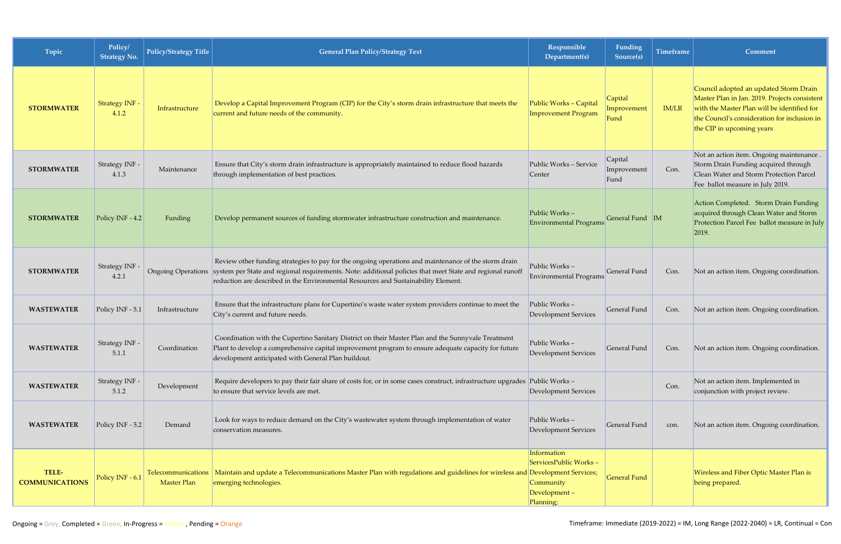| Topic                          | Policy/<br><b>Strategy No.</b> | Policy/Strategy Title                    | <b>General Plan Policy/Strategy Text</b>                                                                                                                                                                                                                                                                                   | Responsible<br>Department(s)                                                   | Funding<br>Source(s)           | <b>Timeframe</b> | <b>Comment</b>                                                                                                                                                                                                      |
|--------------------------------|--------------------------------|------------------------------------------|----------------------------------------------------------------------------------------------------------------------------------------------------------------------------------------------------------------------------------------------------------------------------------------------------------------------------|--------------------------------------------------------------------------------|--------------------------------|------------------|---------------------------------------------------------------------------------------------------------------------------------------------------------------------------------------------------------------------|
| <b>STORMWATER</b>              | Strategy INF -<br>4.1.2        | Infrastructure                           | Develop a Capital Improvement Program (CIP) for the City's storm drain infrastructure that meets the<br>current and future needs of the community.                                                                                                                                                                         | Public Works - Capital<br><b>Improvement Program</b>                           | Capital<br>Improvement<br>Fund | IM/LR            | Council adopted an updated Storm Drain<br>Master Plan in Jan. 2019. Projects consistent<br>with the Master Plan will be identified for<br>the Council's consideration for inclusion in<br>the CIP in upcoming years |
| <b>STORMWATER</b>              | Strategy INF -<br>4.1.3        | Maintenance                              | Ensure that City's storm drain infrastructure is appropriately maintained to reduce flood hazards<br>through implementation of best practices.                                                                                                                                                                             | Public Works - Service<br>Center                                               | Capital<br>Improvement<br>Fund | Con.             | Not an action item. Ongoing maintenance.<br>Storm Drain Funding acquired through<br>Clean Water and Storm Protection Parcel<br>Fee ballot measure in July 2019.                                                     |
| <b>STORMWATER</b>              | Policy INF - 4.2               | Funding                                  | Develop permanent sources of funding stormwater infrastructure construction and maintenance.                                                                                                                                                                                                                               | Public Works-<br><b>Environmental Programs</b>                                 | General Fund M                 |                  | Action Completed. Storm Drain Funding<br>acquired through Clean Water and Storm<br>Protection Parcel Fee ballot measure in July<br>2019.                                                                            |
| <b>STORMWATER</b>              | Strategy INF -<br>4.2.1        |                                          | Review other funding strategies to pay for the ongoing operations and maintenance of the storm drain<br>Ongoing Operations system per State and regional requirements. Note: additional policies that meet State and regional runoff<br>reduction are described in the Environmental Resources and Sustainability Element. | Public Works-<br><b>Environmental Programs</b>                                 | General Fund                   | Con.             | Not an action item. Ongoing coordination.                                                                                                                                                                           |
| <b>WASTEWATER</b>              | Policy INF - 5.1               | Infrastructure                           | Ensure that the infrastructure plans for Cupertino's waste water system providers continue to meet the<br>City's current and future needs.                                                                                                                                                                                 | Public Works-<br>Development Services                                          | General Fund                   | Con.             | Not an action item. Ongoing coordination.                                                                                                                                                                           |
| <b>WASTEWATER</b>              | Strategy INF -<br>5.1.1        | Coordination                             | Coordination with the Cupertino Sanitary District on their Master Plan and the Sunnyvale Treatment<br>Plant to develop a comprehensive capital improvement program to ensure adequate capacity for future<br>development anticipated with General Plan buildout.                                                           | Public Works –<br>Development Services                                         | General Fund                   | Con.             | Not an action item. Ongoing coordination.                                                                                                                                                                           |
| <b>WASTEWATER</b>              | Strategy INF -<br>5.1.2        | Development                              | Require developers to pay their fair share of costs for, or in some cases construct, infrastructure upgrades Public Works –<br>to ensure that service levels are met.                                                                                                                                                      | <b>Development Services</b>                                                    |                                | Con.             | Not an action item. Implemented in<br>conjunction with project review.                                                                                                                                              |
| <b>WASTEWATER</b>              | Policy INF - 5.2               | Demand                                   | Look for ways to reduce demand on the City's wastewater system through implementation of water<br>conservation measures.                                                                                                                                                                                                   | Public Works-<br>Development Services                                          | General Fund                   | con.             | Not an action item. Ongoing coordination.                                                                                                                                                                           |
| TELE-<br><b>COMMUNICATIONS</b> | Policy INF - 6.1               | Telecommunications<br><b>Master Plan</b> | Maintain and update a Telecommunications Master Plan with regulations and guidelines for wireless and Development Services;<br>emerging technologies.                                                                                                                                                                      | Information<br>ServicesPublic Works-<br>Community<br>Development-<br>Planning; | <b>General Fund</b>            |                  | Wireless and Fiber Optic Master Plan is<br>being prepared.                                                                                                                                                          |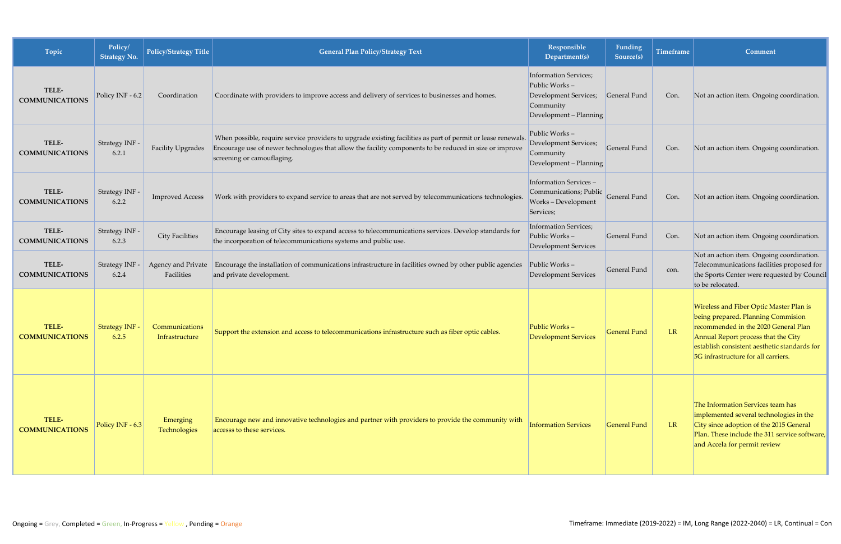| Topic                          | Policy/<br><b>Strategy No.</b> | Policy/Strategy Title            | <b>General Plan Policy/Strategy Text</b>                                                                                                                                                                                                              | Responsible<br>Department(s)                                                                                  | Funding<br>Source(s) | Timeframe | Comment                                                                                                                                                                                                                                             |
|--------------------------------|--------------------------------|----------------------------------|-------------------------------------------------------------------------------------------------------------------------------------------------------------------------------------------------------------------------------------------------------|---------------------------------------------------------------------------------------------------------------|----------------------|-----------|-----------------------------------------------------------------------------------------------------------------------------------------------------------------------------------------------------------------------------------------------------|
| TELE-<br><b>COMMUNICATIONS</b> | Policy INF - 6.2               | Coordination                     | Coordinate with providers to improve access and delivery of services to businesses and homes.                                                                                                                                                         | <b>Information Services;</b><br>Public Works-<br>Development Services;<br>Community<br>Development - Planning | General Fund         | Con.      | Not an action item. Ongoing coordination.                                                                                                                                                                                                           |
| TELE-<br><b>COMMUNICATIONS</b> | Strategy INF -<br>6.2.1        | Facility Upgrades                | When possible, require service providers to upgrade existing facilities as part of permit or lease renewals.<br>Encourage use of newer technologies that allow the facility components to be reduced in size or improve<br>screening or camouflaging. | Public Works-<br>Development Services;<br>Community<br>Development - Planning                                 | General Fund         | Con.      | Not an action item. Ongoing coordination.                                                                                                                                                                                                           |
| TELE-<br><b>COMMUNICATIONS</b> | Strategy INF -<br>6.2.2        | <b>Improved Access</b>           | Work with providers to expand service to areas that are not served by telecommunications technologies.                                                                                                                                                | Information Services-<br>Communications; Public<br>Works - Development<br>Services;                           | General Fund         | Con.      | Not an action item. Ongoing coordination.                                                                                                                                                                                                           |
| TELE-<br><b>COMMUNICATIONS</b> | Strategy INF -<br>6.2.3        | <b>City Facilities</b>           | Encourage leasing of City sites to expand access to telecommunications services. Develop standards for<br>the incorporation of telecommunications systems and public use.                                                                             | Information Services;<br>Public Works-<br>Development Services                                                | General Fund         | Con.      | Not an action item. Ongoing coordination.                                                                                                                                                                                                           |
| TELE-<br><b>COMMUNICATIONS</b> | Strategy INF<br>6.2.4          | Agency and Private<br>Facilities | Encourage the installation of communications infrastructure in facilities owned by other public agencies<br>and private development.                                                                                                                  | Public Works-<br><b>Development Services</b>                                                                  | General Fund         | con.      | Not an action item. Ongoing coordination.<br>Telecommunications facilities proposed for<br>the Sports Center were requested by Council<br>to be relocated.                                                                                          |
| TELE-<br><b>COMMUNICATIONS</b> | Strategy INF -<br>6.2.5        | Communications<br>Infrastructure | Support the extension and access to telecommunications infrastructure such as fiber optic cables.                                                                                                                                                     | Public Works-<br><b>Development Services</b>                                                                  | <b>General Fund</b>  | <b>LR</b> | Wireless and Fiber Optic Master Plan is<br>being prepared. Planning Commision<br>recommended in the 2020 General Plan<br>Annual Report process that the City<br>establish consistent aesthetic standards for<br>5G infrastructure for all carriers. |
| TELE-<br><b>COMMUNICATIONS</b> | Policy INF - $6.3$             | Emerging<br>Technologies         | Encourage new and innovative technologies and partner with providers to provide the community with<br>accesss to these services.                                                                                                                      | <b>Information Services</b>                                                                                   | <b>General Fund</b>  | LR        | The Information Services team has<br>implemented several technologies in the<br>City since adoption of the 2015 General<br>Plan. These include the 311 service software,<br>and Accela for permit review                                            |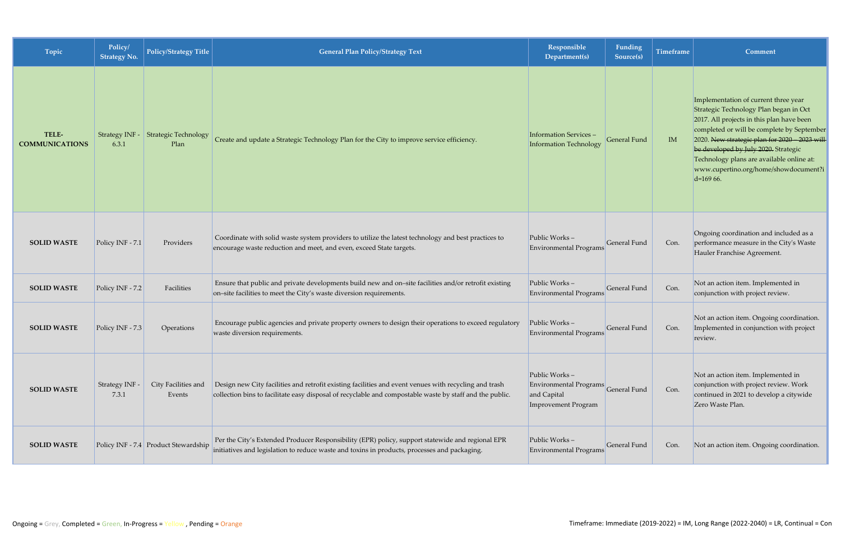| Topic                          | Policy/<br><b>Strategy No.</b> | Policy/Strategy Title                | <b>General Plan Policy/Strategy Text</b>                                                                                                                                                                          | Responsible<br>Department(s)                                                  | Funding<br>Source(s) | <b>Timeframe</b> | Comment                                                                                                                                                                                                                                                                                                                                                                 |
|--------------------------------|--------------------------------|--------------------------------------|-------------------------------------------------------------------------------------------------------------------------------------------------------------------------------------------------------------------|-------------------------------------------------------------------------------|----------------------|------------------|-------------------------------------------------------------------------------------------------------------------------------------------------------------------------------------------------------------------------------------------------------------------------------------------------------------------------------------------------------------------------|
| TELE-<br><b>COMMUNICATIONS</b> | Strategy INF -<br>6.3.1        | <b>Strategic Technology</b><br>Plan  | Create and update a Strategic Technology Plan for the City to improve service efficiency.                                                                                                                         | <b>Information Services -</b><br><b>Information Technology</b>                | General Fund         | IM               | Implementation of current three year<br>Strategic Technology Plan began in Oct<br>2017. All projects in this plan have been<br>completed or will be complete by September<br>2020. New strategic plan for 2020 - 2023 will<br>be developed by July 2020. Strategic<br>Technology plans are available online at:<br>www.cupertino.org/home/showdocument?i<br>$d=16966$ . |
| <b>SOLID WASTE</b>             | Policy INF - 7.1               | Providers                            | Coordinate with solid waste system providers to utilize the latest technology and best practices to<br>encourage waste reduction and meet, and even, exceed State targets.                                        | Public Works-<br>Environmental Programs                                       | General Fund         | Con.             | Ongoing coordination and included as a<br>performance measure in the City's Waste<br>Hauler Franchise Agreement.                                                                                                                                                                                                                                                        |
| <b>SOLID WASTE</b>             | Policy INF - 7.2               | Facilities                           | Ensure that public and private developments build new and on-site facilities and/or retrofit existing<br>on-site facilities to meet the City's waste diversion requirements.                                      | Public Works-<br>Environmental Programs                                       | General Fund         | Con.             | Not an action item. Implemented in<br>conjunction with project review.                                                                                                                                                                                                                                                                                                  |
| <b>SOLID WASTE</b>             | Policy INF - 7.3               | Operations                           | Encourage public agencies and private property owners to design their operations to exceed regulatory<br>waste diversion requirements.                                                                            | Public Works-<br>Environmental Programs                                       | General Fund         | Con.             | Not an action item. Ongoing coordination.<br>Implemented in conjunction with project<br>review.                                                                                                                                                                                                                                                                         |
| <b>SOLID WASTE</b>             | Strategy INF -<br>7.3.1        | City Facilities and<br>Events        | Design new City facilities and retrofit existing facilities and event venues with recycling and trash<br>collection bins to facilitate easy disposal of recyclable and compostable waste by staff and the public. | Public Works-<br>Environmental Programs<br>and Capital<br>Improvement Program | General Fund         | Con.             | Not an action item. Implemented in<br>conjunction with project review. Work<br>continued in 2021 to develop a citywide<br>Zero Waste Plan.                                                                                                                                                                                                                              |
| <b>SOLID WASTE</b>             |                                | Policy INF - 7.4 Product Stewardship | Per the City's Extended Producer Responsibility (EPR) policy, support statewide and regional EPR<br>initiatives and legislation to reduce waste and toxins in products, processes and packaging.                  | Public Works-<br>Environmental Programs                                       | General Fund         | Con.             | Not an action item. Ongoing coordination.                                                                                                                                                                                                                                                                                                                               |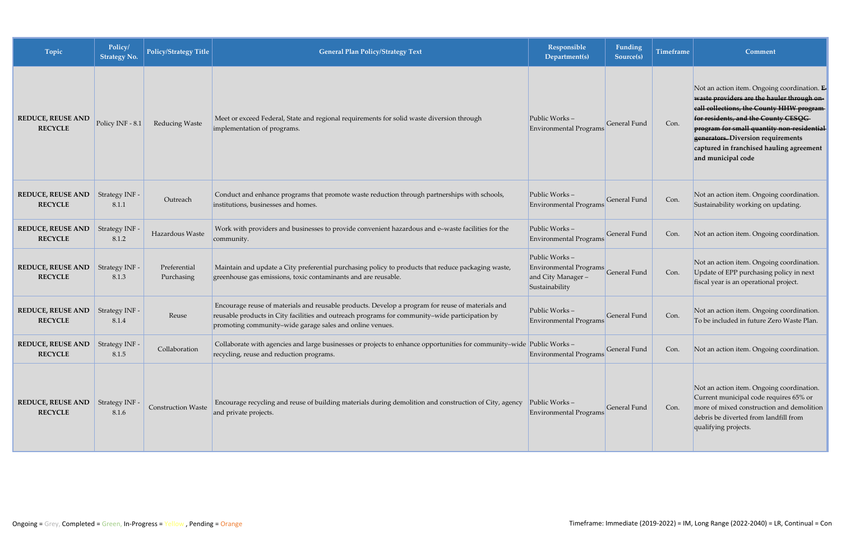| Topic                                                     | Policy/<br><b>Strategy No.</b> | Policy/Strategy Title      | <b>General Plan Policy/Strategy Text</b>                                                                                                                                                                                                                       | <b>Responsible</b><br>Department(s)                                            | Funding<br>Source(s) | Timeframe | Comment                                                                                                                                                                                                                                                                                                                             |
|-----------------------------------------------------------|--------------------------------|----------------------------|----------------------------------------------------------------------------------------------------------------------------------------------------------------------------------------------------------------------------------------------------------------|--------------------------------------------------------------------------------|----------------------|-----------|-------------------------------------------------------------------------------------------------------------------------------------------------------------------------------------------------------------------------------------------------------------------------------------------------------------------------------------|
| <b>REDUCE, REUSE AND</b><br><b>RECYCLE</b>                | Policy INF - 8.1               | Reducing Waste             | Meet or exceed Federal, State and regional requirements for solid waste diversion through<br>implementation of programs.                                                                                                                                       | Public Works-<br>Environmental Programs                                        | General Fund         | Con.      | Not an action item. Ongoing coordination. E<br>waste providers are the hauler through on-<br>eall collections, the County HHW program-<br>for residents, and the County CESQG<br>program for small quantity non-residential<br>generators. Diversion requirements<br>captured in franchised hauling agreement<br>and municipal code |
| <b>REDUCE, REUSE AND</b><br><b>RECYCLE</b>                | Strategy INF -<br>8.1.1        | Outreach                   | Conduct and enhance programs that promote waste reduction through partnerships with schools,<br>institutions, businesses and homes.                                                                                                                            | Public Works-<br><b>Environmental Programs</b>                                 | General Fund         | Con.      | Not an action item. Ongoing coordination.<br>Sustainability working on updating.                                                                                                                                                                                                                                                    |
| <b>REDUCE, REUSE AND</b><br><b>RECYCLE</b>                | Strategy INF -<br>8.1.2        | Hazardous Waste            | Work with providers and businesses to provide convenient hazardous and e-waste facilities for the<br>community.                                                                                                                                                | Public Works-<br>Environmental Programs                                        | General Fund         | Con.      | Not an action item. Ongoing coordination.                                                                                                                                                                                                                                                                                           |
| <b>REDUCE, REUSE AND</b><br><b>RECYCLE</b>                | Strategy INF -<br>8.1.3        | Preferential<br>Purchasing | Maintain and update a City preferential purchasing policy to products that reduce packaging waste,<br>greenhouse gas emissions, toxic contaminants and are reusable.                                                                                           | Public Works-<br>Environmental Programs<br>and City Manager-<br>Sustainability | General Fund         | Con.      | Not an action item. Ongoing coordination.<br>Update of EPP purchasing policy in next<br>fiscal year is an operational project.                                                                                                                                                                                                      |
| <b>REDUCE, REUSE AND</b><br><b>RECYCLE</b>                | Strategy INF -<br>8.1.4        | Reuse                      | Encourage reuse of materials and reusable products. Develop a program for reuse of materials and<br>reusable products in City facilities and outreach programs for community-wide participation by<br>promoting community-wide garage sales and online venues. | Public Works-<br><b>Environmental Programs</b>                                 | General Fund         | Con.      | Not an action item. Ongoing coordination.<br>To be included in future Zero Waste Plan.                                                                                                                                                                                                                                              |
| REDUCE, REUSE AND Strategy INF -<br><b>RECYCLE</b>        | 8.1.5                          | Collaboration              | Collaborate with agencies and large businesses or projects to enhance opportunities for community-wide Public Works -<br>recycling, reuse and reduction programs.                                                                                              | Environmental Programs                                                         | General Fund         | Con.      | Not an action item. Ongoing coordination.                                                                                                                                                                                                                                                                                           |
| <b>REDUCE, REUSE AND</b> Strategy INF -<br><b>RECYCLE</b> | 8.1.6                          | <b>Construction Waste</b>  | Encourage recycling and reuse of building materials during demolition and construction of City, agency<br>and private projects.                                                                                                                                | Public Works-<br>Environmental Programs                                        | General Fund         | Con.      | Not an action item. Ongoing coordination.<br>Current municipal code requires 65% or<br>more of mixed construction and demolition<br>debris be diverted from landfill from<br>qualifying projects.                                                                                                                                   |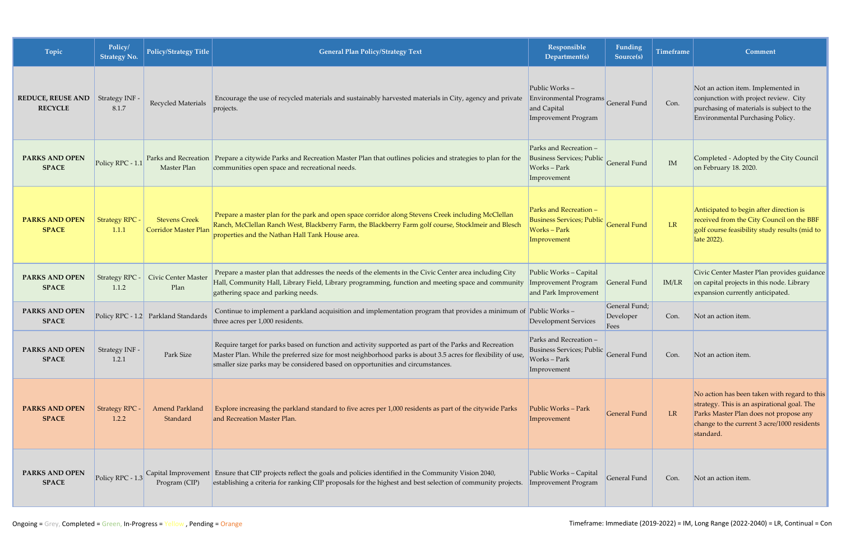| Topic                                      | Policy/<br><b>Strategy No.</b> | <b>Policy/Strategy Title</b>                        | <b>General Plan Policy/Strategy Text</b>                                                                                                                                                                                                                                                                | Responsible<br>Department(s)                                                                   | Funding<br>Source(s)               | <b>Timeframe</b> | <b>Comment</b>                                                                                                                                                                                    |
|--------------------------------------------|--------------------------------|-----------------------------------------------------|---------------------------------------------------------------------------------------------------------------------------------------------------------------------------------------------------------------------------------------------------------------------------------------------------------|------------------------------------------------------------------------------------------------|------------------------------------|------------------|---------------------------------------------------------------------------------------------------------------------------------------------------------------------------------------------------|
| <b>REDUCE, REUSE AND</b><br><b>RECYCLE</b> | Strategy INF -<br>8.1.7        | Recycled Materials                                  | Encourage the use of recycled materials and sustainably harvested materials in City, agency and private<br>projects.                                                                                                                                                                                    | Public Works-<br><b>Environmental Programs</b><br>and Capital<br><b>Improvement Program</b>    | <b>General Fund</b>                | Con.             | Not an action item. Implemented in<br>conjunction with project review. City<br>purchasing of materials is subject to the<br>Environmental Purchasing Policy.                                      |
| <b>PARKS AND OPEN</b><br><b>SPACE</b>      | Policy RPC - 1.1               | Master Plan                                         | Parks and Recreation   Prepare a citywide Parks and Recreation Master Plan that outlines policies and strategies to plan for the<br>communities open space and recreational needs.                                                                                                                      | Parks and Recreation -<br><b>Business Services; Public</b><br>Works - Park<br>Improvement      | General Fund                       | IM               | Completed - Adopted by the City Council<br>on February 18. 2020.                                                                                                                                  |
| <b>PARKS AND OPEN</b><br><b>SPACE</b>      | <b>Strategy RPC -</b><br>1.1.1 | <b>Stevens Creek</b><br><b>Corridor Master Plan</b> | Prepare a master plan for the park and open space corridor along Stevens Creek including McClellan<br>Ranch, McClellan Ranch West, Blackberry Farm, the Blackberry Farm golf course, Stocklmeir and Blesch<br>properties and the Nathan Hall Tank House area.                                           | Parks and Recreation -<br><b>Business Services; Public</b><br><b>Works-Park</b><br>Improvement | <b>General Fund</b>                | LR               | Anticipated to begin after direction is<br>received from the City Council on the BBF<br>golf course feasibility study results (mid to<br>late 2022).                                              |
| <b>PARKS AND OPEN</b><br><b>SPACE</b>      | <b>Strategy RPC -</b><br>1.1.2 | Civic Center Master<br>Plan                         | Prepare a master plan that addresses the needs of the elements in the Civic Center area including City<br>Hall, Community Hall, Library Field, Library programming, function and meeting space and community<br>gathering space and parking needs.                                                      | Public Works - Capital<br>Improvement Program<br>and Park Improvement                          | General Fund                       | IM/LR            | Civic Center Master Plan provides guidance<br>on capital projects in this node. Library<br>expansion currently anticipated.                                                                       |
| PARKS AND OPEN<br><b>SPACE</b>             |                                | Policy RPC - 1.2 Parkland Standards                 | Continue to implement a parkland acquisition and implementation program that provides a minimum of Public Works -<br>three acres per 1,000 residents.                                                                                                                                                   | <b>Development Services</b>                                                                    | General Fund;<br>Developer<br>Fees | Con.             | Not an action item.                                                                                                                                                                               |
| PARKS AND OPEN<br><b>SPACE</b>             | Strategy INF -<br>1.2.1        | Park Size                                           | Require target for parks based on function and activity supported as part of the Parks and Recreation<br>Master Plan. While the preferred size for most neighborhood parks is about 3.5 acres for flexibility of use,<br>smaller size parks may be considered based on opportunities and circumstances. | Parks and Recreation -<br><b>Business Services; Public</b><br>Works - Park<br>Improvement      | General Fund                       | Con.             | Not an action item.                                                                                                                                                                               |
| <b>PARKS AND OPEN</b><br><b>SPACE</b>      | <b>Strategy RPC -</b><br>1.2.2 | <b>Amend Parkland</b><br>Standard                   | Explore increasing the parkland standard to five acres per 1,000 residents as part of the citywide Parks<br>and Recreation Master Plan.                                                                                                                                                                 | Public Works - Park<br>Improvement                                                             | General Fund                       | LR               | No action has been taken with regard to this<br>strategy. This is an aspirational goal. The<br>Parks Master Plan does not propose any<br>change to the current 3 acre/1000 residents<br>standard. |
| PARKS AND OPEN<br><b>SPACE</b>             | Policy RPC - 1.3               | Capital Improvement<br>Program (CIP)                | Ensure that CIP projects reflect the goals and policies identified in the Community Vision 2040,<br>establishing a criteria for ranking CIP proposals for the highest and best selection of community projects.                                                                                         | Public Works - Capital<br><b>Improvement Program</b>                                           | General Fund                       | Con.             | Not an action item.                                                                                                                                                                               |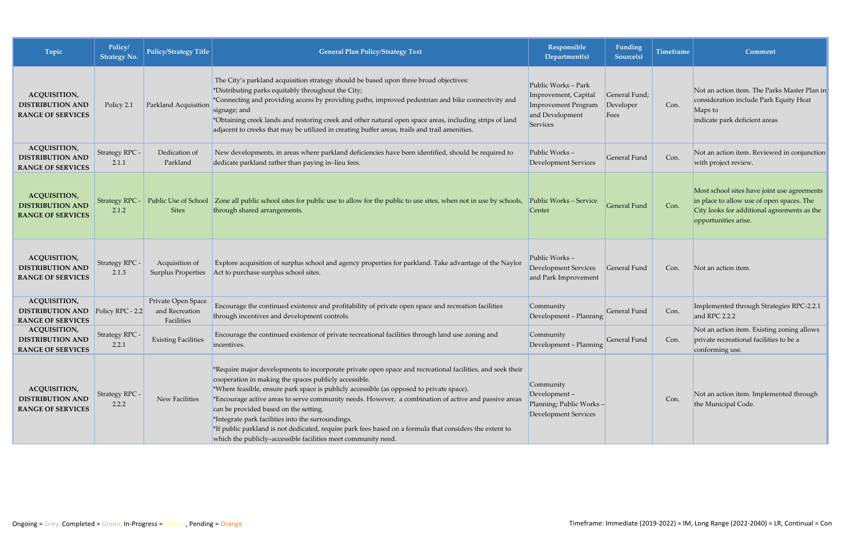| Topic                                                                      | Policy/<br>Strategy No.        | Policy/Strategy Title                              | <b>General Plan Policy/Strategy Text</b>                                                                                                                                                                                                                                                                                                                                                                                                                                                                                                                                                                                                         | Responsible<br>Department(s)                                                                      | <b>Funding</b><br>Source(s)        | <b>Timeframe</b> | Comment                                                                                                                                                         |
|----------------------------------------------------------------------------|--------------------------------|----------------------------------------------------|--------------------------------------------------------------------------------------------------------------------------------------------------------------------------------------------------------------------------------------------------------------------------------------------------------------------------------------------------------------------------------------------------------------------------------------------------------------------------------------------------------------------------------------------------------------------------------------------------------------------------------------------------|---------------------------------------------------------------------------------------------------|------------------------------------|------------------|-----------------------------------------------------------------------------------------------------------------------------------------------------------------|
| <b>ACQUISITION,</b><br><b>DISTRIBUTION AND</b><br><b>RANGE OF SERVICES</b> | Policy 2.1                     | Parkland Acquisition                               | The City's parkland acquisition strategy should be based upon three broad objectives:<br>*Distributing parks equitably throughout the City;<br>*Connecting and providing access by providing paths, improved pedestrian and bike connectivity and<br>signage; and<br>*Obtaining creek lands and restoring creek and other natural open space areas, including strips of land<br>adjacent to creeks that may be utilized in creating buffer areas, trails and trail amenities.                                                                                                                                                                    | Public Works - Park<br>Improvement, Capital<br>Improvement Program<br>and Development<br>Services | General Fund;<br>Developer<br>Fees | Con.             | Not an action item. The Parks Master Plan in<br>consideration include Park Equity Heat<br>Maps to<br>indicate park deficient areas                              |
| ACQUISITION,<br><b>DISTRIBUTION AND</b><br><b>RANGE OF SERVICES</b>        | Strategy RPC -<br>2.1.1        | Dedication of<br>Parkland                          | New developments, in areas where parkland deficiencies have been identified, should be required to<br>dedicate parkland rather than paying in-lieu fees.                                                                                                                                                                                                                                                                                                                                                                                                                                                                                         | Public Works-<br>Development Services                                                             | <b>General Fund</b>                | Con.             | Not an action item. Reviewed in conjunction<br>with project review.                                                                                             |
| <b>ACQUISITION,</b><br><b>DISTRIBUTION AND</b><br><b>RANGE OF SERVICES</b> | <b>Strategy RPC -</b><br>2.1.2 | Public Use of School<br><b>Sites</b>               | Zone all public school sites for public use to allow for the public to use sites, when not in use by schools,<br>through shared arrangements.                                                                                                                                                                                                                                                                                                                                                                                                                                                                                                    | Public Works - Service<br>Center                                                                  | General Fund                       | Con.             | Most school sites have joint use agreements<br>in place to allow use of open spaces. The<br>City looks for additional agreements as the<br>opportunities arise. |
| <b>ACQUISITION,</b><br><b>DISTRIBUTION AND</b><br><b>RANGE OF SERVICES</b> | Strategy RPC -<br>2.1.3        | Acquisition of<br><b>Surplus Properties</b>        | Explore acquisition of surplus school and agency properties for parkland. Take advantage of the Naylor<br>Act to purchase surplus school sites.                                                                                                                                                                                                                                                                                                                                                                                                                                                                                                  | Public Works-<br>Development Services<br>and Park Improvement                                     | General Fund                       | Con.             | Not an action item.                                                                                                                                             |
| <b>ACQUISITION,</b><br><b>DISTRIBUTION AND</b><br><b>RANGE OF SERVICES</b> | Policy RPC - 2.2               | Private Open Space<br>and Recreation<br>Facilities | Encourage the continued existence and profitability of private open space and recreation facilities<br>through incentives and development controls.                                                                                                                                                                                                                                                                                                                                                                                                                                                                                              | Community<br>Development - Planning                                                               | General Fund                       | Con.             | Implemented through Strategies RPC-2.2.1<br>and RPC 2.2.2                                                                                                       |
| ACQUISITION,<br><b>DISTRIBUTION AND</b><br><b>RANGE OF SERVICES</b>        | Strategy RPC -<br>2.2.1        | <b>Existing Facilities</b>                         | Encourage the continued existence of private recreational facilities through land use zoning and<br>incentives.                                                                                                                                                                                                                                                                                                                                                                                                                                                                                                                                  | Community<br>Development - Planning                                                               | General Fund                       | Con.             | Not an action item. Existing zoning allows<br>private recreational facilities to be a<br>conforming use.                                                        |
| <b>ACQUISITION,</b><br><b>DISTRIBUTION AND</b><br><b>RANGE OF SERVICES</b> | Strategy RPC -<br>2.2.2        | New Facilities                                     | *Require major developments to incorporate private open space and recreational facilities, and seek their<br>cooperation in making the spaces publicly accessible.<br>*Where feasible, ensure park space is publicly accessible (as opposed to private space).<br>*Encourage active areas to serve community needs. However, a combination of active and passive areas<br>can be provided based on the setting.<br>*Integrate park facilities into the surroundings.<br>*If public parkland is not dedicated, require park fees based on a formula that considers the extent to<br>which the publicly-accessible facilities meet community need. | Community<br>Development-<br>Planning; Public Works-<br>Development Services                      |                                    | Con.             | Not an action item. Implemented through<br>the Municipal Code.                                                                                                  |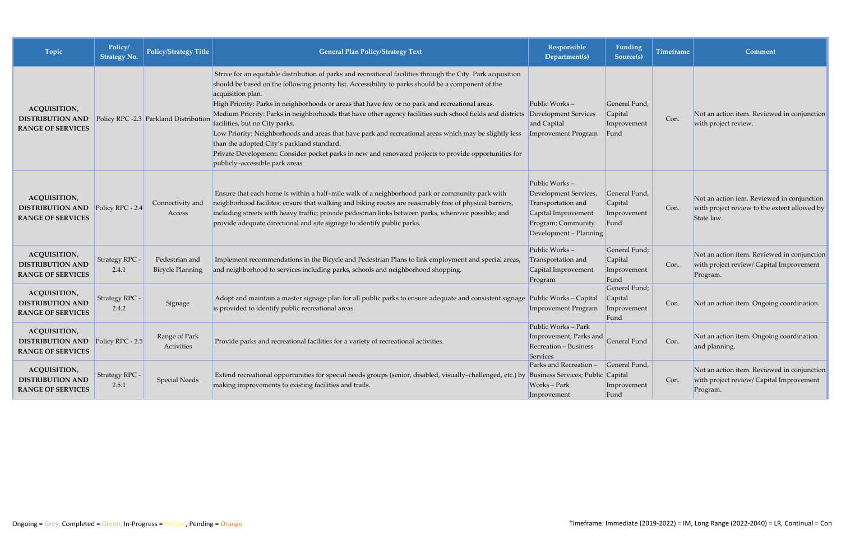| Topic                                                                                       | Policy/<br><b>Strategy No.</b> | Policy/Strategy Title                     | <b>General Plan Policy/Strategy Text</b>                                                                                                                                                                                                                                                                                                                                                                                                                                                                                                                                                                                                                                                                                                                                                        | Responsible<br>Department(s)                                                                                                        | Funding<br>Source(s)                            | Timeframe | Comment                                                                                                  |
|---------------------------------------------------------------------------------------------|--------------------------------|-------------------------------------------|-------------------------------------------------------------------------------------------------------------------------------------------------------------------------------------------------------------------------------------------------------------------------------------------------------------------------------------------------------------------------------------------------------------------------------------------------------------------------------------------------------------------------------------------------------------------------------------------------------------------------------------------------------------------------------------------------------------------------------------------------------------------------------------------------|-------------------------------------------------------------------------------------------------------------------------------------|-------------------------------------------------|-----------|----------------------------------------------------------------------------------------------------------|
| <b>ACQUISITION,</b><br><b>DISTRIBUTION AND</b><br><b>RANGE OF SERVICES</b>                  |                                | Policy RPC -2.3 Parkland Distribution     | Strive for an equitable distribution of parks and recreational facilities through the City. Park acquisition<br>should be based on the following priority list. Accessibility to parks should be a component of the<br>acquisition plan.<br>High Priority: Parks in neighborhoods or areas that have few or no park and recreational areas.<br>Medium Priority: Parks in neighborhoods that have other agency facilities such school fields and districts<br>facilities, but no City parks.<br>Low Priority: Neighborhoods and areas that have park and recreational areas which may be slightly less<br>than the adopted City's parkland standard.<br>Private Development: Consider pocket parks in new and renovated projects to provide opportunities for<br>publicly-accessible park areas. | Public Works-<br><b>Development Services</b><br>and Capital<br><b>Improvement Program</b>                                           | General Fund,<br>Capital<br>Improvement<br>Fund | Con.      | Not an action item. Reviewed in conjunction<br>with project review.                                      |
| <b>ACQUISITION,</b><br><b>DISTRIBUTION AND</b><br><b>RANGE OF SERVICES</b>                  | Policy RPC - 2.4               | Connectivity and<br>Access                | Ensure that each home is within a half-mile walk of a neighborhood park or community park with<br>neighborhood facilites; ensure that walking and biking routes are reasonably free of physical barriers,<br>including streets with heavy traffic; provide pedestrian links between parks, wherever possible; and<br>provide adequate directional and site signage to identify public parks.                                                                                                                                                                                                                                                                                                                                                                                                    | Public Works-<br>Development Services,<br>Transportation and<br>Capital Improvement<br>Program; Community<br>Development - Planning | General Fund,<br>Capital<br>Improvement<br>Fund | Con.      | Not an action iem. Reviewed in conjunction<br>with project review to the extent allowed by<br>State law. |
| <b>ACQUISITION,</b><br><b>DISTRIBUTION AND</b><br><b>RANGE OF SERVICES</b>                  | Strategy RPC -<br>2.4.1        | Pedestrian and<br><b>Bicycle Planning</b> | Implement recommendations in the Bicycle and Pedestrian Plans to link employment and special areas,<br>and neighborhood to services including parks, schools and neighborhood shopping.                                                                                                                                                                                                                                                                                                                                                                                                                                                                                                                                                                                                         | Public Works-<br>Transportation and<br>Capital Improvement<br>Program                                                               | General Fund;<br>Capital<br>Improvement<br>Fund | Con.      | Not an action item. Reviewed in conjunction<br>with project review/ Capital Improvement<br>Program.      |
| <b>ACQUISITION,</b><br><b>DISTRIBUTION AND</b><br><b>RANGE OF SERVICES</b>                  | Strategy RPC -<br>2.4.2        | Signage                                   | Adopt and maintain a master signage plan for all public parks to ensure adequate and consistent signage<br>is provided to identify public recreational areas.                                                                                                                                                                                                                                                                                                                                                                                                                                                                                                                                                                                                                                   | Public Works - Capital<br>Improvement Program                                                                                       | General Fund;<br>Capital<br>Improvement<br>Fund | Con.      | Not an action item. Ongoing coordination.                                                                |
| <b>ACQUISITION,</b><br><b>DISTRIBUTION AND</b> Policy RPC - 2.5<br><b>RANGE OF SERVICES</b> |                                | Range of Park<br>Activities               | Provide parks and recreational facilities for a variety of recreational activities.                                                                                                                                                                                                                                                                                                                                                                                                                                                                                                                                                                                                                                                                                                             | Public Works - Park<br>Improvement; Parks and General Fund<br>Recreation - Business<br>Services                                     |                                                 | Con.      | Not an action item. Ongoing coordination<br>and planning.                                                |
| ACQUISITION,<br><b>DISTRIBUTION AND</b><br><b>RANGE OF SERVICES</b>                         | Strategy RPC -<br>2.5.1        | <b>Special Needs</b>                      | Extend recreational opportunities for special needs groups (senior, disabled, visually-challenged, etc.) by Business Services; Public Capital<br>making improvements to existing facilities and trails.                                                                                                                                                                                                                                                                                                                                                                                                                                                                                                                                                                                         | Parks and Recreation -<br>Works-Park<br>Improvement                                                                                 | General Fund,<br>Improvement<br>Fund            | Con.      | Not an action item. Reviewed in conjunction<br>with project review/ Capital Improvement<br>Program.      |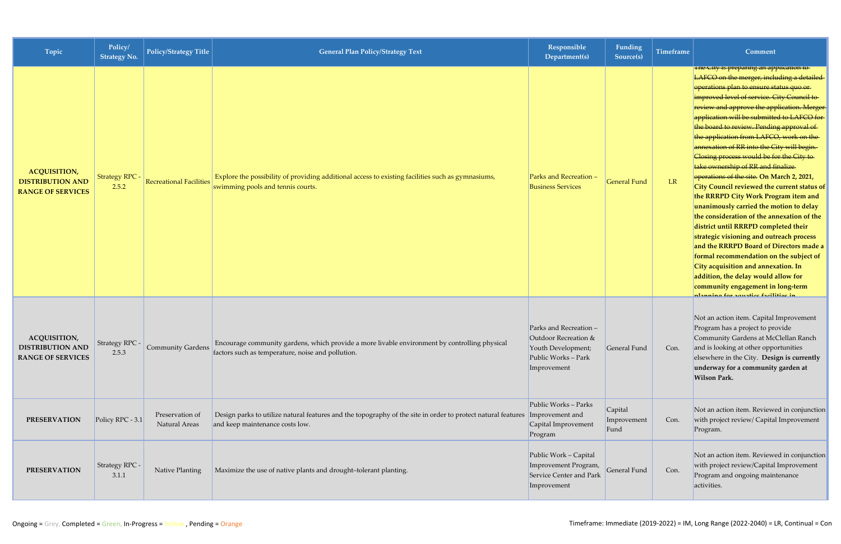| Topic                                                                      | Policy/<br><b>Strategy No.</b> | Policy/Strategy Title            | <b>General Plan Policy/Strategy Text</b>                                                                                                                         | Responsible<br>Department(s)                                                                               | <b>Funding</b><br>Source(s)    | <b>Timeframe</b> | Comment                                                                                                                                                                                                                                                                                                                                                                                                                                                                                                                                                                                                                                                                                                                                                                                                                                                                                                                                                                                                                                                                               |
|----------------------------------------------------------------------------|--------------------------------|----------------------------------|------------------------------------------------------------------------------------------------------------------------------------------------------------------|------------------------------------------------------------------------------------------------------------|--------------------------------|------------------|---------------------------------------------------------------------------------------------------------------------------------------------------------------------------------------------------------------------------------------------------------------------------------------------------------------------------------------------------------------------------------------------------------------------------------------------------------------------------------------------------------------------------------------------------------------------------------------------------------------------------------------------------------------------------------------------------------------------------------------------------------------------------------------------------------------------------------------------------------------------------------------------------------------------------------------------------------------------------------------------------------------------------------------------------------------------------------------|
| <b>ACQUISITION,</b><br><b>DISTRIBUTION AND</b><br><b>RANGE OF SERVICES</b> | <b>Strategy RPC -</b><br>2.5.2 | <b>Recreational Facilities</b>   | Explore the possibility of providing additional access to existing facilities such as gymnasiums,<br>swimming pools and tennis courts.                           | Parks and Recreation -<br><b>Business Services</b>                                                         | <b>General Fund</b>            | LR               | <del>rne City is preparing an application to</del><br>LAFCO on the merger, including a detailed-<br>operations plan to ensure status quo or<br>improved level of service. City Council to<br>review and approve the application. Merger-<br>application will be submitted to LAFCO for-<br>the board to review. Pending approval of<br>the application from LAFCO, work on the<br>annexation of RR into the City will begin.<br>Closing process would be for the City to<br>take ownership of RR and finalize<br>operations of the site. On March 2, 2021,<br>City Council reviewed the current status of<br>the RRRPD City Work Program item and<br>unanimously carried the motion to delay<br>the consideration of the annexation of the<br>district until RRRPD completed their<br>strategic visioning and outreach process<br>and the RRRPD Board of Directors made a<br>formal recommendation on the subject of<br>City acquisition and annexation. In<br>addition, the delay would allow for<br>community engagement in long-term<br><u>stannina far saustise fasilitise in</u> |
| <b>ACQUISITION,</b><br><b>DISTRIBUTION AND</b><br><b>RANGE OF SERVICES</b> | Strategy RPC -<br>2.5.3        | Community Gardens                | Encourage community gardens, which provide a more livable environment by controlling physical<br>factors such as temperature, noise and pollution.               | Parks and Recreation -<br>Outdoor Recreation &<br>Youth Development;<br>Public Works - Park<br>Improvement | General Fund                   | Con.             | Not an action item. Capital Improvement<br>Program has a project to provide<br>Community Gardens at McClellan Ranch<br>and is looking at other opportunities<br>elsewhere in the City. Design is currently<br>underway for a community garden at<br><b>Wilson Park.</b>                                                                                                                                                                                                                                                                                                                                                                                                                                                                                                                                                                                                                                                                                                                                                                                                               |
| <b>PRESERVATION</b>                                                        | Policy RPC - 3.1               | Preservation of<br>Natural Areas | Design parks to utilize natural features and the topography of the site in order to protect natural features  Improvement and<br>and keep maintenance costs low. | Public Works - Parks<br>Capital Improvement<br>Program                                                     | Capital<br>Improvement<br>Fund | Con.             | Not an action item. Reviewed in conjunction<br>with project review/ Capital Improvement<br>Program.                                                                                                                                                                                                                                                                                                                                                                                                                                                                                                                                                                                                                                                                                                                                                                                                                                                                                                                                                                                   |
| <b>PRESERVATION</b>                                                        | Strategy RPC -<br>3.1.1        | Native Planting                  | Maximize the use of native plants and drought-tolerant planting.                                                                                                 | Public Work - Capital<br>Improvement Program,<br>Service Center and Park<br>Improvement                    | General Fund                   | Con.             | Not an action item. Reviewed in conjunction<br>with project review/Capital Improvement<br>Program and ongoing maintenance<br>activities.                                                                                                                                                                                                                                                                                                                                                                                                                                                                                                                                                                                                                                                                                                                                                                                                                                                                                                                                              |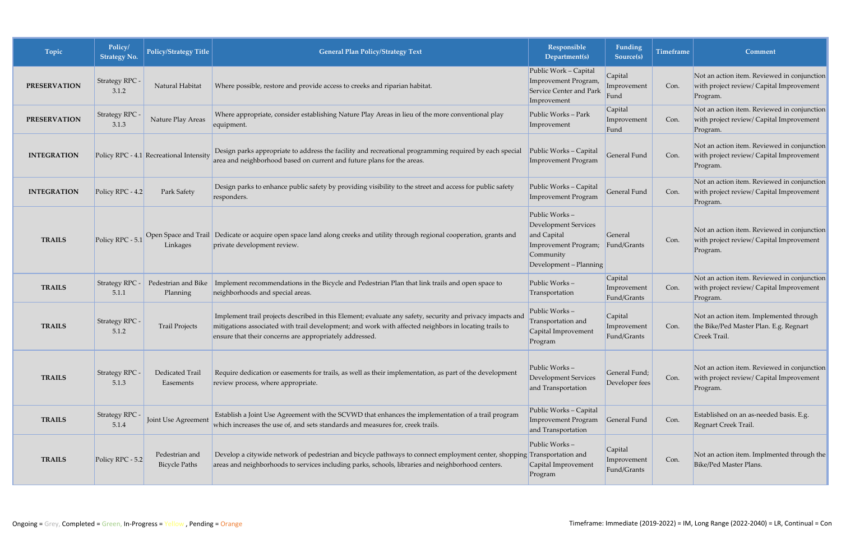| Topic               | Policy/<br><b>Strategy No.</b> | <b>Policy/Strategy Title</b>            | <b>General Plan Policy/Strategy Text</b>                                                                                                                                                                                                                                      | Responsible<br>Department(s)                                                                                               | <b>Funding</b><br>Source(s)           | <b>Timeframe</b> | Comment                                                                                             |
|---------------------|--------------------------------|-----------------------------------------|-------------------------------------------------------------------------------------------------------------------------------------------------------------------------------------------------------------------------------------------------------------------------------|----------------------------------------------------------------------------------------------------------------------------|---------------------------------------|------------------|-----------------------------------------------------------------------------------------------------|
| <b>PRESERVATION</b> | Strategy RPC -<br>3.1.2        | Natural Habitat                         | Where possible, restore and provide access to creeks and riparian habitat.                                                                                                                                                                                                    | Public Work - Capital<br>Improvement Program,<br>Service Center and Park<br>Improvement                                    | Capital<br>Improvement<br>Fund        | Con.             | Not an action item. Reviewed in conjunction<br>with project review/ Capital Improvement<br>Program. |
| <b>PRESERVATION</b> | Strategy RPC -<br>3.1.3        | Nature Play Areas                       | Where appropriate, consider establishing Nature Play Areas in lieu of the more conventional play<br>equipment.                                                                                                                                                                | Public Works - Park<br>Improvement                                                                                         | Capital<br>Improvement<br>Fund        | Con.             | Not an action item. Reviewed in conjunction<br>with project review/ Capital Improvement<br>Program. |
| <b>INTEGRATION</b>  |                                | Policy RPC - 4.1 Recreational Intensity | Design parks appropriate to address the facility and recreational programming required by each special<br>area and neighborhood based on current and future plans for the areas.                                                                                              | Public Works - Capital<br>Improvement Program                                                                              | <b>General Fund</b>                   | Con.             | Not an action item. Reviewed in conjunction<br>with project review/ Capital Improvement<br>Program. |
| <b>INTEGRATION</b>  | Policy RPC - 4.2               | Park Safety                             | Design parks to enhance public safety by providing visibility to the street and access for public safety<br>responders.                                                                                                                                                       | Public Works - Capital<br>Improvement Program                                                                              | General Fund                          | Con.             | Not an action item. Reviewed in conjunction<br>with project review/ Capital Improvement<br>Program. |
| <b>TRAILS</b>       | Policy RPC - 5.1               | Open Space and Trail<br>Linkages        | Dedicate or acquire open space land along creeks and utility through regional cooperation, grants and<br>private development review.                                                                                                                                          | Public Works-<br><b>Development Services</b><br>and Capital<br>Improvement Program;<br>Community<br>Development - Planning | General<br>Fund/Grants                | Con.             | Not an action item. Reviewed in conjunction<br>with project review/ Capital Improvement<br>Program. |
| <b>TRAILS</b>       | Strategy RPC -<br>5.1.1        | Pedestrian and Bike<br>Planning         | Implement recommendations in the Bicycle and Pedestrian Plan that link trails and open space to<br>neighborhoods and special areas.                                                                                                                                           | Public Works-<br>Transportation                                                                                            | Capital<br>Improvement<br>Fund/Grants | Con.             | Not an action item. Reviewed in conjunction<br>with project review/ Capital Improvement<br>Program. |
| <b>TRAILS</b>       | Strategy RPC -<br>5.1.2        | <b>Trail Projects</b>                   | Implement trail projects described in this Element; evaluate any safety, security and privacy impacts and<br>mitigations associated with trail development; and work with affected neighbors in locating trails to<br>ensure that their concerns are appropriately addressed. | Public Works-<br>Transportation and<br>Capital Improvement<br>Program                                                      | Capital<br>Improvement<br>Fund/Grants | Con.             | Not an action item. Implemented through<br>the Bike/Ped Master Plan. E.g. Regnart<br>Creek Trail.   |
| <b>TRAILS</b>       | Strategy RPC -<br>5.1.3        | Dedicated Trail<br>Easements            | Require dedication or easements for trails, as well as their implementation, as part of the development<br>review process, where appropriate.                                                                                                                                 | Public Works-<br>Development Services<br>and Transportation                                                                | General Fund;<br>Developer fees       | Con.             | Not an action item. Reviewed in conjunction<br>with project review/ Capital Improvement<br>Program. |
| <b>TRAILS</b>       | Strategy RPC -<br>5.1.4        | Joint Use Agreement                     | Establish a Joint Use Agreement with the SCVWD that enhances the implementation of a trail program<br>which increases the use of, and sets standards and measures for, creek trails.                                                                                          | Public Works - Capital<br>Improvement Program<br>and Transportation                                                        | General Fund                          | Con.             | Established on an as-needed basis. E.g.<br>Regnart Creek Trail.                                     |
| <b>TRAILS</b>       | Policy RPC - 5.2               | Pedestrian and<br><b>Bicycle Paths</b>  | Develop a citywide network of pedestrian and bicycle pathways to connect employment center, shopping Transportation and<br>areas and neighborhoods to services including parks, schools, libraries and neighborhood centers.                                                  | Public Works-<br>Capital Improvement<br>Program                                                                            | Capital<br>Improvement<br>Fund/Grants | Con.             | Not an action item. Implmented through the<br>Bike/Ped Master Plans.                                |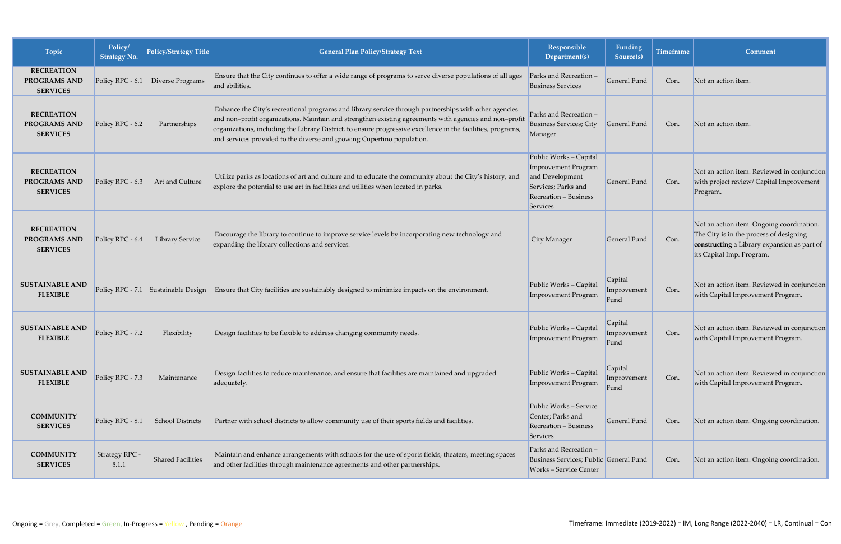| Topic                                                       | Policy/<br><b>Strategy No.</b> | <b>Policy/Strategy Title</b> | <b>General Plan Policy/Strategy Text</b>                                                                                                                                                                                                                                                                                                                                                                  | Responsible<br>Department(s)                                                                                                 | Funding<br>Source(s)           | <b>Timeframe</b> | Comment                                                                                                                                                           |
|-------------------------------------------------------------|--------------------------------|------------------------------|-----------------------------------------------------------------------------------------------------------------------------------------------------------------------------------------------------------------------------------------------------------------------------------------------------------------------------------------------------------------------------------------------------------|------------------------------------------------------------------------------------------------------------------------------|--------------------------------|------------------|-------------------------------------------------------------------------------------------------------------------------------------------------------------------|
| <b>RECREATION</b><br><b>PROGRAMS AND</b><br><b>SERVICES</b> | Policy RPC - 6.1               | Diverse Programs             | Ensure that the City continues to offer a wide range of programs to serve diverse populations of all ages<br>and abilities.                                                                                                                                                                                                                                                                               | Parks and Recreation -<br><b>Business Services</b>                                                                           | General Fund                   | Con.             | Not an action item.                                                                                                                                               |
| <b>RECREATION</b><br>PROGRAMS AND<br><b>SERVICES</b>        | Policy RPC - 6.2               | Partnerships                 | Enhance the City's recreational programs and library service through partnerships with other agencies<br>and non-profit organizations. Maintain and strengthen existing agreements with agencies and non-profit<br>organizations, including the Library District, to ensure progressive excellence in the facilities, programs,<br>and services provided to the diverse and growing Cupertino population. | Parks and Recreation -<br><b>Business Services; City</b><br>Manager                                                          | General Fund                   | Con.             | Not an action item.                                                                                                                                               |
| <b>RECREATION</b><br><b>PROGRAMS AND</b><br><b>SERVICES</b> | Policy RPC - 6.3               | Art and Culture              | Utilize parks as locations of art and culture and to educate the community about the City's history, and<br>explore the potential to use art in facilities and utilities when located in parks.                                                                                                                                                                                                           | Public Works - Capital<br>Improvement Program<br>and Development<br>Services; Parks and<br>Recreation - Business<br>Services | General Fund                   | Con.             | Not an action item. Reviewed in conjunction<br>with project review/ Capital Improvement<br>Program.                                                               |
| <b>RECREATION</b><br><b>PROGRAMS AND</b><br><b>SERVICES</b> | Policy RPC - 6.4               | <b>Library Service</b>       | Encourage the library to continue to improve service levels by incorporating new technology and<br>expanding the library collections and services.                                                                                                                                                                                                                                                        | City Manager                                                                                                                 | General Fund                   | Con.             | Not an action item. Ongoing coordination.<br>The City is in the process of designing-<br>constructing a Library expansion as part of<br>its Capital Imp. Program. |
| <b>SUSTAINABLE AND</b><br><b>FLEXIBLE</b>                   | Policy RPC - $7.1$             | Sustainable Design           | Ensure that City facilities are sustainably designed to minimize impacts on the environment.                                                                                                                                                                                                                                                                                                              | Public Works - Capital<br>Improvement Program                                                                                | Capital<br>Improvement<br>Fund | Con.             | Not an action item. Reviewed in conjunction<br>with Capital Improvement Program.                                                                                  |
| <b>SUSTAINABLE AND</b><br><b>FLEXIBLE</b>                   | Policy RPC - 7.2               | Flexibility                  | Design facilities to be flexible to address changing community needs.                                                                                                                                                                                                                                                                                                                                     | Public Works - Capital<br><b>Improvement Program</b>                                                                         | Capital<br>Improvement<br>Fund | Con.             | Not an action item. Reviewed in conjunction<br>with Capital Improvement Program.                                                                                  |
| <b>SUSTAINABLE AND</b><br><b>FLEXIBLE</b>                   | Policy RPC - 7.3               | Maintenance                  | Design facilities to reduce maintenance, and ensure that facilities are maintained and upgraded<br>adequately.                                                                                                                                                                                                                                                                                            | Public Works - Capital<br>Improvement Program                                                                                | Capital<br>Improvement<br>Fund | Con.             | Not an action item. Reviewed in conjunction<br>with Capital Improvement Program.                                                                                  |
| <b>COMMUNITY</b><br><b>SERVICES</b>                         | Policy RPC - 8.1               | <b>School Districts</b>      | Partner with school districts to allow community use of their sports fields and facilities.                                                                                                                                                                                                                                                                                                               | Public Works - Service<br>Center; Parks and<br>Recreation - Business<br>Services                                             | General Fund                   | Con.             | Not an action item. Ongoing coordination.                                                                                                                         |
| <b>COMMUNITY</b><br><b>SERVICES</b>                         | Strategy RPC -<br>8.1.1        | <b>Shared Facilities</b>     | Maintain and enhance arrangements with schools for the use of sports fields, theaters, meeting spaces<br>and other facilities through maintenance agreements and other partnerships.                                                                                                                                                                                                                      | Parks and Recreation -<br>Business Services; Public General Fund<br><b>Works-Service Center</b>                              |                                | Con.             | Not an action item. Ongoing coordination.                                                                                                                         |